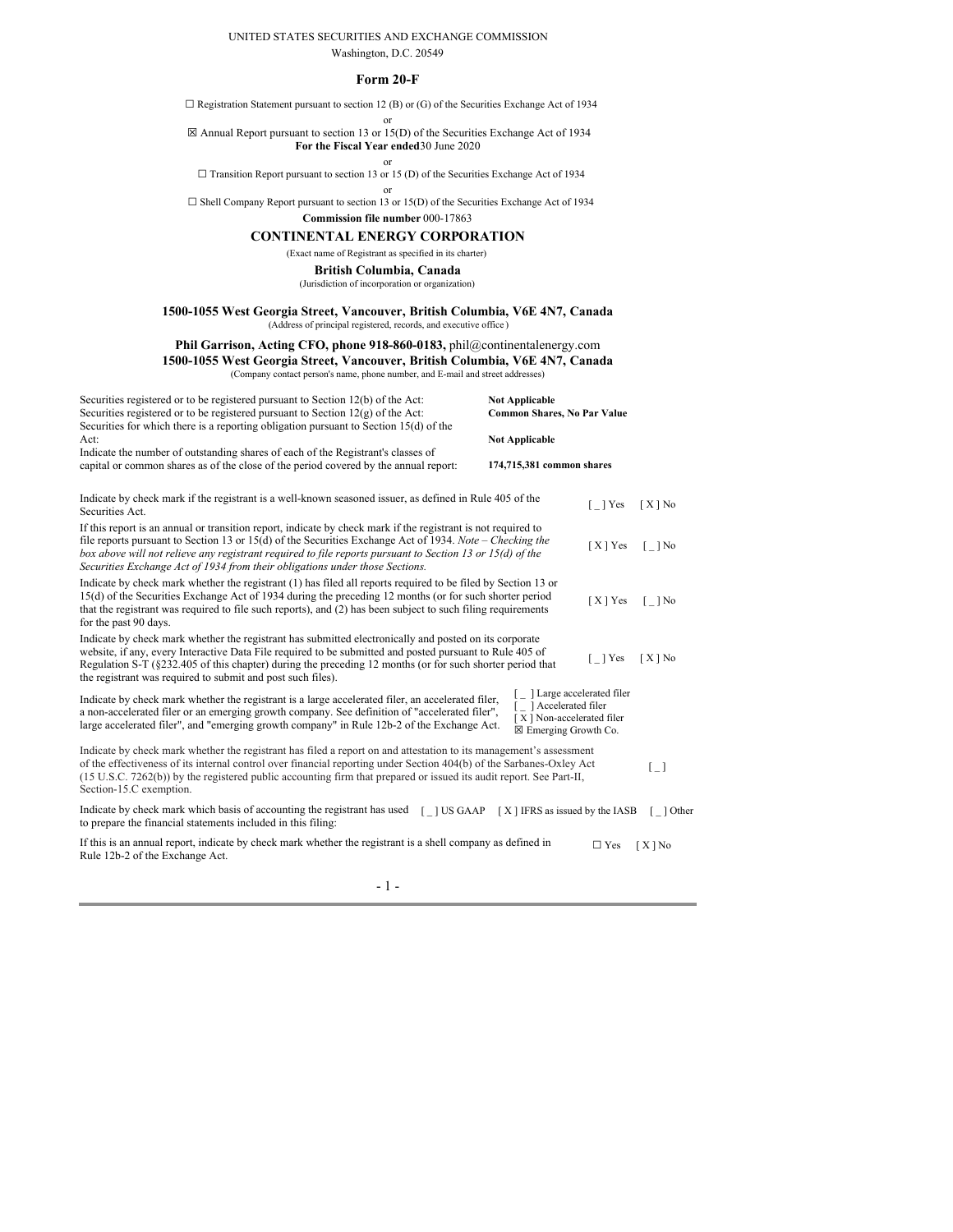### UNITED STATES SECURITIES AND EXCHANGE COMMISSION Washington, D.C. 20549

### **Form 20-F**

<span id="page-0-0"></span>☐ Registration Statement pursuant to section 12 (B) or (G) of the Securities Exchange Act of 1934

or  $\boxtimes$  Annual Report pursuant to section 13 or 15(D) of the Securities Exchange Act of 1934 **For the Fiscal Year ended**30 June 2020

or  $\Box$  Transition Report pursuant to section 13 or 15 (D) of the Securities Exchange Act of 1934

or □ Shell Company Report pursuant to section 13 or 15(D) of the Securities Exchange Act of 1934

**Commission file number** 000-17863

### **CONTINENTAL ENERGY CORPORATION**

(Exact name of Registrant as specified in its charter)

**British Columbia, Canada**

(Jurisdiction of incorporation or organization)

#### **1500-1055 West Georgia Street, Vancouver, British Columbia, V6E 4N7, Canada** (Address of principal registered, records, and executive office )

**Phil Garrison, Acting CFO, phone 918-860-0183,** phil@continentalenergy.com **1500-1055 West Georgia Street, Vancouver, British Columbia, V6E 4N7, Canada** (Company contact person's name, phone number, and E-mail and street addresses)

| Securities registered or to be registered pursuant to Section 12(b) of the Act:<br>Securities registered or to be registered pursuant to Section $12(g)$ of the Act:<br>Securities for which there is a reporting obligation pursuant to Section 15(d) of the<br>Act:<br>Indicate the number of outstanding shares of each of the Registrant's classes of<br>capital or common shares as of the close of the period covered by the annual report: | <b>Not Applicable</b><br>Common Shares, No Par Value<br><b>Not Applicable</b><br>174,715,381 common shares         |                           |                                                                |
|---------------------------------------------------------------------------------------------------------------------------------------------------------------------------------------------------------------------------------------------------------------------------------------------------------------------------------------------------------------------------------------------------------------------------------------------------|--------------------------------------------------------------------------------------------------------------------|---------------------------|----------------------------------------------------------------|
| Indicate by check mark if the registrant is a well-known seasoned issuer, as defined in Rule 405 of the<br>Securities Act.                                                                                                                                                                                                                                                                                                                        |                                                                                                                    | $\lceil$   Yes            | $[X]$ No                                                       |
| If this report is an annual or transition report, indicate by check mark if the registrant is not required to<br>file reports pursuant to Section 13 or 15(d) of the Securities Exchange Act of 1934. Note – Checking the<br>box above will not relieve any registrant required to file reports pursuant to Section 13 or 15(d) of the<br>Securities Exchange Act of 1934 from their obligations under those Sections.                            |                                                                                                                    | $[X]$ Yes                 | $\lceil$ 1 No                                                  |
| Indicate by check mark whether the registrant (1) has filed all reports required to be filed by Section 13 or<br>15(d) of the Securities Exchange Act of 1934 during the preceding 12 months (or for such shorter period<br>that the registrant was required to file such reports), and (2) has been subject to such filing requirements<br>for the past 90 days.                                                                                 |                                                                                                                    | $[X]$ Yes                 | $\lceil$   No                                                  |
| Indicate by check mark whether the registrant has submitted electronically and posted on its corporate<br>website, if any, every Interactive Data File required to be submitted and posted pursuant to Rule 405 of<br>Regulation S-T (§232.405 of this chapter) during the preceding 12 months (or for such shorter period that<br>the registrant was required to submit and post such files).                                                    |                                                                                                                    | $\lceil \quad \rceil$ Yes | $[X]$ No                                                       |
| Indicate by check mark whether the registrant is a large accelerated filer, an accelerated filer,<br>a non-accelerated filer or an emerging growth company. See definition of "accelerated filer",<br>large accelerated filer", and "emerging growth company" in Rule 12b-2 of the Exchange Act.                                                                                                                                                  | [ ] Large accelerated filer<br>] Accelerated filer<br>[X] Non-accelerated filer<br>$\boxtimes$ Emerging Growth Co. |                           |                                                                |
| Indicate by check mark whether the registrant has filed a report on and attestation to its management's assessment<br>of the effectiveness of its internal control over financial reporting under Section 404(b) of the Sarbanes-Oxley Act<br>(15 U.S.C. 7262(b)) by the registered public accounting firm that prepared or issued its audit report. See Part-II,<br>Section-15.C exemption.                                                      |                                                                                                                    |                           | $\left[ \begin{smallmatrix} 1 \\ -1 \end{smallmatrix} \right]$ |
| Indicate by check mark which basis of accounting the registrant has used<br>$\lceil$ $\lceil$ US GAAP<br>to prepare the financial statements included in this filing:                                                                                                                                                                                                                                                                             | [X] IFRS as issued by the IASB                                                                                     |                           | [ ] Other                                                      |
| If this is an annual report, indicate by check mark whether the registrant is a shell company as defined in<br>Rule 12b-2 of the Exchange Act.                                                                                                                                                                                                                                                                                                    |                                                                                                                    | $\Box$ Yes                | $[X]$ No                                                       |

- 1 -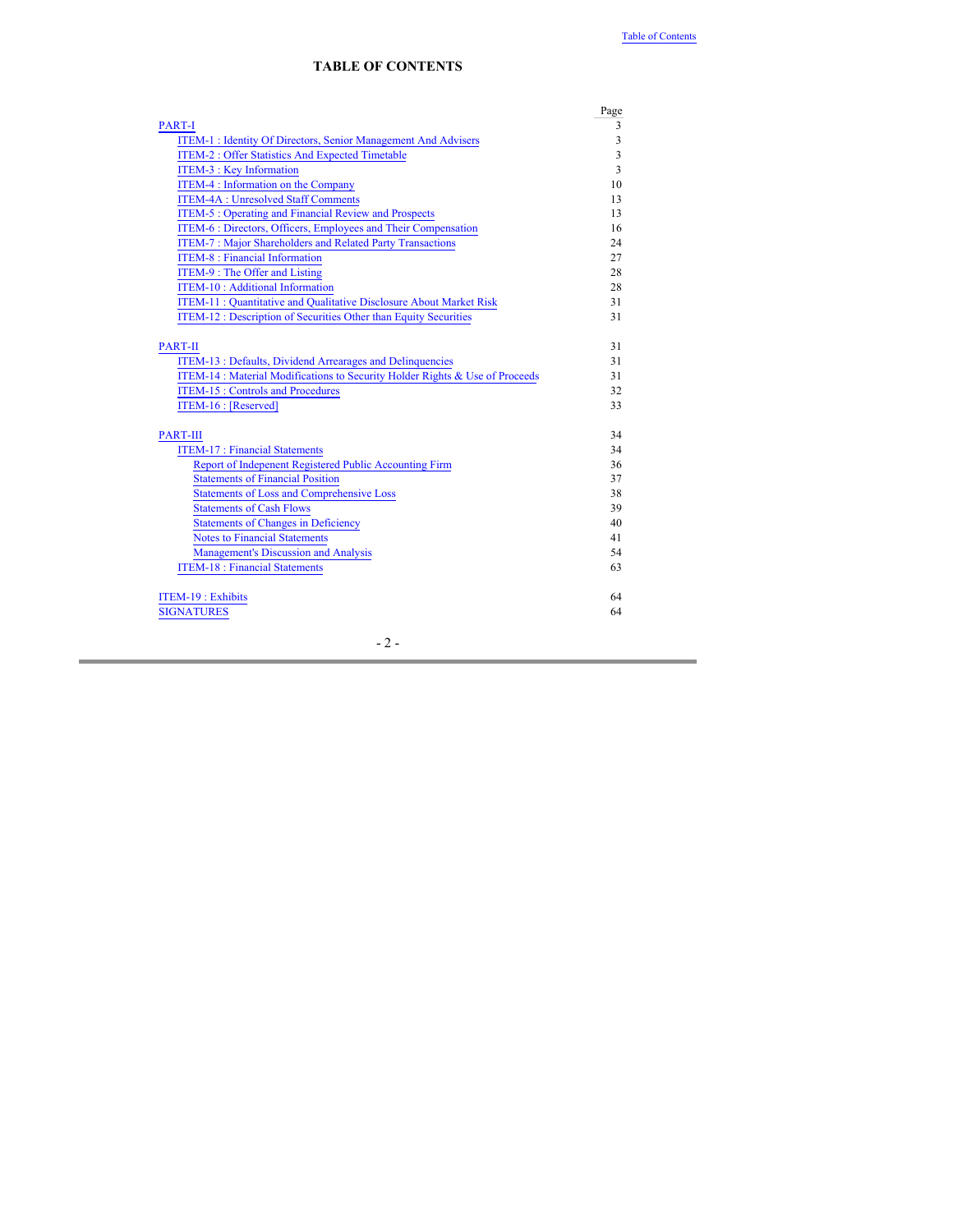### **TABLE OF CONTENTS**

|                                                                              | Page |
|------------------------------------------------------------------------------|------|
| PART-I                                                                       |      |
| <b>ITEM-1: Identity Of Directors, Senior Management And Advisers</b>         | 3    |
| <b>ITEM-2: Offer Statistics And Expected Timetable</b>                       | 3    |
| <b>ITEM-3: Key Information</b>                                               | 3    |
| ITEM-4 : Information on the Company                                          | 10   |
| <b>ITEM-4A</b> : Unresolved Staff Comments                                   | 13   |
| <b>ITEM-5: Operating and Financial Review and Prospects</b>                  | 13   |
| ITEM-6 : Directors, Officers, Employees and Their Compensation               | 16   |
| <b>ITEM-7: Major Shareholders and Related Party Transactions</b>             | 24   |
| <b>ITEM-8</b> : Financial Information                                        | 27   |
| ITEM-9 : The Offer and Listing                                               | 28   |
| <b>ITEM-10: Additional Information</b>                                       | 28   |
| ITEM-11: Quantitative and Qualitative Disclosure About Market Risk           | 31   |
| ITEM-12 : Description of Securities Other than Equity Securities             | 31   |
| <b>PART-II</b>                                                               | 31   |
| ITEM-13 : Defaults, Dividend Arrearages and Delinquencies                    | 31   |
| ITEM-14 : Material Modifications to Security Holder Rights & Use of Proceeds | 31   |
| <b>ITEM-15: Controls and Procedures</b>                                      | 32   |
| ITEM-16 : [Reserved]                                                         | 33   |
|                                                                              |      |
| <b>PART-III</b>                                                              | 34   |
| <b>ITEM-17: Financial Statements</b>                                         | 34   |
| Report of Indepenent Registered Public Accounting Firm                       | 36   |
| <b>Statements of Financial Position</b>                                      | 37   |
| <b>Statements of Loss and Comprehensive Loss</b>                             | 38   |
| <b>Statements of Cash Flows</b>                                              | 39   |
| <b>Statements of Changes in Deficiency</b>                                   | 40   |
| <b>Notes to Financial Statements</b>                                         | 41   |
| Management's Discussion and Analysis                                         | 54   |
| <b>ITEM-18: Financial Statements</b>                                         | 63   |
| ITEM-19 : Exhibits                                                           | 64   |
| <b>SIGNATURES</b>                                                            | 64   |
|                                                                              |      |
| $-2-$                                                                        |      |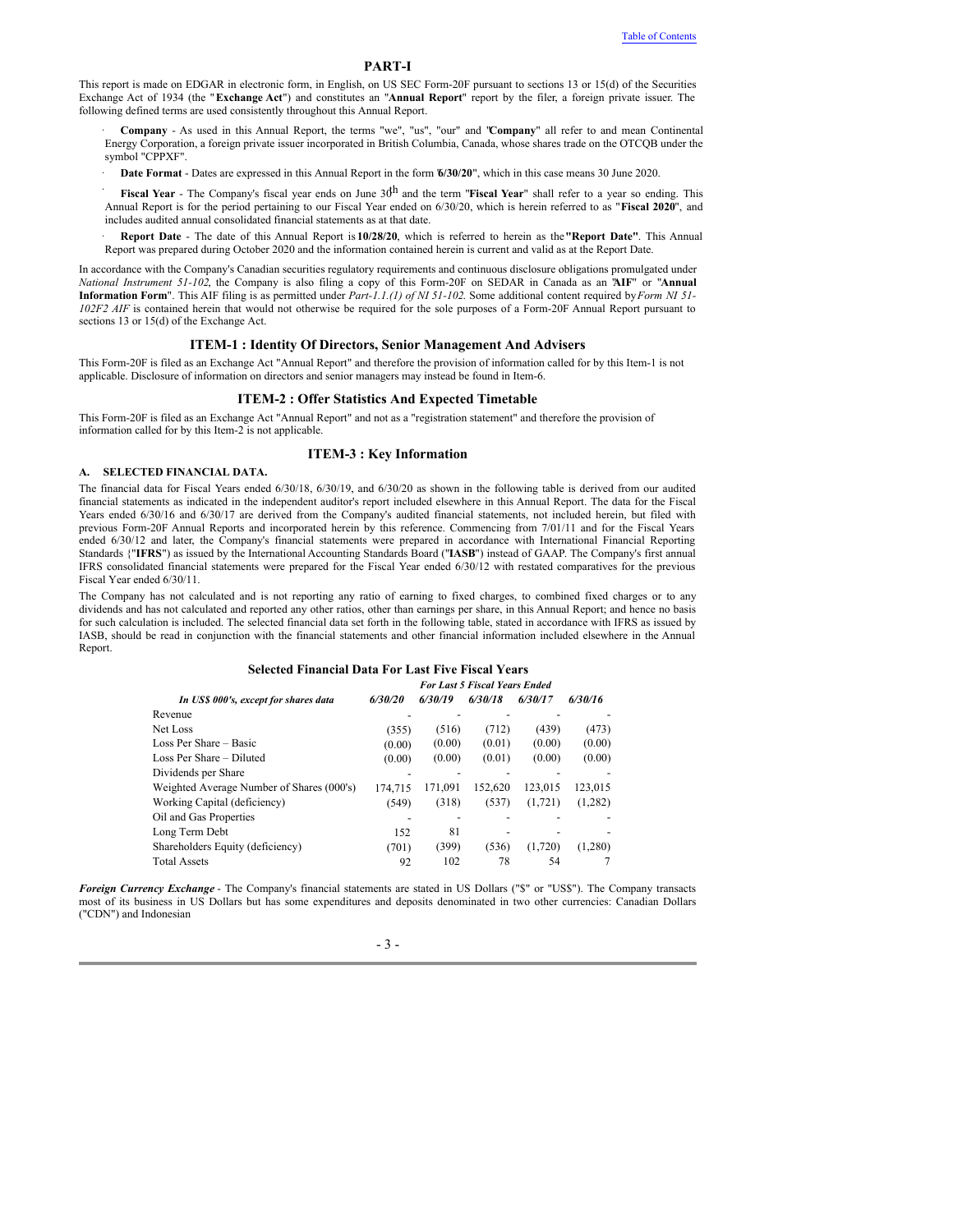### **PART-I**

This report is made on EDGAR in electronic form, in English, on US SEC Form-20F pursuant to sections 13 or 15(d) of the Securities Exchange Act of 1934 (the "**Exchange Act**") and constitutes an "**Annual Report**" report by the filer, a foreign private issuer. The following defined terms are used consistently throughout this Annual Report.

**Company** - As used in this Annual Report, the terms "we", "us", "our" and "**Company**" all refer to and mean Continental Energy Corporation, a foreign private issuer incorporated in British Columbia, Canada, whose shares trade on the OTCQB under the symbol "CPPXF". ·

**Date Format** - Dates are expressed in this Annual Report in the form "**6/30/20**", which in this case means 30 June 2020. ·

**Fiscal Year** - The Company's fiscal year ends on June  $30^{\text{h}}$  and the term "**Fiscal Year**" shall refer to a year so ending. This Annual Report is for the period pertaining to our Fiscal Year ended on 6/30/20, which is herein referred to as "**Fiscal 2020**", and includes audited annual consolidated financial statements as at that date. ·

**Report Date** - The date of this Annual Report is **10/28/20**, which is referred to herein as the**"Report Date"**. This Annual Report was prepared during October 2020 and the information contained herein is current and valid as at the Report Date. ·

In accordance with the Company's Canadian securities regulatory requirements and continuous disclosure obligations promulgated under *National Instrument 51-102*, the Company is also filing a copy of this Form-20F on SEDAR in Canada as an "**AIF**" or "**Annual Information Form**". This AIF filing is as permitted under *Part-1.1.(1) of NI 51-102*. Some additional content required by*Form NI 51- 102F2 AIF* is contained herein that would not otherwise be required for the sole purposes of a Form-20F Annual Report pursuant to sections 13 or 15(d) of the Exchange Act.

### **ITEM-1 : Identity Of Directors, Senior Management And Advisers**

This Form-20F is filed as an Exchange Act "Annual Report" and therefore the provision of information called for by this Item-1 is not applicable. Disclosure of information on directors and senior managers may instead be found in Item-6.

### **ITEM-2 : Offer Statistics And Expected Timetable**

This Form-20F is filed as an Exchange Act "Annual Report" and not as a "registration statement" and therefore the provision of information called for by this Item-2 is not applicable.

#### **ITEM-3 : Key Information**

#### **SELECTED FINANCIAL DATA. A.**

The financial data for Fiscal Years ended 6/30/18, 6/30/19, and 6/30/20 as shown in the following table is derived from our audited financial statements as indicated in the independent auditor's report included elsewhere in this Annual Report. The data for the Fiscal Years ended 6/30/16 and 6/30/17 are derived from the Company's audited financial statements, not included herein, but filed with previous Form-20F Annual Reports and incorporated herein by this reference. Commencing from 7/01/11 and for the Fiscal Years ended 6/30/12 and later, the Company's financial statements were prepared in accordance with International Financial Reporting Standards {"**IFRS**") as issued by the International Accounting Standards Board ("**IASB**") instead of GAAP. The Company's first annual IFRS consolidated financial statements were prepared for the Fiscal Year ended 6/30/12 with restated comparatives for the previous Fiscal Year ended 6/30/11.

The Company has not calculated and is not reporting any ratio of earning to fixed charges, to combined fixed charges or to any dividends and has not calculated and reported any other ratios, other than earnings per share, in this Annual Report; and hence no basis for such calculation is included. The selected financial data set forth in the following table, stated in accordance with IFRS as issued by IASB, should be read in conjunction with the financial statements and other financial information included elsewhere in the Annual Report.

#### **Selected Financial Data For Last Five Fiscal Years** *For Last 5 Fiscal Years Ended*

| In US\$ 000's, except for shares data     | 6/30/20 | 6/30/19 | 6/30/18 | 6/30/17 | 6/30/16 |
|-------------------------------------------|---------|---------|---------|---------|---------|
| Revenue                                   |         |         |         |         |         |
| Net Loss                                  | (355)   | (516)   | (712)   | (439)   | (473)   |
| Loss Per Share – Basic                    | (0.00)  | (0.00)  | (0.01)  | (0.00)  | (0.00)  |
| Loss Per Share – Diluted                  | (0.00)  | (0.00)  | (0.01)  | (0.00)  | (0.00)  |
| Dividends per Share                       |         |         |         |         |         |
| Weighted Average Number of Shares (000's) | 174.715 | 171,091 | 152,620 | 123.015 | 123,015 |
| Working Capital (deficiency)              | (549)   | (318)   | (537)   | (1,721) | (1,282) |
| Oil and Gas Properties                    |         |         |         |         |         |
| Long Term Debt                            | 152     | 81      |         |         |         |
| Shareholders Equity (deficiency)          | (701)   | (399)   | (536)   | (1,720) | (1,280) |
| <b>Total Assets</b>                       | 92      | 102     | 78      | 54      |         |

*Foreign Currency Exchange* - The Company's financial statements are stated in US Dollars ("\$" or "US\$"). The Company transacts most of its business in US Dollars but has some expenditures and deposits denominated in two other currencies: Canadian Dollars ("CDN") and Indonesian

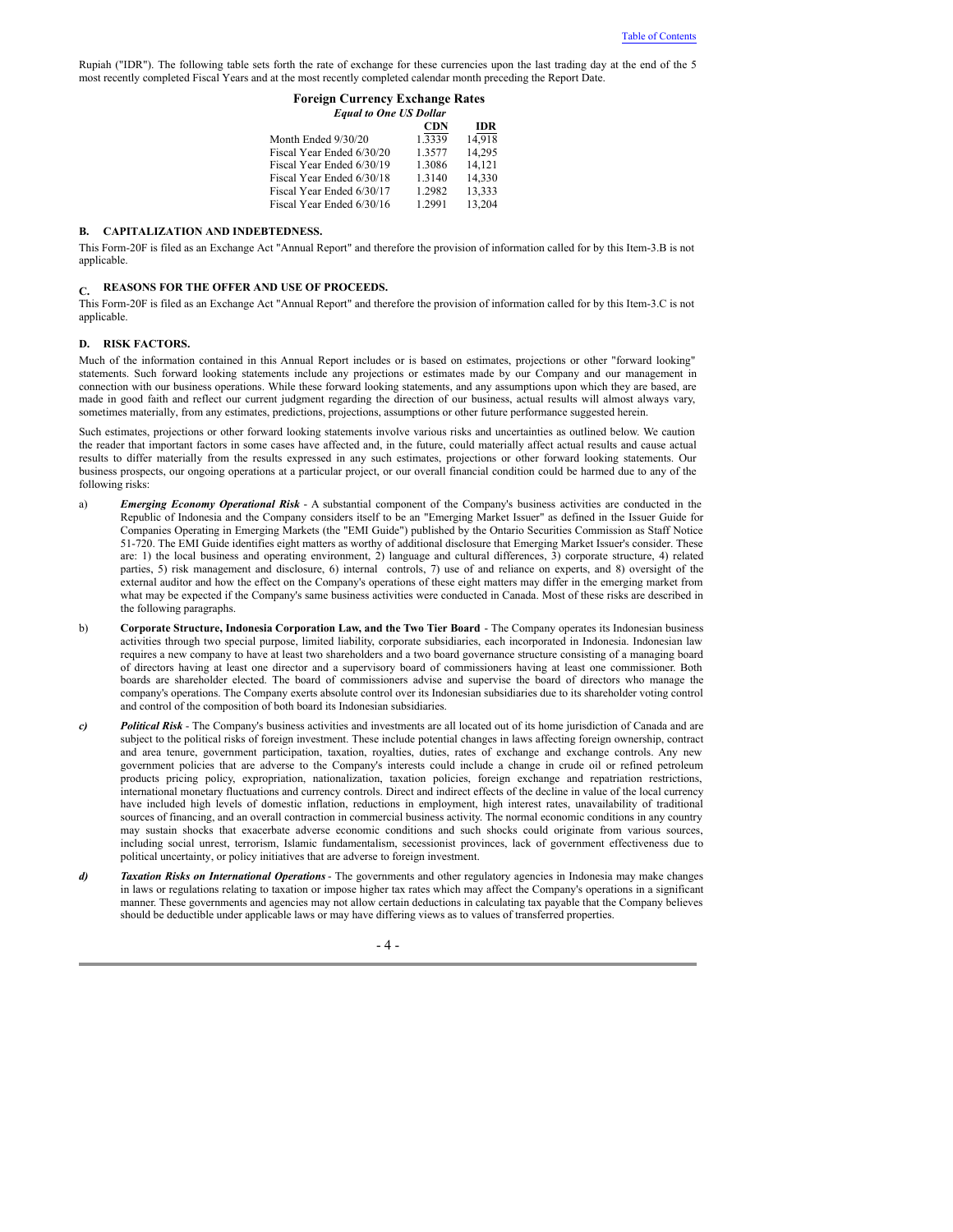Rupiah ("IDR"). The following table sets forth the rate of exchange for these currencies upon the last trading day at the end of the 5 most recently completed Fiscal Years and at the most recently completed calendar month preceding the Report Date.

| <b>Foreign Currency Exchange Rates</b> |            |  |  |  |  |  |  |
|----------------------------------------|------------|--|--|--|--|--|--|
| <b>Equal to One US Dollar</b>          |            |  |  |  |  |  |  |
| <b>CDN</b>                             | <b>IDR</b> |  |  |  |  |  |  |
| 1.3339                                 | 14.918     |  |  |  |  |  |  |
| 1.3577                                 | 14.295     |  |  |  |  |  |  |
| 1.3086                                 | 14.121     |  |  |  |  |  |  |
| 1.3140                                 | 14,330     |  |  |  |  |  |  |
| 1.2982                                 | 13,333     |  |  |  |  |  |  |
| 1.2991                                 | 13.204     |  |  |  |  |  |  |
|                                        |            |  |  |  |  |  |  |

#### **CAPITALIZATION AND INDEBTEDNESS. B.**

This Form-20F is filed as an Exchange Act "Annual Report" and therefore the provision of information called for by this Item-3.B is not applicable.

### **REASONS FOR THE OFFER AND USE OF PROCEEDS. C.**

This Form-20F is filed as an Exchange Act "Annual Report" and therefore the provision of information called for by this Item-3.C is not applicable.

#### **RISK FACTORS. D.**

Much of the information contained in this Annual Report includes or is based on estimates, projections or other "forward looking" statements. Such forward looking statements include any projections or estimates made by our Company and our management in connection with our business operations. While these forward looking statements, and any assumptions upon which they are based, are made in good faith and reflect our current judgment regarding the direction of our business, actual results will almost always vary, sometimes materially, from any estimates, predictions, projections, assumptions or other future performance suggested herein.

Such estimates, projections or other forward looking statements involve various risks and uncertainties as outlined below. We caution the reader that important factors in some cases have affected and, in the future, could materially affect actual results and cause actual results to differ materially from the results expressed in any such estimates, projections or other forward looking statements. Our business prospects, our ongoing operations at a particular project, or our overall financial condition could be harmed due to any of the following risks:

- *Emerging Economy Operational Risk* A substantial component of the Company's business activities are conducted in the Republic of Indonesia and the Company considers itself to be an "Emerging Market Issuer" as defined in the Issuer Guide for Companies Operating in Emerging Markets (the "EMI Guide") published by the Ontario Securities Commission as Staff Notice 51-720. The EMI Guide identifies eight matters as worthy of additional disclosure that Emerging Market Issuer's consider. These are: 1) the local business and operating environment, 2) language and cultural differences, 3) corporate structure, 4) related parties, 5) risk management and disclosure, 6) internal controls, 7) use of and reliance on experts, and 8) oversight of the external auditor and how the effect on the Company's operations of these eight matters may differ in the emerging market from what may be expected if the Company's same business activities were conducted in Canada. Most of these risks are described in the following paragraphs. a)
- **Corporate Structure, Indonesia Corporation Law, and the Two Tier Board** The Company operates its Indonesian business activities through two special purpose, limited liability, corporate subsidiaries, each incorporated in Indonesia. Indonesian law requires a new company to have at least two shareholders and a two board governance structure consisting of a managing board of directors having at least one director and a supervisory board of commissioners having at least one commissioner. Both boards are shareholder elected. The board of commissioners advise and supervise the board of directors who manage the company's operations. The Company exerts absolute control over its Indonesian subsidiaries due to its shareholder voting control and control of the composition of both board its Indonesian subsidiaries. b)
- *Political Risk* The Company's business activities and investments are all located out of its home jurisdiction of Canada and are subject to the political risks of foreign investment. These include potential changes in laws affecting foreign ownership, contract and area tenure, government participation, taxation, royalties, duties, rates of exchange and exchange controls. Any new government policies that are adverse to the Company's interests could include a change in crude oil or refined petroleum products pricing policy, expropriation, nationalization, taxation policies, foreign exchange and repatriation restrictions, international monetary fluctuations and currency controls. Direct and indirect effects of the decline in value of the local currency have included high levels of domestic inflation, reductions in employment, high interest rates, unavailability of traditional sources of financing, and an overall contraction in commercial business activity. The normal economic conditions in any country may sustain shocks that exacerbate adverse economic conditions and such shocks could originate from various sources, including social unrest, terrorism, Islamic fundamentalism, secessionist provinces, lack of government effectiveness due to political uncertainty, or policy initiatives that are adverse to foreign investment. *c)*
- *Taxation Risks on International Operations* The governments and other regulatory agencies in Indonesia may make changes in laws or regulations relating to taxation or impose higher tax rates which may affect the Company's operations in a significant manner. These governments and agencies may not allow certain deductions in calculating tax payable that the Company believes should be deductible under applicable laws or may have differing views as to values of transferred properties. *d)*

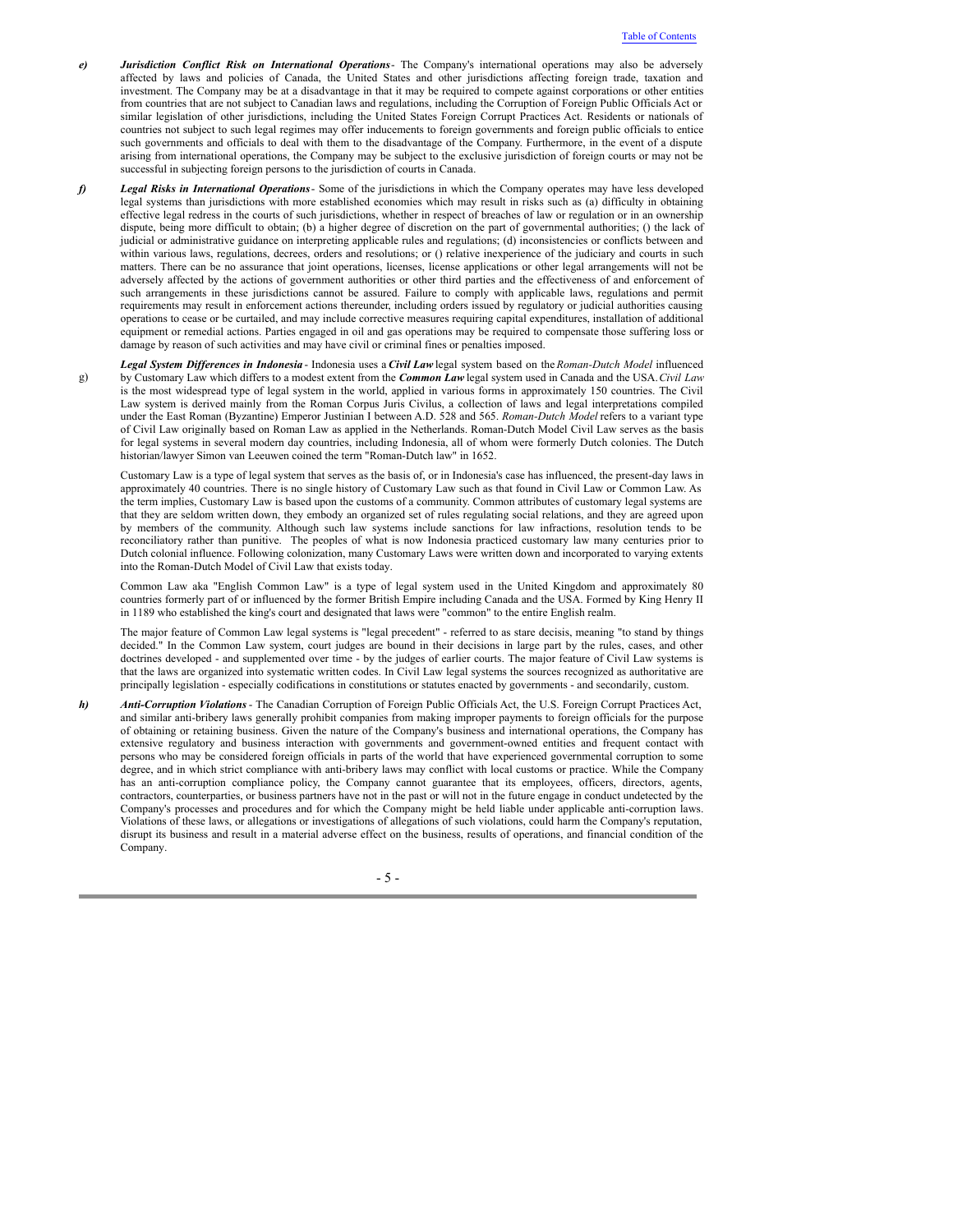- *Jurisdiction Conflict Risk on International Operations* The Company's international operations may also be adversely affected by laws and policies of Canada, the United States and other jurisdictions affecting foreign trade, taxation and investment. The Company may be at a disadvantage in that it may be required to compete against corporations or other entities from countries that are not subject to Canadian laws and regulations, including the Corruption of Foreign Public Officials Act or similar legislation of other jurisdictions, including the United States Foreign Corrupt Practices Act. Residents or nationals of countries not subject to such legal regimes may offer inducements to foreign governments and foreign public officials to entice such governments and officials to deal with them to the disadvantage of the Company. Furthermore, in the event of a dispute arising from international operations, the Company may be subject to the exclusive jurisdiction of foreign courts or may not be successful in subjecting foreign persons to the jurisdiction of courts in Canada. *e)*
- *Legal Risks in International Operations* Some of the jurisdictions in which the Company operates may have less developed legal systems than jurisdictions with more established economies which may result in risks such as (a) difficulty in obtaining effective legal redress in the courts of such jurisdictions, whether in respect of breaches of law or regulation or in an ownership dispute, being more difficult to obtain; (b) a higher degree of discretion on the part of governmental authorities; () the lack of judicial or administrative guidance on interpreting applicable rules and regulations; (d) inconsistencies or conflicts between and within various laws, regulations, decrees, orders and resolutions; or () relative inexperience of the judiciary and courts in such matters. There can be no assurance that joint operations, licenses, license applications or other legal arrangements will not be adversely affected by the actions of government authorities or other third parties and the effectiveness of and enforcement of such arrangements in these jurisdictions cannot be assured. Failure to comply with applicable laws, regulations and permit requirements may result in enforcement actions thereunder, including orders issued by regulatory or judicial authorities causing operations to cease or be curtailed, and may include corrective measures requiring capital expenditures, installation of additional equipment or remedial actions. Parties engaged in oil and gas operations may be required to compensate those suffering loss or damage by reason of such activities and may have civil or criminal fines or penalties imposed. *f)*
- *Legal System Dif erences in Indonesia* Indonesia uses a *Civil Law* legal system based on the *Roman-Dutch Model* influenced by Customary Law which differs to a modest extent from the *Common Law* legal system used in Canada and the USA.*Civil Law* is the most widespread type of legal system in the world, applied in various forms in approximately 150 countries. The Civil Law system is derived mainly from the Roman Corpus Juris Civilus, a collection of laws and legal interpretations compiled under the East Roman (Byzantine) Emperor Justinian I between A.D. 528 and 565. *Roman-Dutch Model* refers to a variant type of Civil Law originally based on Roman Law as applied in the Netherlands. Roman-Dutch Model Civil Law serves as the basis for legal systems in several modern day countries, including Indonesia, all of whom were formerly Dutch colonies. The Dutch historian/lawyer Simon van Leeuwen coined the term "Roman-Dutch law" in 1652. g)

Customary Law is a type of legal system that serves as the basis of, or in Indonesia's case has influenced, the present-day laws in approximately 40 countries. There is no single history of Customary Law such as that found in Civil Law or Common Law. As the term implies, Customary Law is based upon the customs of a community. Common attributes of customary legal systems are that they are seldom written down, they embody an organized set of rules regulating social relations, and they are agreed upon by members of the community. Although such law systems include sanctions for law infractions, resolution tends to be reconciliatory rather than punitive. The peoples of what is now Indonesia practiced customary law many centuries prior to Dutch colonial influence. Following colonization, many Customary Laws were written down and incorporated to varying extents into the Roman-Dutch Model of Civil Law that exists today.

Common Law aka "English Common Law" is a type of legal system used in the United Kingdom and approximately 80 countries formerly part of or influenced by the former British Empire including Canada and the USA. Formed by King Henry II in 1189 who established the king's court and designated that laws were "common" to the entire English realm.

The major feature of Common Law legal systems is "legal precedent" - referred to as stare decisis, meaning "to stand by things decided." In the Common Law system, court judges are bound in their decisions in large part by the rules, cases, and other doctrines developed - and supplemented over time - by the judges of earlier courts. The major feature of Civil Law systems is that the laws are organized into systematic written codes. In Civil Law legal systems the sources recognized as authoritative are principally legislation - especially codifications in constitutions or statutes enacted by governments - and secondarily, custom.

*Anti-Corruption Violations* - The Canadian Corruption of Foreign Public Officials Act, the U.S. Foreign Corrupt Practices Act, and similar anti-bribery laws generally prohibit companies from making improper payments to foreign officials for the purpose of obtaining or retaining business. Given the nature of the Company's business and international operations, the Company has extensive regulatory and business interaction with governments and government-owned entities and frequent contact with persons who may be considered foreign officials in parts of the world that have experienced governmental corruption to some degree, and in which strict compliance with anti-bribery laws may conflict with local customs or practice. While the Company has an anti-corruption compliance policy, the Company cannot guarantee that its employees, officers, directors, agents, contractors, counterparties, or business partners have not in the past or will not in the future engage in conduct undetected by the Company's processes and procedures and for which the Company might be held liable under applicable anti-corruption laws. Violations of these laws, or allegations or investigations of allegations of such violations, could harm the Company's reputation, disrupt its business and result in a material adverse effect on the business, results of operations, and financial condition of the Company. *h)*

- 5 -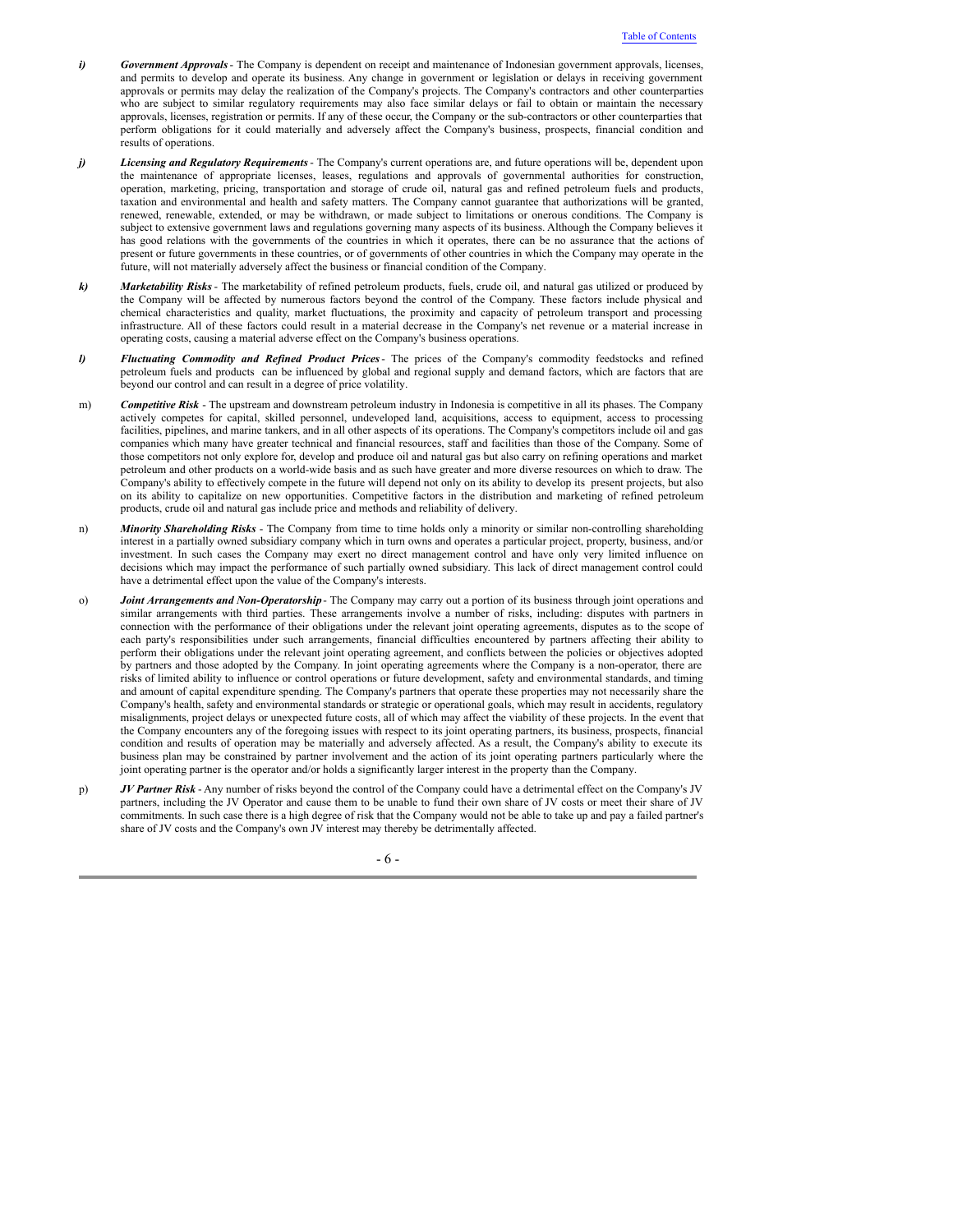- *Government Approvals* The Company is dependent on receipt and maintenance of Indonesian government approvals, licenses, and permits to develop and operate its business. Any change in government or legislation or delays in receiving government approvals or permits may delay the realization of the Company's projects. The Company's contractors and other counterparties who are subject to similar regulatory requirements may also face similar delays or fail to obtain or maintain the necessary approvals, licenses, registration or permits. If any of these occur, the Company or the sub-contractors or other counterparties that perform obligations for it could materially and adversely affect the Company's business, prospects, financial condition and results of operations. *i)*
- *Licensing and Regulatory Requirements* The Company's current operations are, and future operations will be, dependent upon the maintenance of appropriate licenses, leases, regulations and approvals of governmental authorities for construction, operation, marketing, pricing, transportation and storage of crude oil, natural gas and refined petroleum fuels and products, taxation and environmental and health and safety matters. The Company cannot guarantee that authorizations will be granted, renewed, renewable, extended, or may be withdrawn, or made subject to limitations or onerous conditions. The Company is subject to extensive government laws and regulations governing many aspects of its business. Although the Company believes it has good relations with the governments of the countries in which it operates, there can be no assurance that the actions of present or future governments in these countries, or of governments of other countries in which the Company may operate in the future, will not materially adversely affect the business or financial condition of the Company. *j)*
- *Marketability Risks* The marketability of refined petroleum products, fuels, crude oil, and natural gas utilized or produced by the Company will be affected by numerous factors beyond the control of the Company. These factors include physical and chemical characteristics and quality, market fluctuations, the proximity and capacity of petroleum transport and processing infrastructure. All of these factors could result in a material decrease in the Company's net revenue or a material increase in operating costs, causing a material adverse effect on the Company's business operations. *k)*
- *Fluctuating Commodity and Refined Product Prices* The prices of the Company's commodity feedstocks and refined petroleum fuels and products can be influenced by global and regional supply and demand factors, which are factors that are beyond our control and can result in a degree of price volatility. *l)*
- *Competitive Risk* The upstream and downstream petroleum industry in Indonesia is competitive in all its phases. The Company actively competes for capital, skilled personnel, undeveloped land, acquisitions, access to equipment, access to processing facilities, pipelines, and marine tankers, and in all other aspects of its operations. The Company's competitors include oil and gas companies which many have greater technical and financial resources, staff and facilities than those of the Company. Some of those competitors not only explore for, develop and produce oil and natural gas but also carry on refining operations and market petroleum and other products on a world-wide basis and as such have greater and more diverse resources on which to draw. The Company's ability to effectively compete in the future will depend not only on its ability to develop its present projects, but also on its ability to capitalize on new opportunities. Competitive factors in the distribution and marketing of refined petroleum products, crude oil and natural gas include price and methods and reliability of delivery. m)
- *Minority Shareholding Risks* The Company from time to time holds only a minority or similar non-controlling shareholding interest in a partially owned subsidiary company which in turn owns and operates a particular project, property, business, and/or investment. In such cases the Company may exert no direct management control and have only very limited influence on decisions which may impact the performance of such partially owned subsidiary. This lack of direct management control could have a detrimental effect upon the value of the Company's interests. n)
- *Joint Arrangements and Non-Operatorship* The Company may carry out a portion of its business through joint operations and similar arrangements with third parties. These arrangements involve a number of risks, including: disputes with partners in connection with the performance of their obligations under the relevant joint operating agreements, disputes as to the scope of each party's responsibilities under such arrangements, financial difficulties encountered by partners affecting their ability to perform their obligations under the relevant joint operating agreement, and conflicts between the policies or objectives adopted by partners and those adopted by the Company. In joint operating agreements where the Company is a non-operator, there are risks of limited ability to influence or control operations or future development, safety and environmental standards, and timing and amount of capital expenditure spending. The Company's partners that operate these properties may not necessarily share the Company's health, safety and environmental standards or strategic or operational goals, which may result in accidents, regulatory misalignments, project delays or unexpected future costs, all of which may affect the viability of these projects. In the event that the Company encounters any of the foregoing issues with respect to its joint operating partners, its business, prospects, financial condition and results of operation may be materially and adversely affected. As a result, the Company's ability to execute its business plan may be constrained by partner involvement and the action of its joint operating partners particularly where the joint operating partner is the operator and/or holds a significantly larger interest in the property than the Company. o)
- *JV Partner Risk* Any number of risks beyond the control of the Company could have a detrimental effect on the Company's JV partners, including the JV Operator and cause them to be unable to fund their own share of JV costs or meet their share of JV commitments. In such case there is a high degree of risk that the Company would not be able to take up and pay a failed partner's share of JV costs and the Company's own JV interest may thereby be detrimentally affected. p)

- 6 -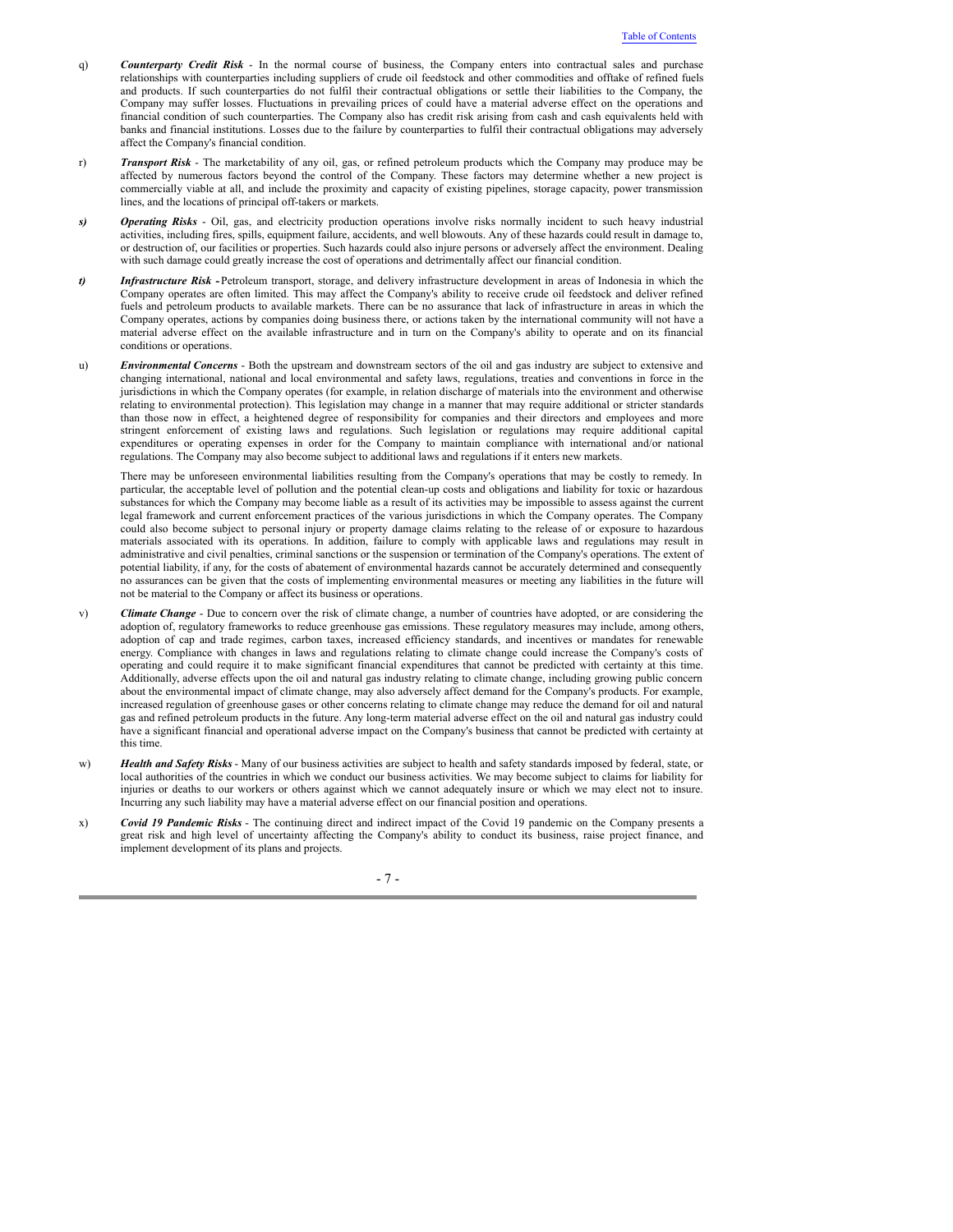- *Counterparty Credit Risk* In the normal course of business, the Company enters into contractual sales and purchase relationships with counterparties including suppliers of crude oil feedstock and other commodities and offtake of refined fuels and products. If such counterparties do not fulfil their contractual obligations or settle their liabilities to the Company, the Company may suffer losses. Fluctuations in prevailing prices of could have a material adverse effect on the operations and financial condition of such counterparties. The Company also has credit risk arising from cash and cash equivalents held with banks and financial institutions. Losses due to the failure by counterparties to fulfil their contractual obligations may adversely affect the Company's financial condition. q)
- *Transport Risk* The marketability of any oil, gas, or refined petroleum products which the Company may produce may be affected by numerous factors beyond the control of the Company. These factors may determine whether a new project is commercially viable at all, and include the proximity and capacity of existing pipelines, storage capacity, power transmission lines, and the locations of principal off-takers or markets. r)
- *Operating Risks* Oil, gas, and electricity production operations involve risks normally incident to such heavy industrial activities, including fires, spills, equipment failure, accidents, and well blowouts. Any of these hazards could result in damage to, or destruction of, our facilities or properties. Such hazards could also injure persons or adversely affect the environment. Dealing with such damage could greatly increase the cost of operations and detrimentally affect our financial condition. *s)*
- *Infrastructure Risk -* Petroleum transport, storage, and delivery infrastructure development in areas of Indonesia in which the Company operates are often limited. This may affect the Company's ability to receive crude oil feedstock and deliver refined fuels and petroleum products to available markets. There can be no assurance that lack of infrastructure in areas in which the Company operates, actions by companies doing business there, or actions taken by the international community will not have a material adverse effect on the available infrastructure and in turn on the Company's ability to operate and on its financial conditions or operations. *t)*
- *Environmental Concerns* Both the upstream and downstream sectors of the oil and gas industry are subject to extensive and changing international, national and local environmental and safety laws, regulations, treaties and conventions in force in the jurisdictions in which the Company operates (for example, in relation discharge of materials into the environment and otherwise relating to environmental protection). This legislation may change in a manner that may require additional or stricter standards than those now in effect, a heightened degree of responsibility for companies and their directors and employees and more stringent enforcement of existing laws and regulations. Such legislation or regulations may require additional capital expenditures or operating expenses in order for the Company to maintain compliance with international and/or national regulations. The Company may also become subject to additional laws and regulations if it enters new markets. u)

There may be unforeseen environmental liabilities resulting from the Company's operations that may be costly to remedy. In particular, the acceptable level of pollution and the potential clean-up costs and obligations and liability for toxic or hazardous substances for which the Company may become liable as a result of its activities may be impossible to assess against the current legal framework and current enforcement practices of the various jurisdictions in which the Company operates. The Company could also become subject to personal injury or property damage claims relating to the release of or exposure to hazardous materials associated with its operations. In addition, failure to comply with applicable laws and regulations may result in administrative and civil penalties, criminal sanctions or the suspension or termination of the Company's operations. The extent of potential liability, if any, for the costs of abatement of environmental hazards cannot be accurately determined and consequently no assurances can be given that the costs of implementing environmental measures or meeting any liabilities in the future will not be material to the Company or affect its business or operations.

- *Climate Change* Due to concern over the risk of climate change, a number of countries have adopted, or are considering the adoption of, regulatory frameworks to reduce greenhouse gas emissions. These regulatory measures may include, among others, adoption of cap and trade regimes, carbon taxes, increased efficiency standards, and incentives or mandates for renewable energy. Compliance with changes in laws and regulations relating to climate change could increase the Company's costs of operating and could require it to make significant financial expenditures that cannot be predicted with certainty at this time. Additionally, adverse effects upon the oil and natural gas industry relating to climate change, including growing public concern about the environmental impact of climate change, may also adversely affect demand for the Company's products. For example, increased regulation of greenhouse gases or other concerns relating to climate change may reduce the demand for oil and natural gas and refined petroleum products in the future. Any long-term material adverse effect on the oil and natural gas industry could have a significant financial and operational adverse impact on the Company's business that cannot be predicted with certainty at this time. v)
- *Health and Safety Risks* Many of our business activities are subject to health and safety standards imposed by federal, state, or local authorities of the countries in which we conduct our business activities. We may become subject to claims for liability for injuries or deaths to our workers or others against which we cannot adequately insure or which we may elect not to insure. Incurring any such liability may have a material adverse effect on our financial position and operations. w)
- *Covid 19 Pandemic Risks* The continuing direct and indirect impact of the Covid 19 pandemic on the Company presents a great risk and high level of uncertainty affecting the Company's ability to conduct its business, raise project finance, and implement development of its plans and projects. x)

- 7 -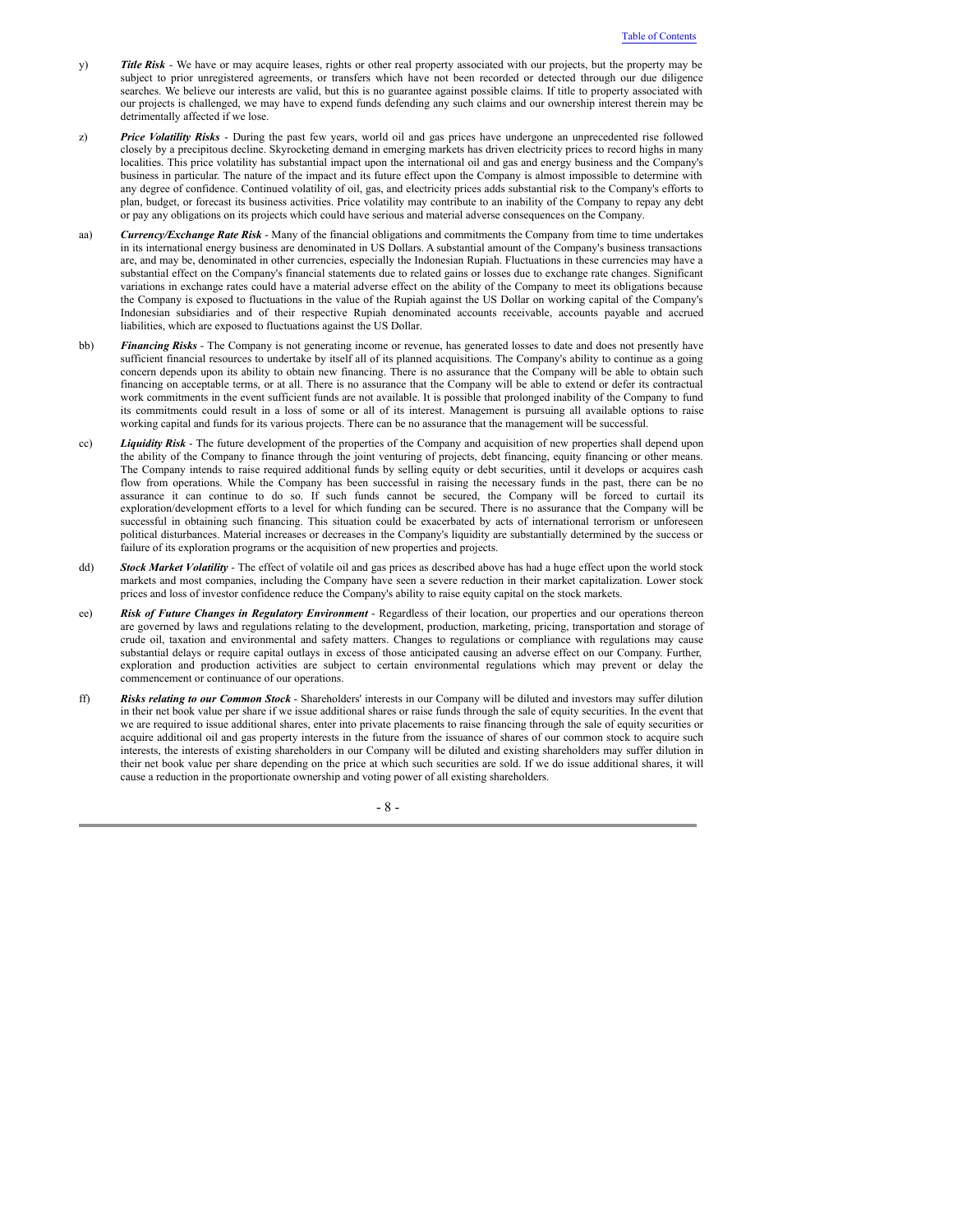- *Title Risk* We have or may acquire leases, rights or other real property associated with our projects, but the property may be subject to prior unregistered agreements, or transfers which have not been recorded or detected through our due diligence searches. We believe our interests are valid, but this is no guarantee against possible claims. If title to property associated with our projects is challenged, we may have to expend funds defending any such claims and our ownership interest therein may be detrimentally affected if we lose. y)
- *Price Volatility Risks* During the past few years, world oil and gas prices have undergone an unprecedented rise followed closely by a precipitous decline. Skyrocketing demand in emerging markets has driven electricity prices to record highs in many localities. This price volatility has substantial impact upon the international oil and gas and energy business and the Company's business in particular. The nature of the impact and its future effect upon the Company is almost impossible to determine with any degree of confidence. Continued volatility of oil, gas, and electricity prices adds substantial risk to the Company's efforts to plan, budget, or forecast its business activities. Price volatility may contribute to an inability of the Company to repay any debt or pay any obligations on its projects which could have serious and material adverse consequences on the Company. z)
- *Currency/Exchange Rate Risk* Many of the financial obligations and commitments the Company from time to time undertakes in its international energy business are denominated in US Dollars. A substantial amount of the Company's business transactions are, and may be, denominated in other currencies, especially the Indonesian Rupiah. Fluctuations in these currencies may have a substantial effect on the Company's financial statements due to related gains or losses due to exchange rate changes. Significant variations in exchange rates could have a material adverse effect on the ability of the Company to meet its obligations because the Company is exposed to fluctuations in the value of the Rupiah against the US Dollar on working capital of the Company's Indonesian subsidiaries and of their respective Rupiah denominated accounts receivable, accounts payable and accrued liabilities, which are exposed to fluctuations against the US Dollar. aa)
- *Financing Risks* The Company is not generating income or revenue, has generated losses to date and does not presently have sufficient financial resources to undertake by itself all of its planned acquisitions. The Company's ability to continue as a going concern depends upon its ability to obtain new financing. There is no assurance that the Company will be able to obtain such financing on acceptable terms, or at all. There is no assurance that the Company will be able to extend or defer its contractual work commitments in the event sufficient funds are not available. It is possible that prolonged inability of the Company to fund its commitments could result in a loss of some or all of its interest. Management is pursuing all available options to raise working capital and funds for its various projects. There can be no assurance that the management will be successful. bb)
- *Liquidity Risk* The future development of the properties of the Company and acquisition of new properties shall depend upon the ability of the Company to finance through the joint venturing of projects, debt financing, equity financing or other means. The Company intends to raise required additional funds by selling equity or debt securities, until it develops or acquires cash flow from operations. While the Company has been successful in raising the necessary funds in the past, there can be no assurance it can continue to do so. If such funds cannot be secured, the Company will be forced to curtail its exploration/development efforts to a level for which funding can be secured. There is no assurance that the Company will be successful in obtaining such financing. This situation could be exacerbated by acts of international terrorism or unforeseen political disturbances. Material increases or decreases in the Company's liquidity are substantially determined by the success or failure of its exploration programs or the acquisition of new properties and projects. cc)
- *Stock Market Volatility* The effect of volatile oil and gas prices as described above has had a huge effect upon the world stock markets and most companies, including the Company have seen a severe reduction in their market capitalization. Lower stock prices and loss of investor confidence reduce the Company's ability to raise equity capital on the stock markets. dd)
- *Risk of Future Changes in Regulatory Environment* Regardless of their location, our properties and our operations thereon are governed by laws and regulations relating to the development, production, marketing, pricing, transportation and storage of crude oil, taxation and environmental and safety matters. Changes to regulations or compliance with regulations may cause substantial delays or require capital outlays in excess of those anticipated causing an adverse effect on our Company. Further, exploration and production activities are subject to certain environmental regulations which may prevent or delay the commencement or continuance of our operations. ee)
- *Risks relating to our Common Stock* Shareholders' interests in our Company will be diluted and investors may suffer dilution in their net book value per share if we issue additional shares or raise funds through the sale of equity securities. In the event that we are required to issue additional shares, enter into private placements to raise financing through the sale of equity securities or acquire additional oil and gas property interests in the future from the issuance of shares of our common stock to acquire such interests, the interests of existing shareholders in our Company will be diluted and existing shareholders may suffer dilution in their net book value per share depending on the price at which such securities are sold. If we do issue additional shares, it will cause a reduction in the proportionate ownership and voting power of all existing shareholders. ff)

- 8 -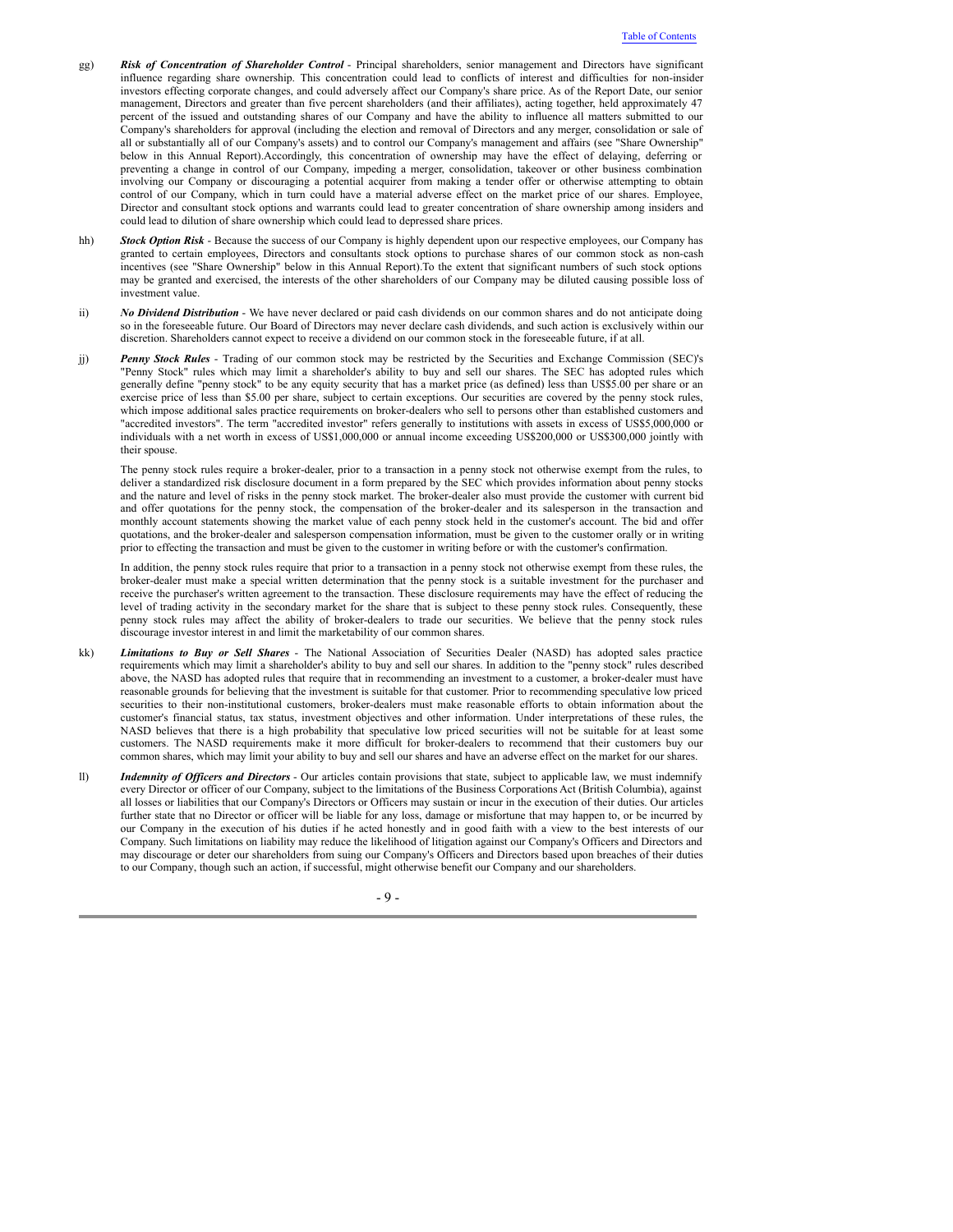- *Risk of Concentration of Shareholder Control* Principal shareholders, senior management and Directors have significant influence regarding share ownership. This concentration could lead to conflicts of interest and difficulties for non-insider investors effecting corporate changes, and could adversely affect our Company's share price. As of the Report Date, our senior management, Directors and greater than five percent shareholders (and their affiliates), acting together, held approximately 47 percent of the issued and outstanding shares of our Company and have the ability to influence all matters submitted to our Company's shareholders for approval (including the election and removal of Directors and any merger, consolidation or sale of all or substantially all of our Company's assets) and to control our Company's management and affairs (see "Share Ownership" below in this Annual Report).Accordingly, this concentration of ownership may have the effect of delaying, deferring or preventing a change in control of our Company, impeding a merger, consolidation, takeover or other business combination involving our Company or discouraging a potential acquirer from making a tender offer or otherwise attempting to obtain control of our Company, which in turn could have a material adverse effect on the market price of our shares. Employee, Director and consultant stock options and warrants could lead to greater concentration of share ownership among insiders and could lead to dilution of share ownership which could lead to depressed share prices. gg)
- *Stock Option Risk* Because the success of our Company is highly dependent upon our respective employees, our Company has granted to certain employees, Directors and consultants stock options to purchase shares of our common stock as non-cash incentives (see "Share Ownership" below in this Annual Report).To the extent that significant numbers of such stock options may be granted and exercised, the interests of the other shareholders of our Company may be diluted causing possible loss of investment value. hh)
- *No Dividend Distribution* We have never declared or paid cash dividends on our common shares and do not anticipate doing so in the foreseeable future. Our Board of Directors may never declare cash dividends, and such action is exclusively within our discretion. Shareholders cannot expect to receive a dividend on our common stock in the foreseeable future, if at all. ii)
- *Penny Stock Rules* Trading of our common stock may be restricted by the Securities and Exchange Commission (SEC)'s "Penny Stock" rules which may limit a shareholder's ability to buy and sell our shares. The SEC has adopted rules which generally define "penny stock" to be any equity security that has a market price (as defined) less than US\$5.00 per share or an exercise price of less than \$5.00 per share, subject to certain exceptions. Our securities are covered by the penny stock rules, which impose additional sales practice requirements on broker-dealers who sell to persons other than established customers and "accredited investors". The term "accredited investor" refers generally to institutions with assets in excess of US\$5,000,000 or individuals with a net worth in excess of US\$1,000,000 or annual income exceeding US\$200,000 or US\$300,000 jointly with their spouse. jj)

The penny stock rules require a broker-dealer, prior to a transaction in a penny stock not otherwise exempt from the rules, to deliver a standardized risk disclosure document in a form prepared by the SEC which provides information about penny stocks and the nature and level of risks in the penny stock market. The broker-dealer also must provide the customer with current bid and offer quotations for the penny stock, the compensation of the broker-dealer and its salesperson in the transaction and monthly account statements showing the market value of each penny stock held in the customer's account. The bid and offer quotations, and the broker-dealer and salesperson compensation information, must be given to the customer orally or in writing prior to effecting the transaction and must be given to the customer in writing before or with the customer's confirmation.

In addition, the penny stock rules require that prior to a transaction in a penny stock not otherwise exempt from these rules, the broker-dealer must make a special written determination that the penny stock is a suitable investment for the purchaser and receive the purchaser's written agreement to the transaction. These disclosure requirements may have the effect of reducing the level of trading activity in the secondary market for the share that is subject to these penny stock rules. Consequently, these penny stock rules may affect the ability of broker-dealers to trade our securities. We believe that the penny stock rules discourage investor interest in and limit the marketability of our common shares.

- *Limitations to Buy or Sell Shares* The National Association of Securities Dealer (NASD) has adopted sales practice requirements which may limit a shareholder's ability to buy and sell our shares. In addition to the "penny stock" rules described above, the NASD has adopted rules that require that in recommending an investment to a customer, a broker-dealer must have reasonable grounds for believing that the investment is suitable for that customer. Prior to recommending speculative low priced securities to their non-institutional customers, broker-dealers must make reasonable efforts to obtain information about the customer's financial status, tax status, investment objectives and other information. Under interpretations of these rules, the NASD believes that there is a high probability that speculative low priced securities will not be suitable for at least some customers. The NASD requirements make it more difficult for broker-dealers to recommend that their customers buy our common shares, which may limit your ability to buy and sell our shares and have an adverse effect on the market for our shares. kk)
- *Indemnity of Of icers and Directors* Our articles contain provisions that state, subject to applicable law, we must indemnify every Director or officer of our Company, subject to the limitations of the Business Corporations Act (British Columbia), against all losses or liabilities that our Company's Directors or Officers may sustain or incur in the execution of their duties. Our articles further state that no Director or officer will be liable for any loss, damage or misfortune that may happen to, or be incurred by our Company in the execution of his duties if he acted honestly and in good faith with a view to the best interests of our Company. Such limitations on liability may reduce the likelihood of litigation against our Company's Officers and Directors and may discourage or deter our shareholders from suing our Company's Officers and Directors based upon breaches of their duties to our Company, though such an action, if successful, might otherwise benefit our Company and our shareholders. ll)

### - 9 -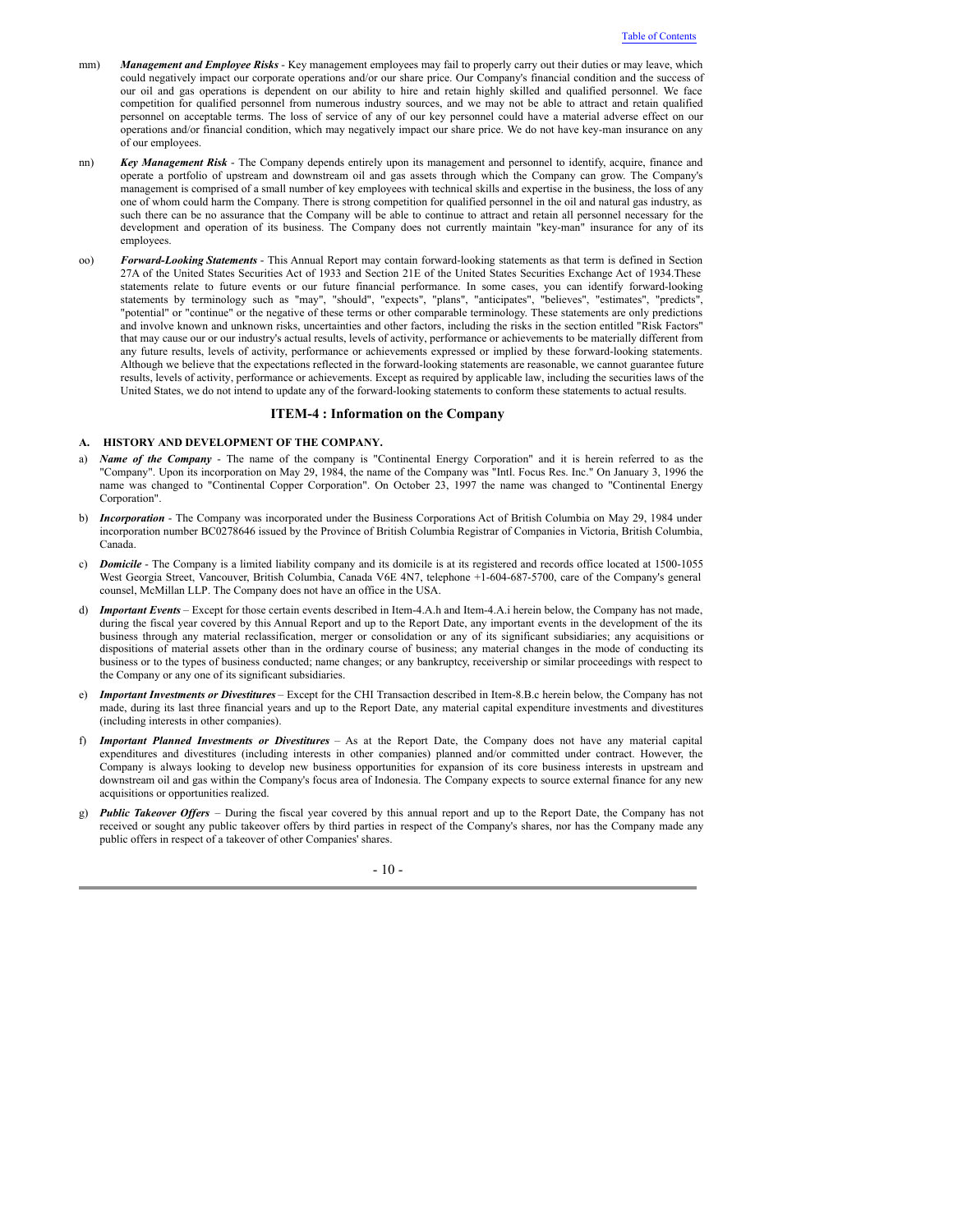- *Management and Employee Risks* Key management employees may fail to properly carry out their duties or may leave, which could negatively impact our corporate operations and/or our share price. Our Company's financial condition and the success of our oil and gas operations is dependent on our ability to hire and retain highly skilled and qualified personnel. We face competition for qualified personnel from numerous industry sources, and we may not be able to attract and retain qualified personnel on acceptable terms. The loss of service of any of our key personnel could have a material adverse effect on our operations and/or financial condition, which may negatively impact our share price. We do not have key-man insurance on any of our employees. mm)
- *Key Management Risk* The Company depends entirely upon its management and personnel to identify, acquire, finance and operate a portfolio of upstream and downstream oil and gas assets through which the Company can grow. The Company's management is comprised of a small number of key employees with technical skills and expertise in the business, the loss of any one of whom could harm the Company. There is strong competition for qualified personnel in the oil and natural gas industry, as such there can be no assurance that the Company will be able to continue to attract and retain all personnel necessary for the development and operation of its business. The Company does not currently maintain "key-man" insurance for any of its employees. nn)
- *Forward-Looking Statements* This Annual Report may contain forward-looking statements as that term is defined in Section 27A of the United States Securities Act of 1933 and Section 21E of the United States Securities Exchange Act of 1934.These statements relate to future events or our future financial performance. In some cases, you can identify forward-looking statements by terminology such as "may", "should", "expects", "plans", "anticipates", "believes", "estimates", "predicts", "potential" or "continue" or the negative of these terms or other comparable terminology. These statements are only predictions and involve known and unknown risks, uncertainties and other factors, including the risks in the section entitled "Risk Factors" that may cause our or our industry's actual results, levels of activity, performance or achievements to be materially different from any future results, levels of activity, performance or achievements expressed or implied by these forward-looking statements. Although we believe that the expectations reflected in the forward-looking statements are reasonable, we cannot guarantee future results, levels of activity, performance or achievements. Except as required by applicable law, including the securities laws of the United States, we do not intend to update any of the forward-looking statements to conform these statements to actual results. oo)

### **ITEM-4 : Information on the Company**

#### **HISTORY AND DEVELOPMENT OF THE COMPANY. A.**

- *Name of the Company* The name of the company is "Continental Energy Corporation" and it is herein referred to as the "Company". Upon its incorporation on May 29, 1984, the name of the Company was "Intl. Focus Res. Inc." On January 3, 1996 the name was changed to "Continental Copper Corporation". On October 23, 1997 the name was changed to "Continental Energy Corporation". a)
- *Incorporation* The Company was incorporated under the Business Corporations Act of British Columbia on May 29, 1984 under incorporation number BC0278646 issued by the Province of British Columbia Registrar of Companies in Victoria, British Columbia, Canada. b)
- c) **Domicile** The Company is a limited liability company and its domicile is at its registered and records office located at 1500-1055 West Georgia Street, Vancouver, British Columbia, Canada V6E 4N7, telephone +1-604-687-5700, care of the Company's general counsel, McMillan LLP. The Company does not have an office in the USA.
- d) *Important Events* Except for those certain events described in Item-4.A.h and Item-4.A.i herein below, the Company has not made, during the fiscal year covered by this Annual Report and up to the Report Date, any important events in the development of the its business through any material reclassification, merger or consolidation or any of its significant subsidiaries; any acquisitions or dispositions of material assets other than in the ordinary course of business; any material changes in the mode of conducting its business or to the types of business conducted; name changes; or any bankruptcy, receivership or similar proceedings with respect to the Company or any one of its significant subsidiaries.
- *Important Investments or Divestitures* Except for the CHI Transaction described in Item-8.B.c herein below, the Company has not e) made, during its last three financial years and up to the Report Date, any material capital expenditure investments and divestitures (including interests in other companies).
- *Important Planned Investments or Divestitures* As at the Report Date, the Company does not have any material capital f) expenditures and divestitures (including interests in other companies) planned and/or committed under contract. However, the Company is always looking to develop new business opportunities for expansion of its core business interests in upstream and downstream oil and gas within the Company's focus area of Indonesia. The Company expects to source external finance for any new acquisitions or opportunities realized.
- *Public Takeover Offers* During the fiscal year covered by this annual report and up to the Report Date, the Company has not received or sought any public takeover offers by third parties in respect of the Company's shares, nor has the Company made any public offers in respect of a takeover of other Companies' shares. g)

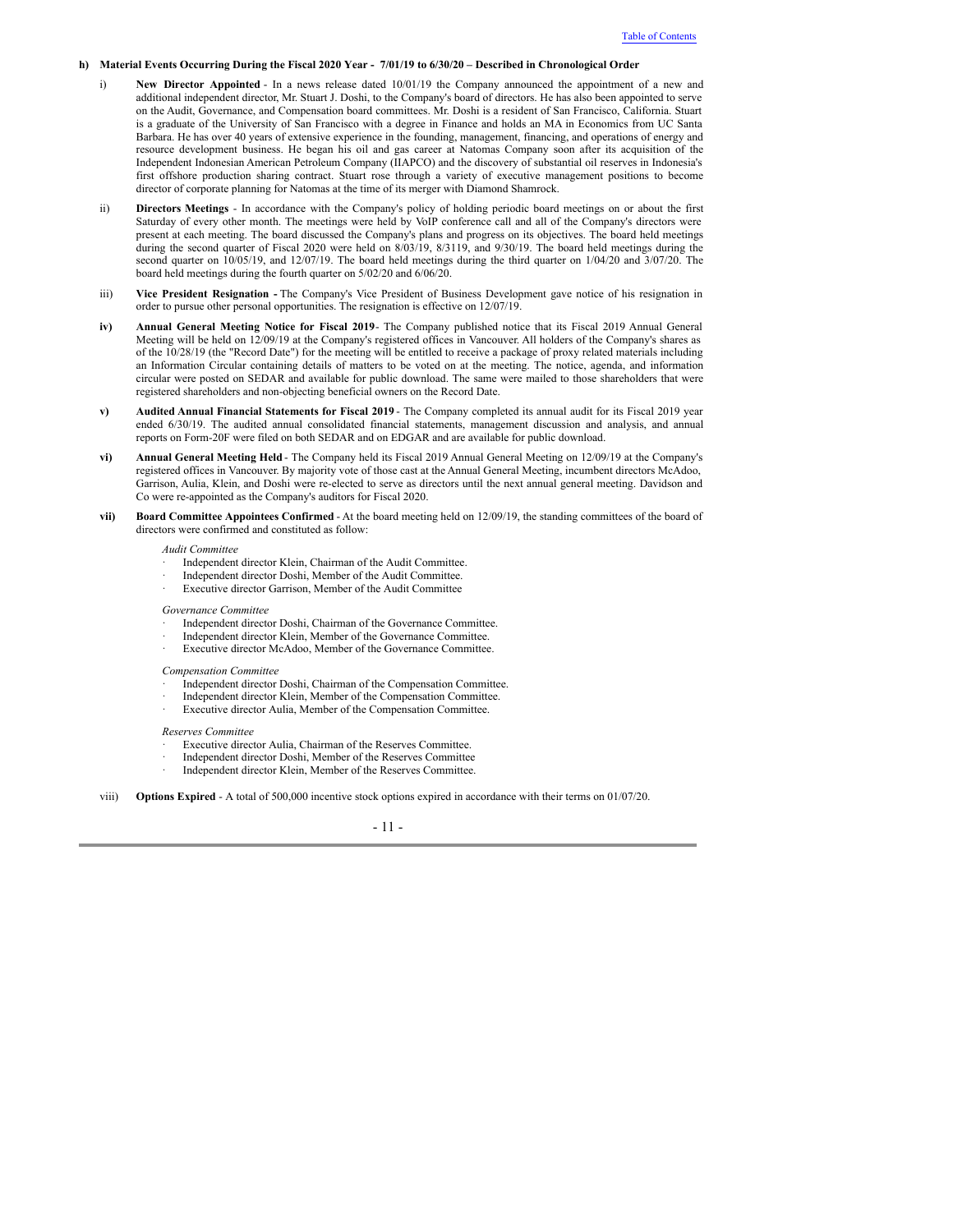#### Material Events Occurring During the Fiscal 2020 Year - 7/01/19 to 6/30/20 - Described in Chronological Order **h)**

- **New Director Appointed** In a news release dated 10/01/19 the Company announced the appointment of a new and additional independent director, Mr. Stuart J. Doshi, to the Company's board of directors. He has also been appointed to serve on the Audit, Governance, and Compensation board committees. Mr. Doshi is a resident of San Francisco, California. Stuart is a graduate of the University of San Francisco with a degree in Finance and holds an MA in Economics from UC Santa Barbara. He has over 40 years of extensive experience in the founding, management, financing, and operations of energy and resource development business. He began his oil and gas career at Natomas Company soon after its acquisition of the Independent Indonesian American Petroleum Company (IIAPCO) and the discovery of substantial oil reserves in Indonesia's first offshore production sharing contract. Stuart rose through a variety of executive management positions to become director of corporate planning for Natomas at the time of its merger with Diamond Shamrock. i)
- **Directors Meetings** In accordance with the Company's policy of holding periodic board meetings on or about the first Saturday of every other month. The meetings were held by VoIP conference call and all of the Company's directors were present at each meeting. The board discussed the Company's plans and progress on its objectives. The board held meetings during the second quarter of Fiscal 2020 were held on 8/03/19, 8/3119, and 9/30/19. The board held meetings during the second quarter on 10/05/19, and 12/07/19. The board held meetings during the third quarter on 1/04/20 and 3/07/20. The board held meetings during the fourth quarter on 5/02/20 and 6/06/20. ii)
- **Vice President Resignation -** The Company's Vice President of Business Development gave notice of his resignation in order to pursue other personal opportunities. The resignation is effective on 12/07/19. iii)
- **Annual General Meeting Notice for Fiscal 2019** The Company published notice that its Fiscal 2019 Annual General Meeting will be held on 12/09/19 at the Company's registered offices in Vancouver. All holders of the Company's shares as of the 10/28/19 (the "Record Date") for the meeting will be entitled to receive a package of proxy related materials including an Information Circular containing details of matters to be voted on at the meeting. The notice, agenda, and information circular were posted on SEDAR and available for public download. The same were mailed to those shareholders that were registered shareholders and non-objecting beneficial owners on the Record Date. **iv)**
- **Audited Annual Financial Statements for Fiscal 2019** The Company completed its annual audit for its Fiscal 2019 year ended 6/30/19. The audited annual consolidated financial statements, management discussion and analysis, and annual reports on Form-20F were filed on both SEDAR and on EDGAR and are available for public download. **v)**
- **Annual General Meeting Held** The Company held its Fiscal 2019 Annual General Meeting on 12/09/19 at the Company's registered offices in Vancouver. By majority vote of those cast at the Annual General Meeting, incumbent directors McAdoo, Garrison, Aulia, Klein, and Doshi were re-elected to serve as directors until the next annual general meeting. Davidson and Co were re-appointed as the Company's auditors for Fiscal 2020. **vi)**
- **Board Committee Appointees Confirmed** At the board meeting held on 12/09/19, the standing committees of the board of directors were confirmed and constituted as follow: **vii)**

*Audit Committee*

- Independent director Klein, Chairman of the Audit Committee. ·
- Independent director Doshi, Member of the Audit Committee. ·
- Executive director Garrison, Member of the Audit Committee ·

*Governance Committee*

- Independent director Doshi, Chairman of the Governance Committee. ·
- Independent director Klein, Member of the Governance Committee. ·
- Executive director McAdoo, Member of the Governance Committee. ·

*Compensation Committee*

- Independent director Doshi, Chairman of the Compensation Committee. ·
- Independent director Klein, Member of the Compensation Committee. ·
- Executive director Aulia, Member of the Compensation Committee. ·

*Reserves Committee*

- Executive director Aulia, Chairman of the Reserves Committee. ·
- Independent director Doshi, Member of the Reserves Committee ·
- Independent director Klein, Member of the Reserves Committee. ·
- **Options Expired** A total of 500,000 incentive stock options expired in accordance with their terms on 01/07/20. viii)

- 11 -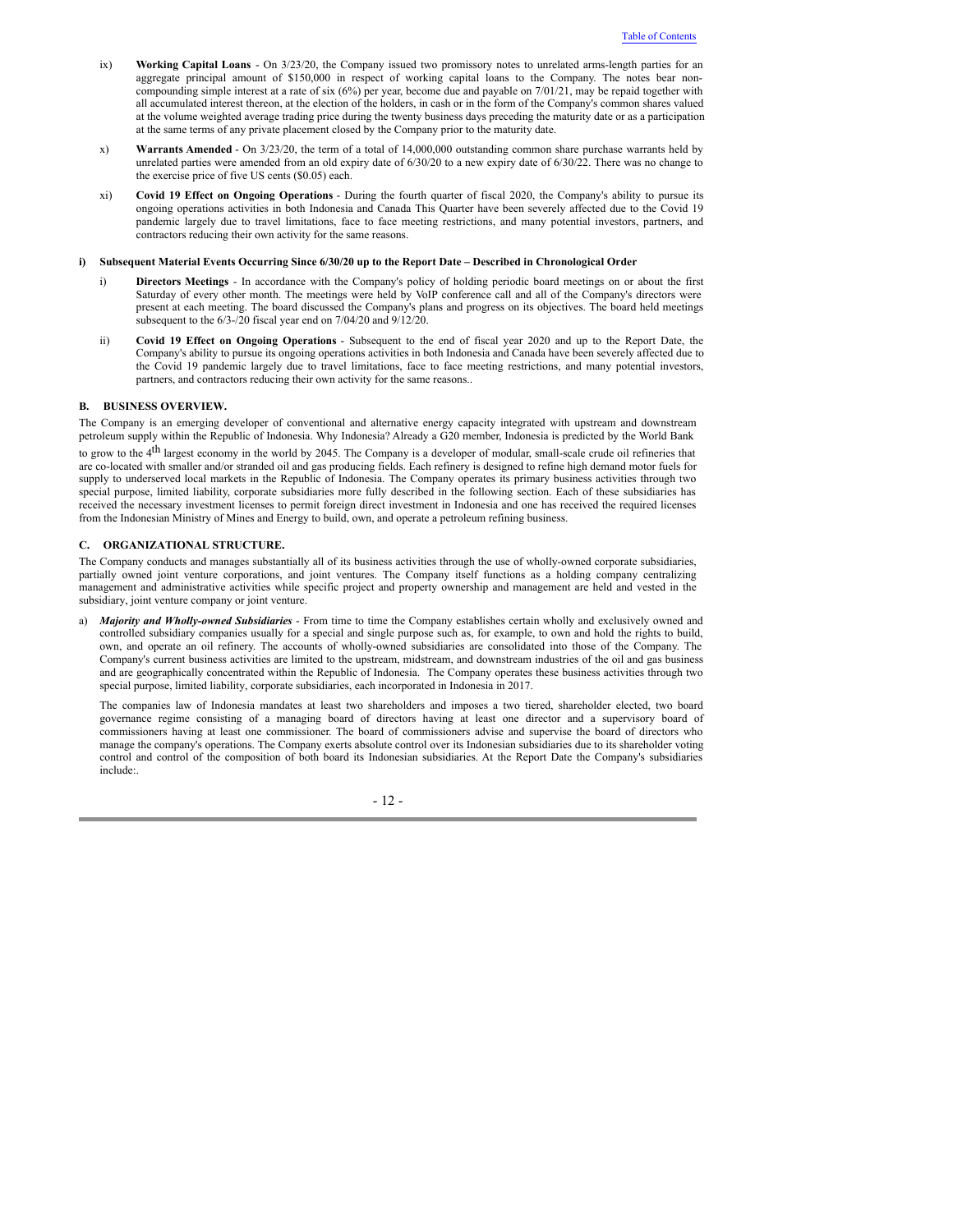- **Working Capital Loans** On 3/23/20, the Company issued two promissory notes to unrelated arms-length parties for an aggregate principal amount of \$150,000 in respect of working capital loans to the Company. The notes bear noncompounding simple interest at a rate of six  $(6%)$  per year, become due and payable on  $7/01/21$ , may be repaid together with all accumulated interest thereon, at the election of the holders, in cash or in the form of the Company's common shares valued at the volume weighted average trading price during the twenty business days preceding the maturity date or as a participation at the same terms of any private placement closed by the Company prior to the maturity date. ix)
- **Warrants Amended** On 3/23/20, the term of a total of 14,000,000 outstanding common share purchase warrants held by unrelated parties were amended from an old expiry date of 6/30/20 to a new expiry date of 6/30/22. There was no change to the exercise price of five US cents (\$0.05) each. x)
- **Covid 19 Effect on Ongoing Operations** During the fourth quarter of fiscal 2020, the Company's ability to pursue its ongoing operations activities in both Indonesia and Canada This Quarter have been severely affected due to the Covid 19 pandemic largely due to travel limitations, face to face meeting restrictions, and many potential investors, partners, and contractors reducing their own activity for the same reasons. xi)

#### **Subsequent Material Events Occurring Since 6/30/20 up to the Report Date – Described in Chronological Order i)**

- **Directors Meetings** In accordance with the Company's policy of holding periodic board meetings on or about the first Saturday of every other month. The meetings were held by VoIP conference call and all of the Company's directors were present at each meeting. The board discussed the Company's plans and progress on its objectives. The board held meetings subsequent to the 6/3-/20 fiscal year end on 7/04/20 and 9/12/20. i)
- **Covid 19 Effect on Ongoing Operations** Subsequent to the end of fiscal year 2020 and up to the Report Date, the Company's ability to pursue its ongoing operations activities in both Indonesia and Canada have been severely affected due to the Covid 19 pandemic largely due to travel limitations, face to face meeting restrictions, and many potential investors, partners, and contractors reducing their own activity for the same reasons.. ii)

#### **BUSINESS OVERVIEW. B.**

The Company is an emerging developer of conventional and alternative energy capacity integrated with upstream and downstream petroleum supply within the Republic of Indonesia. Why Indonesia? Already a G20 member, Indonesia is predicted by the World Bank

to grow to the 4<sup>th</sup> largest economy in the world by 2045. The Company is a developer of modular, small-scale crude oil refineries that are co-located with smaller and/or stranded oil and gas producing fields. Each refinery is designed to refine high demand motor fuels for supply to underserved local markets in the Republic of Indonesia. The Company operates its primary business activities through two special purpose, limited liability, corporate subsidiaries more fully described in the following section. Each of these subsidiaries has received the necessary investment licenses to permit foreign direct investment in Indonesia and one has received the required licenses from the Indonesian Ministry of Mines and Energy to build, own, and operate a petroleum refining business.

#### **ORGANIZATIONAL STRUCTURE. C.**

The Company conducts and manages substantially all of its business activities through the use of wholly-owned corporate subsidiaries, partially owned joint venture corporations, and joint ventures. The Company itself functions as a holding company centralizing management and administrative activities while specific project and property ownership and management are held and vested in the subsidiary, joint venture company or joint venture.

a) Majority and Wholly-owned Subsidiaries - From time to time the Company establishes certain wholly and exclusively owned and controlled subsidiary companies usually for a special and single purpose such as, for example, to own and hold the rights to build, own, and operate an oil refinery. The accounts of wholly-owned subsidiaries are consolidated into those of the Company. The Company's current business activities are limited to the upstream, midstream, and downstream industries of the oil and gas business and are geographically concentrated within the Republic of Indonesia. The Company operates these business activities through two special purpose, limited liability, corporate subsidiaries, each incorporated in Indonesia in 2017.

The companies law of Indonesia mandates at least two shareholders and imposes a two tiered, shareholder elected, two board governance regime consisting of a managing board of directors having at least one director and a supervisory board of commissioners having at least one commissioner. The board of commissioners advise and supervise the board of directors who manage the company's operations. The Company exerts absolute control over its Indonesian subsidiaries due to its shareholder voting control and control of the composition of both board its Indonesian subsidiaries. At the Report Date the Company's subsidiaries include:.

- 12 -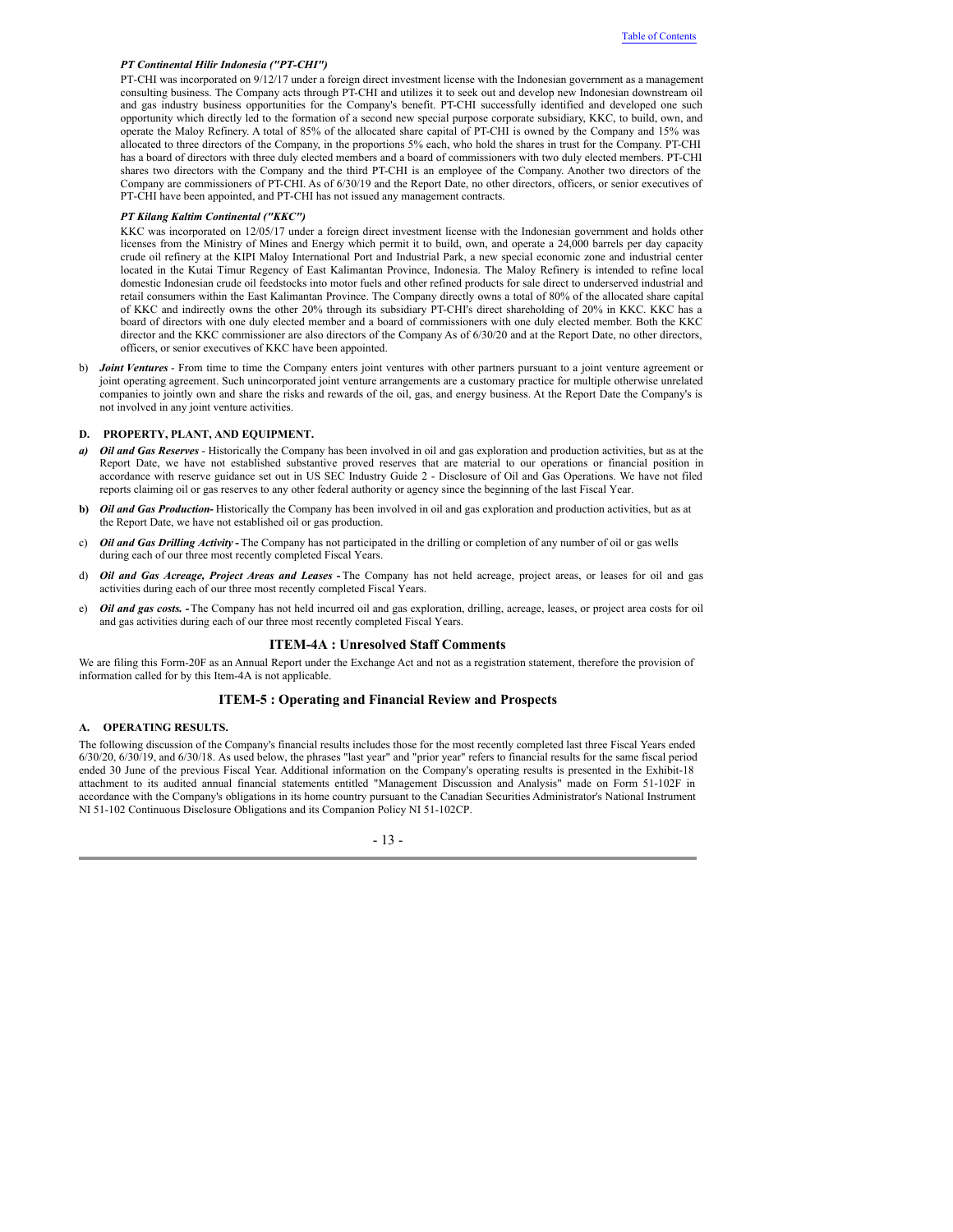#### *PT Continental Hilir Indonesia ("PT-CHI")*

PT-CHI was incorporated on 9/12/17 under a foreign direct investment license with the Indonesian government as a management consulting business. The Company acts through PT-CHI and utilizes it to seek out and develop new Indonesian downstream oil and gas industry business opportunities for the Company's benefit. PT-CHI successfully identified and developed one such opportunity which directly led to the formation of a second new special purpose corporate subsidiary, KKC, to build, own, and operate the Maloy Refinery. A total of 85% of the allocated share capital of PT-CHI is owned by the Company and 15% was allocated to three directors of the Company, in the proportions 5% each, who hold the shares in trust for the Company. PT-CHI has a board of directors with three duly elected members and a board of commissioners with two duly elected members. PT-CHI shares two directors with the Company and the third PT-CHI is an employee of the Company. Another two directors of the Company are commissioners of PT-CHI. As of 6/30/19 and the Report Date, no other directors, officers, or senior executives of PT-CHI have been appointed, and PT-CHI has not issued any management contracts.

#### *PT Kilang Kaltim Continental ("KKC")*

KKC was incorporated on 12/05/17 under a foreign direct investment license with the Indonesian government and holds other licenses from the Ministry of Mines and Energy which permit it to build, own, and operate a 24,000 barrels per day capacity crude oil refinery at the KIPI Maloy International Port and Industrial Park, a new special economic zone and industrial center located in the Kutai Timur Regency of East Kalimantan Province, Indonesia. The Maloy Refinery is intended to refine local domestic Indonesian crude oil feedstocks into motor fuels and other refined products for sale direct to underserved industrial and retail consumers within the East Kalimantan Province. The Company directly owns a total of 80% of the allocated share capital of KKC and indirectly owns the other 20% through its subsidiary PT-CHI's direct shareholding of 20% in KKC. KKC has a board of directors with one duly elected member and a board of commissioners with one duly elected member. Both the KKC director and the KKC commissioner are also directors of the Company As of 6/30/20 and at the Report Date, no other directors, officers, or senior executives of KKC have been appointed.

b) **Joint Ventures** - From time to time the Company enters joint ventures with other partners pursuant to a joint venture agreement or joint operating agreement. Such unincorporated joint venture arrangements are a customary practice for multiple otherwise unrelated companies to jointly own and share the risks and rewards of the oil, gas, and energy business. At the Report Date the Company's is not involved in any joint venture activities.

#### **PROPERTY, PLANT, AND EQUIPMENT. D.**

- *Oil and Gas Reserves* Historically the Company has been involved in oil and gas exploration and production activities, but as at the *a)* Report Date, we have not established substantive proved reserves that are material to our operations or financial position in accordance with reserve guidance set out in US SEC Industry Guide 2 - Disclosure of Oil and Gas Operations. We have not filed reports claiming oil or gas reserves to any other federal authority or agency since the beginning of the last Fiscal Year.
- *Oil and Gas Production***-** Historically the Company has been involved in oil and gas exploration and production activities, but as at the Report Date, we have not established oil or gas production. **b)**
- *Oil and Gas Drilling Activity* **-** The Company has not participated in the drilling or completion of any number of oil or gas wells during each of our three most recently completed Fiscal Years. c)
- *Oil and Gas Acreage, Project Areas and Leases* **-** The Company has not held acreage, project areas, or leases for oil and gas activities during each of our three most recently completed Fiscal Years. d)
- *Oil and gas costs. -*The Company has not held incurred oil and gas exploration, drilling, acreage, leases, or project area costs for oil and gas activities during each of our three most recently completed Fiscal Years. e)

#### **ITEM-4A : Unresolved Staff Comments**

We are filing this Form-20F as an Annual Report under the Exchange Act and not as a registration statement, therefore the provision of information called for by this Item-4A is not applicable.

### **ITEM-5 : Operating and Financial Review and Prospects**

#### **OPERATING RESULTS. A.**

The following discussion of the Company's financial results includes those for the most recently completed last three Fiscal Years ended 6/30/20, 6/30/19, and 6/30/18. As used below, the phrases "last year" and "prior year" refers to financial results for the same fiscal period ended 30 June of the previous Fiscal Year. Additional information on the Company's operating results is presented in the Exhibit-18 attachment to its audited annual financial statements entitled "Management Discussion and Analysis" made on Form 51-102F in accordance with the Company's obligations in its home country pursuant to the Canadian Securities Administrator's National Instrument NI 51-102 Continuous Disclosure Obligations and its Companion Policy NI 51-102CP.

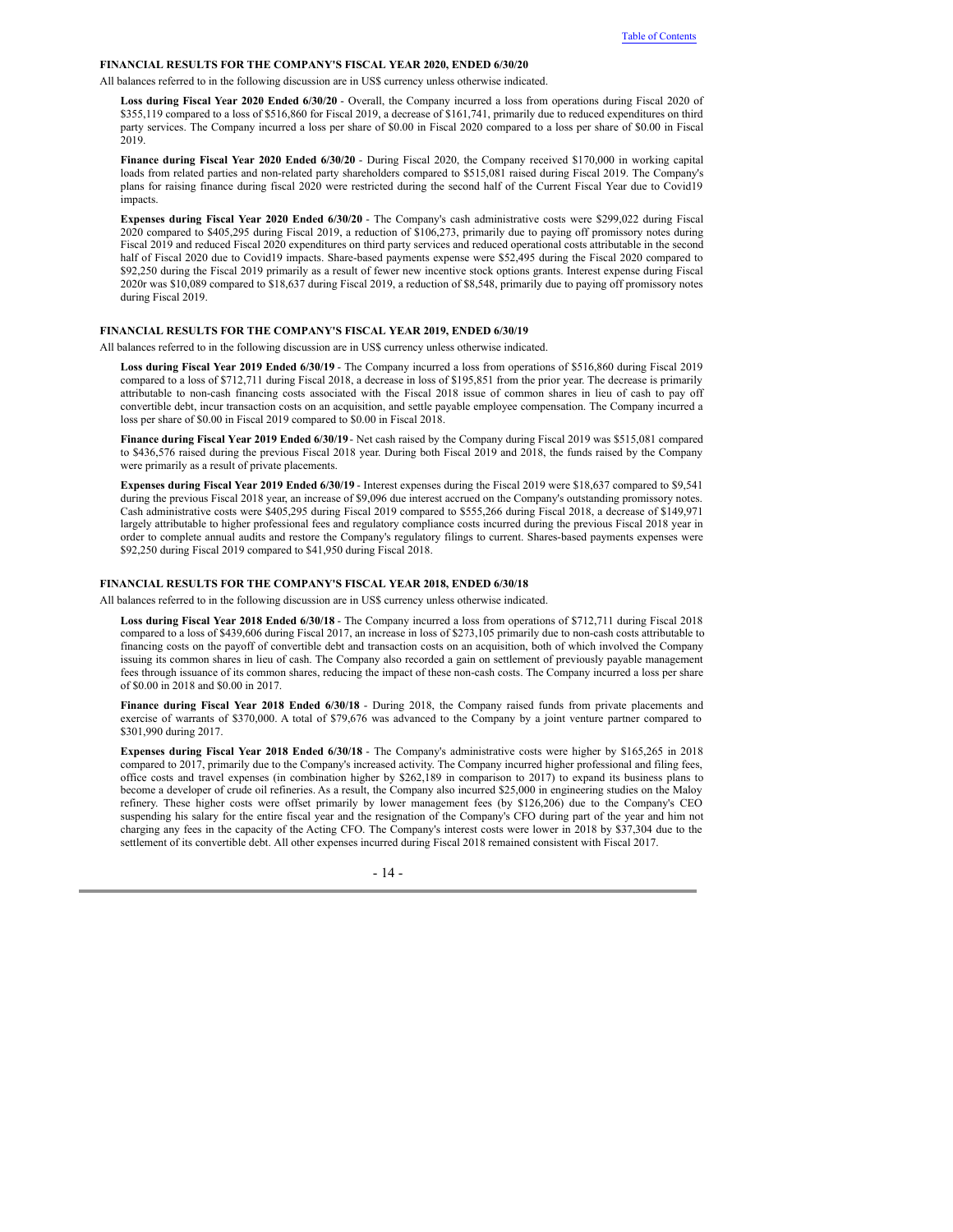#### **FINANCIAL RESULTS FOR THE COMPANY'S FISCAL YEAR 2020, ENDED 6/30/20**

All balances referred to in the following discussion are in US\$ currency unless otherwise indicated.

**Loss during Fiscal Year 2020 Ended 6/30/20** - Overall, the Company incurred a loss from operations during Fiscal 2020 of \$355,119 compared to a loss of \$516,860 for Fiscal 2019, a decrease of \$161,741, primarily due to reduced expenditures on third party services. The Company incurred a loss per share of \$0.00 in Fiscal 2020 compared to a loss per share of \$0.00 in Fiscal 2019.

**Finance during Fiscal Year 2020 Ended 6/30/20** - During Fiscal 2020, the Company received \$170,000 in working capital loads from related parties and non-related party shareholders compared to \$515,081 raised during Fiscal 2019. The Company's plans for raising finance during fiscal 2020 were restricted during the second half of the Current Fiscal Year due to Covid19 impacts.

**Expenses during Fiscal Year 2020 Ended 6/30/20** - The Company's cash administrative costs were \$299,022 during Fiscal 2020 compared to \$405,295 during Fiscal 2019, a reduction of \$106,273, primarily due to paying off promissory notes during Fiscal 2019 and reduced Fiscal 2020 expenditures on third party services and reduced operational costs attributable in the second half of Fiscal 2020 due to Covid19 impacts. Share-based payments expense were \$52,495 during the Fiscal 2020 compared to \$92,250 during the Fiscal 2019 primarily as a result of fewer new incentive stock options grants. Interest expense during Fiscal 2020r was \$10,089 compared to \$18,637 during Fiscal 2019, a reduction of \$8,548, primarily due to paying off promissory notes during Fiscal 2019.

### **FINANCIAL RESULTS FOR THE COMPANY'S FISCAL YEAR 2019, ENDED 6/30/19**

All balances referred to in the following discussion are in US\$ currency unless otherwise indicated.

**Loss during Fiscal Year 2019 Ended 6/30/19** - The Company incurred a loss from operations of \$516,860 during Fiscal 2019 compared to a loss of \$712,711 during Fiscal 2018, a decrease in loss of \$195,851 from the prior year. The decrease is primarily attributable to non-cash financing costs associated with the Fiscal 2018 issue of common shares in lieu of cash to pay off convertible debt, incur transaction costs on an acquisition, and settle payable employee compensation. The Company incurred a loss per share of \$0.00 in Fiscal 2019 compared to \$0.00 in Fiscal 2018.

**Finance during Fiscal Year 2019 Ended 6/30/19** - Net cash raised by the Company during Fiscal 2019 was \$515,081 compared to \$436,576 raised during the previous Fiscal 2018 year. During both Fiscal 2019 and 2018, the funds raised by the Company were primarily as a result of private placements.

**Expenses during Fiscal Year 2019 Ended 6/30/19** - Interest expenses during the Fiscal 2019 were \$18,637 compared to \$9,541 during the previous Fiscal 2018 year, an increase of \$9,096 due interest accrued on the Company's outstanding promissory notes. Cash administrative costs were \$405,295 during Fiscal 2019 compared to \$555,266 during Fiscal 2018, a decrease of \$149,971 largely attributable to higher professional fees and regulatory compliance costs incurred during the previous Fiscal 2018 year in order to complete annual audits and restore the Company's regulatory filings to current. Shares-based payments expenses were \$92,250 during Fiscal 2019 compared to \$41,950 during Fiscal 2018.

#### **FINANCIAL RESULTS FOR THE COMPANY'S FISCAL YEAR 2018, ENDED 6/30/18**

All balances referred to in the following discussion are in US\$ currency unless otherwise indicated.

**Loss during Fiscal Year 2018 Ended 6/30/18** - The Company incurred a loss from operations of \$712,711 during Fiscal 2018 compared to a loss of \$439,606 during Fiscal 2017, an increase in loss of \$273,105 primarily due to non-cash costs attributable to financing costs on the payoff of convertible debt and transaction costs on an acquisition, both of which involved the Company issuing its common shares in lieu of cash. The Company also recorded a gain on settlement of previously payable management fees through issuance of its common shares, reducing the impact of these non-cash costs. The Company incurred a loss per share of \$0.00 in 2018 and \$0.00 in 2017.

**Finance during Fiscal Year 2018 Ended 6/30/18** - During 2018, the Company raised funds from private placements and exercise of warrants of \$370,000. A total of \$79,676 was advanced to the Company by a joint venture partner compared to \$301,990 during 2017.

**Expenses during Fiscal Year 2018 Ended 6/30/18** - The Company's administrative costs were higher by \$165,265 in 2018 compared to 2017, primarily due to the Company's increased activity. The Company incurred higher professional and filing fees, office costs and travel expenses (in combination higher by \$262,189 in comparison to 2017) to expand its business plans to become a developer of crude oil refineries. As a result, the Company also incurred \$25,000 in engineering studies on the Maloy refinery. These higher costs were offset primarily by lower management fees (by \$126,206) due to the Company's CEO suspending his salary for the entire fiscal year and the resignation of the Company's CFO during part of the year and him not charging any fees in the capacity of the Acting CFO. The Company's interest costs were lower in 2018 by \$37,304 due to the settlement of its convertible debt. All other expenses incurred during Fiscal 2018 remained consistent with Fiscal 2017.

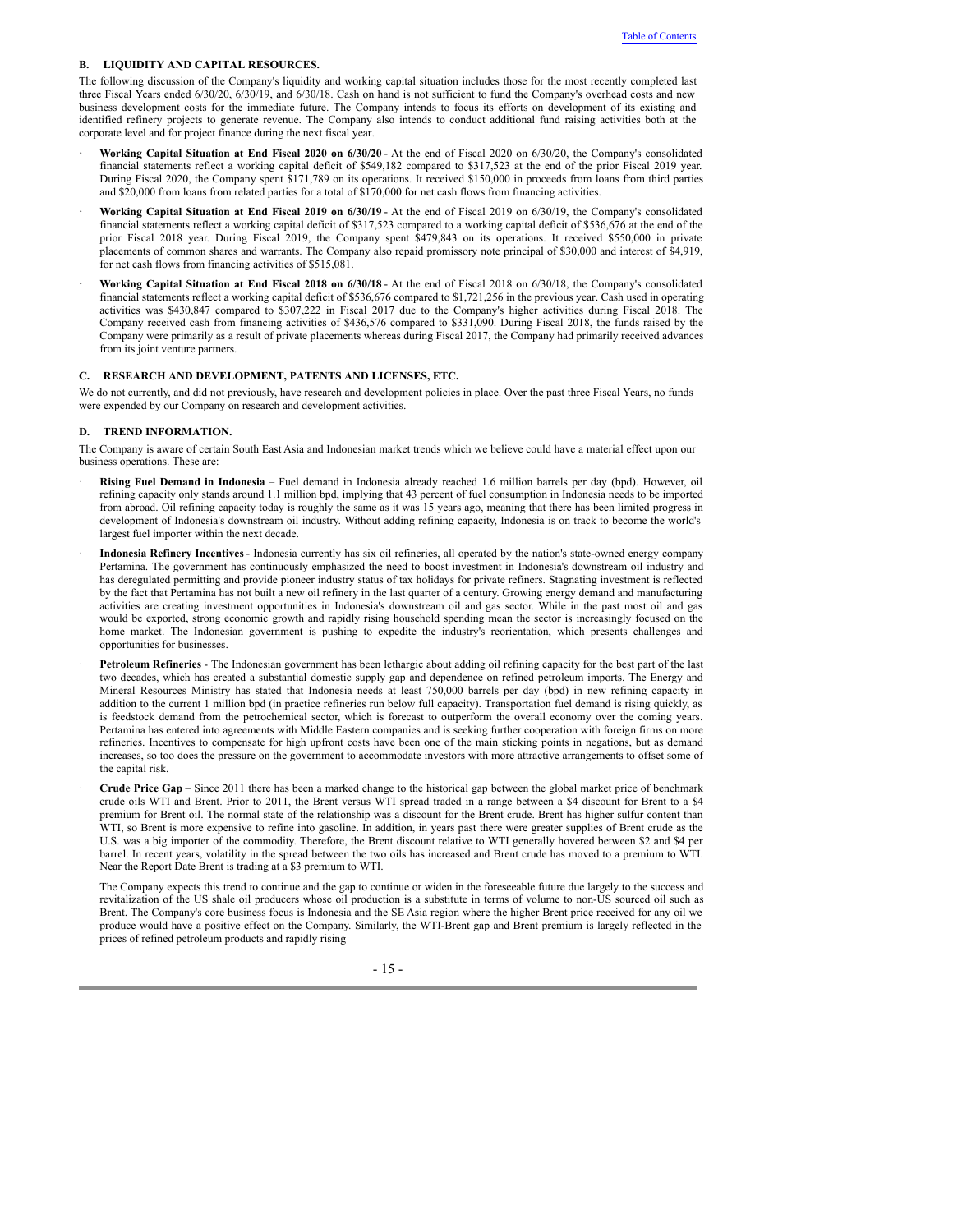#### **LIQUIDITY AND CAPITAL RESOURCES. B.**

The following discussion of the Company's liquidity and working capital situation includes those for the most recently completed last three Fiscal Years ended 6/30/20, 6/30/19, and 6/30/18. Cash on hand is not sufficient to fund the Company's overhead costs and new business development costs for the immediate future. The Company intends to focus its efforts on development of its existing and identified refinery projects to generate revenue. The Company also intends to conduct additional fund raising activities both at the corporate level and for project finance during the next fiscal year.

- **Working Capital Situation at End Fiscal 2020 on 6/30/20** At the end of Fiscal 2020 on 6/30/20, the Company's consolidated financial statements reflect a working capital deficit of \$549,182 compared to \$317,523 at the end of the prior Fiscal 2019 year. During Fiscal 2020, the Company spent \$171,789 on its operations. It received \$150,000 in proceeds from loans from third parties and \$20,000 from loans from related parties for a total of \$170,000 for net cash flows from financing activities. **·**
- **Working Capital Situation at End Fiscal 2019 on 6/30/19** At the end of Fiscal 2019 on 6/30/19, the Company's consolidated financial statements reflect a working capital deficit of \$317,523 compared to a working capital deficit of \$536,676 at the end of the prior Fiscal 2018 year. During Fiscal 2019, the Company spent \$479,843 on its operations. It received \$550,000 in private placements of common shares and warrants. The Company also repaid promissory note principal of \$30,000 and interest of \$4,919, for net cash flows from financing activities of \$515,081. **·**
- **Working Capital Situation at End Fiscal 2018 on 6/30/18** At the end of Fiscal 2018 on 6/30/18, the Company's consolidated financial statements reflect a working capital deficit of \$536,676 compared to \$1,721,256 in the previous year. Cash used in operating activities was \$430,847 compared to \$307,222 in Fiscal 2017 due to the Company's higher activities during Fiscal 2018. The Company received cash from financing activities of \$436,576 compared to \$331,090. During Fiscal 2018, the funds raised by the Company were primarily as a result of private placements whereas during Fiscal 2017, the Company had primarily received advances from its joint venture partners. **·**

#### **RESEARCH AND DEVELOPMENT, PATENTS AND LICENSES, ETC. C.**

We do not currently, and did not previously, have research and development policies in place. Over the past three Fiscal Years, no funds were expended by our Company on research and development activities.

#### **TREND INFORMATION. D.**

·

The Company is aware of certain South East Asia and Indonesian market trends which we believe could have a material effect upon our business operations. These are:

- **Rising Fuel Demand in Indonesia** Fuel demand in Indonesia already reached 1.6 million barrels per day (bpd). However, oil refining capacity only stands around 1.1 million bpd, implying that 43 percent of fuel consumption in Indonesia needs to be imported from abroad. Oil refining capacity today is roughly the same as it was 15 years ago, meaning that there has been limited progress in development of Indonesia's downstream oil industry. Without adding refining capacity, Indonesia is on track to become the world's largest fuel importer within the next decade. ·
- **Indonesia Refinery Incentives** Indonesia currently has six oil refineries, all operated by the nation's state-owned energy company Pertamina. The government has continuously emphasized the need to boost investment in Indonesia's downstream oil industry and has deregulated permitting and provide pioneer industry status of tax holidays for private refiners. Stagnating investment is reflected by the fact that Pertamina has not built a new oil refinery in the last quarter of a century. Growing energy demand and manufacturing activities are creating investment opportunities in Indonesia's downstream oil and gas sector. While in the past most oil and gas would be exported, strong economic growth and rapidly rising household spending mean the sector is increasingly focused on the home market. The Indonesian government is pushing to expedite the industry's reorientation, which presents challenges and opportunities for businesses. ·
- **Petroleum Refineries** The Indonesian government has been lethargic about adding oil refining capacity for the best part of the last two decades, which has created a substantial domestic supply gap and dependence on refined petroleum imports. The Energy and Mineral Resources Ministry has stated that Indonesia needs at least 750,000 barrels per day (bpd) in new refining capacity in addition to the current 1 million bpd (in practice refineries run below full capacity). Transportation fuel demand is rising quickly, as is feedstock demand from the petrochemical sector, which is forecast to outperform the overall economy over the coming years. Pertamina has entered into agreements with Middle Eastern companies and is seeking further cooperation with foreign firms on more refineries. Incentives to compensate for high upfront costs have been one of the main sticking points in negations, but as demand increases, so too does the pressure on the government to accommodate investors with more attractive arrangements to offset some of the capital risk. ·
- **Crude Price Gap** Since 2011 there has been a marked change to the historical gap between the global market price of benchmark crude oils WTI and Brent. Prior to 2011, the Brent versus WTI spread traded in a range between a \$4 discount for Brent to a \$4 premium for Brent oil. The normal state of the relationship was a discount for the Brent crude. Brent has higher sulfur content than WTI, so Brent is more expensive to refine into gasoline. In addition, in years past there were greater supplies of Brent crude as the U.S. was a big importer of the commodity. Therefore, the Brent discount relative to WTI generally hovered between \$2 and \$4 per barrel. In recent years, volatility in the spread between the two oils has increased and Brent crude has moved to a premium to WTI. Near the Report Date Brent is trading at a \$3 premium to WTI.

The Company expects this trend to continue and the gap to continue or widen in the foreseeable future due largely to the success and revitalization of the US shale oil producers whose oil production is a substitute in terms of volume to non-US sourced oil such as Brent. The Company's core business focus is Indonesia and the SE Asia region where the higher Brent price received for any oil we produce would have a positive effect on the Company. Similarly, the WTI-Brent gap and Brent premium is largely reflected in the prices of refined petroleum products and rapidly rising

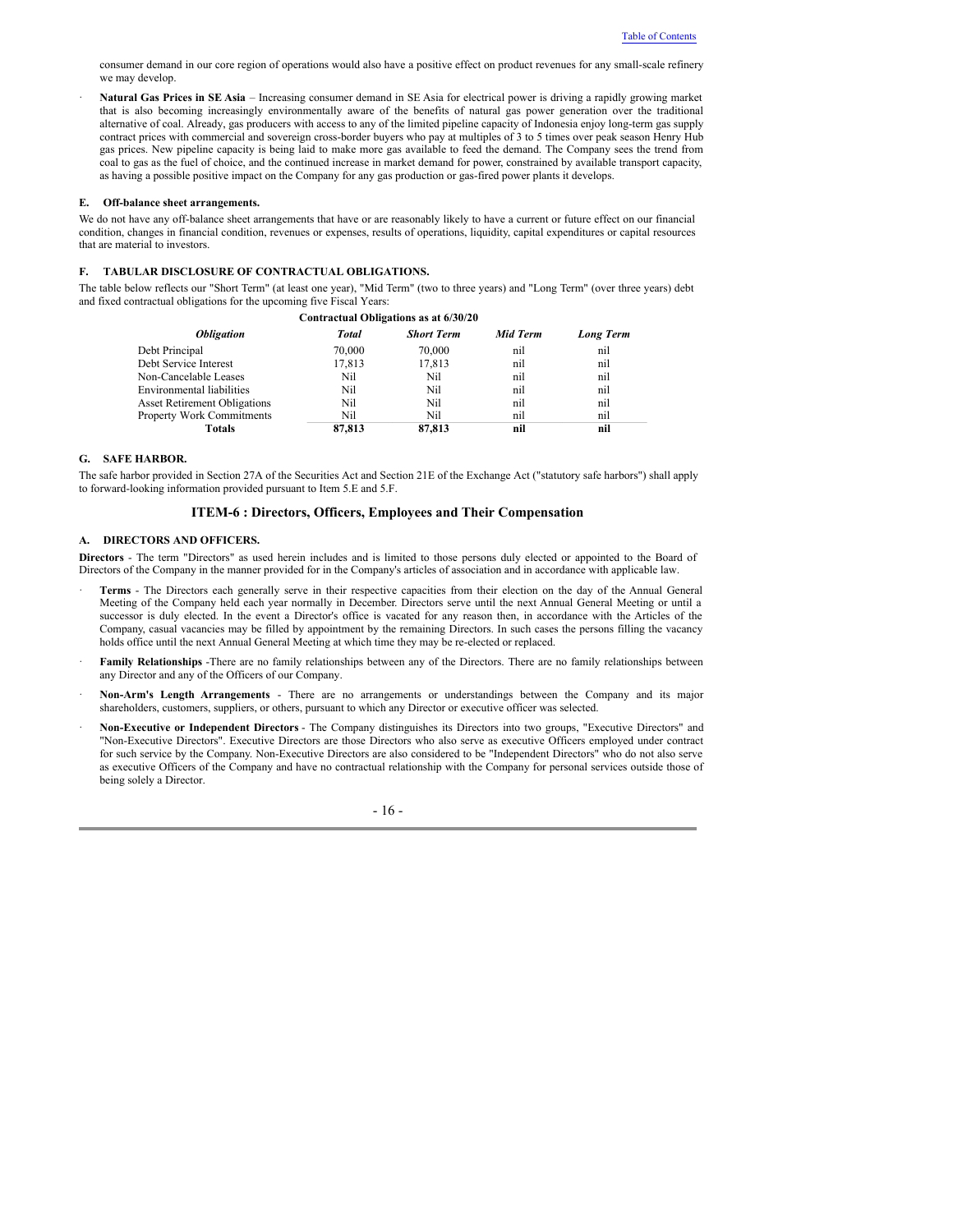consumer demand in our core region of operations would also have a positive effect on product revenues for any small-scale refinery we may develop.

**Natural Gas Prices in SE Asia** – Increasing consumer demand in SE Asia for electrical power is driving a rapidly growing market that is also becoming increasingly environmentally aware of the benefits of natural gas power generation over the traditional alternative of coal. Already, gas producers with access to any of the limited pipeline capacity of Indonesia enjoy long-term gas supply contract prices with commercial and sovereign cross-border buyers who pay at multiples of 3 to 5 times over peak season Henry Hub gas prices. New pipeline capacity is being laid to make more gas available to feed the demand. The Company sees the trend from coal to gas as the fuel of choice, and the continued increase in market demand for power, constrained by available transport capacity, as having a possible positive impact on the Company for any gas production or gas-fired power plants it develops. ·

#### **Off-balance sheet arrangements. E.**

We do not have any off-balance sheet arrangements that have or are reasonably likely to have a current or future effect on our financial condition, changes in financial condition, revenues or expenses, results of operations, liquidity, capital expenditures or capital resources that are material to investors.

#### **TABULAR DISCLOSURE OF CONTRACTUAL OBLIGATIONS. F.**

The table below reflects our "Short Term" (at least one year), "Mid Term" (two to three years) and "Long Term" (over three years) debt and fixed contractual obligations for the upcoming five Fiscal Years:

| Contractual Obligations as at 6/30/20 |              |                   |          |                  |  |  |
|---------------------------------------|--------------|-------------------|----------|------------------|--|--|
| <i><b>Obligation</b></i>              | <b>Total</b> | <b>Short Term</b> | Mid Term | <b>Long Term</b> |  |  |
| Debt Principal                        | 70,000       | 70,000            | nil      | nil              |  |  |
| Debt Service Interest                 | 17.813       | 17,813            | nil      | nil              |  |  |
| Non-Cancelable Leases                 | Nil          | Nil               | nil      | nil              |  |  |
| <b>Environmental liabilities</b>      | Nil          | Nil               | nil      | nil              |  |  |
| <b>Asset Retirement Obligations</b>   | Nil          | Nil               | nil      | nil              |  |  |
| <b>Property Work Commitments</b>      | Nil          | Nil               | nil      | nil              |  |  |
| Totals                                | 87.813       | 87,813            | nil      | nil              |  |  |

#### **SAFE HARBOR. G.**

The safe harbor provided in Section 27A of the Securities Act and Section 21E of the Exchange Act ("statutory safe harbors") shall apply to forward-looking information provided pursuant to Item 5.E and 5.F.

### **ITEM-6 : Directors, Officers, Employees and Their Compensation**

#### **DIRECTORS AND OFFICERS. A.**

**Directors** - The term "Directors" as used herein includes and is limited to those persons duly elected or appointed to the Board of Directors of the Company in the manner provided for in the Company's articles of association and in accordance with applicable law.

- **Terms** The Directors each generally serve in their respective capacities from their election on the day of the Annual General Meeting of the Company held each year normally in December. Directors serve until the next Annual General Meeting or until a successor is duly elected. In the event a Director's office is vacated for any reason then, in accordance with the Articles of the Company, casual vacancies may be filled by appointment by the remaining Directors. In such cases the persons filling the vacancy holds office until the next Annual General Meeting at which time they may be re-elected or replaced. ·
- **Family Relationships** -There are no family relationships between any of the Directors. There are no family relationships between any Director and any of the Officers of our Company. ·
- **Non-Arm's Length Arrangements** There are no arrangements or understandings between the Company and its major shareholders, customers, suppliers, or others, pursuant to which any Director or executive officer was selected. ·
- **Non-Executive or Independent Directors** The Company distinguishes its Directors into two groups, "Executive Directors" and "Non-Executive Directors". Executive Directors are those Directors who also serve as executive Officers employed under contract for such service by the Company. Non-Executive Directors are also considered to be "Independent Directors" who do not also serve as executive Officers of the Company and have no contractual relationship with the Company for personal services outside those of being solely a Director. ·

- 16 -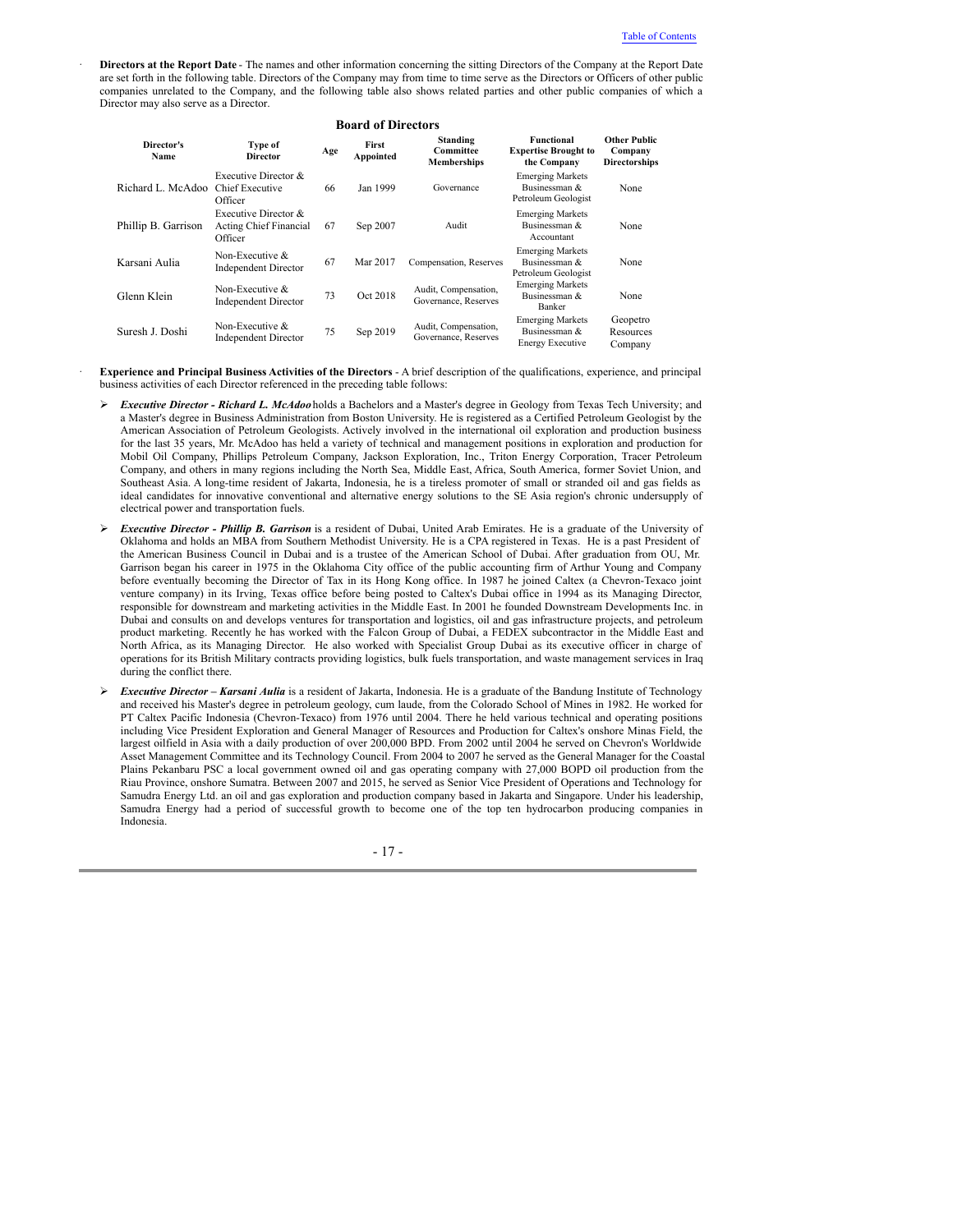**Directors at the Report Date** - The names and other information concerning the sitting Directors of the Company at the Report Date are set forth in the following table. Directors of the Company may from time to time serve as the Directors or Officers of other public companies unrelated to the Company, and the following table also shows related parties and other public companies of which a Director may also serve as a Director.

·

·

| <b>Board of Directors</b> |                                                                  |     |                           |                                              |                                                                     |                                                        |  |
|---------------------------|------------------------------------------------------------------|-----|---------------------------|----------------------------------------------|---------------------------------------------------------------------|--------------------------------------------------------|--|
| Director's<br>Name        | <b>Type of</b><br><b>Director</b>                                | Age | First<br><b>Appointed</b> | Standing<br>Committee<br><b>Memberships</b>  | <b>Functional</b><br><b>Expertise Brought to</b><br>the Company     | <b>Other Public</b><br>Company<br><b>Directorships</b> |  |
| Richard L. McAdoo         | Executive Director &<br>Chief Executive<br>Officer               | 66  | Jan 1999                  | Governance                                   | <b>Emerging Markets</b><br>Businessman &<br>Petroleum Geologist     | None                                                   |  |
| Phillip B. Garrison       | Executive Director &<br><b>Acting Chief Financial</b><br>Officer | 67  | Sep 2007                  | Audit                                        | <b>Emerging Markets</b><br>Businessman &<br>Accountant              | None                                                   |  |
| Karsani Aulia             | Non-Executive $\&$<br>Independent Director                       | 67  | Mar 2017                  | Compensation, Reserves                       | <b>Emerging Markets</b><br>Businessman &<br>Petroleum Geologist     | None                                                   |  |
| Glenn Klein               | Non-Executive $\&$<br>Independent Director                       | 73  | Oct 2018                  | Audit, Compensation,<br>Governance, Reserves | <b>Emerging Markets</b><br>Businessman &<br>Banker                  | None                                                   |  |
| Suresh J. Doshi           | Non-Executive $\&$<br>Independent Director                       | 75  | Sep 2019                  | Audit, Compensation,<br>Governance, Reserves | <b>Emerging Markets</b><br>Businessman &<br><b>Energy Executive</b> | Geopetro<br>Resources<br>Company                       |  |

- **Experience and Principal Business Activities of the Directors** A brief description of the qualifications, experience, and principal business activities of each Director referenced in the preceding table follows:
- *Executive Director - Richard L. McAdoo* holds a Bachelors and a Master's degree in Geology from Texas Tech University; and a Master's degree in Business Administration from Boston University. He is registered as a Certified Petroleum Geologist by the American Association of Petroleum Geologists. Actively involved in the international oil exploration and production business for the last 35 years, Mr. McAdoo has held a variety of technical and management positions in exploration and production for Mobil Oil Company, Phillips Petroleum Company, Jackson Exploration, Inc., Triton Energy Corporation, Tracer Petroleum Company, and others in many regions including the North Sea, Middle East, Africa, South America, former Soviet Union, and Southeast Asia. A long-time resident of Jakarta, Indonesia, he is a tireless promoter of small or stranded oil and gas fields as ideal candidates for innovative conventional and alternative energy solutions to the SE Asia region's chronic undersupply of electrical power and transportation fuels. Ø
- *Executive Director - Phillip B. Garrison* is a resident of Dubai, United Arab Emirates. He is a graduate of the University of Oklahoma and holds an MBA from Southern Methodist University. He is a CPA registered in Texas. He is a past President of the American Business Council in Dubai and is a trustee of the American School of Dubai. After graduation from OU, Mr. Garrison began his career in 1975 in the Oklahoma City office of the public accounting firm of Arthur Young and Company before eventually becoming the Director of Tax in its Hong Kong office. In 1987 he joined Caltex (a Chevron-Texaco joint venture company) in its Irving, Texas office before being posted to Caltex's Dubai office in 1994 as its Managing Director, responsible for downstream and marketing activities in the Middle East. In 2001 he founded Downstream Developments Inc. in Dubai and consults on and develops ventures for transportation and logistics, oil and gas infrastructure projects, and petroleum product marketing. Recently he has worked with the Falcon Group of Dubai, a FEDEX subcontractor in the Middle East and North Africa, as its Managing Director. He also worked with Specialist Group Dubai as its executive officer in charge of operations for its British Military contracts providing logistics, bulk fuels transportation, and waste management services in Iraq during the conflict there. Ø
- *Executive Director – Karsani Aulia* is a resident of Jakarta, Indonesia. He is a graduate of the Bandung Institute of Technology and received his Master's degree in petroleum geology, cum laude, from the Colorado School of Mines in 1982. He worked for PT Caltex Pacific Indonesia (Chevron-Texaco) from 1976 until 2004. There he held various technical and operating positions including Vice President Exploration and General Manager of Resources and Production for Caltex's onshore Minas Field, the largest oilfield in Asia with a daily production of over 200,000 BPD. From 2002 until 2004 he served on Chevron's Worldwide Asset Management Committee and its Technology Council. From 2004 to 2007 he served as the General Manager for the Coastal Plains Pekanbaru PSC a local government owned oil and gas operating company with 27,000 BOPD oil production from the Riau Province, onshore Sumatra. Between 2007 and 2015, he served as Senior Vice President of Operations and Technology for Samudra Energy Ltd. an oil and gas exploration and production company based in Jakarta and Singapore. Under his leadership, Samudra Energy had a period of successful growth to become one of the top ten hydrocarbon producing companies in Indonesia. Ø

- 17 -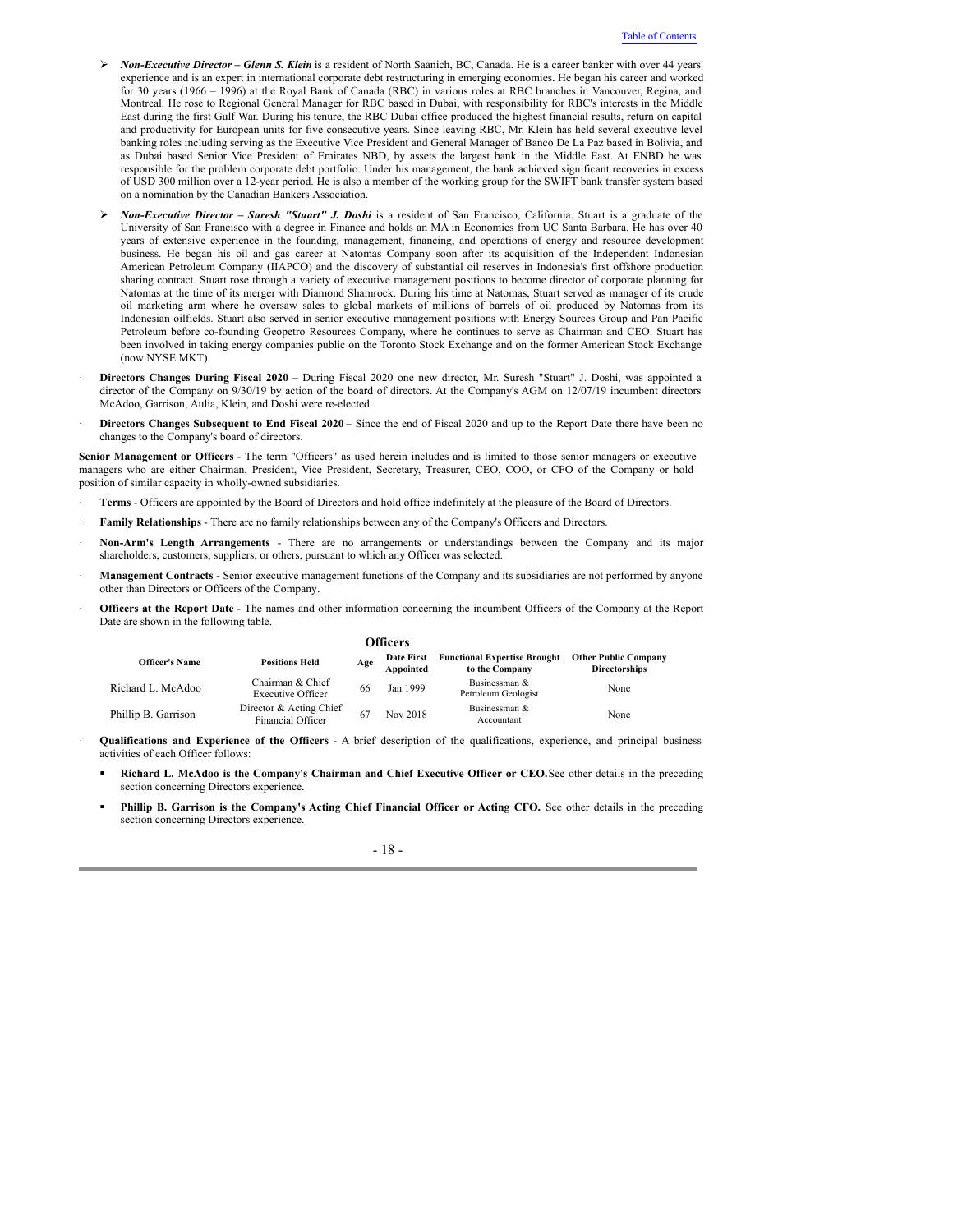- *Non-Executive Director – Glenn S. Klein* is a resident of North Saanich, BC, Canada. He is a career banker with over 44 years' experience and is an expert in international corporate debt restructuring in emerging economies. He began his career and worked for 30 years (1966 – 1996) at the Royal Bank of Canada (RBC) in various roles at RBC branches in Vancouver, Regina, and Montreal. He rose to Regional General Manager for RBC based in Dubai, with responsibility for RBC's interests in the Middle East during the first Gulf War. During his tenure, the RBC Dubai office produced the highest financial results, return on capital and productivity for European units for five consecutive years. Since leaving RBC, Mr. Klein has held several executive level banking roles including serving as the Executive Vice President and General Manager of Banco De La Paz based in Bolivia, and as Dubai based Senior Vice President of Emirates NBD, by assets the largest bank in the Middle East. At ENBD he was responsible for the problem corporate debt portfolio. Under his management, the bank achieved significant recoveries in excess of USD 300 million over a 12-year period. He is also a member of the working group for the SWIFT bank transfer system based on a nomination by the Canadian Bankers Association. Ø
- *Non-Executive Director – Suresh "Stuart" J. Doshi* is a resident of San Francisco, California. Stuart is a graduate of the University of San Francisco with a degree in Finance and holds an MA in Economics from UC Santa Barbara. He has over 40 years of extensive experience in the founding, management, financing, and operations of energy and resource development business. He began his oil and gas career at Natomas Company soon after its acquisition of the Independent Indonesian American Petroleum Company (IIAPCO) and the discovery of substantial oil reserves in Indonesia's first offshore production sharing contract. Stuart rose through a variety of executive management positions to become director of corporate planning for Natomas at the time of its merger with Diamond Shamrock. During his time at Natomas, Stuart served as manager of its crude oil marketing arm where he oversaw sales to global markets of millions of barrels of oil produced by Natomas from its Indonesian oilfields. Stuart also served in senior executive management positions with Energy Sources Group and Pan Pacific Petroleum before co-founding Geopetro Resources Company, where he continues to serve as Chairman and CEO. Stuart has been involved in taking energy companies public on the Toronto Stock Exchange and on the former American Stock Exchange (now NYSE MKT). Ø
- **Directors Changes During Fiscal 2020** During Fiscal 2020 one new director, Mr. Suresh "Stuart" J. Doshi, was appointed a director of the Company on 9/30/19 by action of the board of directors. At the Company's AGM on 12/07/19 incumbent directors McAdoo, Garrison, Aulia, Klein, and Doshi were re-elected. ·
- **Directors Changes Subsequent to End Fiscal 2020** Since the end of Fiscal 2020 and up to the Report Date there have been no changes to the Company's board of directors. **·**

**Senior Management or Officers** - The term "Officers" as used herein includes and is limited to those senior managers or executive managers who are either Chairman, President, Vice President, Secretary, Treasurer, CEO, COO, or CFO of the Company or hold position of similar capacity in wholly-owned subsidiaries.

- **Terms** Officers are appointed by the Board of Directors and hold office indefinitely at the pleasure of the Board of Directors. ·
- **Family Relationships** There are no family relationships between any of the Company's Officers and Directors. ·
- **Non-Arm's Length Arrangements** There are no arrangements or understandings between the Company and its major shareholders, customers, suppliers, or others, pursuant to which any Officer was selected. ·
- **Management Contracts** Senior executive management functions of the Company and its subsidiaries are not performed by anyone other than Directors or Officers of the Company. ·
- **Officers at the Report Date** The names and other information concerning the incumbent Officers of the Company at the Report Date are shown in the following table. ·

| <b>Officers</b>       |                                                     |     |                         |                                                       |                                                     |  |
|-----------------------|-----------------------------------------------------|-----|-------------------------|-------------------------------------------------------|-----------------------------------------------------|--|
| <b>Officer's Name</b> | <b>Positions Held</b>                               | Age | Date First<br>Appointed | <b>Functional Expertise Brought</b><br>to the Company | <b>Other Public Company</b><br><b>Directorships</b> |  |
| Richard L. McAdoo     | Chairman & Chief<br><b>Executive Officer</b>        | 66  | Jan 1999                | Businessman &<br>Petroleum Geologist                  | None                                                |  |
| Phillip B. Garrison   | Director & Acting Chief<br><b>Financial Officer</b> | 67  | Nov 2018                | Businessman &<br>Accountant                           | None                                                |  |

- **Qualifications and Experience of the Officers** A brief description of the qualifications, experience, and principal business activities of each Officer follows: ·
	- **Richard L. McAdoo is the Company's Chairman and Chief Executive Officer or CEO.**See other details in the preceding section concerning Directors experience. §
	- **Phillip B. Garrison is the Company's Acting Chief Financial Officer or Acting CFO.** See other details in the preceding section concerning Directors experience. §

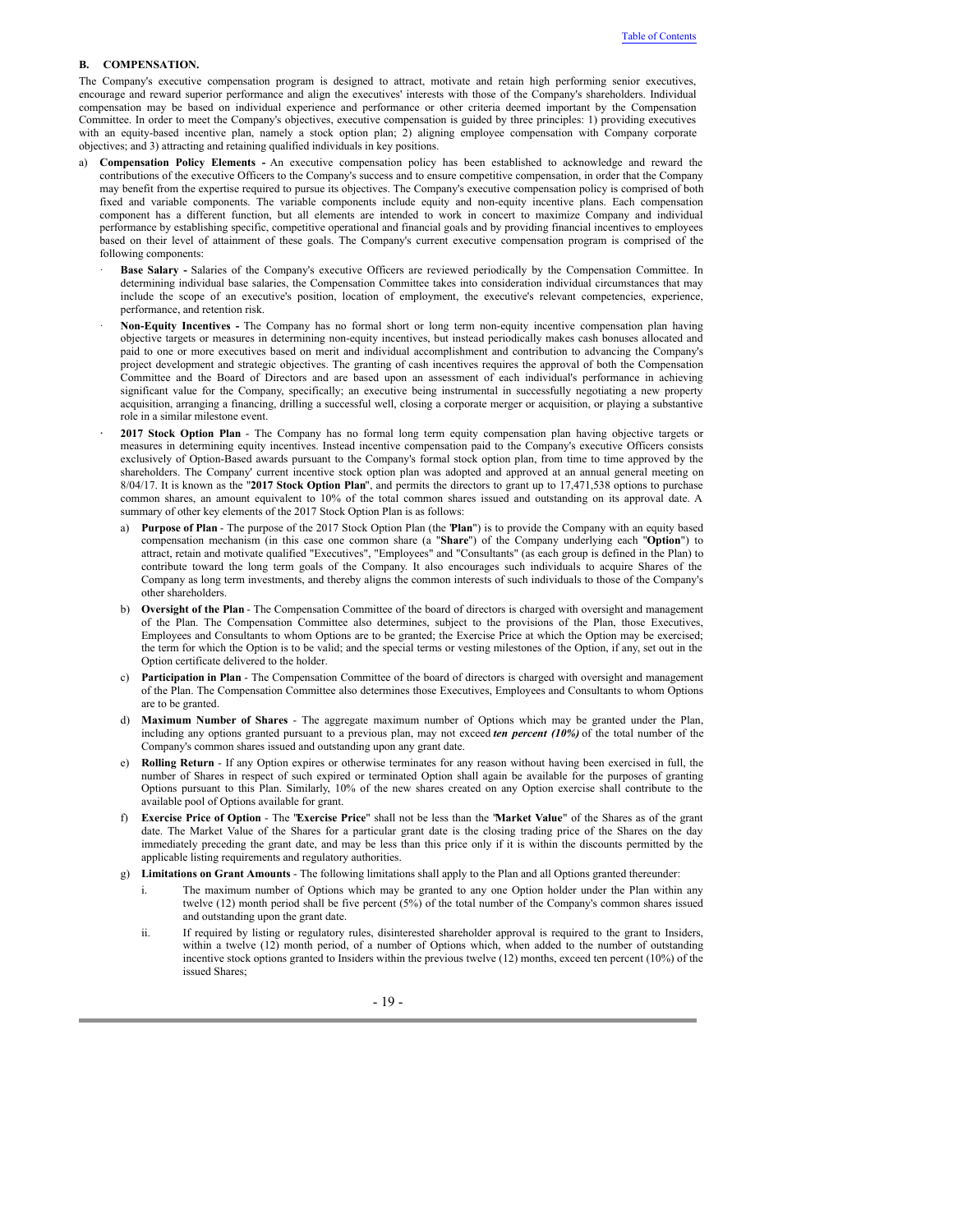#### **COMPENSATION. B.**

The Company's executive compensation program is designed to attract, motivate and retain high performing senior executives, encourage and reward superior performance and align the executives' interests with those of the Company's shareholders. Individual compensation may be based on individual experience and performance or other criteria deemed important by the Compensation Committee. In order to meet the Company's objectives, executive compensation is guided by three principles: 1) providing executives with an equity-based incentive plan, namely a stock option plan; 2) aligning employee compensation with Company corporate objectives; and 3) attracting and retaining qualified individuals in key positions.

- **Compensation Policy Elements -** An executive compensation policy has been established to acknowledge and reward the a) contributions of the executive Officers to the Company's success and to ensure competitive compensation, in order that the Company may benefit from the expertise required to pursue its objectives. The Company's executive compensation policy is comprised of both fixed and variable components. The variable components include equity and non-equity incentive plans. Each compensation component has a different function, but all elements are intended to work in concert to maximize Company and individual performance by establishing specific, competitive operational and financial goals and by providing financial incentives to employees based on their level of attainment of these goals. The Company's current executive compensation program is comprised of the following components:
	- **Base Salary -** Salaries of the Company's executive Officers are reviewed periodically by the Compensation Committee. In determining individual base salaries, the Compensation Committee takes into consideration individual circumstances that may include the scope of an executive's position, location of employment, the executive's relevant competencies, experience, performance, and retention risk. ·
	- **Non-Equity Incentives -** The Company has no formal short or long term non-equity incentive compensation plan having objective targets or measures in determining non-equity incentives, but instead periodically makes cash bonuses allocated and paid to one or more executives based on merit and individual accomplishment and contribution to advancing the Company's project development and strategic objectives. The granting of cash incentives requires the approval of both the Compensation Committee and the Board of Directors and are based upon an assessment of each individual's performance in achieving significant value for the Company, specifically; an executive being instrumental in successfully negotiating a new property acquisition, arranging a financing, drilling a successful well, closing a corporate merger or acquisition, or playing a substantive role in a similar milestone event. ·
	- **2017 Stock Option Plan** The Company has no formal long term equity compensation plan having objective targets or measures in determining equity incentives. Instead incentive compensation paid to the Company's executive Officers consists exclusively of Option-Based awards pursuant to the Company's formal stock option plan, from time to time approved by the shareholders. The Company' current incentive stock option plan was adopted and approved at an annual general meeting on 8/04/17. It is known as the "**2017 Stock Option Plan**", and permits the directors to grant up to 17,471,538 options to purchase common shares, an amount equivalent to 10% of the total common shares issued and outstanding on its approval date. A summary of other key elements of the 2017 Stock Option Plan is as follows: **·**
		- a) Purpose of Plan The purpose of the 2017 Stock Option Plan (the "Plan") is to provide the Company with an equity based compensation mechanism (in this case one common share (a "**Share**") of the Company underlying each "**Option**") to attract, retain and motivate qualified "Executives", "Employees" and "Consultants" (as each group is defined in the Plan) to contribute toward the long term goals of the Company. It also encourages such individuals to acquire Shares of the Company as long term investments, and thereby aligns the common interests of such individuals to those of the Company's other shareholders.
		- **Oversight of the Plan** The Compensation Committee of the board of directors is charged with oversight and management of the Plan. The Compensation Committee also determines, subject to the provisions of the Plan, those Executives, Employees and Consultants to whom Options are to be granted; the Exercise Price at which the Option may be exercised; the term for which the Option is to be valid; and the special terms or vesting milestones of the Option, if any, set out in the Option certificate delivered to the holder. b)
		- c) Participation in Plan The Compensation Committee of the board of directors is charged with oversight and management of the Plan. The Compensation Committee also determines those Executives, Employees and Consultants to whom Options are to be granted.
		- **Maximum Number of Shares** The aggregate maximum number of Options which may be granted under the Plan, including any options granted pursuant to a previous plan, may not exceed *ten percent (10%)* of the total number of the Company's common shares issued and outstanding upon any grant date. d)
		- **Rolling Return** If any Option expires or otherwise terminates for any reason without having been exercised in full, the number of Shares in respect of such expired or terminated Option shall again be available for the purposes of granting Options pursuant to this Plan. Similarly, 10% of the new shares created on any Option exercise shall contribute to the available pool of Options available for grant. e)
		- **Exercise Price of Option** The "**Exercise Price**" shall not be less than the "**Market Value**" of the Shares as of the grant f) date. The Market Value of the Shares for a particular grant date is the closing trading price of the Shares on the day immediately preceding the grant date, and may be less than this price only if it is within the discounts permitted by the applicable listing requirements and regulatory authorities.
		- **Limitations on Grant Amounts** The following limitations shall apply to the Plan and all Options granted thereunder: g)
			- The maximum number of Options which may be granted to any one Option holder under the Plan within any twelve (12) month period shall be five percent (5%) of the total number of the Company's common shares issued and outstanding upon the grant date. i.
			- If required by listing or regulatory rules, disinterested shareholder approval is required to the grant to Insiders, within a twelve (12) month period, of a number of Options which, when added to the number of outstanding incentive stock options granted to Insiders within the previous twelve (12) months, exceed ten percent (10%) of the issued Shares; ii.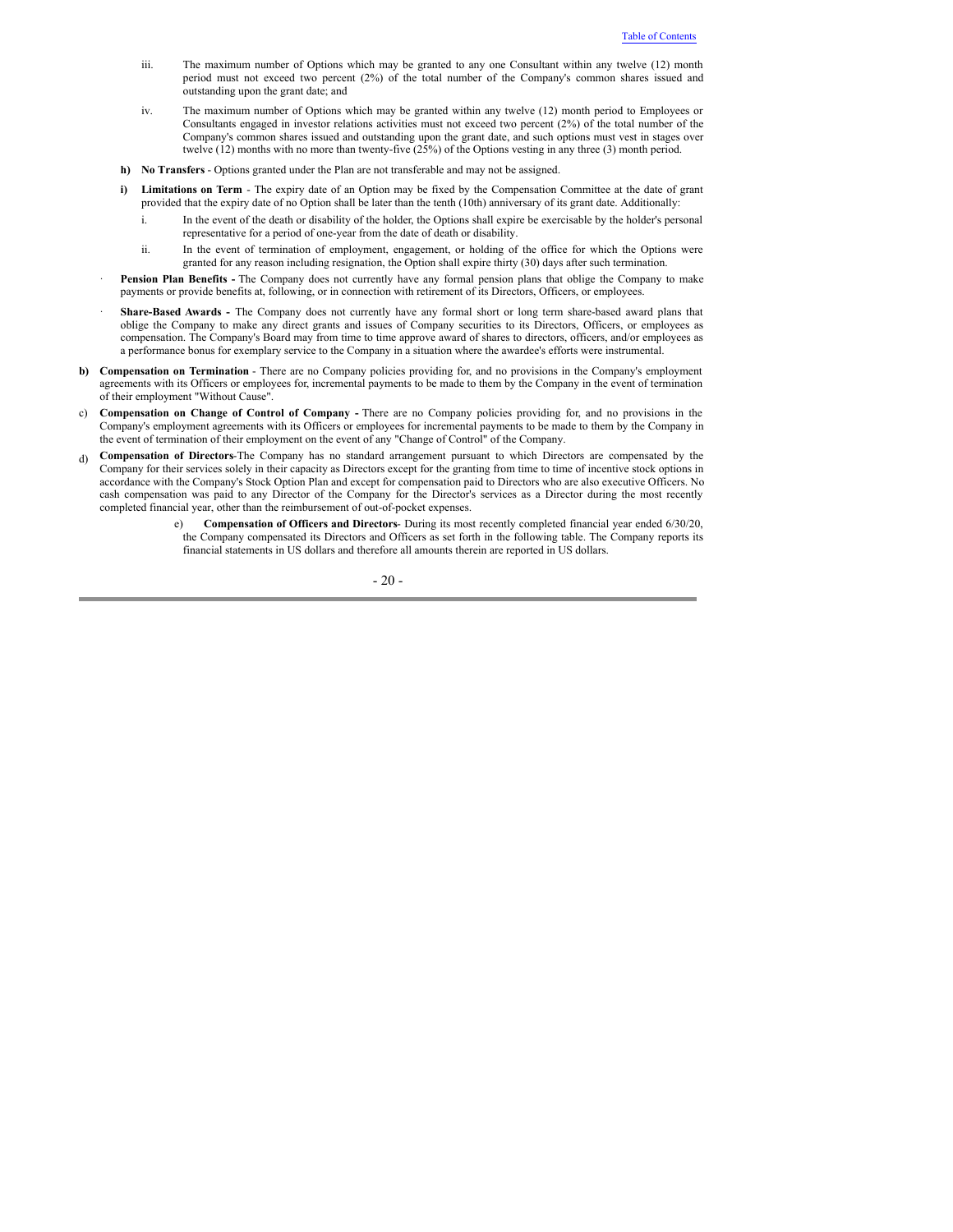- The maximum number of Options which may be granted to any one Consultant within any twelve (12) month period must not exceed two percent (2%) of the total number of the Company's common shares issued and outstanding upon the grant date; and iii.
- The maximum number of Options which may be granted within any twelve (12) month period to Employees or Consultants engaged in investor relations activities must not exceed two percent (2%) of the total number of the Company's common shares issued and outstanding upon the grant date, and such options must vest in stages over twelve (12) months with no more than twenty-five (25%) of the Options vesting in any three (3) month period. iv.
- **No Transfers** Options granted under the Plan are not transferable and may not be assigned. **h)**
- **Limitations on Term** The expiry date of an Option may be fixed by the Compensation Committee at the date of grant provided that the expiry date of no Option shall be later than the tenth (10th) anniversary of its grant date. Additionally: **i)**
	- In the event of the death or disability of the holder, the Options shall expire be exercisable by the holder's personal representative for a period of one-year from the date of death or disability. i.
	- In the event of termination of employment, engagement, or holding of the office for which the Options were granted for any reason including resignation, the Option shall expire thirty (30) days after such termination. ii.
- **Pension Plan Benefits -** The Company does not currently have any formal pension plans that oblige the Company to make payments or provide benefits at, following, or in connection with retirement of its Directors, Officers, or employees. ·
- **Share-Based Awards -** The Company does not currently have any formal short or long term share-based award plans that oblige the Company to make any direct grants and issues of Company securities to its Directors, Officers, or employees as compensation. The Company's Board may from time to time approve award of shares to directors, officers, and/or employees as a performance bonus for exemplary service to the Company in a situation where the awardee's efforts were instrumental. ·
- **Compensation on Termination** There are no Company policies providing for, and no provisions in the Company's employment **b)** agreements with its Officers or employees for, incremental payments to be made to them by the Company in the event of termination of their employment "Without Cause".
- **Compensation on Change of Control of Company -** There are no Company policies providing for, and no provisions in the Company's employment agreements with its Officers or employees for incremental payments to be made to them by the Company in the event of termination of their employment on the event of any "Change of Control" of the Company. c)
- **Compensation of Directors**-The Company has no standard arrangement pursuant to which Directors are compensated by the Company for their services solely in their capacity as Directors except for the granting from time to time of incentive stock options in accordance with the Company's Stock Option Plan and except for compensation paid to Directors who are also executive Officers. No cash compensation was paid to any Director of the Company for the Director's services as a Director during the most recently completed financial year, other than the reimbursement of out-of-pocket expenses. d)
	- **Compensation of Officers and Directors** During its most recently completed financial year ended 6/30/20, the Company compensated its Directors and Officers as set forth in the following table. The Company reports its financial statements in US dollars and therefore all amounts therein are reported in US dollars. e)

- 20 -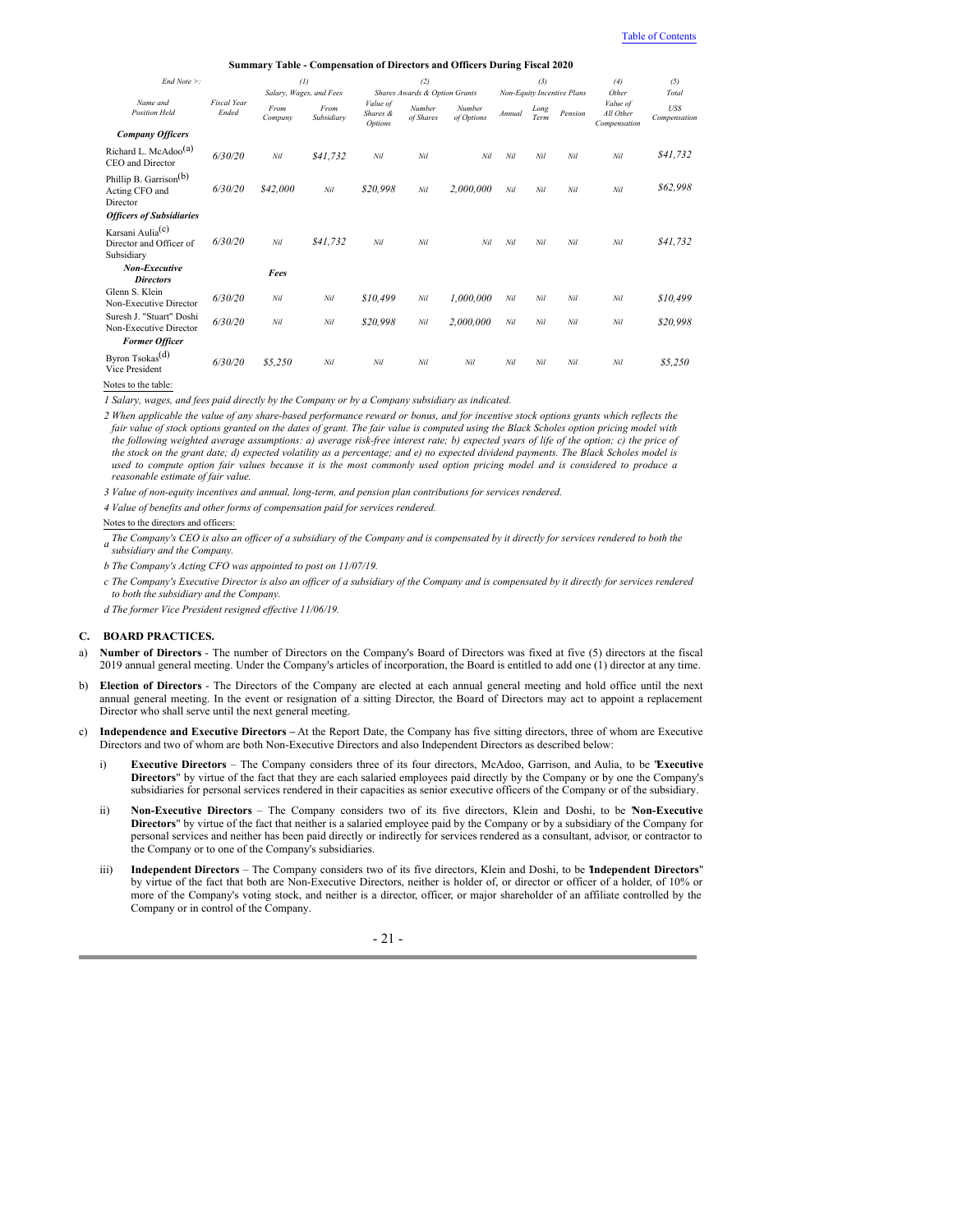#### **Summary Table - Compensation of Directors and Officers During Fiscal 2020**

| $End Note$ :                                                          |                             |                 | (1)                                           |                                        | (2)                                                  |                      |        | (3)          |                                       | (4)                                            | (5)                                 |
|-----------------------------------------------------------------------|-----------------------------|-----------------|-----------------------------------------------|----------------------------------------|------------------------------------------------------|----------------------|--------|--------------|---------------------------------------|------------------------------------------------|-------------------------------------|
| Name and<br><b>Position Held</b>                                      | <b>Fiscal Year</b><br>Ended | From<br>Company | Salary, Wages, and Fees<br>From<br>Subsidiary | Value of<br>Shares &<br><b>Options</b> | Shares Awards & Option Grants<br>Number<br>of Shares | Number<br>of Options | Annual | Long<br>Term | Non-Equity Incentive Plans<br>Pension | Other<br>Value of<br>All Other<br>Compensation | Total<br><b>USS</b><br>Compensation |
| <b>Company Officers</b>                                               |                             |                 |                                               |                                        |                                                      |                      |        |              |                                       |                                                |                                     |
| Richard L. McAdoo <sup>(a)</sup><br>CEO and Director                  | 6/30/20                     | Nil             | \$41,732                                      | Nil                                    | Nil                                                  | Nil                  | Nil    | Nil          | Nil                                   | Nil                                            | \$41,732                            |
| Phillip B. Garrison <sup>(b)</sup><br>Acting CFO and<br>Director      | 6/30/20                     | \$42,000        | Nil                                           | \$20,998                               | Nil                                                  | 2,000,000            | Nil    | Nil          | Nil                                   | Nil                                            | \$62,998                            |
| <b>Officers of Subsidiaries</b>                                       |                             |                 |                                               |                                        |                                                      |                      |        |              |                                       |                                                |                                     |
| Karsani Aulia <sup>(c)</sup><br>Director and Officer of<br>Subsidiary | 6/30/20                     | Nil             | \$41,732                                      | Nil                                    | Nil                                                  | Nil                  | Nil    | Nil          | Nil                                   | Nil                                            | \$41,732                            |
| Non-Executive<br><b>Directors</b>                                     |                             | Fees            |                                               |                                        |                                                      |                      |        |              |                                       |                                                |                                     |
| Glenn S. Klein<br>Non-Executive Director                              | 6/30/20                     | Nil             | Nil                                           | \$10,499                               | Nil                                                  | 1,000,000            | Nil    | Nil          | Nil                                   | Nil                                            | \$10,499                            |
| Suresh J. "Stuart" Doshi<br>Non-Executive Director                    | 6/30/20                     | Nil             | Nil                                           | \$20,998                               | Nil                                                  | 2,000,000            | Nil    | Nil          | Nil                                   | Nil                                            | \$20,998                            |
| <b>Former Officer</b>                                                 |                             |                 |                                               |                                        |                                                      |                      |        |              |                                       |                                                |                                     |
| Byron Tsokas <sup>(d)</sup><br>Vice President                         | 6/30/20                     | \$5.250         | Nil                                           | Nil                                    | Nil                                                  | Nil                  | Nil    | Nil          | Nil                                   | Nil                                            | \$5,250                             |

Notes to the table:

*Salary, wages, and fees paid directly by the Company or by a Company subsidiary as indicated. 1*

2 When applicable the value of any share-based performance reward or bonus, and for incentive stock options grants which reflects the fair value of stock options granted on the dates of grant. The fair value is computed using the Black Scholes option pricing model with the following weighted average assumptions: a) average risk-free interest rate; b) expected vears of life of the option; c) the price of the stock on the grant date; d) expected volatility as a percentage; and e) no expected dividend payments. The Black Scholes model is used to compute option fair values because it is the most commonly used option pricing model and is considered to produce a *reasonable estimate of fair value.*

*Value of non-equity incentives and annual, long-term, and pension plan contributions for services rendered. 3*

*Value of benefits and other forms of compensation paid for services rendered. 4*

#### Notes to the directors and officers:

a The Company's CEO is also an officer of a subsidiary of the Company and is compensated by it directly for services rendered to both the<br>a subsidiary and the Company.

*The Company's Acting CFO was appointed to post on 11/07/19. b*

c The Company's Executive Director is also an officer of a subsidiary of the Company and is compensated by it directly for services rendered *to both the subsidiary and the Company.*

*The former Vice President resigned ef ective 11/06/19. d*

#### **BOARD PRACTICES. C.**

- **Number of Directors** The number of Directors on the Company's Board of Directors was fixed at five (5) directors at the fiscal 2019 annual general meeting. Under the Company's articles of incorporation, the Board is entitled to add one (1) director at any time. a)
- b) Election of Directors The Directors of the Company are elected at each annual general meeting and hold office until the next annual general meeting. In the event or resignation of a sitting Director, the Board of Directors may act to appoint a replacement Director who shall serve until the next general meeting.
- **Independence and Executive Directors –** At the Report Date, the Company has five sitting directors, three of whom are Executive Directors and two of whom are both Non-Executive Directors and also Independent Directors as described below: c)
	- **Executive Directors** The Company considers three of its four directors, McAdoo, Garrison, and Aulia, to be "**Executive Directors**" by virtue of the fact that they are each salaried employees paid directly by the Company or by one the Company's subsidiaries for personal services rendered in their capacities as senior executive officers of the Company or of the subsidiary. i)
	- **Non-Executive Directors** The Company considers two of its five directors, Klein and Doshi, to be "**Non-Executive Directors**" by virtue of the fact that neither is a salaried employee paid by the Company or by a subsidiary of the Company for personal services and neither has been paid directly or indirectly for services rendered as a consultant, advisor, or contractor to the Company or to one of the Company's subsidiaries. ii)
	- **Independent Directors** The Company considers two of its five directors, Klein and Doshi, to be "**Independent Directors**" by virtue of the fact that both are Non-Executive Directors, neither is holder of, or director or officer of a holder, of 10% or more of the Company's voting stock, and neither is a director, officer, or major shareholder of an affiliate controlled by the Company or in control of the Company. iii)

- 21 -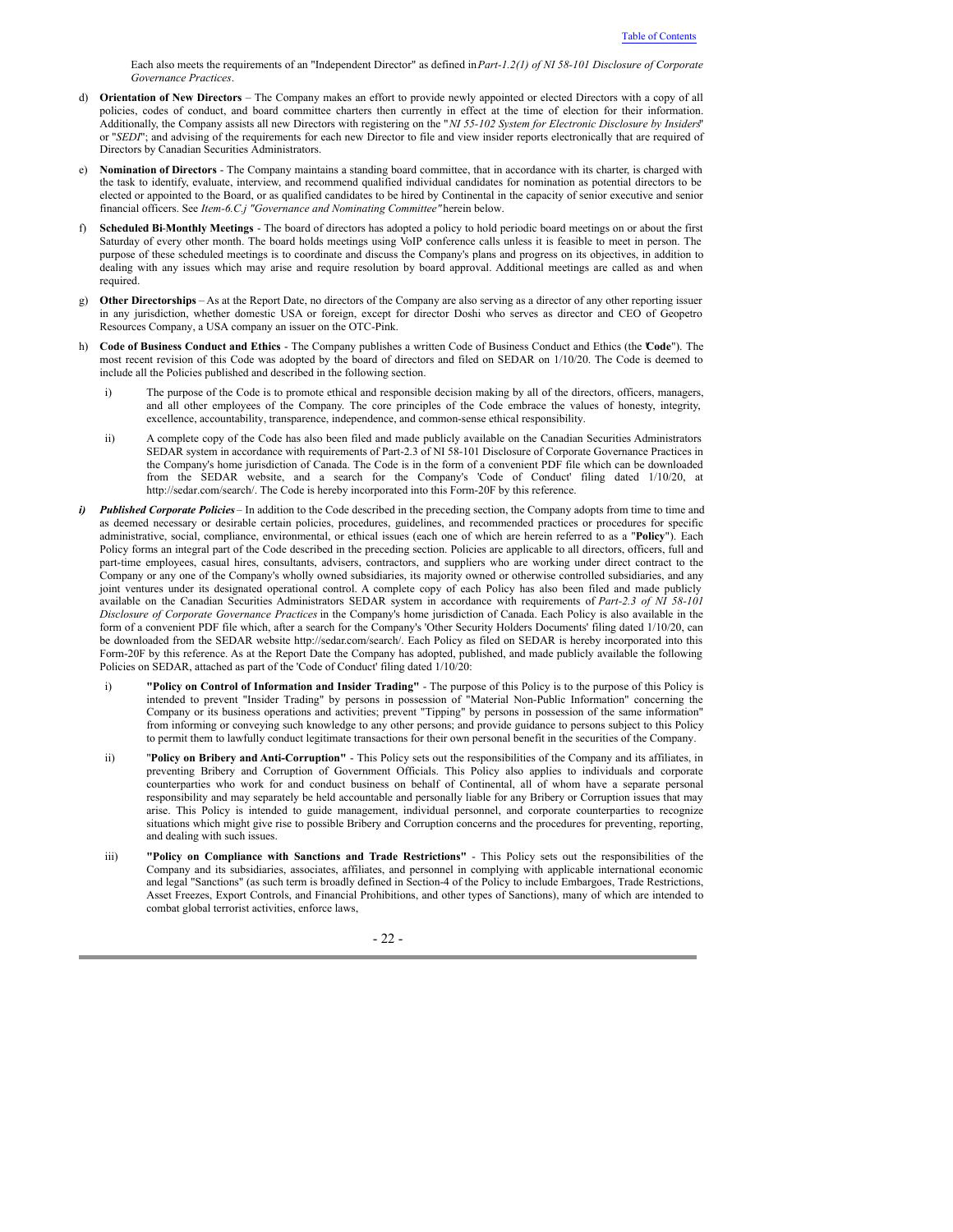Each also meets the requirements of an "Independent Director" as defined in*Part-1.2(1) of NI 58-101 Disclosure of Corporate Governance Practices*.

- **Orientation of New Directors** The Company makes an effort to provide newly appointed or elected Directors with a copy of all d) policies, codes of conduct, and board committee charters then currently in effect at the time of election for their information. Additionally, the Company assists all new Directors with registering on the "*NI 55-102 System for Electronic Disclosure by Insiders*" or "*SEDI*"; and advising of the requirements for each new Director to file and view insider reports electronically that are required of Directors by Canadian Securities Administrators.
- e) Nomination of Directors The Company maintains a standing board committee, that in accordance with its charter, is charged with the task to identify, evaluate, interview, and recommend qualified individual candidates for nomination as potential directors to be elected or appointed to the Board, or as qualified candidates to be hired by Continental in the capacity of senior executive and senior financial officers. See *Item-6.C.j "Governance and Nominating Committee"* herein below.
- **Scheduled Bi**-**Monthly Meetings** The board of directors has adopted a policy to hold periodic board meetings on or about the first Saturday of every other month. The board holds meetings using VoIP conference calls unless it is feasible to meet in person. The purpose of these scheduled meetings is to coordinate and discuss the Company's plans and progress on its objectives, in addition to dealing with any issues which may arise and require resolution by board approval. Additional meetings are called as and when required. f)
- **Other Directorships** As at the Report Date, no directors of the Company are also serving as a director of any other reporting issuer g) in any jurisdiction, whether domestic USA or foreign, except for director Doshi who serves as director and CEO of Geopetro Resources Company, a USA company an issuer on the OTC-Pink.
- **Code of Business Conduct and Ethics** The Company publishes a written Code of Business Conduct and Ethics (the "**Code**"). The h) most recent revision of this Code was adopted by the board of directors and filed on SEDAR on 1/10/20. The Code is deemed to include all the Policies published and described in the following section.
	- The purpose of the Code is to promote ethical and responsible decision making by all of the directors, officers, managers, and all other employees of the Company. The core principles of the Code embrace the values of honesty, integrity, excellence, accountability, transparence, independence, and common-sense ethical responsibility. i)
	- A complete copy of the Code has also been filed and made publicly available on the Canadian Securities Administrators SEDAR system in accordance with requirements of Part-2.3 of NI 58-101 Disclosure of Corporate Governance Practices in the Company's home jurisdiction of Canada. The Code is in the form of a convenient PDF file which can be downloaded from the SEDAR website, and a search for the Company's 'Code of Conduct' filing dated 1/10/20, at http://sedar.com/search/. The Code is hereby incorporated into this Form-20F by this reference. ii)
- *Published Corporate Policies* In addition to the Code described in the preceding section, the Company adopts from time to time and as deemed necessary or desirable certain policies, procedures, guidelines, and recommended practices or procedures for specific administrative, social, compliance, environmental, or ethical issues (each one of which are herein referred to as a "**Policy**"). Each Policy forms an integral part of the Code described in the preceding section. Policies are applicable to all directors, officers, full and part-time employees, casual hires, consultants, advisers, contractors, and suppliers who are working under direct contract to the Company or any one of the Company's wholly owned subsidiaries, its majority owned or otherwise controlled subsidiaries, and any joint ventures under its designated operational control. A complete copy of each Policy has also been filed and made publicly available on the Canadian Securities Administrators SEDAR system in accordance with requirements of *Part-2.3 of NI 58-101 Disclosure of Corporate Governance Practices* in the Company's home jurisdiction of Canada. Each Policy is also available in the form of a convenient PDF file which, after a search for the Company's 'Other Security Holders Documents' filing dated 1/10/20, can be downloaded from the SEDAR website http://sedar.com/search/. Each Policy as filed on SEDAR is hereby incorporated into this Form-20F by this reference. As at the Report Date the Company has adopted, published, and made publicly available the following Policies on SEDAR, attached as part of the 'Code of Conduct' filing dated 1/10/20: *i)*
	- **"Policy on Control of Information and Insider Trading"** The purpose of this Policy is to the purpose of this Policy is intended to prevent "Insider Trading" by persons in possession of "Material Non-Public Information" concerning the Company or its business operations and activities; prevent "Tipping" by persons in possession of the same information" from informing or conveying such knowledge to any other persons; and provide guidance to persons subject to this Policy to permit them to lawfully conduct legitimate transactions for their own personal benefit in the securities of the Company. i)
	- "**Policy on Bribery and Anti-Corruption"** This Policy sets out the responsibilities of the Company and its affiliates, in preventing Bribery and Corruption of Government Officials. This Policy also applies to individuals and corporate counterparties who work for and conduct business on behalf of Continental, all of whom have a separate personal responsibility and may separately be held accountable and personally liable for any Bribery or Corruption issues that may arise. This Policy is intended to guide management, individual personnel, and corporate counterparties to recognize situations which might give rise to possible Bribery and Corruption concerns and the procedures for preventing, reporting, and dealing with such issues. ii)
	- **"Policy on Compliance with Sanctions and Trade Restrictions"** This Policy sets out the responsibilities of the Company and its subsidiaries, associates, affiliates, and personnel in complying with applicable international economic and legal "Sanctions" (as such term is broadly defined in Section-4 of the Policy to include Embargoes, Trade Restrictions, Asset Freezes, Export Controls, and Financial Prohibitions, and other types of Sanctions), many of which are intended to combat global terrorist activities, enforce laws, iii)

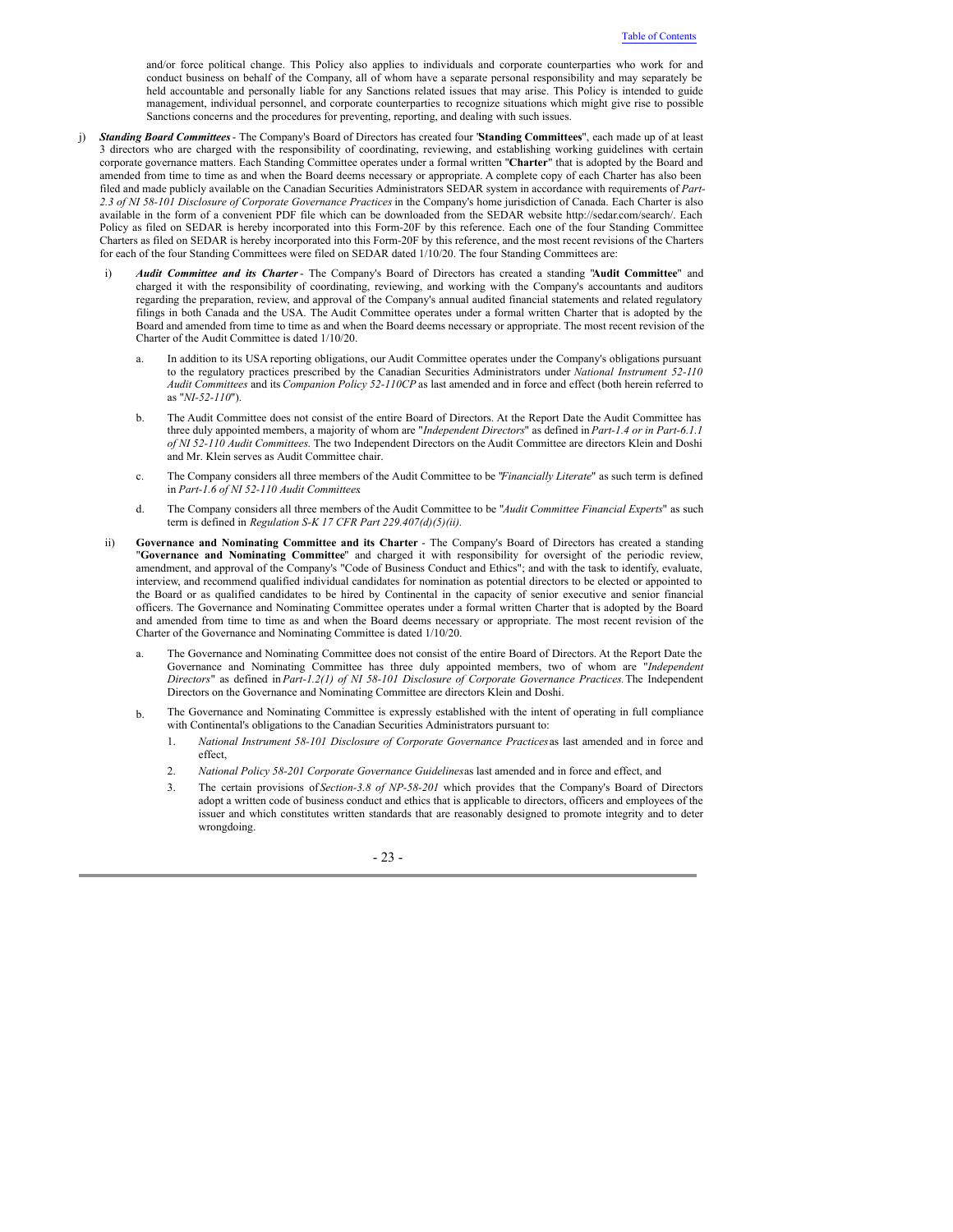and/or force political change. This Policy also applies to individuals and corporate counterparties who work for and conduct business on behalf of the Company, all of whom have a separate personal responsibility and may separately be held accountable and personally liable for any Sanctions related issues that may arise. This Policy is intended to guide management, individual personnel, and corporate counterparties to recognize situations which might give rise to possible Sanctions concerns and the procedures for preventing, reporting, and dealing with such issues.

- *Standing Board Committees* The Company's Board of Directors has created four "**Standing Committees**", each made up of at least j) 3 directors who are charged with the responsibility of coordinating, reviewing, and establishing working guidelines with certain corporate governance matters. Each Standing Committee operates under a formal written "**Charter**" that is adopted by the Board and amended from time to time as and when the Board deems necessary or appropriate. A complete copy of each Charter has also been filed and made publicly available on the Canadian Securities Administrators SEDAR system in accordance with requirements of *Part-2.3 of NI 58-101 Disclosure of Corporate Governance Practices* in the Company's home jurisdiction of Canada. Each Charter is also available in the form of a convenient PDF file which can be downloaded from the SEDAR website http://sedar.com/search/. Each Policy as filed on SEDAR is hereby incorporated into this Form-20F by this reference. Each one of the four Standing Committee Charters as filed on SEDAR is hereby incorporated into this Form-20F by this reference, and the most recent revisions of the Charters for each of the four Standing Committees were filed on SEDAR dated 1/10/20. The four Standing Committees are:
	- *Audit Committee and its Charter* The Company's Board of Directors has created a standing "**Audit Committee**" and charged it with the responsibility of coordinating, reviewing, and working with the Company's accountants and auditors regarding the preparation, review, and approval of the Company's annual audited financial statements and related regulatory filings in both Canada and the USA. The Audit Committee operates under a formal written Charter that is adopted by the Board and amended from time to time as and when the Board deems necessary or appropriate. The most recent revision of the Charter of the Audit Committee is dated 1/10/20. i)
		- In addition to its USA reporting obligations, our Audit Committee operates under the Company's obligations pursuant to the regulatory practices prescribed by the Canadian Securities Administrators under *National Instrument 52-110 Audit Committees* and its *Companion Policy 52-110CP* as last amended and in force and effect (both herein referred to as "*NI-52-110*"). a.
		- The Audit Committee does not consist of the entire Board of Directors. At the Report Date the Audit Committee has three duly appointed members, a majority of whom are "*Independent Directors*" as defined in *Part-1.4 or in Part-6.1.1 of NI 52-110 Audit Committees*. The two Independent Directors on the Audit Committee are directors Klein and Doshi and Mr. Klein serves as Audit Committee chair. b.
		- The Company considers all three members of the Audit Committee to be "*Financially Literate*" as such term is defined in *Part-1.6 of NI 52-110 Audit Committees*. c.
		- The Company considers all three members of the Audit Committee to be "*Audit Committee Financial Experts*" as such term is defined in *Regulation S-K 17 CFR Part 229.407(d)(5)(ii).* d.
	- **Governance and Nominating Committee and its Charter** The Company's Board of Directors has created a standing "**Governance and Nominating Committee**" and charged it with responsibility for oversight of the periodic review, amendment, and approval of the Company's "Code of Business Conduct and Ethics"; and with the task to identify, evaluate, interview, and recommend qualified individual candidates for nomination as potential directors to be elected or appointed to the Board or as qualified candidates to be hired by Continental in the capacity of senior executive and senior financial officers. The Governance and Nominating Committee operates under a formal written Charter that is adopted by the Board and amended from time to time as and when the Board deems necessary or appropriate. The most recent revision of the Charter of the Governance and Nominating Committee is dated 1/10/20. ii)
		- The Governance and Nominating Committee does not consist of the entire Board of Directors. At the Report Date the Governance and Nominating Committee has three duly appointed members, two of whom are "*Independent Directors*" as defined in *Part-1.2(1) of NI 58-101 Disclosure of Corporate Governance Practices.*The Independent Directors on the Governance and Nominating Committee are directors Klein and Doshi. a.
		- The Governance and Nominating Committee is expressly established with the intent of operating in full compliance with Continental's obligations to the Canadian Securities Administrators pursuant to: b.
			- *National Instrument 58-101 Disclosure of Corporate Governance Practices*as last amended and in force and effect, 1.
			- *National Policy 58-201 Corporate Governance Guidelines*as last amended and in force and effect, and 2.
			- The certain provisions of *Section-3.8 of NP-58-201* which provides that the Company's Board of Directors adopt a written code of business conduct and ethics that is applicable to directors, officers and employees of the issuer and which constitutes written standards that are reasonably designed to promote integrity and to deter wrongdoing. 3.

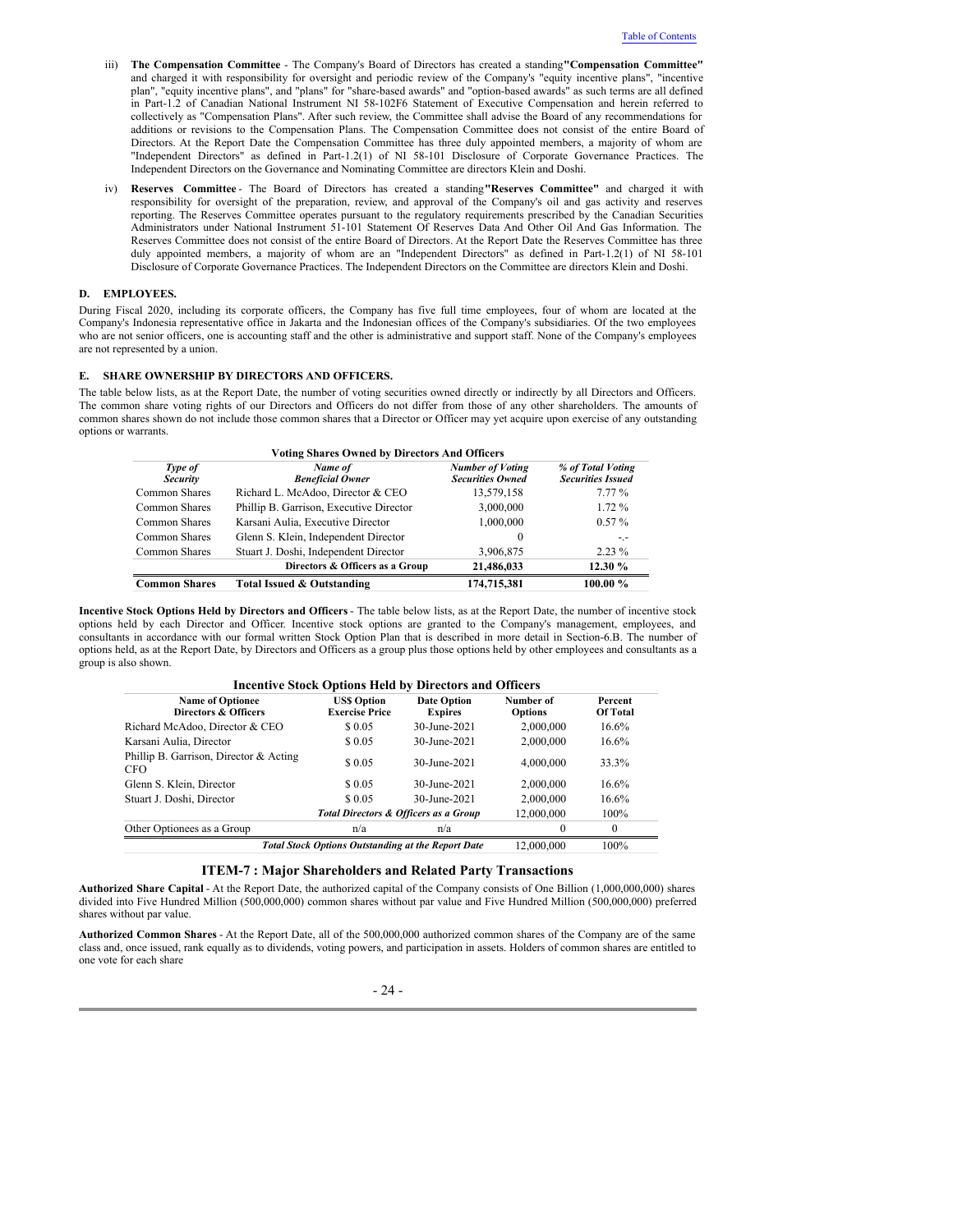- **The Compensation Committee** The Company's Board of Directors has created a standing**"Compensation Committee"** iii) and charged it with responsibility for oversight and periodic review of the Company's "equity incentive plans", "incentive plan", "equity incentive plans", and "plans" for "share-based awards" and "option-based awards" as such terms are all defined in Part-1.2 of Canadian National Instrument NI 58-102F6 Statement of Executive Compensation and herein referred to collectively as "Compensation Plans". After such review, the Committee shall advise the Board of any recommendations for additions or revisions to the Compensation Plans. The Compensation Committee does not consist of the entire Board of Directors. At the Report Date the Compensation Committee has three duly appointed members, a majority of whom are "Independent Directors" as defined in Part-1.2(1) of NI 58-101 Disclosure of Corporate Governance Practices. The Independent Directors on the Governance and Nominating Committee are directors Klein and Doshi.
- **Reserves Committee** The Board of Directors has created a standing**"Reserves Committee"** and charged it with responsibility for oversight of the preparation, review, and approval of the Company's oil and gas activity and reserves reporting. The Reserves Committee operates pursuant to the regulatory requirements prescribed by the Canadian Securities Administrators under National Instrument 51-101 Statement Of Reserves Data And Other Oil And Gas Information. The Reserves Committee does not consist of the entire Board of Directors. At the Report Date the Reserves Committee has three duly appointed members, a majority of whom are an "Independent Directors" as defined in Part-1.2(1) of NI 58-101 Disclosure of Corporate Governance Practices. The Independent Directors on the Committee are directors Klein and Doshi. iv)

#### **EMPLOYEES. D.**

During Fiscal 2020, including its corporate officers, the Company has five full time employees, four of whom are located at the Company's Indonesia representative office in Jakarta and the Indonesian offices of the Company's subsidiaries. Of the two employees who are not senior officers, one is accounting staff and the other is administrative and support staff. None of the Company's employees are not represented by a union.

#### **SHARE OWNERSHIP BY DIRECTORS AND OFFICERS. E.**

The table below lists, as at the Report Date, the number of voting securities owned directly or indirectly by all Directors and Officers. The common share voting rights of our Directors and Officers do not differ from those of any other shareholders. The amounts of common shares shown do not include those common shares that a Director or Officer may yet acquire upon exercise of any outstanding options or warrants.

| <b>Voting Shares Owned by Directors And Officers</b> |                                         |                                                    |                                               |  |  |  |
|------------------------------------------------------|-----------------------------------------|----------------------------------------------------|-----------------------------------------------|--|--|--|
| Type of<br><b>Security</b>                           | Name of<br><b>Beneficial Owner</b>      | <b>Number of Voting</b><br><b>Securities Owned</b> | % of Total Voting<br><b>Securities Issued</b> |  |  |  |
| Common Shares                                        | Richard L. McAdoo, Director & CEO       | 13,579,158                                         | $7.77\%$                                      |  |  |  |
| Common Shares                                        | Phillip B. Garrison, Executive Director | 3,000,000                                          | $1.72\%$                                      |  |  |  |
| Common Shares                                        | Karsani Aulia, Executive Director       | 1,000,000                                          | $0.57\%$                                      |  |  |  |
| Common Shares                                        | Glenn S. Klein, Independent Director    | $\theta$                                           | $-1$                                          |  |  |  |
| Common Shares                                        | Stuart J. Doshi, Independent Director   | 3,906,875                                          | $2.23 \%$                                     |  |  |  |
|                                                      | Directors & Officers as a Group         | 21,486,033                                         | 12.30 %                                       |  |  |  |
| <b>Common Shares</b>                                 | Total Issued & Outstanding              | 174,715,381                                        | 100.00 %                                      |  |  |  |

**Incentive Stock Options Held by Directors and Officers** - The table below lists, as at the Report Date, the number of incentive stock options held by each Director and Officer. Incentive stock options are granted to the Company's management, employees, and consultants in accordance with our formal written Stock Option Plan that is described in more detail in Section-6.B. The number of options held, as at the Report Date, by Directors and Officers as a group plus those options held by other employees and consultants as a group is also shown.

| <b>Incentive Stock Options Held by Directors and Officers</b> |                                                           |                                      |                             |                            |  |  |
|---------------------------------------------------------------|-----------------------------------------------------------|--------------------------------------|-----------------------------|----------------------------|--|--|
| <b>Name of Optionee</b><br>Directors & Officers               | <b>USS Option</b><br><b>Exercise Price</b>                | <b>Date Option</b><br><b>Expires</b> | Number of<br><b>Options</b> | Percent<br><b>Of Total</b> |  |  |
| Richard McAdoo, Director & CEO                                | \$ 0.05                                                   | 30-June-2021                         | 2,000,000                   | $16.6\%$                   |  |  |
| Karsani Aulia, Director                                       | \$ 0.05                                                   | 30-June-2021                         | 2,000,000                   | $16.6\%$                   |  |  |
| Phillip B. Garrison, Director & Acting<br><b>CFO</b>          | \$ 0.05                                                   | 30-June-2021                         | 4,000,000                   | 33.3%                      |  |  |
| Glenn S. Klein, Director                                      | \$ 0.05                                                   | 30-June-2021                         | 2,000,000                   | $16.6\%$                   |  |  |
| Stuart J. Doshi, Director                                     | \$ 0.05                                                   | 30-June-2021                         | 2,000,000                   | $16.6\%$                   |  |  |
|                                                               | 12,000,000                                                | 100%                                 |                             |                            |  |  |
| Other Optionees as a Group                                    | n/a                                                       | n/a                                  | $\Omega$                    | $\Omega$                   |  |  |
|                                                               | <b>Total Stock Options Outstanding at the Report Date</b> |                                      | 12,000,000                  | 100%                       |  |  |

### **ITEM-7 : Major Shareholders and Related Party Transactions**

**Authorized Share Capital** - At the Report Date, the authorized capital of the Company consists of One Billion (1,000,000,000) shares divided into Five Hundred Million (500,000,000) common shares without par value and Five Hundred Million (500,000,000) preferred shares without par value.

**Authorized Common Shares** - At the Report Date, all of the 500,000,000 authorized common shares of the Company are of the same class and, once issued, rank equally as to dividends, voting powers, and participation in assets. Holders of common shares are entitled to one vote for each share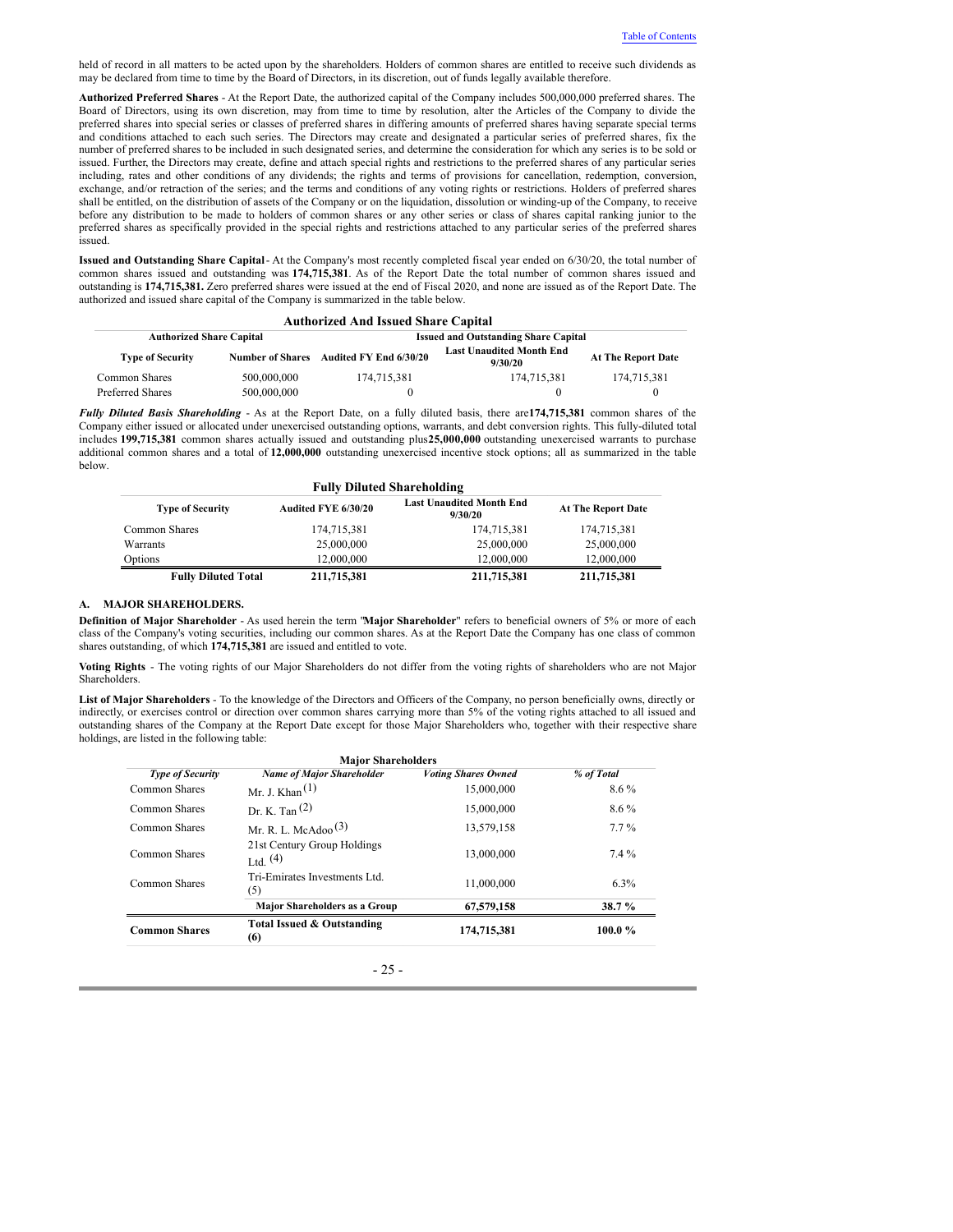held of record in all matters to be acted upon by the shareholders. Holders of common shares are entitled to receive such dividends as may be declared from time to time by the Board of Directors, in its discretion, out of funds legally available therefore.

**Authorized Preferred Shares** - At the Report Date, the authorized capital of the Company includes 500,000,000 preferred shares. The Board of Directors, using its own discretion, may from time to time by resolution, alter the Articles of the Company to divide the preferred shares into special series or classes of preferred shares in differing amounts of preferred shares having separate special terms and conditions attached to each such series. The Directors may create and designated a particular series of preferred shares, fix the number of preferred shares to be included in such designated series, and determine the consideration for which any series is to be sold or issued. Further, the Directors may create, define and attach special rights and restrictions to the preferred shares of any particular series including, rates and other conditions of any dividends; the rights and terms of provisions for cancellation, redemption, conversion, exchange, and/or retraction of the series; and the terms and conditions of any voting rights or restrictions. Holders of preferred shares shall be entitled, on the distribution of assets of the Company or on the liquidation, dissolution or winding-up of the Company, to receive before any distribution to be made to holders of common shares or any other series or class of shares capital ranking junior to the preferred shares as specifically provided in the special rights and restrictions attached to any particular series of the preferred shares issued.

**Issued and Outstanding Share Capital**- At the Company's most recently completed fiscal year ended on 6/30/20, the total number of common shares issued and outstanding was **174,715,381**. As of the Report Date the total number of common shares issued and outstanding is **174,715,381.** Zero preferred shares were issued at the end of Fiscal 2020, and none are issued as of the Report Date. The authorized and issued share capital of the Company is summarized in the table below.

| <b>Authorized And Issued Share Capital</b> |             |                                         |                                             |                           |  |  |
|--------------------------------------------|-------------|-----------------------------------------|---------------------------------------------|---------------------------|--|--|
| <b>Authorized Share Capital</b>            |             |                                         | <b>Issued and Outstanding Share Capital</b> |                           |  |  |
| <b>Type of Security</b>                    |             | Number of Shares Audited FY End 6/30/20 | <b>Last Unaudited Month End</b><br>9/30/20  | <b>At The Report Date</b> |  |  |
| Common Shares                              | 500,000,000 | 174,715,381                             | 174,715,381                                 | 174,715,381               |  |  |
| Preferred Shares                           | 500,000,000 |                                         |                                             |                           |  |  |

*Fully Diluted Basis Shareholding* - As at the Report Date, on a fully diluted basis, there are**174,715,381** common shares of the Company either issued or allocated under unexercised outstanding options, warrants, and debt conversion rights. This fully-diluted total includes **199,715,381** common shares actually issued and outstanding plus**25,000,000** outstanding unexercised warrants to purchase additional common shares and a total of **12,000,000** outstanding unexercised incentive stock options; all as summarized in the table below.

| <b>Fully Diluted Shareholding</b> |                     |                                            |                           |  |  |
|-----------------------------------|---------------------|--------------------------------------------|---------------------------|--|--|
| <b>Type of Security</b>           | Audited FYE 6/30/20 | <b>Last Unaudited Month End</b><br>9/30/20 | <b>At The Report Date</b> |  |  |
| Common Shares                     | 174,715,381         | 174,715,381                                | 174,715,381               |  |  |
| Warrants                          | 25,000,000          | 25,000,000                                 | 25,000,000                |  |  |
| Options                           | 12,000,000          | 12,000,000                                 | 12,000,000                |  |  |
| <b>Fully Diluted Total</b>        | 211,715,381         | 211,715,381                                | 211,715,381               |  |  |

#### **MAJOR SHAREHOLDERS. A.**

**Definition of Major Shareholder** - As used herein the term "**Major Shareholder**" refers to beneficial owners of 5% or more of each class of the Company's voting securities, including our common shares. As at the Report Date the Company has one class of common shares outstanding, of which **174,715,381** are issued and entitled to vote.

**Voting Rights** - The voting rights of our Major Shareholders do not differ from the voting rights of shareholders who are not Major Shareholders.

**List of Major Shareholders** - To the knowledge of the Directors and Officers of the Company, no person beneficially owns, directly or indirectly, or exercises control or direction over common shares carrying more than 5% of the voting rights attached to all issued and outstanding shares of the Company at the Report Date except for those Major Shareholders who, together with their respective share holdings, are listed in the following table:

| <b>Major Shareholders</b> |                                           |                            |            |  |  |
|---------------------------|-------------------------------------------|----------------------------|------------|--|--|
| <b>Type of Security</b>   | <b>Name of Major Shareholder</b>          | <b>Voting Shares Owned</b> | % of Total |  |  |
| Common Shares             | Mr. J. Khan $(1)$                         | 15,000,000                 | $8.6\%$    |  |  |
| Common Shares             | Dr. K. Tan $(2)$                          | 15,000,000                 | $8.6\%$    |  |  |
| Common Shares             | Mr. R. L. McAdoo <sup>(3)</sup>           | 13,579,158                 | $7.7\%$    |  |  |
| Common Shares             | 21st Century Group Holdings<br>Ltd. $(4)$ | 13,000,000                 | $7.4\%$    |  |  |
| Common Shares             | Tri-Emirates Investments Ltd.<br>(5)      | 11,000,000                 | 6.3%       |  |  |
|                           | Major Shareholders as a Group             | 67,579,158                 | 38.7%      |  |  |
| <b>Common Shares</b>      | Total Issued & Outstanding<br>(6)         | 174,715,381                | $100.0\%$  |  |  |

- 25 -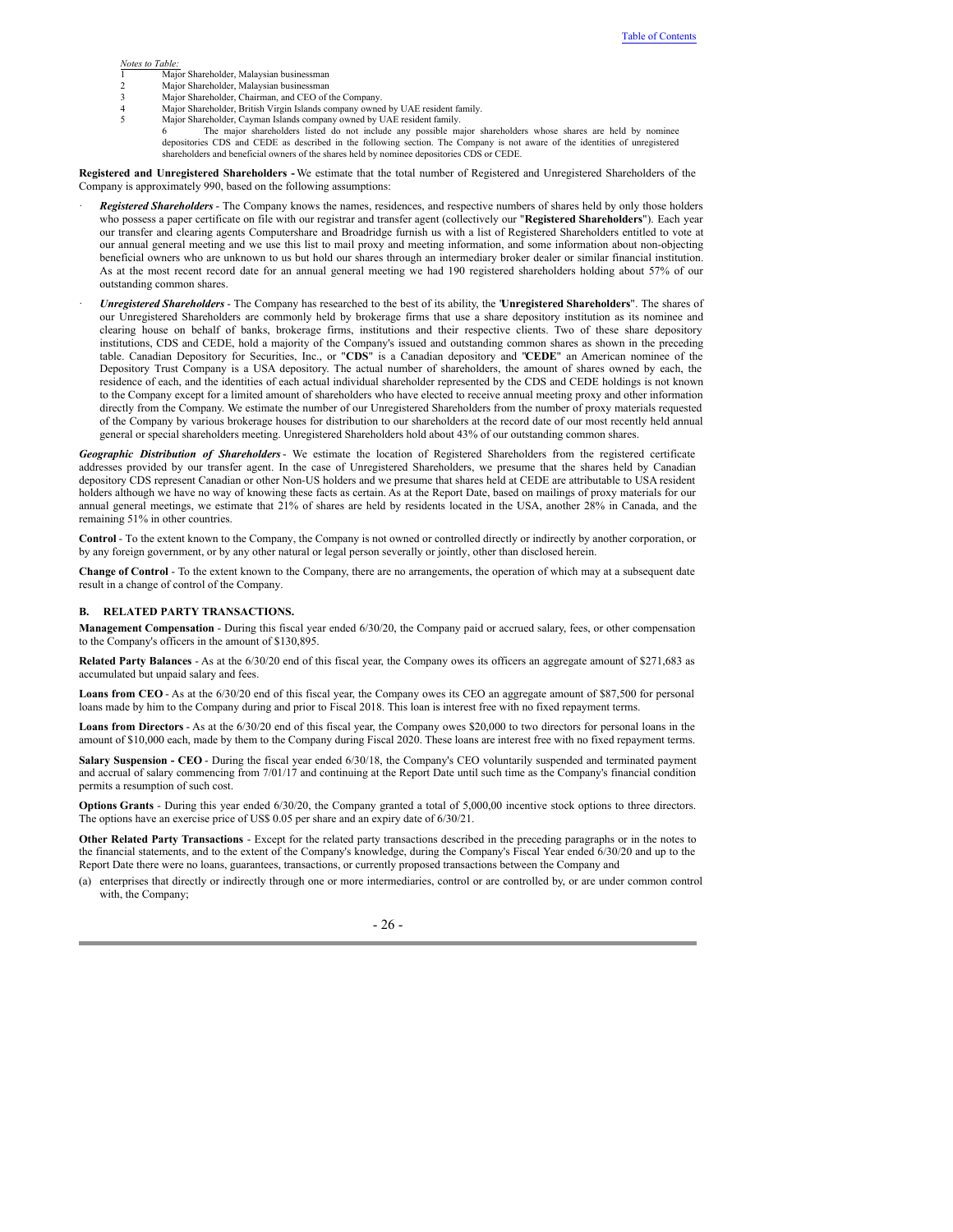#### *Notes to Table:*

2

- Major Shareholder, Malaysian businessman 1
- Major Shareholder, Malaysian businessman Major Shareholder, Chairman, and CEO of the Company.
- Major Shareholder, British Virgin Islands company owned by UAE resident family. 3 4
- 5
	- Major Shareholder, Cayman Islands company owned by UAE resident family. The major shareholders listed do not include any possible major shareholders whose shares are held by nominee 6 depositories CDS and CEDE as described in the following section. The Company is not aware of the identities of unregistered shareholders and beneficial owners of the shares held by nominee depositories CDS or CEDE.

**Registered and Unregistered Shareholders -**We estimate that the total number of Registered and Unregistered Shareholders of the Company is approximately 990, based on the following assumptions:

- *Registered Shareholders* The Company knows the names, residences, and respective numbers of shares held by only those holders who possess a paper certificate on file with our registrar and transfer agent (collectively our "**Registered Shareholders**"). Each year our transfer and clearing agents Computershare and Broadridge furnish us with a list of Registered Shareholders entitled to vote at our annual general meeting and we use this list to mail proxy and meeting information, and some information about non-objecting beneficial owners who are unknown to us but hold our shares through an intermediary broker dealer or similar financial institution. As at the most recent record date for an annual general meeting we had 190 registered shareholders holding about 57% of our outstanding common shares. ·
- *Unregistered Shareholders* The Company has researched to the best of its ability, the "**Unregistered Shareholders**". The shares of our Unregistered Shareholders are commonly held by brokerage firms that use a share depository institution as its nominee and clearing house on behalf of banks, brokerage firms, institutions and their respective clients. Two of these share depository institutions, CDS and CEDE, hold a majority of the Company's issued and outstanding common shares as shown in the preceding table. Canadian Depository for Securities, Inc., or "**CDS**" is a Canadian depository and "**CEDE**" an American nominee of the Depository Trust Company is a USA depository. The actual number of shareholders, the amount of shares owned by each, the residence of each, and the identities of each actual individual shareholder represented by the CDS and CEDE holdings is not known to the Company except for a limited amount of shareholders who have elected to receive annual meeting proxy and other information directly from the Company. We estimate the number of our Unregistered Shareholders from the number of proxy materials requested of the Company by various brokerage houses for distribution to our shareholders at the record date of our most recently held annual general or special shareholders meeting. Unregistered Shareholders hold about 43% of our outstanding common shares. ·

*Geographic Distribution of Shareholders*- We estimate the location of Registered Shareholders from the registered certificate addresses provided by our transfer agent. In the case of Unregistered Shareholders, we presume that the shares held by Canadian depository CDS represent Canadian or other Non-US holders and we presume that shares held at CEDE are attributable to USA resident holders although we have no way of knowing these facts as certain. As at the Report Date, based on mailings of proxy materials for our annual general meetings, we estimate that 21% of shares are held by residents located in the USA, another 28% in Canada, and the remaining 51% in other countries.

**Control** - To the extent known to the Company, the Company is not owned or controlled directly or indirectly by another corporation, or by any foreign government, or by any other natural or legal person severally or jointly, other than disclosed herein.

**Change of Control** - To the extent known to the Company, there are no arrangements, the operation of which may at a subsequent date result in a change of control of the Company.

#### **RELATED PARTY TRANSACTIONS. B.**

**Management Compensation** - During this fiscal year ended 6/30/20, the Company paid or accrued salary, fees, or other compensation to the Company's officers in the amount of \$130,895.

**Related Party Balances** - As at the 6/30/20 end of this fiscal year, the Company owes its officers an aggregate amount of \$271,683 as accumulated but unpaid salary and fees.

**Loans from CEO** - As at the 6/30/20 end of this fiscal year, the Company owes its CEO an aggregate amount of \$87,500 for personal loans made by him to the Company during and prior to Fiscal 2018. This loan is interest free with no fixed repayment terms.

**Loans from Directors** - As at the 6/30/20 end of this fiscal year, the Company owes \$20,000 to two directors for personal loans in the amount of \$10,000 each, made by them to the Company during Fiscal 2020. These loans are interest free with no fixed repayment terms.

**Salary Suspension - CEO** - During the fiscal year ended 6/30/18, the Company's CEO voluntarily suspended and terminated payment and accrual of salary commencing from 7/01/17 and continuing at the Report Date until such time as the Company's financial condition permits a resumption of such cost.

**Options Grants** - During this year ended 6/30/20, the Company granted a total of 5,000,00 incentive stock options to three directors. The options have an exercise price of US\$ 0.05 per share and an expiry date of 6/30/21.

**Other Related Party Transactions** - Except for the related party transactions described in the preceding paragraphs or in the notes to the financial statements, and to the extent of the Company's knowledge, during the Company's Fiscal Year ended 6/30/20 and up to the Report Date there were no loans, guarantees, transactions, or currently proposed transactions between the Company and

(a) enterprises that directly or indirectly through one or more intermediaries, control or are controlled by, or are under common control with, the Company;

- 26 -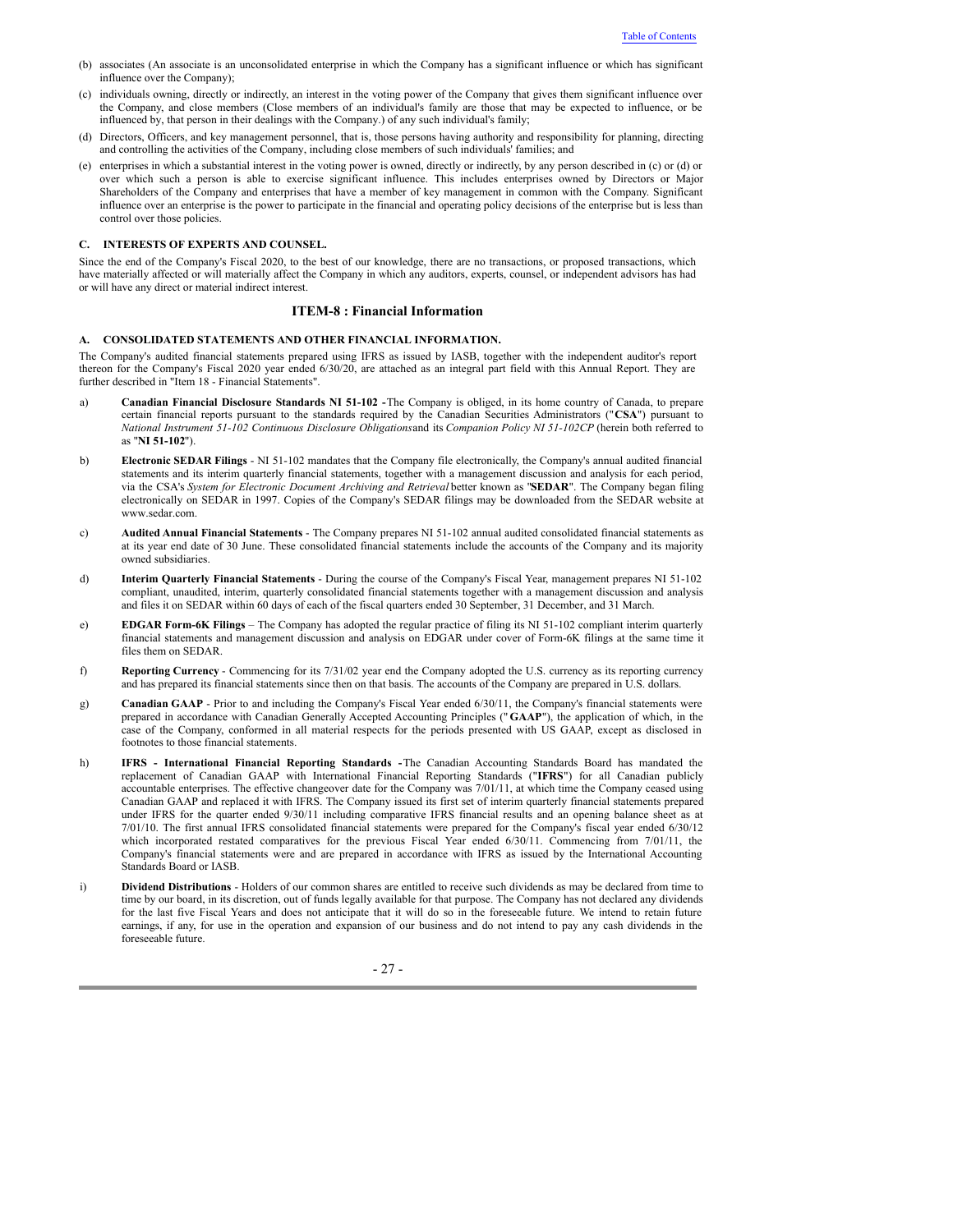- associates (An associate is an unconsolidated enterprise in which the Company has a significant influence or which has significant influence over the Company); (b)
- individuals owning, directly or indirectly, an interest in the voting power of the Company that gives them significant influence over (c) the Company, and close members (Close members of an individual's family are those that may be expected to influence, or be influenced by, that person in their dealings with the Company.) of any such individual's family;
- (d) Directors, Officers, and key management personnel, that is, those persons having authority and responsibility for planning, directing and controlling the activities of the Company, including close members of such individuals' families; and
- (e) enterprises in which a substantial interest in the voting power is owned, directly or indirectly, by any person described in (c) or (d) or over which such a person is able to exercise significant influence. This includes enterprises owned by Directors or Major Shareholders of the Company and enterprises that have a member of key management in common with the Company. Significant influence over an enterprise is the power to participate in the financial and operating policy decisions of the enterprise but is less than control over those policies.

#### **INTERESTS OF EXPERTS AND COUNSEL. C.**

Since the end of the Company's Fiscal 2020, to the best of our knowledge, there are no transactions, or proposed transactions, which have materially affected or will materially affect the Company in which any auditors, experts, counsel, or independent advisors has had or will have any direct or material indirect interest.

#### **ITEM-8 : Financial Information**

#### **CONSOLIDATED STATEMENTS AND OTHER FINANCIAL INFORMATION. A.**

The Company's audited financial statements prepared using IFRS as issued by IASB, together with the independent auditor's report thereon for the Company's Fiscal 2020 year ended 6/30/20, are attached as an integral part field with this Annual Report. They are further described in "Item 18 - Financial Statements".

- **Canadian Financial Disclosure Standards NI 51-102 -**The Company is obliged, in its home country of Canada, to prepare certain financial reports pursuant to the standards required by the Canadian Securities Administrators ("**CSA**") pursuant to *National Instrument 51-102 Continuous Disclosure Obligations*and its *Companion Policy NI 51-102CP* (herein both referred to as "**NI 51-102**"). a)
- **Electronic SEDAR Filings** NI 51-102 mandates that the Company file electronically, the Company's annual audited financial statements and its interim quarterly financial statements, together with a management discussion and analysis for each period, via the CSA's *System for Electronic Document Archiving and Retrieval* better known as "**SEDAR**". The Company began filing electronically on SEDAR in 1997. Copies of the Company's SEDAR filings may be downloaded from the SEDAR website at www.sedar.com. b)
- **Audited Annual Financial Statements** The Company prepares NI 51-102 annual audited consolidated financial statements as at its year end date of 30 June. These consolidated financial statements include the accounts of the Company and its majority owned subsidiaries. c)
- **Interim Quarterly Financial Statements** During the course of the Company's Fiscal Year, management prepares NI 51-102 compliant, unaudited, interim, quarterly consolidated financial statements together with a management discussion and analysis and files it on SEDAR within 60 days of each of the fiscal quarters ended 30 September, 31 December, and 31 March. d)
- **EDGAR Form-6K Filings** The Company has adopted the regular practice of filing its NI 51-102 compliant interim quarterly financial statements and management discussion and analysis on EDGAR under cover of Form-6K filings at the same time it files them on SEDAR. e)
- **Reporting Currency** Commencing for its 7/31/02 year end the Company adopted the U.S. currency as its reporting currency and has prepared its financial statements since then on that basis. The accounts of the Company are prepared in U.S. dollars. f)
- **Canadian GAAP** Prior to and including the Company's Fiscal Year ended 6/30/11, the Company's financial statements were prepared in accordance with Canadian Generally Accepted Accounting Principles (" **GAAP**"), the application of which, in the case of the Company, conformed in all material respects for the periods presented with US GAAP, except as disclosed in footnotes to those financial statements. g)
- **IFRS - International Financial Reporting Standards -**The Canadian Accounting Standards Board has mandated the replacement of Canadian GAAP with International Financial Reporting Standards ("**IFRS**") for all Canadian publicly accountable enterprises. The effective changeover date for the Company was 7/01/11, at which time the Company ceased using Canadian GAAP and replaced it with IFRS. The Company issued its first set of interim quarterly financial statements prepared under IFRS for the quarter ended 9/30/11 including comparative IFRS financial results and an opening balance sheet as at 7/01/10. The first annual IFRS consolidated financial statements were prepared for the Company's fiscal year ended 6/30/12 which incorporated restated comparatives for the previous Fiscal Year ended 6/30/11. Commencing from 7/01/11, the Company's financial statements were and are prepared in accordance with IFRS as issued by the International Accounting Standards Board or IASB. h)
- **Dividend Distributions** Holders of our common shares are entitled to receive such dividends as may be declared from time to time by our board, in its discretion, out of funds legally available for that purpose. The Company has not declared any dividends for the last five Fiscal Years and does not anticipate that it will do so in the foreseeable future. We intend to retain future earnings, if any, for use in the operation and expansion of our business and do not intend to pay any cash dividends in the foreseeable future. i)

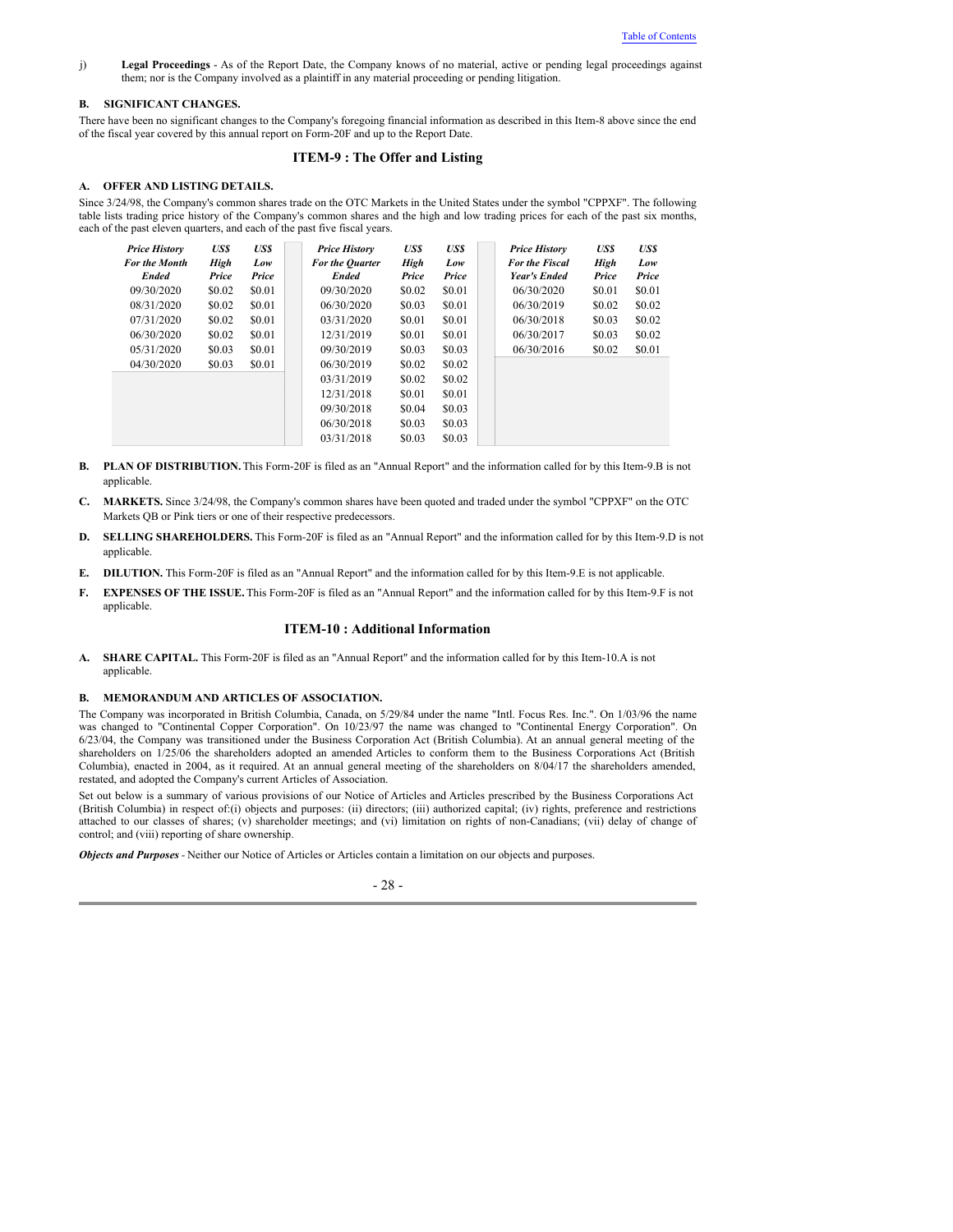**Legal Proceedings** - As of the Report Date, the Company knows of no material, active or pending legal proceedings against them; nor is the Company involved as a plaintiff in any material proceeding or pending litigation. j)

#### **SIGNIFICANT CHANGES. B.**

There have been no significant changes to the Company's foregoing financial information as described in this Item-8 above since the end of the fiscal year covered by this annual report on Form-20F and up to the Report Date.

### **ITEM-9 : The Offer and Listing**

#### **OFFER AND LISTING DETAILS. A.**

Since 3/24/98, the Company's common shares trade on the OTC Markets in the United States under the symbol "CPPXF". The following table lists trading price history of the Company's common shares and the high and low trading prices for each of the past six months, each of the past eleven quarters, and each of the past five fiscal years.

| <b>Price History</b><br><b>For the Month</b> | <b>USS</b><br>High | <b>USS</b><br>Low | <b>Price History</b><br>For the Ouarter | US\$<br>High | <b>USS</b><br>Low | <b>Price History</b><br><b>For the Fiscal</b> | US\$<br>High | US\$<br>Low |
|----------------------------------------------|--------------------|-------------------|-----------------------------------------|--------------|-------------------|-----------------------------------------------|--------------|-------------|
| <b>Ended</b>                                 | Price              | Price             | <b>Ended</b>                            | Price        | Price             | <b>Year's Ended</b>                           | Price        | Price       |
|                                              |                    |                   |                                         |              |                   |                                               |              |             |
| 09/30/2020                                   | \$0.02             | \$0.01            | 09/30/2020                              | \$0.02       | \$0.01            | 06/30/2020                                    | \$0.01       | \$0.01      |
| 08/31/2020                                   | \$0.02             | \$0.01            | 06/30/2020                              | \$0.03       | \$0.01            | 06/30/2019                                    | \$0.02       | \$0.02      |
| 07/31/2020                                   | \$0.02             | \$0.01            | 03/31/2020                              | \$0.01       | \$0.01            | 06/30/2018                                    | \$0.03       | \$0.02      |
| 06/30/2020                                   | \$0.02             | \$0.01            | 12/31/2019                              | \$0.01       | \$0.01            | 06/30/2017                                    | \$0.03       | \$0.02      |
| 05/31/2020                                   | \$0.03             | \$0.01            | 09/30/2019                              | \$0.03       | \$0.03            | 06/30/2016                                    | \$0.02       | \$0.01      |
| 04/30/2020                                   | \$0.03             | \$0.01            | 06/30/2019                              | \$0.02       | \$0.02            |                                               |              |             |
|                                              |                    |                   | 03/31/2019                              | \$0.02       | \$0.02            |                                               |              |             |
|                                              |                    |                   | 12/31/2018                              | \$0.01       | \$0.01            |                                               |              |             |
|                                              |                    |                   | 09/30/2018                              | \$0.04       | \$0.03            |                                               |              |             |
|                                              |                    |                   | 06/30/2018                              | \$0.03       | \$0.03            |                                               |              |             |
|                                              |                    |                   | 03/31/2018                              | \$0.03       | \$0.03            |                                               |              |             |

- **PLAN OF DISTRIBUTION.**This Form-20F is filed as an "Annual Report" and the information called for by this Item-9.B is not **B.** applicable.
- **MARKETS.** Since 3/24/98, the Company's common shares have been quoted and traded under the symbol "CPPXF" on the OTC Markets QB or Pink tiers or one of their respective predecessors. **C.**
- **SELLING SHAREHOLDERS.** This Form-20F is filed as an "Annual Report" and the information called for by this Item-9.D is not **D.** applicable.
- **DILUTION.** This Form-20F is filed as an "Annual Report" and the information called for by this Item-9.E is not applicable. **E.**
- **EXPENSES OF THE ISSUE.** This Form-20F is filed as an "Annual Report" and the information called for by this Item-9.F is not applicable. **F.**

### **ITEM-10 : Additional Information**

**SHARE CAPITAL.** This Form-20F is filed as an "Annual Report" and the information called for by this Item-10.A is not applicable. **A.**

#### **MEMORANDUM AND ARTICLES OF ASSOCIATION. B.**

The Company was incorporated in British Columbia, Canada, on 5/29/84 under the name "Intl. Focus Res. Inc.". On 1/03/96 the name was changed to "Continental Copper Corporation". On 10/23/97 the name was changed to "Continental Energy Corporation". On 6/23/04, the Company was transitioned under the Business Corporation Act (British Columbia). At an annual general meeting of the shareholders on 1/25/06 the shareholders adopted an amended Articles to conform them to the Business Corporations Act (British Columbia), enacted in 2004, as it required. At an annual general meeting of the shareholders on 8/04/17 the shareholders amended, restated, and adopted the Company's current Articles of Association.

Set out below is a summary of various provisions of our Notice of Articles and Articles prescribed by the Business Corporations Act (British Columbia) in respect of:(i) objects and purposes: (ii) directors; (iii) authorized capital; (iv) rights, preference and restrictions attached to our classes of shares; (v) shareholder meetings; and (vi) limitation on rights of non-Canadians; (vii) delay of change of control; and (viii) reporting of share ownership.

*Objects and Purposes -* Neither our Notice of Articles or Articles contain a limitation on our objects and purposes.

#### - 28 -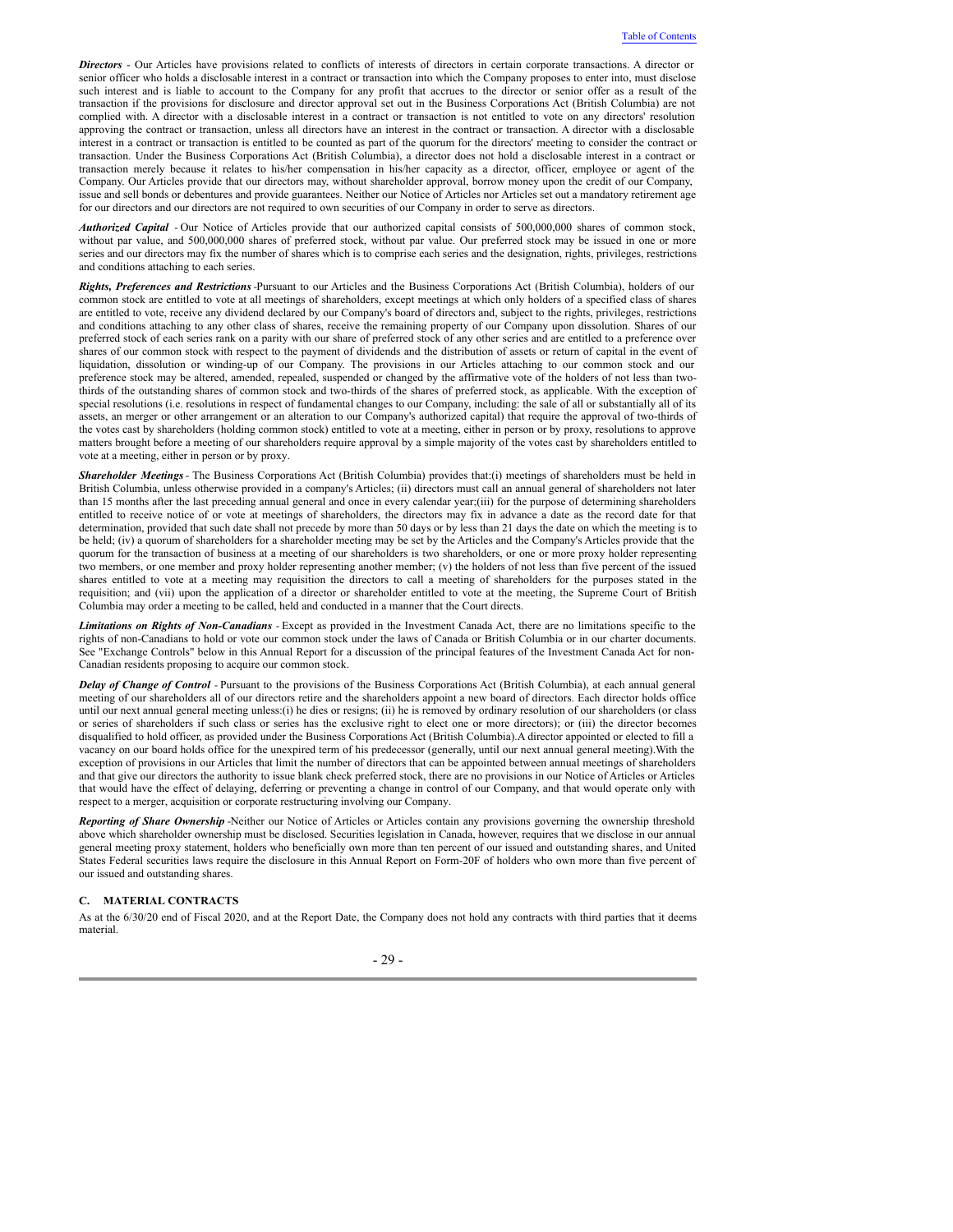*Directors* - Our Articles have provisions related to conflicts of interests of directors in certain corporate transactions. A director or senior officer who holds a disclosable interest in a contract or transaction into which the Company proposes to enter into, must disclose such interest and is liable to account to the Company for any profit that accrues to the director or senior offer as a result of the transaction if the provisions for disclosure and director approval set out in the Business Corporations Act (British Columbia) are not complied with. A director with a disclosable interest in a contract or transaction is not entitled to vote on any directors' resolution approving the contract or transaction, unless all directors have an interest in the contract or transaction. A director with a disclosable interest in a contract or transaction is entitled to be counted as part of the quorum for the directors' meeting to consider the contract or transaction. Under the Business Corporations Act (British Columbia), a director does not hold a disclosable interest in a contract or transaction merely because it relates to his/her compensation in his/her capacity as a director, officer, employee or agent of the Company. Our Articles provide that our directors may, without shareholder approval, borrow money upon the credit of our Company, issue and sell bonds or debentures and provide guarantees. Neither our Notice of Articles nor Articles set out a mandatory retirement age for our directors and our directors are not required to own securities of our Company in order to serve as directors.

*Authorized Capital -* Our Notice of Articles provide that our authorized capital consists of 500,000,000 shares of common stock, without par value, and 500,000,000 shares of preferred stock, without par value. Our preferred stock may be issued in one or more series and our directors may fix the number of shares which is to comprise each series and the designation, rights, privileges, restrictions and conditions attaching to each series.

*Rights, Preferences and Restrictions-*Pursuant to our Articles and the Business Corporations Act (British Columbia), holders of our common stock are entitled to vote at all meetings of shareholders, except meetings at which only holders of a specified class of shares are entitled to vote, receive any dividend declared by our Company's board of directors and, subject to the rights, privileges, restrictions and conditions attaching to any other class of shares, receive the remaining property of our Company upon dissolution. Shares of our preferred stock of each series rank on a parity with our share of preferred stock of any other series and are entitled to a preference over shares of our common stock with respect to the payment of dividends and the distribution of assets or return of capital in the event of liquidation, dissolution or winding-up of our Company. The provisions in our Articles attaching to our common stock and our preference stock may be altered, amended, repealed, suspended or changed by the affirmative vote of the holders of not less than twothirds of the outstanding shares of common stock and two-thirds of the shares of preferred stock, as applicable. With the exception of special resolutions (i.e. resolutions in respect of fundamental changes to our Company, including: the sale of all or substantially all of its assets, an merger or other arrangement or an alteration to our Company's authorized capital) that require the approval of two-thirds of the votes cast by shareholders (holding common stock) entitled to vote at a meeting, either in person or by proxy, resolutions to approve matters brought before a meeting of our shareholders require approval by a simple majority of the votes cast by shareholders entitled to vote at a meeting, either in person or by proxy.

*Shareholder Meetings-* The Business Corporations Act (British Columbia) provides that:(i) meetings of shareholders must be held in British Columbia, unless otherwise provided in a company's Articles; (ii) directors must call an annual general of shareholders not later than 15 months after the last preceding annual general and once in every calendar year;(iii) for the purpose of determining shareholders entitled to receive notice of or vote at meetings of shareholders, the directors may fix in advance a date as the record date for that determination, provided that such date shall not precede by more than 50 days or by less than 21 days the date on which the meeting is to be held; (iv) a quorum of shareholders for a shareholder meeting may be set by the Articles and the Company's Articles provide that the quorum for the transaction of business at a meeting of our shareholders is two shareholders, or one or more proxy holder representing two members, or one member and proxy holder representing another member; (v) the holders of not less than five percent of the issued shares entitled to vote at a meeting may requisition the directors to call a meeting of shareholders for the purposes stated in the requisition; and (vii) upon the application of a director or shareholder entitled to vote at the meeting, the Supreme Court of British Columbia may order a meeting to be called, held and conducted in a manner that the Court directs.

*Limitations on Rights of Non-Canadians -* Except as provided in the Investment Canada Act, there are no limitations specific to the rights of non-Canadians to hold or vote our common stock under the laws of Canada or British Columbia or in our charter documents. See "Exchange Controls" below in this Annual Report for a discussion of the principal features of the Investment Canada Act for non-Canadian residents proposing to acquire our common stock.

*Delay of Change of Control -* Pursuant to the provisions of the Business Corporations Act (British Columbia), at each annual general meeting of our shareholders all of our directors retire and the shareholders appoint a new board of directors. Each director holds office until our next annual general meeting unless:(i) he dies or resigns; (ii) he is removed by ordinary resolution of our shareholders (or class or series of shareholders if such class or series has the exclusive right to elect one or more directors); or (iii) the director becomes disqualified to hold officer, as provided under the Business Corporations Act (British Columbia).A director appointed or elected to fill a vacancy on our board holds office for the unexpired term of his predecessor (generally, until our next annual general meeting).With the exception of provisions in our Articles that limit the number of directors that can be appointed between annual meetings of shareholders and that give our directors the authority to issue blank check preferred stock, there are no provisions in our Notice of Articles or Articles that would have the effect of delaying, deferring or preventing a change in control of our Company, and that would operate only with respect to a merger, acquisition or corporate restructuring involving our Company.

*Reporting of Share Ownership -*Neither our Notice of Articles or Articles contain any provisions governing the ownership threshold above which shareholder ownership must be disclosed. Securities legislation in Canada, however, requires that we disclose in our annual general meeting proxy statement, holders who beneficially own more than ten percent of our issued and outstanding shares, and United States Federal securities laws require the disclosure in this Annual Report on Form-20F of holders who own more than five percent of our issued and outstanding shares.

#### **MATERIAL CONTRACTS C.**

As at the 6/30/20 end of Fiscal 2020, and at the Report Date, the Company does not hold any contracts with third parties that it deems material.

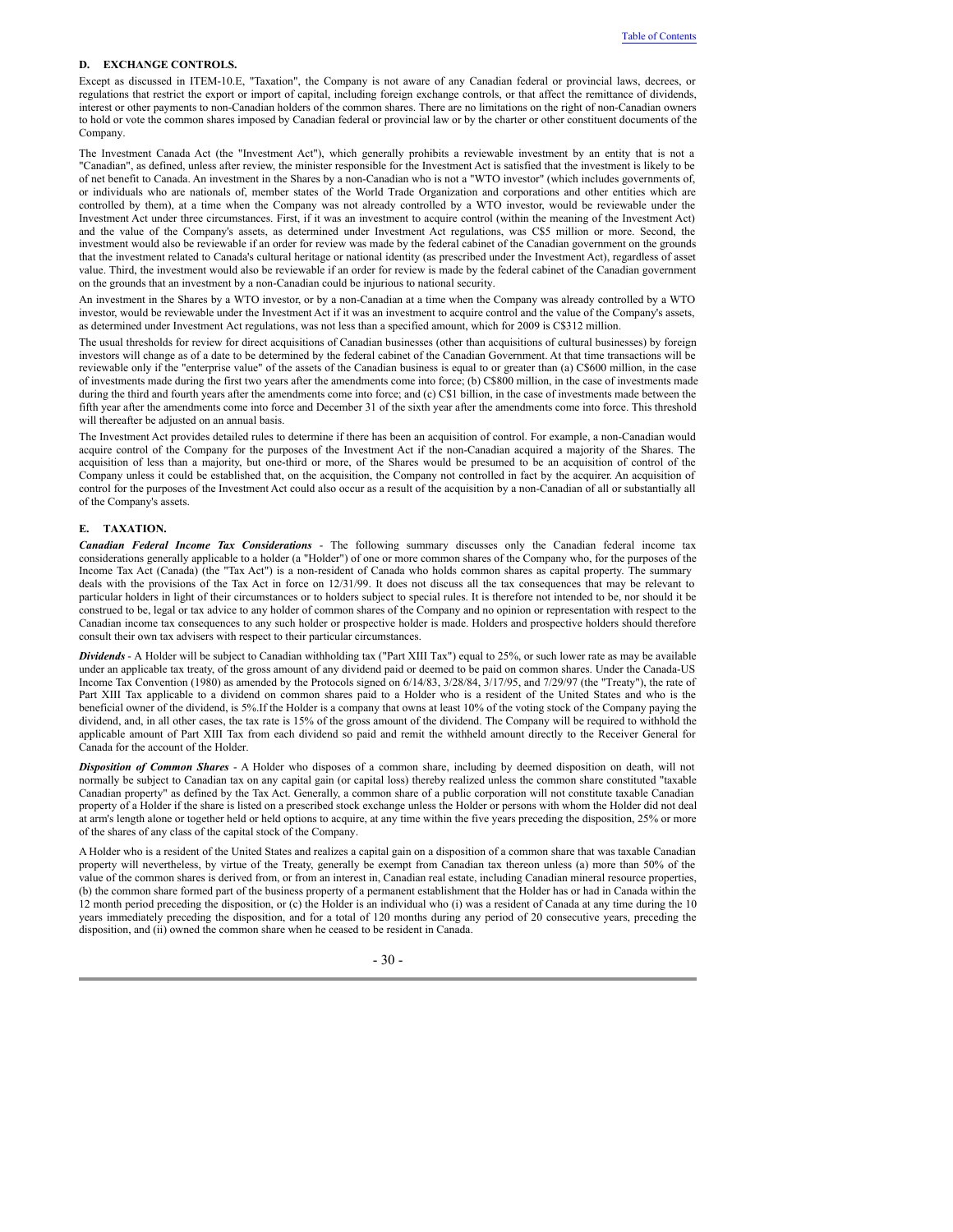#### **EXCHANGE CONTROLS. D.**

Except as discussed in ITEM-10.E, "Taxation", the Company is not aware of any Canadian federal or provincial laws, decrees, or regulations that restrict the export or import of capital, including foreign exchange controls, or that affect the remittance of dividends, interest or other payments to non-Canadian holders of the common shares. There are no limitations on the right of non-Canadian owners to hold or vote the common shares imposed by Canadian federal or provincial law or by the charter or other constituent documents of the Company.

The Investment Canada Act (the "Investment Act"), which generally prohibits a reviewable investment by an entity that is not a "Canadian", as defined, unless after review, the minister responsible for the Investment Act is satisfied that the investment is likely to be of net benefit to Canada. An investment in the Shares by a non-Canadian who is not a "WTO investor" (which includes governments of, or individuals who are nationals of, member states of the World Trade Organization and corporations and other entities which are controlled by them), at a time when the Company was not already controlled by a WTO investor, would be reviewable under the Investment Act under three circumstances. First, if it was an investment to acquire control (within the meaning of the Investment Act) and the value of the Company's assets, as determined under Investment Act regulations, was C\$5 million or more. Second, the investment would also be reviewable if an order for review was made by the federal cabinet of the Canadian government on the grounds that the investment related to Canada's cultural heritage or national identity (as prescribed under the Investment Act), regardless of asset value. Third, the investment would also be reviewable if an order for review is made by the federal cabinet of the Canadian government on the grounds that an investment by a non-Canadian could be injurious to national security.

An investment in the Shares by a WTO investor, or by a non-Canadian at a time when the Company was already controlled by a WTO investor, would be reviewable under the Investment Act if it was an investment to acquire control and the value of the Company's assets, as determined under Investment Act regulations, was not less than a specified amount, which for 2009 is C\$312 million.

The usual thresholds for review for direct acquisitions of Canadian businesses (other than acquisitions of cultural businesses) by foreign investors will change as of a date to be determined by the federal cabinet of the Canadian Government. At that time transactions will be reviewable only if the "enterprise value" of the assets of the Canadian business is equal to or greater than (a) C\$600 million, in the case of investments made during the first two years after the amendments come into force; (b) C\$800 million, in the case of investments made during the third and fourth years after the amendments come into force; and (c) C\$1 billion, in the case of investments made between the fifth year after the amendments come into force and December 31 of the sixth year after the amendments come into force. This threshold will thereafter be adjusted on an annual basis.

The Investment Act provides detailed rules to determine if there has been an acquisition of control. For example, a non-Canadian would acquire control of the Company for the purposes of the Investment Act if the non-Canadian acquired a majority of the Shares. The acquisition of less than a majority, but one-third or more, of the Shares would be presumed to be an acquisition of control of the Company unless it could be established that, on the acquisition, the Company not controlled in fact by the acquirer. An acquisition of control for the purposes of the Investment Act could also occur as a result of the acquisition by a non-Canadian of all or substantially all of the Company's assets.

#### **TAXATION. E.**

*Canadian Federal Income Tax Considerations* - The following summary discusses only the Canadian federal income tax considerations generally applicable to a holder (a "Holder") of one or more common shares of the Company who, for the purposes of the Income Tax Act (Canada) (the "Tax Act") is a non-resident of Canada who holds common shares as capital property. The summary deals with the provisions of the Tax Act in force on 12/31/99. It does not discuss all the tax consequences that may be relevant to particular holders in light of their circumstances or to holders subject to special rules. It is therefore not intended to be, nor should it be construed to be, legal or tax advice to any holder of common shares of the Company and no opinion or representation with respect to the Canadian income tax consequences to any such holder or prospective holder is made. Holders and prospective holders should therefore consult their own tax advisers with respect to their particular circumstances.

*Dividends* - A Holder will be subject to Canadian withholding tax ("Part XIII Tax") equal to 25%, or such lower rate as may be available under an applicable tax treaty, of the gross amount of any dividend paid or deemed to be paid on common shares. Under the Canada-US Income Tax Convention (1980) as amended by the Protocols signed on 6/14/83, 3/28/84, 3/17/95, and 7/29/97 (the "Treaty"), the rate of Part XIII Tax applicable to a dividend on common shares paid to a Holder who is a resident of the United States and who is the beneficial owner of the dividend, is 5%.If the Holder is a company that owns at least 10% of the voting stock of the Company paying the dividend, and, in all other cases, the tax rate is 15% of the gross amount of the dividend. The Company will be required to withhold the applicable amount of Part XIII Tax from each dividend so paid and remit the withheld amount directly to the Receiver General for Canada for the account of the Holder.

*Disposition of Common Shares* - A Holder who disposes of a common share, including by deemed disposition on death, will not normally be subject to Canadian tax on any capital gain (or capital loss) thereby realized unless the common share constituted "taxable Canadian property" as defined by the Tax Act. Generally, a common share of a public corporation will not constitute taxable Canadian property of a Holder if the share is listed on a prescribed stock exchange unless the Holder or persons with whom the Holder did not deal at arm's length alone or together held or held options to acquire, at any time within the five years preceding the disposition, 25% or more of the shares of any class of the capital stock of the Company.

A Holder who is a resident of the United States and realizes a capital gain on a disposition of a common share that was taxable Canadian property will nevertheless, by virtue of the Treaty, generally be exempt from Canadian tax thereon unless (a) more than 50% of the value of the common shares is derived from, or from an interest in, Canadian real estate, including Canadian mineral resource properties, (b) the common share formed part of the business property of a permanent establishment that the Holder has or had in Canada within the 12 month period preceding the disposition, or (c) the Holder is an individual who (i) was a resident of Canada at any time during the 10 years immediately preceding the disposition, and for a total of 120 months during any period of 20 consecutive years, preceding the disposition, and (ii) owned the common share when he ceased to be resident in Canada.

- 30 -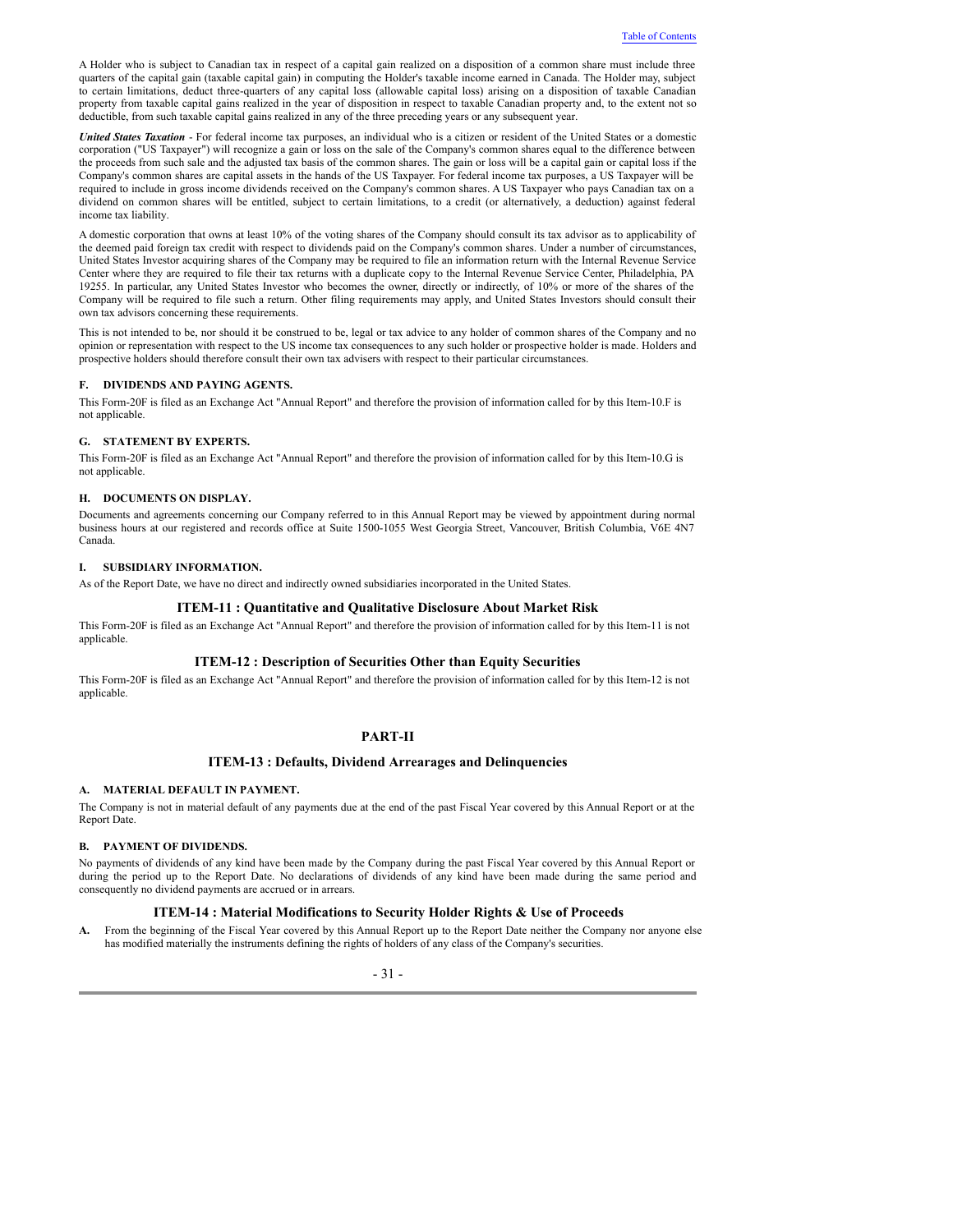A Holder who is subject to Canadian tax in respect of a capital gain realized on a disposition of a common share must include three quarters of the capital gain (taxable capital gain) in computing the Holder's taxable income earned in Canada. The Holder may, subject to certain limitations, deduct three-quarters of any capital loss (allowable capital loss) arising on a disposition of taxable Canadian property from taxable capital gains realized in the year of disposition in respect to taxable Canadian property and, to the extent not so deductible, from such taxable capital gains realized in any of the three preceding years or any subsequent year.

*United States Taxation* - For federal income tax purposes, an individual who is a citizen or resident of the United States or a domestic corporation ("US Taxpayer") will recognize a gain or loss on the sale of the Company's common shares equal to the difference between the proceeds from such sale and the adjusted tax basis of the common shares. The gain or loss will be a capital gain or capital loss if the Company's common shares are capital assets in the hands of the US Taxpayer. For federal income tax purposes, a US Taxpayer will be required to include in gross income dividends received on the Company's common shares. A US Taxpayer who pays Canadian tax on a dividend on common shares will be entitled, subject to certain limitations, to a credit (or alternatively, a deduction) against federal income tax liability.

A domestic corporation that owns at least 10% of the voting shares of the Company should consult its tax advisor as to applicability of the deemed paid foreign tax credit with respect to dividends paid on the Company's common shares. Under a number of circumstances, United States Investor acquiring shares of the Company may be required to file an information return with the Internal Revenue Service Center where they are required to file their tax returns with a duplicate copy to the Internal Revenue Service Center, Philadelphia, PA 19255. In particular, any United States Investor who becomes the owner, directly or indirectly, of 10% or more of the shares of the Company will be required to file such a return. Other filing requirements may apply, and United States Investors should consult their own tax advisors concerning these requirements.

This is not intended to be, nor should it be construed to be, legal or tax advice to any holder of common shares of the Company and no opinion or representation with respect to the US income tax consequences to any such holder or prospective holder is made. Holders and prospective holders should therefore consult their own tax advisers with respect to their particular circumstances.

#### **DIVIDENDS AND PAYING AGENTS. F.**

This Form-20F is filed as an Exchange Act "Annual Report" and therefore the provision of information called for by this Item-10.F is not applicable.

#### **STATEMENT BY EXPERTS. G.**

This Form-20F is filed as an Exchange Act "Annual Report" and therefore the provision of information called for by this Item-10.G is not applicable.

#### **DOCUMENTS ON DISPLAY. H.**

Documents and agreements concerning our Company referred to in this Annual Report may be viewed by appointment during normal business hours at our registered and records office at Suite 1500-1055 West Georgia Street, Vancouver, British Columbia, V6E 4N7 Canada.

#### **SUBSIDIARY INFORMATION. I.**

As of the Report Date, we have no direct and indirectly owned subsidiaries incorporated in the United States.

#### **ITEM-11 : Quantitative and Qualitative Disclosure About Market Risk**

This Form-20F is filed as an Exchange Act "Annual Report" and therefore the provision of information called for by this Item-11 is not applicable.

#### **ITEM-12 : Description of Securities Other than Equity Securities**

This Form-20F is filed as an Exchange Act "Annual Report" and therefore the provision of information called for by this Item-12 is not applicable.

### **PART-II**

### **ITEM-13 : Defaults, Dividend Arrearages and Delinquencies**

#### **MATERIAL DEFAULT IN PAYMENT. A.**

The Company is not in material default of any payments due at the end of the past Fiscal Year covered by this Annual Report or at the Report Date.

#### **PAYMENT OF DIVIDENDS. B.**

No payments of dividends of any kind have been made by the Company during the past Fiscal Year covered by this Annual Report or during the period up to the Report Date. No declarations of dividends of any kind have been made during the same period and consequently no dividend payments are accrued or in arrears.

### **ITEM-14 : Material Modifications to Security Holder Rights & Use of Proceeds**

From the beginning of the Fiscal Year covered by this Annual Report up to the Report Date neither the Company nor anyone else has modified materially the instruments defining the rights of holders of any class of the Company's securities. **A.**

- 31 -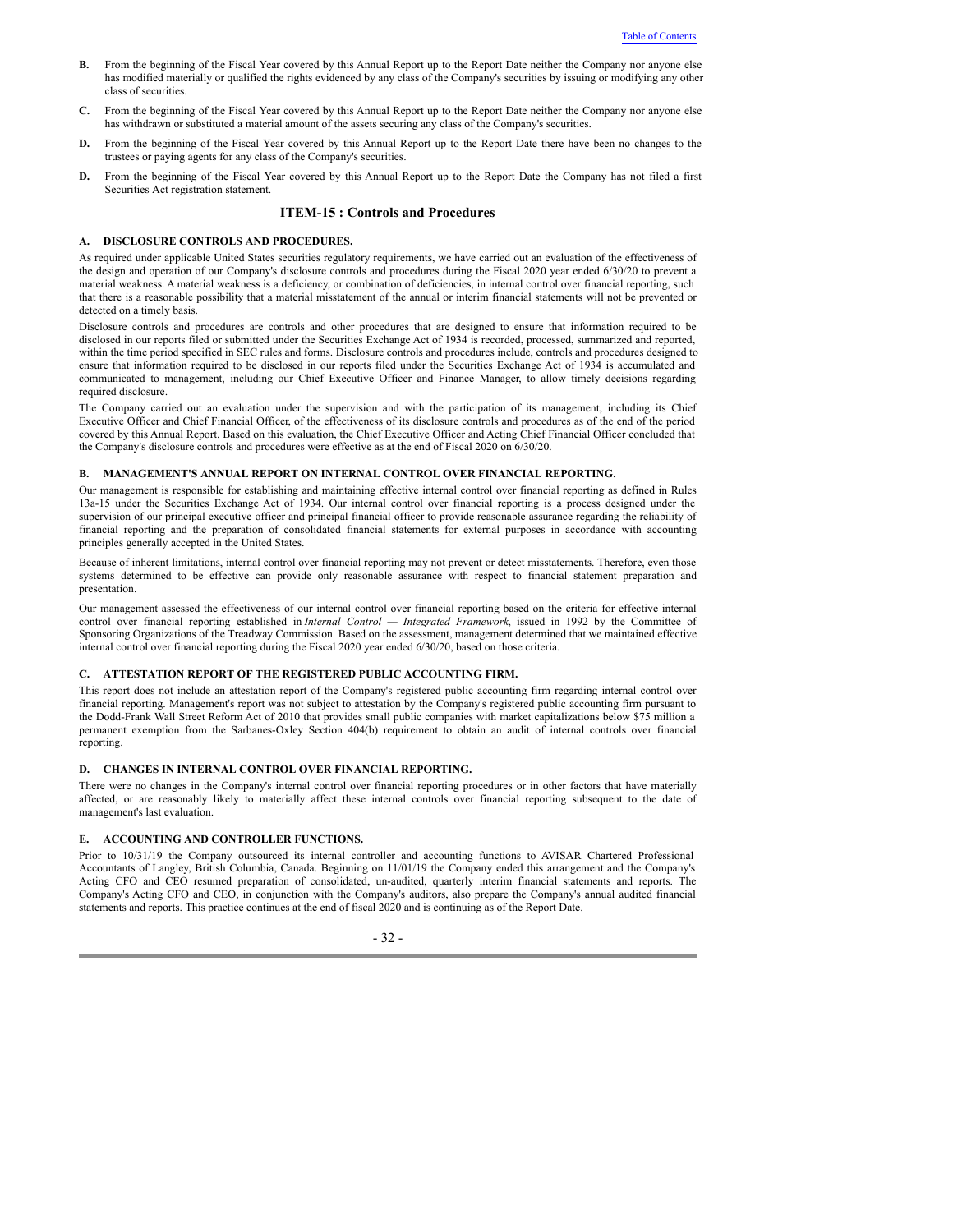- From the beginning of the Fiscal Year covered by this Annual Report up to the Report Date neither the Company nor anyone else has modified materially or qualified the rights evidenced by any class of the Company's securities by issuing or modifying any other class of securities. **B.**
- From the beginning of the Fiscal Year covered by this Annual Report up to the Report Date neither the Company nor anyone else has withdrawn or substituted a material amount of the assets securing any class of the Company's securities. **C.**
- From the beginning of the Fiscal Year covered by this Annual Report up to the Report Date there have been no changes to the trustees or paying agents for any class of the Company's securities. **D.**
- From the beginning of the Fiscal Year covered by this Annual Report up to the Report Date the Company has not filed a first Securities Act registration statement. **D.**

### **ITEM-15 : Controls and Procedures**

#### **DISCLOSURE CONTROLS AND PROCEDURES. A.**

As required under applicable United States securities regulatory requirements, we have carried out an evaluation of the effectiveness of the design and operation of our Company's disclosure controls and procedures during the Fiscal 2020 year ended 6/30/20 to prevent a material weakness. A material weakness is a deficiency, or combination of deficiencies, in internal control over financial reporting, such that there is a reasonable possibility that a material misstatement of the annual or interim financial statements will not be prevented or detected on a timely basis.

Disclosure controls and procedures are controls and other procedures that are designed to ensure that information required to be disclosed in our reports filed or submitted under the Securities Exchange Act of 1934 is recorded, processed, summarized and reported, within the time period specified in SEC rules and forms. Disclosure controls and procedures include, controls and procedures designed to ensure that information required to be disclosed in our reports filed under the Securities Exchange Act of 1934 is accumulated and communicated to management, including our Chief Executive Officer and Finance Manager, to allow timely decisions regarding required disclosure.

The Company carried out an evaluation under the supervision and with the participation of its management, including its Chief Executive Officer and Chief Financial Officer, of the effectiveness of its disclosure controls and procedures as of the end of the period covered by this Annual Report. Based on this evaluation, the Chief Executive Officer and Acting Chief Financial Officer concluded that the Company's disclosure controls and procedures were effective as at the end of Fiscal 2020 on 6/30/20.

#### **MANAGEMENT'S ANNUAL REPORT ON INTERNAL CONTROL OVER FINANCIAL REPORTING. B.**

Our management is responsible for establishing and maintaining effective internal control over financial reporting as defined in Rules 13a-15 under the Securities Exchange Act of 1934. Our internal control over financial reporting is a process designed under the supervision of our principal executive officer and principal financial officer to provide reasonable assurance regarding the reliability of financial reporting and the preparation of consolidated financial statements for external purposes in accordance with accounting principles generally accepted in the United States.

Because of inherent limitations, internal control over financial reporting may not prevent or detect misstatements. Therefore, even those systems determined to be effective can provide only reasonable assurance with respect to financial statement preparation and presentation.

Our management assessed the effectiveness of our internal control over financial reporting based on the criteria for effective internal control over financial reporting established in *Internal Control — Integrated Framework*, issued in 1992 by the Committee of Sponsoring Organizations of the Treadway Commission. Based on the assessment, management determined that we maintained effective internal control over financial reporting during the Fiscal 2020 year ended 6/30/20, based on those criteria.

#### **ATTESTATION REPORT OF THE REGISTERED PUBLIC ACCOUNTING FIRM. C.**

This report does not include an attestation report of the Company's registered public accounting firm regarding internal control over financial reporting. Management's report was not subject to attestation by the Company's registered public accounting firm pursuant to the Dodd-Frank Wall Street Reform Act of 2010 that provides small public companies with market capitalizations below \$75 million a permanent exemption from the Sarbanes-Oxley Section 404(b) requirement to obtain an audit of internal controls over financial reporting.

#### **CHANGES IN INTERNAL CONTROL OVER FINANCIAL REPORTING. D.**

There were no changes in the Company's internal control over financial reporting procedures or in other factors that have materially affected, or are reasonably likely to materially affect these internal controls over financial reporting subsequent to the date of management's last evaluation.

#### **ACCOUNTING AND CONTROLLER FUNCTIONS. E.**

Prior to 10/31/19 the Company outsourced its internal controller and accounting functions to AVISAR Chartered Professional Accountants of Langley, British Columbia, Canada. Beginning on 11/01/19 the Company ended this arrangement and the Company's Acting CFO and CEO resumed preparation of consolidated, un-audited, quarterly interim financial statements and reports. The Company's Acting CFO and CEO, in conjunction with the Company's auditors, also prepare the Company's annual audited financial statements and reports. This practice continues at the end of fiscal 2020 and is continuing as of the Report Date.

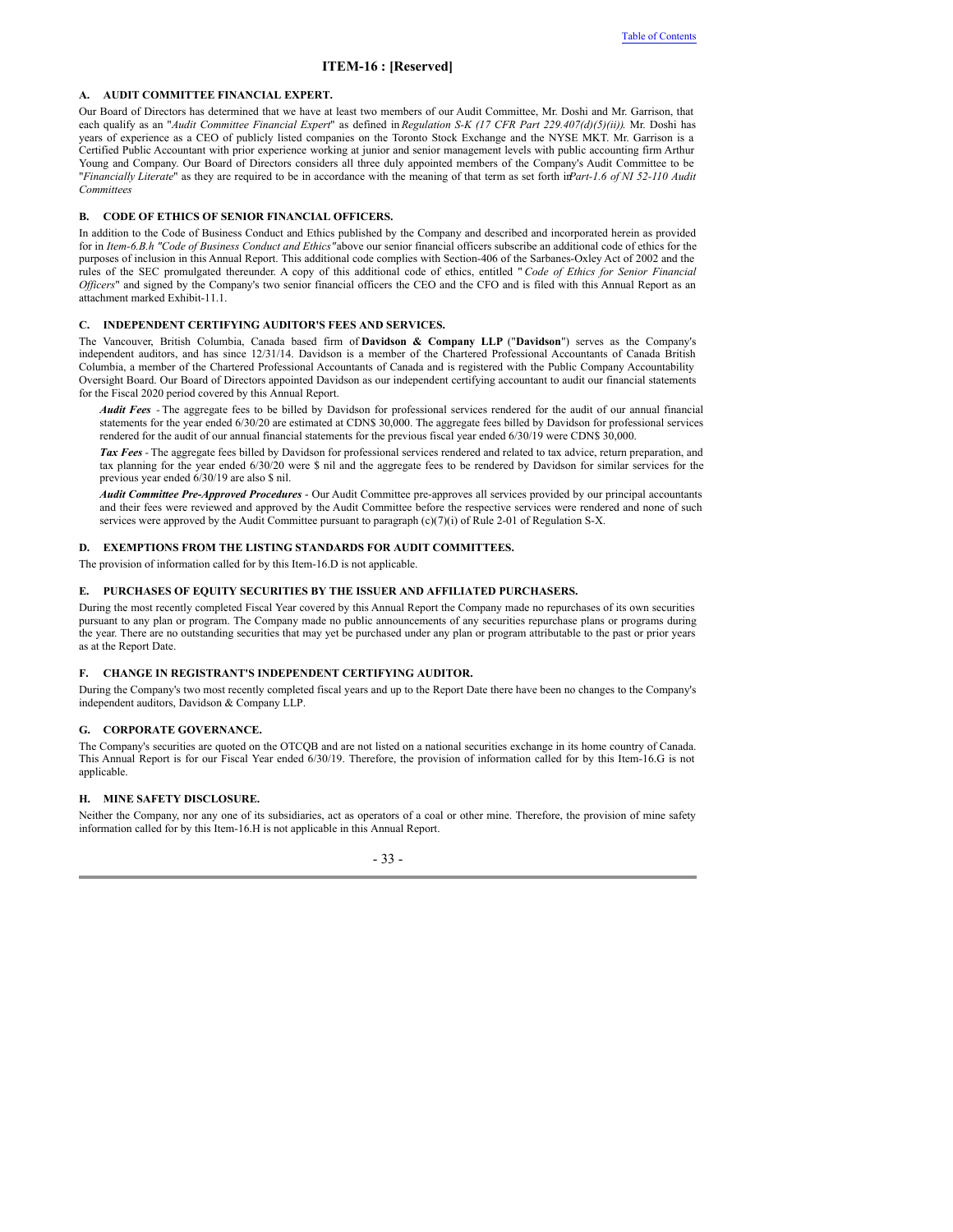### **ITEM-16 : [Reserved]**

#### **AUDIT COMMITTEE FINANCIAL EXPERT. A.**

Our Board of Directors has determined that we have at least two members of our Audit Committee, Mr. Doshi and Mr. Garrison, that each qualify as an "*Audit Committee Financial Expert*" as defined in *Regulation S-K (17 CFR Part 229.407(d)(5)(ii))*. Mr. Doshi has years of experience as a CEO of publicly listed companies on the Toronto Stock Exchange and the NYSE MKT. Mr. Garrison is a Certified Public Accountant with prior experience working at junior and senior management levels with public accounting firm Arthur Young and Company. Our Board of Directors considers all three duly appointed members of the Company's Audit Committee to be "*Financially Literate*" as they are required to be in accordance with the meaning of that term as set forth in*Part-1.6 of NI 52-110 Audit Committees*

#### **CODE OF ETHICS OF SENIOR FINANCIAL OFFICERS. B.**

In addition to the Code of Business Conduct and Ethics published by the Company and described and incorporated herein as provided for in *Item-6.B.h "Code of Business Conduct and Ethics"*above our senior financial officers subscribe an additional code of ethics for the purposes of inclusion in this Annual Report. This additional code complies with Section-406 of the Sarbanes-Oxley Act of 2002 and the rules of the SEC promulgated thereunder. A copy of this additional code of ethics, entitled " *Code of Ethics for Senior Financial Officers*" and signed by the Company's two senior financial officers the CEO and the CFO and is filed with this Annual Report as an attachment marked Exhibit-11.1.

#### **INDEPENDENT CERTIFYING AUDITOR'S FEES AND SERVICES. C.**

The Vancouver, British Columbia, Canada based firm of **Davidson & Company LLP** ("**Davidson**") serves as the Company's independent auditors, and has since 12/31/14. Davidson is a member of the Chartered Professional Accountants of Canada British Columbia, a member of the Chartered Professional Accountants of Canada and is registered with the Public Company Accountability Oversight Board. Our Board of Directors appointed Davidson as our independent certifying accountant to audit our financial statements for the Fiscal 2020 period covered by this Annual Report.

*Audit Fees -* The aggregate fees to be billed by Davidson for professional services rendered for the audit of our annual financial statements for the year ended 6/30/20 are estimated at CDN\$ 30,000. The aggregate fees billed by Davidson for professional services rendered for the audit of our annual financial statements for the previous fiscal year ended 6/30/19 were CDN\$ 30,000.

*Tax Fees -* The aggregate fees billed by Davidson for professional services rendered and related to tax advice, return preparation, and tax planning for the year ended 6/30/20 were \$ nil and the aggregate fees to be rendered by Davidson for similar services for the previous year ended 6/30/19 are also \$ nil.

*Audit Committee Pre-Approved Procedures* - Our Audit Committee pre-approves all services provided by our principal accountants and their fees were reviewed and approved by the Audit Committee before the respective services were rendered and none of such services were approved by the Audit Committee pursuant to paragraph (c)(7)(i) of Rule 2-01 of Regulation S-X.

#### **EXEMPTIONS FROM THE LISTING STANDARDS FOR AUDIT COMMITTEES. D.**

The provision of information called for by this Item-16.D is not applicable.

#### **PURCHASES OF EQUITY SECURITIES BY THE ISSUER AND AFFILIATED PURCHASERS. E.**

During the most recently completed Fiscal Year covered by this Annual Report the Company made no repurchases of its own securities pursuant to any plan or program. The Company made no public announcements of any securities repurchase plans or programs during .<br>the year. There are no outstanding securities that may yet be purchased under any plan or program attributable to the past or prior years as at the Report Date.

#### **CHANGE IN REGISTRANT'S INDEPENDENT CERTIFYING AUDITOR. F.**

During the Company's two most recently completed fiscal years and up to the Report Date there have been no changes to the Company's independent auditors, Davidson & Company LLP.

#### **CORPORATE GOVERNANCE. G.**

The Company's securities are quoted on the OTCQB and are not listed on a national securities exchange in its home country of Canada. This Annual Report is for our Fiscal Year ended 6/30/19. Therefore, the provision of information called for by this Item-16.G is not applicable.

#### **MINE SAFETY DISCLOSURE. H.**

Neither the Company, nor any one of its subsidiaries, act as operators of a coal or other mine. Therefore, the provision of mine safety information called for by this Item-16.H is not applicable in this Annual Report.

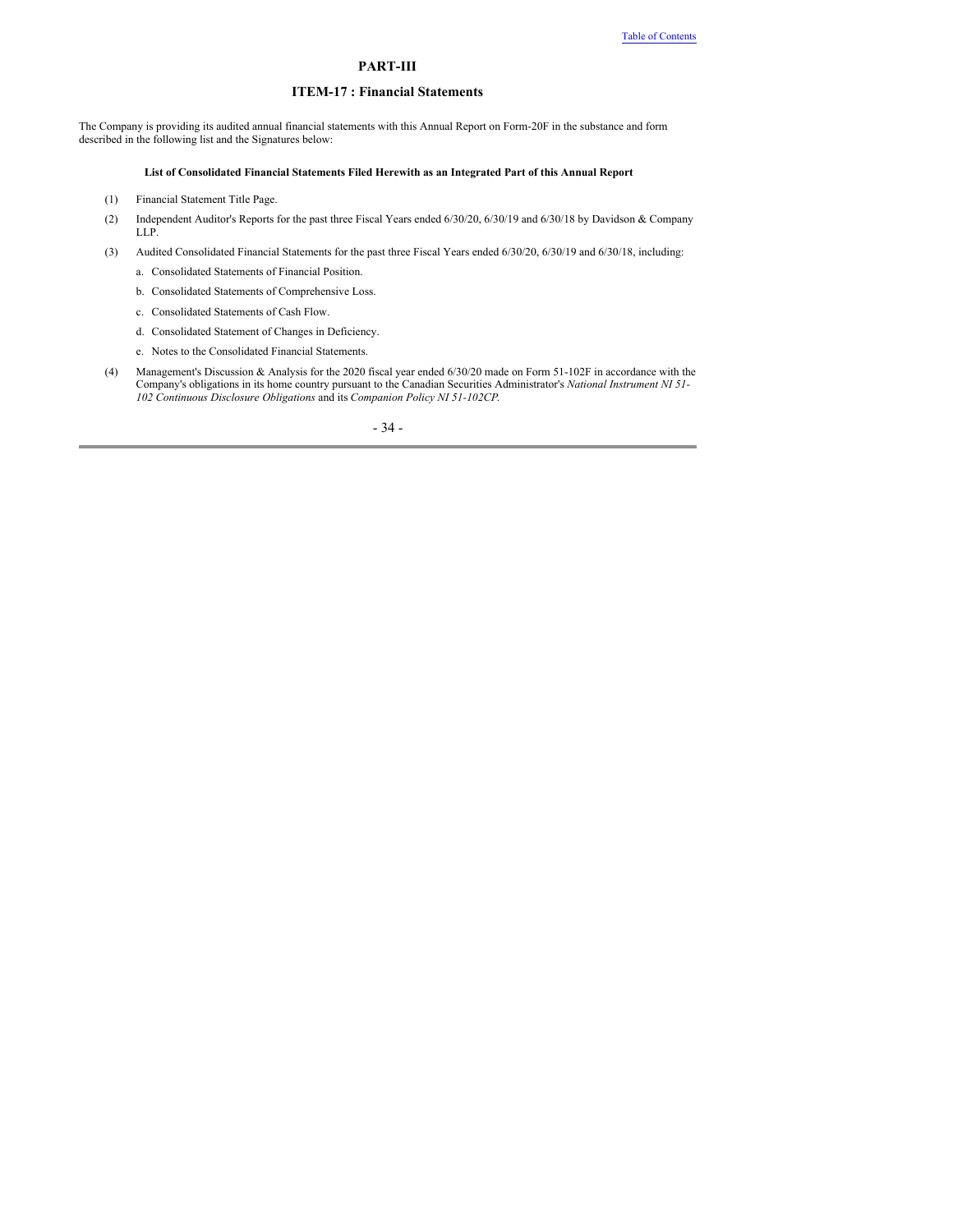### **PART-III**

### **ITEM-17 : Financial Statements**

The Company is providing its audited annual financial statements with this Annual Report on Form-20F in the substance and form described in the following list and the Signatures below:

### **List of Consolidated Financial Statements Filed Herewith as an Integrated Part of this Annual Report**

- Financial Statement Title Page. (1)
- Independent Auditor's Reports for the past three Fiscal Years ended 6/30/20, 6/30/19 and 6/30/18 by Davidson & Company LLP. (2)
- Audited Consolidated Financial Statements for the past three Fiscal Years ended 6/30/20, 6/30/19 and 6/30/18, including: (3)
	- Consolidated Statements of Financial Position. a.
	- b. Consolidated Statements of Comprehensive Loss.
	- c. Consolidated Statements of Cash Flow.
	- d. Consolidated Statement of Changes in Deficiency.
	- e. Notes to the Consolidated Financial Statements.
- Management's Discussion & Analysis for the 2020 fiscal year ended 6/30/20 made on Form 51-102F in accordance with the Company's obligations in its home country pursuant to the Canadian Securities Administrator's *National Instrument NI 51- 102 Continuous Disclosure Obligations* and its *Companion Policy NI 51-102CP*. (4)

- 34 -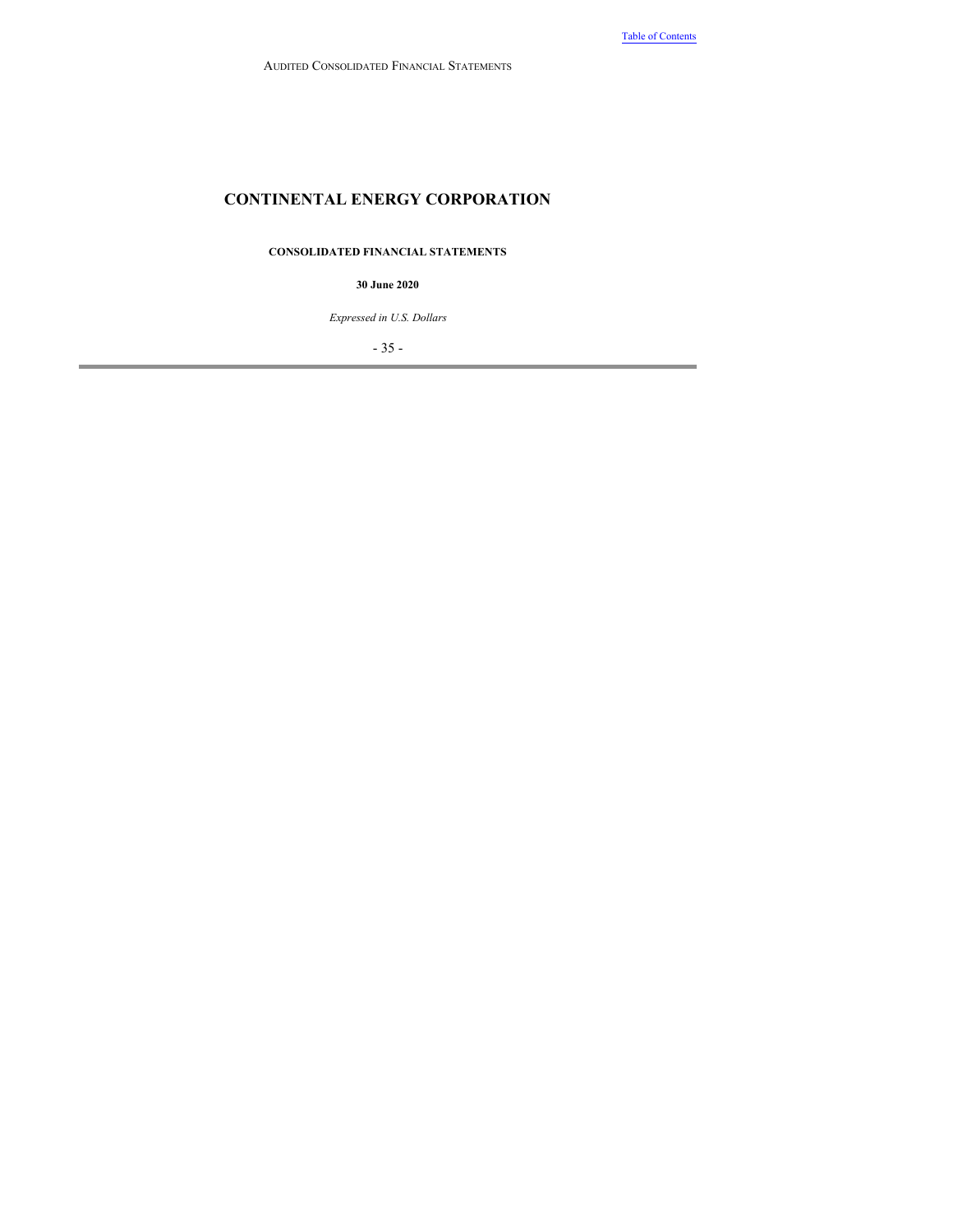# **CONTINENTAL ENERGY CORPORATION**

**CONSOLIDATED FINANCIAL STATEMENTS**

**30 June 2020**

*Expressed in U.S. Dollars*

- 35 -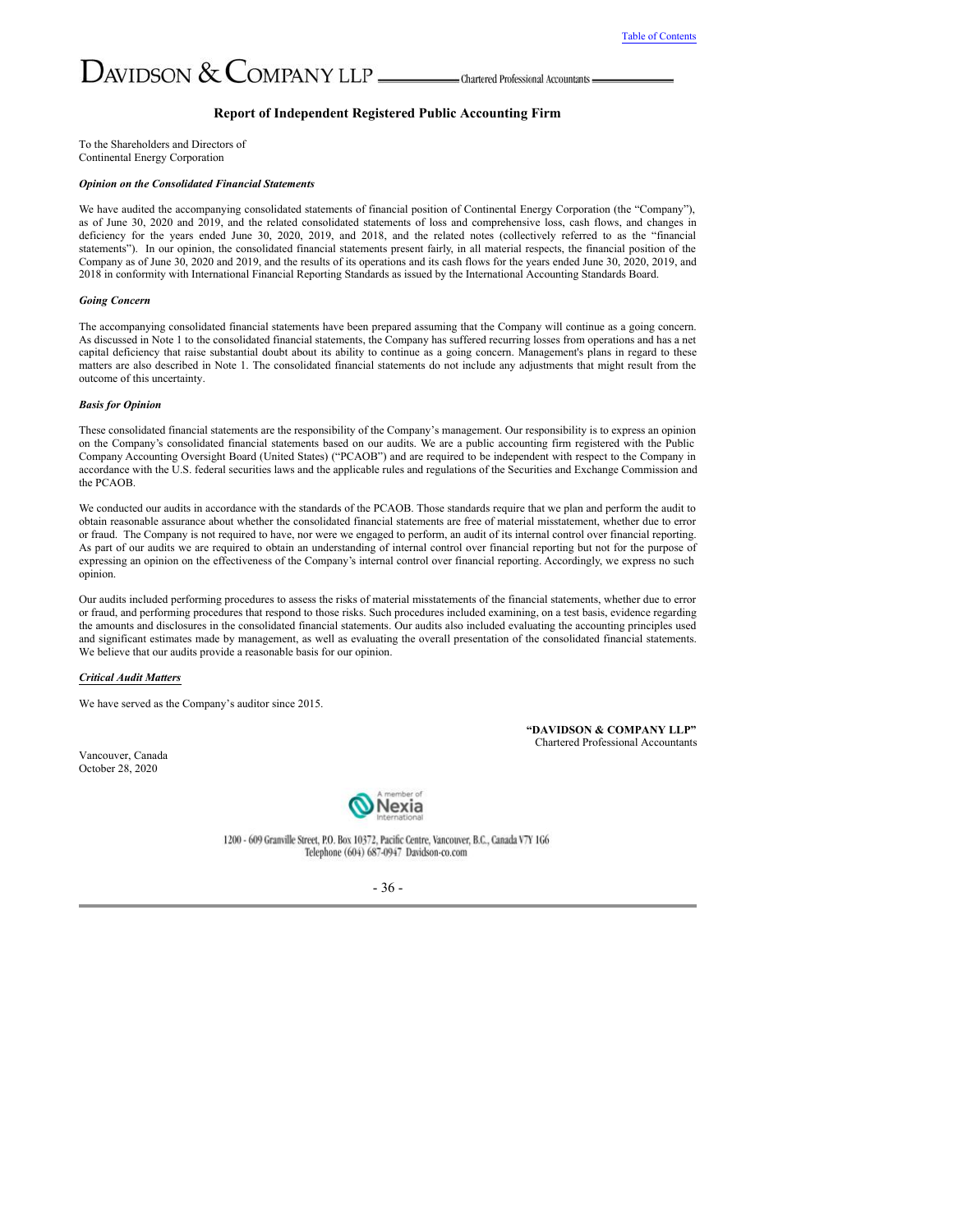**"DAVIDSON & COMPANY LLP"** Chartered Professional Accountants

# DAVIDSON & COMPANY LLP

- Chartered Professional Accountants

### **Report of Independent Registered Public Accounting Firm**

To the Shareholders and Directors of Continental Energy Corporation

#### *Opinion on the Consolidated Financial Statements*

We have audited the accompanying consolidated statements of financial position of Continental Energy Corporation (the "Company"), as of June 30, 2020 and 2019, and the related consolidated statements of loss and comprehensive loss, cash flows, and changes in deficiency for the years ended June 30, 2020, 2019, and 2018, and the related notes (collectively referred to as the "financial statements"). In our opinion, the consolidated financial statements present fairly, in all material respects, the financial position of the Company as of June 30, 2020 and 2019, and the results of its operations and its cash flows for the years ended June 30, 2020, 2019, and 2018 in conformity with International Financial Reporting Standards as issued by the International Accounting Standards Board.

#### *Going Concern*

The accompanying consolidated financial statements have been prepared assuming that the Company will continue as a going concern. As discussed in Note 1 to the consolidated financial statements, the Company has suffered recurring losses from operations and has a net capital deficiency that raise substantial doubt about its ability to continue as a going concern. Management's plans in regard to these matters are also described in Note 1. The consolidated financial statements do not include any adjustments that might result from the outcome of this uncertainty.

#### *Basis for Opinion*

These consolidated financial statements are the responsibility of the Company's management. Our responsibility is to express an opinion on the Company's consolidated financial statements based on our audits. We are a public accounting firm registered with the Public Company Accounting Oversight Board (United States) ("PCAOB") and are required to be independent with respect to the Company in accordance with the U.S. federal securities laws and the applicable rules and regulations of the Securities and Exchange Commission and the PCAOB.

We conducted our audits in accordance with the standards of the PCAOB. Those standards require that we plan and perform the audit to obtain reasonable assurance about whether the consolidated financial statements are free of material misstatement, whether due to error or fraud. The Company is not required to have, nor were we engaged to perform, an audit of its internal control over financial reporting. As part of our audits we are required to obtain an understanding of internal control over financial reporting but not for the purpose of expressing an opinion on the effectiveness of the Company's internal control over financial reporting. Accordingly, we express no such opinion.

Our audits included performing procedures to assess the risks of material misstatements of the financial statements, whether due to error or fraud, and performing procedures that respond to those risks. Such procedures included examining, on a test basis, evidence regarding the amounts and disclosures in the consolidated financial statements. Our audits also included evaluating the accounting principles used and significant estimates made by management, as well as evaluating the overall presentation of the consolidated financial statements. We believe that our audits provide a reasonable basis for our opinion.

#### *Critical Audit Matters*

We have served as the Company's auditor since 2015.

Vancouver, Canada October 28, 2020



1200 - 609 Granville Street, P.O. Box 10372, Pacific Centre, Vancouver, B.C., Canada V7Y 1G6 Telephone (604) 687-0947 Davidson-co.com

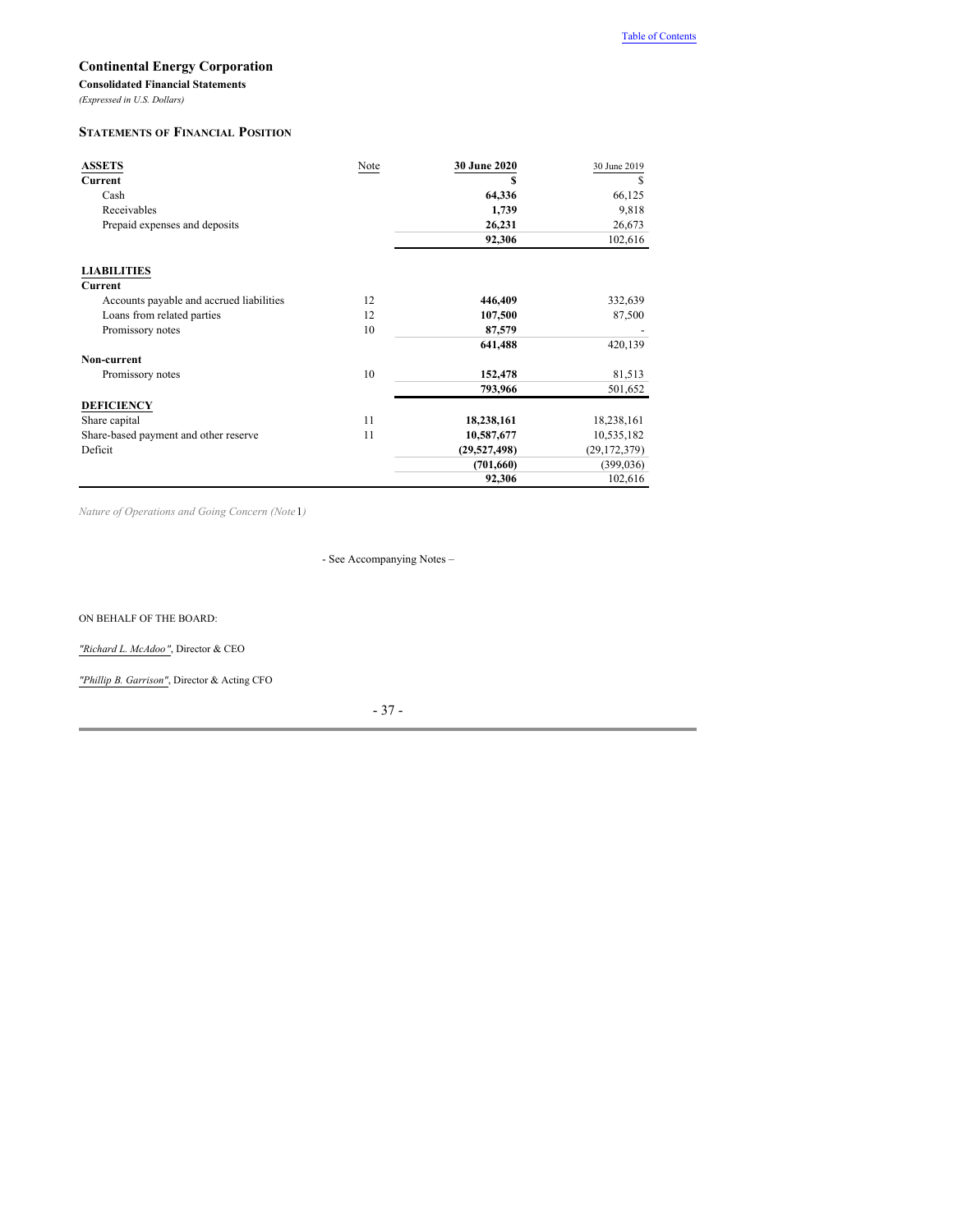**Consolidated Financial Statements**

*(Expressed in U.S. Dollars)*

### **STATEMENTS OF FINANCIAL POSITION**

| <b>ASSETS</b><br>Current                 | Note | <b>30 June 2020</b><br>S | 30 June 2019<br>S |
|------------------------------------------|------|--------------------------|-------------------|
| Cash                                     |      | 64,336                   | 66,125            |
| Receivables                              |      | 1,739                    | 9,818             |
| Prepaid expenses and deposits            |      | 26,231                   | 26,673            |
|                                          |      | 92,306                   | 102,616           |
|                                          |      |                          |                   |
| <b>LIABILITIES</b>                       |      |                          |                   |
| Current                                  |      |                          |                   |
| Accounts payable and accrued liabilities | 12   | 446,409                  | 332,639           |
| Loans from related parties               | 12   | 107,500                  | 87,500            |
| Promissory notes                         | 10   | 87,579                   |                   |
|                                          |      | 641,488                  | 420,139           |
| Non-current                              |      |                          |                   |
| Promissory notes                         | 10   | 152,478                  | 81,513            |
|                                          |      | 793,966                  | 501,652           |
| <b>DEFICIENCY</b>                        |      |                          |                   |
| Share capital                            | 11   | 18,238,161               | 18,238,161        |
| Share-based payment and other reserve    | 11   | 10,587,677               | 10,535,182        |
| Deficit                                  |      | (29, 527, 498)           | (29, 172, 379)    |
|                                          |      | (701, 660)               | (399, 036)        |
|                                          |      | 92,306                   | 102,616           |

*Nature of Operations and Going Concern (Note*1*)*

- See Accompanying Notes –

ON BEHALF OF THE BOARD:

*"Richard L. McAdoo"*, Director & CEO

*"Phillip B. Garrison"*, Director & Acting CFO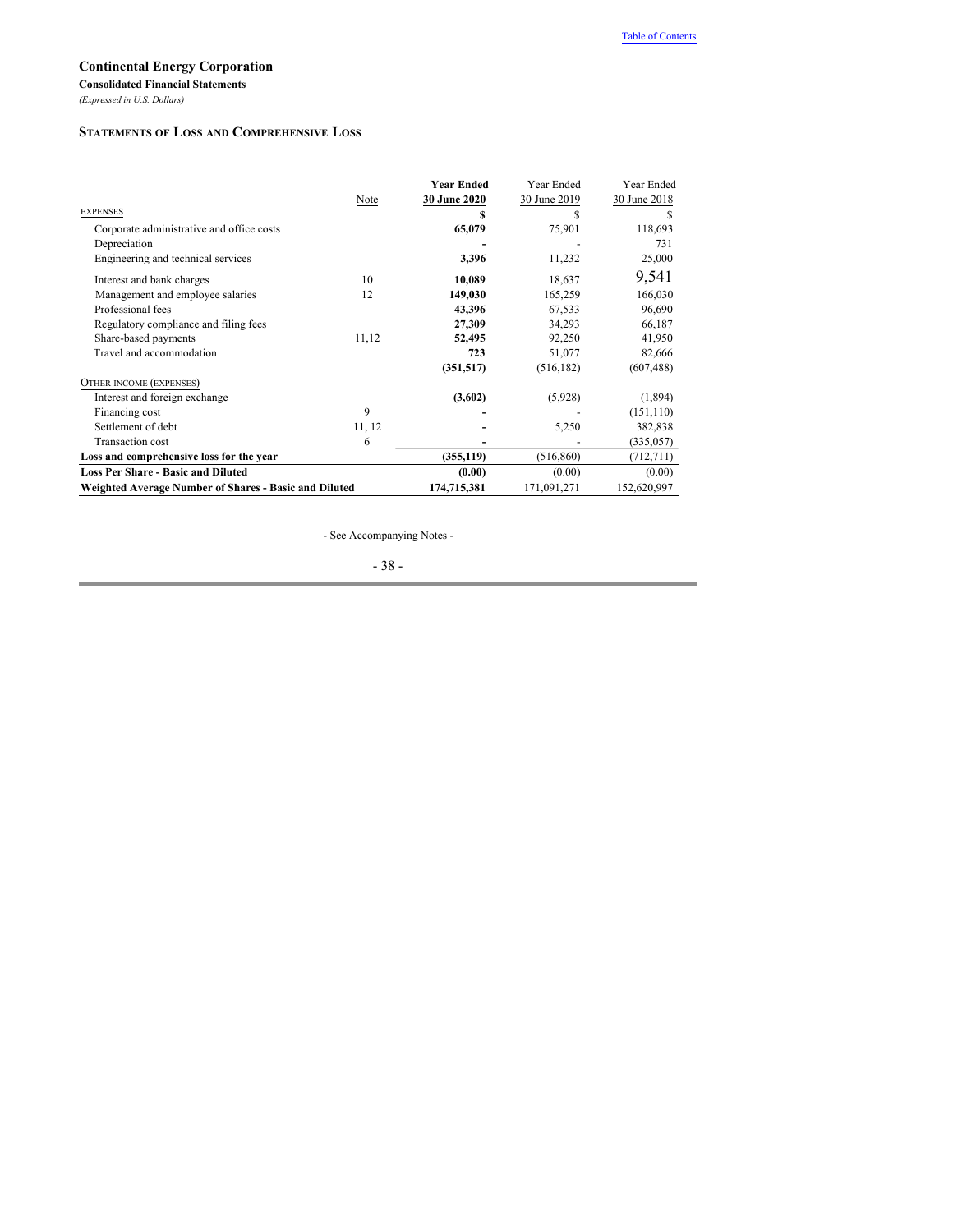#### **Consolidated Financial Statements**

*(Expressed in U.S. Dollars)*

### **STATEMENTS OF LOSS AND COMPREHENSIVE LOSS**

|                                                       | Note   | <b>Year Ended</b><br>30 June 2020 | Year Ended<br>30 June 2019 | Year Ended<br>30 June 2018 |
|-------------------------------------------------------|--------|-----------------------------------|----------------------------|----------------------------|
| <b>EXPENSES</b>                                       |        | S                                 |                            | S                          |
| Corporate administrative and office costs             |        | 65,079                            | 75,901                     | 118,693                    |
| Depreciation                                          |        |                                   |                            | 731                        |
| Engineering and technical services                    |        | 3,396                             | 11,232                     | 25,000                     |
| Interest and bank charges                             | 10     | 10,089                            | 18,637                     | 9,541                      |
| Management and employee salaries                      | 12     | 149,030                           | 165,259                    | 166,030                    |
| Professional fees                                     |        | 43,396                            | 67,533                     | 96,690                     |
| Regulatory compliance and filing fees                 |        | 27,309                            | 34,293                     | 66,187                     |
| Share-based payments                                  | 11,12  | 52,495                            | 92,250                     | 41,950                     |
| Travel and accommodation                              |        | 723                               | 51,077                     | 82,666                     |
|                                                       |        | (351,517)                         | (516, 182)                 | (607, 488)                 |
| <b>OTHER INCOME (EXPENSES)</b>                        |        |                                   |                            |                            |
| Interest and foreign exchange                         |        | (3,602)                           | (5,928)                    | (1,894)                    |
| Financing cost                                        | 9      |                                   |                            | (151, 110)                 |
| Settlement of debt                                    | 11, 12 |                                   | 5,250                      | 382,838                    |
| <b>Transaction</b> cost                               | 6      |                                   |                            | (335,057)                  |
| Loss and comprehensive loss for the year              |        | (355, 119)                        | (516, 860)                 | (712, 711)                 |
| <b>Loss Per Share - Basic and Diluted</b>             |        | (0.00)                            | (0.00)                     | (0.00)                     |
| Weighted Average Number of Shares - Basic and Diluted |        | 174,715,381                       | 171,091,271                | 152,620,997                |

- See Accompanying Notes -

- 38 -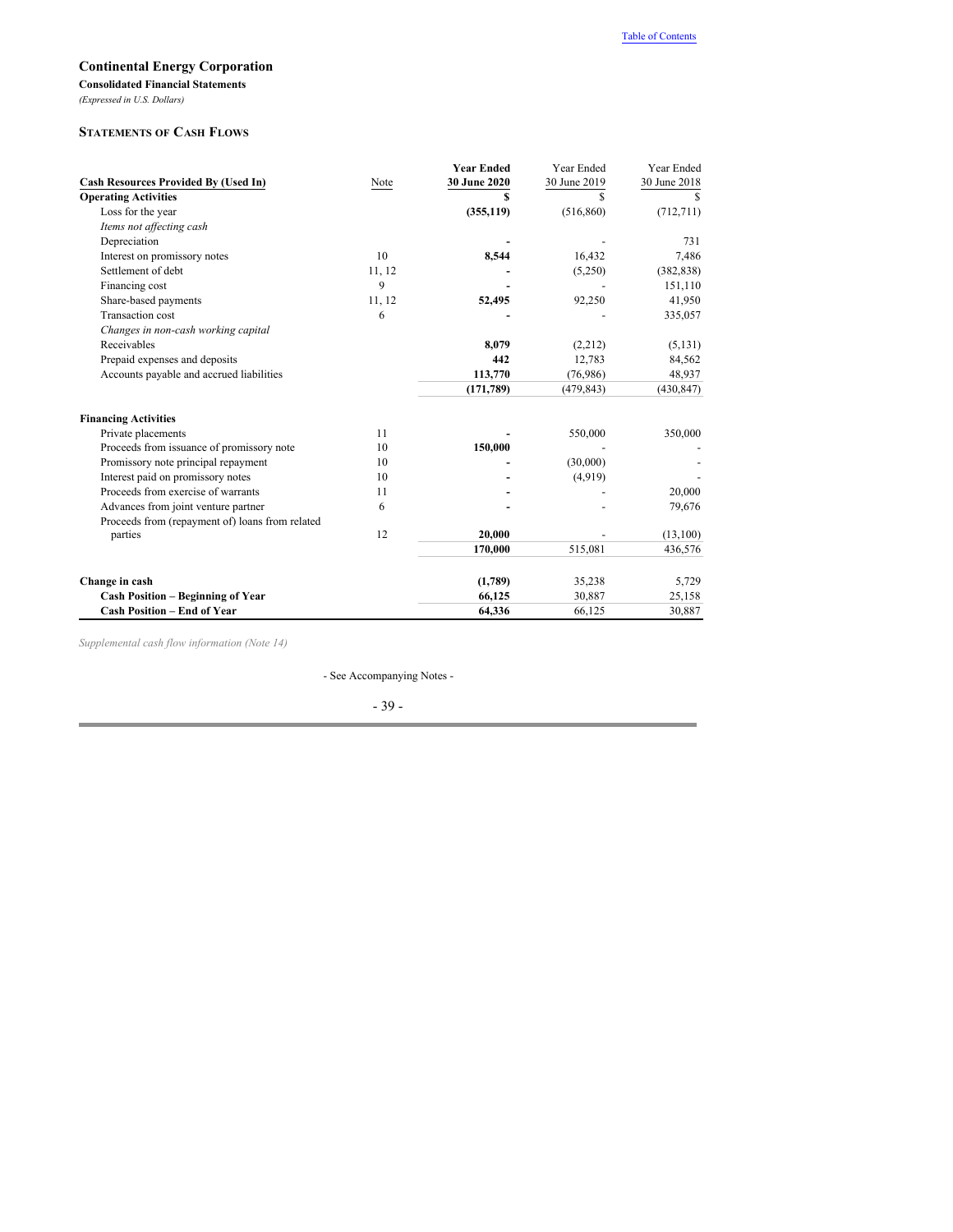**Consolidated Financial Statements**

*(Expressed in U.S. Dollars)*

### **STATEMENTS OF CASH FLOWS**

|                                                 |        | <b>Year Ended</b> | Year Ended   | Year Ended   |
|-------------------------------------------------|--------|-------------------|--------------|--------------|
| <b>Cash Resources Provided By (Used In)</b>     | Note   | 30 June 2020      | 30 June 2019 | 30 June 2018 |
| <b>Operating Activities</b>                     |        | S                 | S            | S            |
| Loss for the year                               |        | (355, 119)        | (516, 860)   | (712, 711)   |
| Items not affecting cash                        |        |                   |              |              |
| Depreciation                                    |        |                   |              | 731          |
| Interest on promissory notes                    | 10     | 8,544             | 16,432       | 7,486        |
| Settlement of debt                              | 11, 12 |                   | (5,250)      | (382, 838)   |
| Financing cost                                  | 9      |                   |              | 151,110      |
| Share-based payments                            | 11, 12 | 52,495            | 92,250       | 41,950       |
| <b>Transaction</b> cost                         | 6      |                   |              | 335,057      |
| Changes in non-cash working capital             |        |                   |              |              |
| Receivables                                     |        | 8,079             | (2,212)      | (5, 131)     |
| Prepaid expenses and deposits                   |        | 442               | 12,783       | 84,562       |
| Accounts payable and accrued liabilities        |        | 113,770           | (76,986)     | 48,937       |
|                                                 |        | (171, 789)        | (479, 843)   | (430, 847)   |
| <b>Financing Activities</b>                     |        |                   |              |              |
| Private placements                              | 11     |                   | 550,000      | 350,000      |
| Proceeds from issuance of promissory note       | 10     | 150,000           |              |              |
| Promissory note principal repayment             | 10     |                   | (30,000)     |              |
| Interest paid on promissory notes               | 10     |                   | (4,919)      |              |
| Proceeds from exercise of warrants              | 11     |                   |              | 20,000       |
| Advances from joint venture partner             | 6      |                   |              | 79,676       |
| Proceeds from (repayment of) loans from related |        |                   |              |              |
| parties                                         | 12     | 20,000            |              | (13,100)     |
|                                                 |        | 170,000           | 515,081      | 436,576      |
| Change in cash                                  |        | (1,789)           | 35,238       | 5,729        |
| <b>Cash Position – Beginning of Year</b>        |        | 66,125            | 30,887       | 25,158       |
| <b>Cash Position - End of Year</b>              |        | 64,336            | 66,125       | 30,887       |

*Supplemental cash flow information (Note 14)*

- See Accompanying Notes -

- 39 -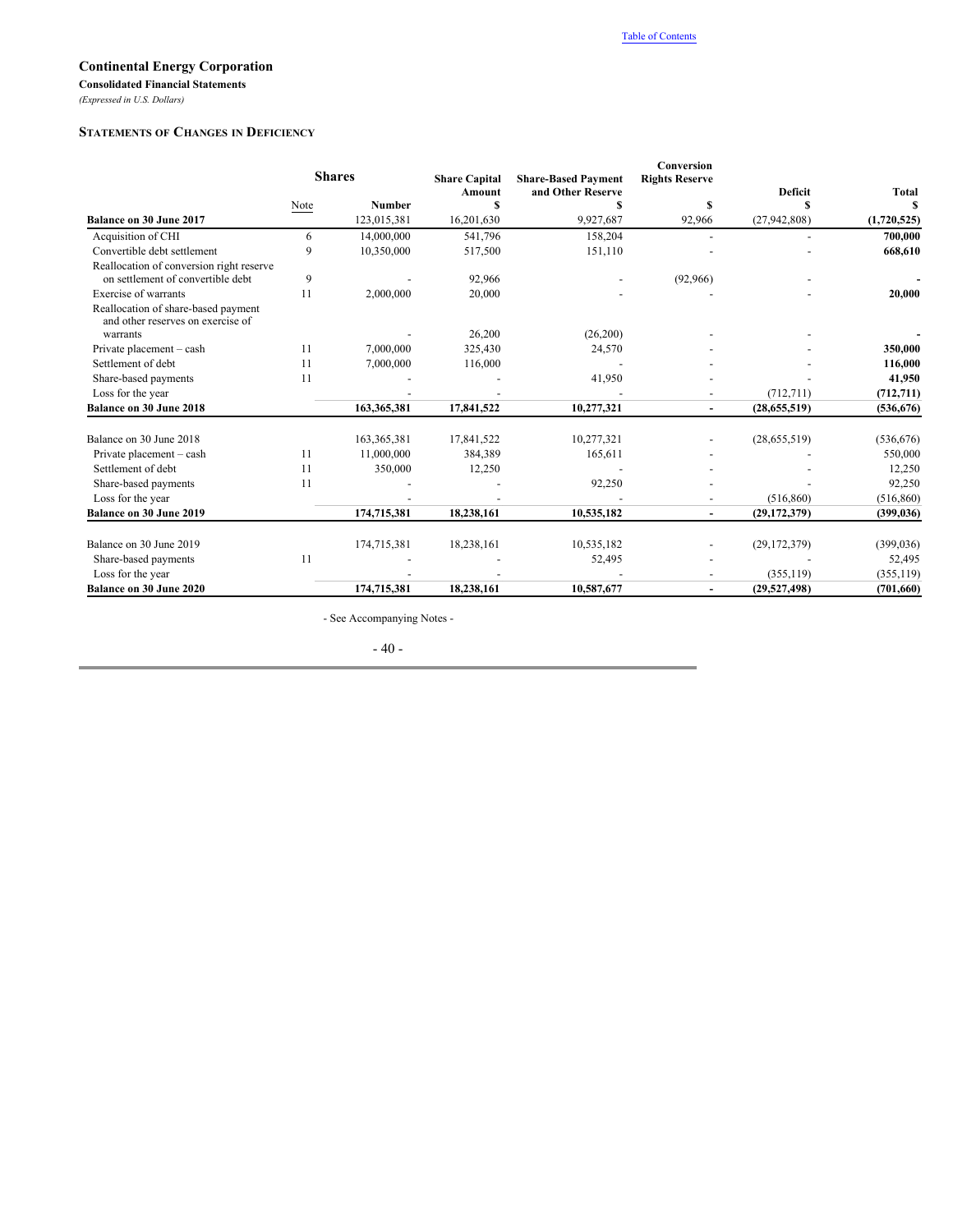**Consolidated Financial Statements**

*(Expressed in U.S. Dollars)*

### **STATEMENTS OF CHANGES IN DEFICIENCY**

|                                                                          |      | <b>Shares</b> | <b>Share Capital</b> | <b>Share-Based Payment</b> | Conversion<br><b>Rights Reserve</b> |                |              |
|--------------------------------------------------------------------------|------|---------------|----------------------|----------------------------|-------------------------------------|----------------|--------------|
|                                                                          |      |               | <b>Amount</b>        | and Other Reserve          |                                     | <b>Deficit</b> | <b>Total</b> |
|                                                                          | Note | <b>Number</b> | S                    |                            | S                                   |                |              |
| <b>Balance on 30 June 2017</b>                                           |      | 123,015,381   | 16,201,630           | 9,927,687                  | 92,966                              | (27, 942, 808) | (1,720,525)  |
| Acquisition of CHI                                                       | 6    | 14,000,000    | 541,796              | 158,204                    |                                     |                | 700,000      |
| Convertible debt settlement                                              | 9    | 10,350,000    | 517,500              | 151,110                    |                                     |                | 668,610      |
| Reallocation of conversion right reserve                                 |      |               |                      |                            |                                     |                |              |
| on settlement of convertible debt                                        | 9    |               | 92,966               |                            | (92,966)                            |                |              |
| Exercise of warrants                                                     | 11   | 2.000.000     | 20,000               |                            |                                     |                | 20,000       |
| Reallocation of share-based payment<br>and other reserves on exercise of |      |               |                      |                            |                                     |                |              |
| warrants                                                                 |      |               | 26,200               | (26,200)                   |                                     |                |              |
| Private placement - cash                                                 | 11   | 7,000,000     | 325,430              | 24,570                     |                                     |                | 350,000      |
| Settlement of debt                                                       | 11   | 7,000,000     | 116,000              |                            |                                     |                | 116,000      |
| Share-based payments                                                     | 11   |               |                      | 41,950                     |                                     |                | 41,950       |
| Loss for the year                                                        |      |               |                      |                            |                                     | (712, 711)     | (712, 711)   |
| <b>Balance on 30 June 2018</b>                                           |      | 163,365,381   | 17,841,522           | 10,277,321                 | $\overline{\phantom{0}}$            | (28,655,519)   | (536, 676)   |
| Balance on 30 June 2018                                                  |      | 163, 365, 381 | 17,841,522           | 10,277,321                 |                                     | (28, 655, 519) | (536, 676)   |
| Private placement - cash                                                 | 11   | 11,000,000    | 384,389              | 165,611                    |                                     |                | 550,000      |
| Settlement of debt                                                       | 11   | 350,000       | 12,250               |                            |                                     |                | 12,250       |
| Share-based payments                                                     | 11   |               |                      | 92,250                     |                                     |                | 92,250       |
| Loss for the year                                                        |      |               |                      |                            |                                     | (516, 860)     | (516, 860)   |
| Balance on 30 June 2019                                                  |      | 174,715,381   | 18,238,161           | 10,535,182                 | ٠                                   | (29, 172, 379) | (399, 036)   |
|                                                                          |      |               |                      |                            |                                     |                |              |
| Balance on 30 June 2019                                                  |      | 174,715,381   | 18,238,161           | 10,535,182                 |                                     | (29, 172, 379) | (399, 036)   |
| Share-based payments                                                     | 11   |               |                      | 52,495                     |                                     |                | 52,495       |
| Loss for the year                                                        |      |               |                      |                            |                                     | (355, 119)     | (355, 119)   |
| <b>Balance on 30 June 2020</b>                                           |      | 174,715,381   | 18,238,161           | 10,587,677                 | ٠                                   | (29,527,498)   | (701, 660)   |

- See Accompanying Notes -

- 40 -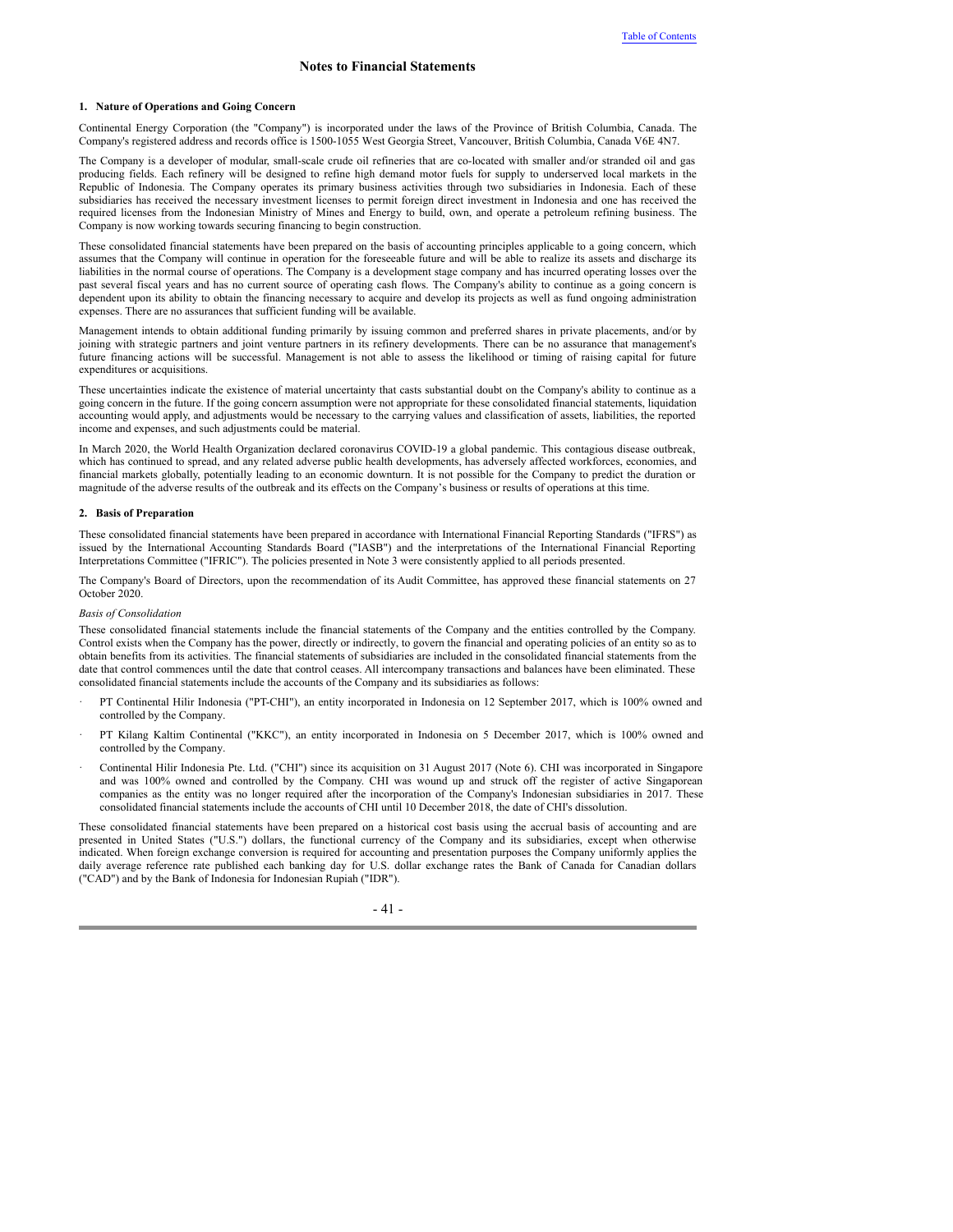### **Notes to Financial Statements**

#### **1. Nature of Operations and Going Concern**

Continental Energy Corporation (the "Company") is incorporated under the laws of the Province of British Columbia, Canada. The Company's registered address and records office is 1500-1055 West Georgia Street, Vancouver, British Columbia, Canada V6E 4N7.

The Company is a developer of modular, small-scale crude oil refineries that are co-located with smaller and/or stranded oil and gas producing fields. Each refinery will be designed to refine high demand motor fuels for supply to underserved local markets in the Republic of Indonesia. The Company operates its primary business activities through two subsidiaries in Indonesia. Each of these subsidiaries has received the necessary investment licenses to permit foreign direct investment in Indonesia and one has received the required licenses from the Indonesian Ministry of Mines and Energy to build, own, and operate a petroleum refining business. The Company is now working towards securing financing to begin construction.

These consolidated financial statements have been prepared on the basis of accounting principles applicable to a going concern, which assumes that the Company will continue in operation for the foreseeable future and will be able to realize its assets and discharge its liabilities in the normal course of operations. The Company is a development stage company and has incurred operating losses over the past several fiscal years and has no current source of operating cash flows. The Company's ability to continue as a going concern is dependent upon its ability to obtain the financing necessary to acquire and develop its projects as well as fund ongoing administration expenses. There are no assurances that sufficient funding will be available.

Management intends to obtain additional funding primarily by issuing common and preferred shares in private placements, and/or by joining with strategic partners and joint venture partners in its refinery developments. There can be no assurance that management's future financing actions will be successful. Management is not able to assess the likelihood or timing of raising capital for future expenditures or acquisitions.

These uncertainties indicate the existence of material uncertainty that casts substantial doubt on the Company's ability to continue as a going concern in the future. If the going concern assumption were not appropriate for these consolidated financial statements, liquidation accounting would apply, and adjustments would be necessary to the carrying values and classification of assets, liabilities, the reported income and expenses, and such adjustments could be material.

In March 2020, the World Health Organization declared coronavirus COVID-19 a global pandemic. This contagious disease outbreak, which has continued to spread, and any related adverse public health developments, has adversely affected workforces, economies, and financial markets globally, potentially leading to an economic downturn. It is not possible for the Company to predict the duration or magnitude of the adverse results of the outbreak and its effects on the Company's business or results of operations at this time.

#### **2. Basis of Preparation**

These consolidated financial statements have been prepared in accordance with International Financial Reporting Standards ("IFRS") as issued by the International Accounting Standards Board ("IASB") and the interpretations of the International Financial Reporting Interpretations Committee ("IFRIC"). The policies presented in Note 3 were consistently applied to all periods presented.

The Company's Board of Directors, upon the recommendation of its Audit Committee, has approved these financial statements on 27 October 2020.

#### *Basis of Consolidation*

These consolidated financial statements include the financial statements of the Company and the entities controlled by the Company. Control exists when the Company has the power, directly or indirectly, to govern the financial and operating policies of an entity so as to obtain benefits from its activities. The financial statements of subsidiaries are included in the consolidated financial statements from the date that control commences until the date that control ceases. All intercompany transactions and balances have been eliminated. These consolidated financial statements include the accounts of the Company and its subsidiaries as follows:

- PT Continental Hilir Indonesia ("PT-CHI"), an entity incorporated in Indonesia on 12 September 2017, which is 100% owned and controlled by the Company. ·
- PT Kilang Kaltim Continental ("KKC"), an entity incorporated in Indonesia on 5 December 2017, which is 100% owned and controlled by the Company. ·
- Continental Hilir Indonesia Pte. Ltd. ("CHI") since its acquisition on 31 August 2017 (Note 6). CHI was incorporated in Singapore and was 100% owned and controlled by the Company. CHI was wound up and struck off the register of active Singaporean companies as the entity was no longer required after the incorporation of the Company's Indonesian subsidiaries in 2017. These consolidated financial statements include the accounts of CHI until 10 December 2018, the date of CHI's dissolution. ·

These consolidated financial statements have been prepared on a historical cost basis using the accrual basis of accounting and are presented in United States ("U.S.") dollars, the functional currency of the Company and its subsidiaries, except when otherwise indicated. When foreign exchange conversion is required for accounting and presentation purposes the Company uniformly applies the daily average reference rate published each banking day for U.S. dollar exchange rates the Bank of Canada for Canadian dollars ("CAD") and by the Bank of Indonesia for Indonesian Rupiah ("IDR").

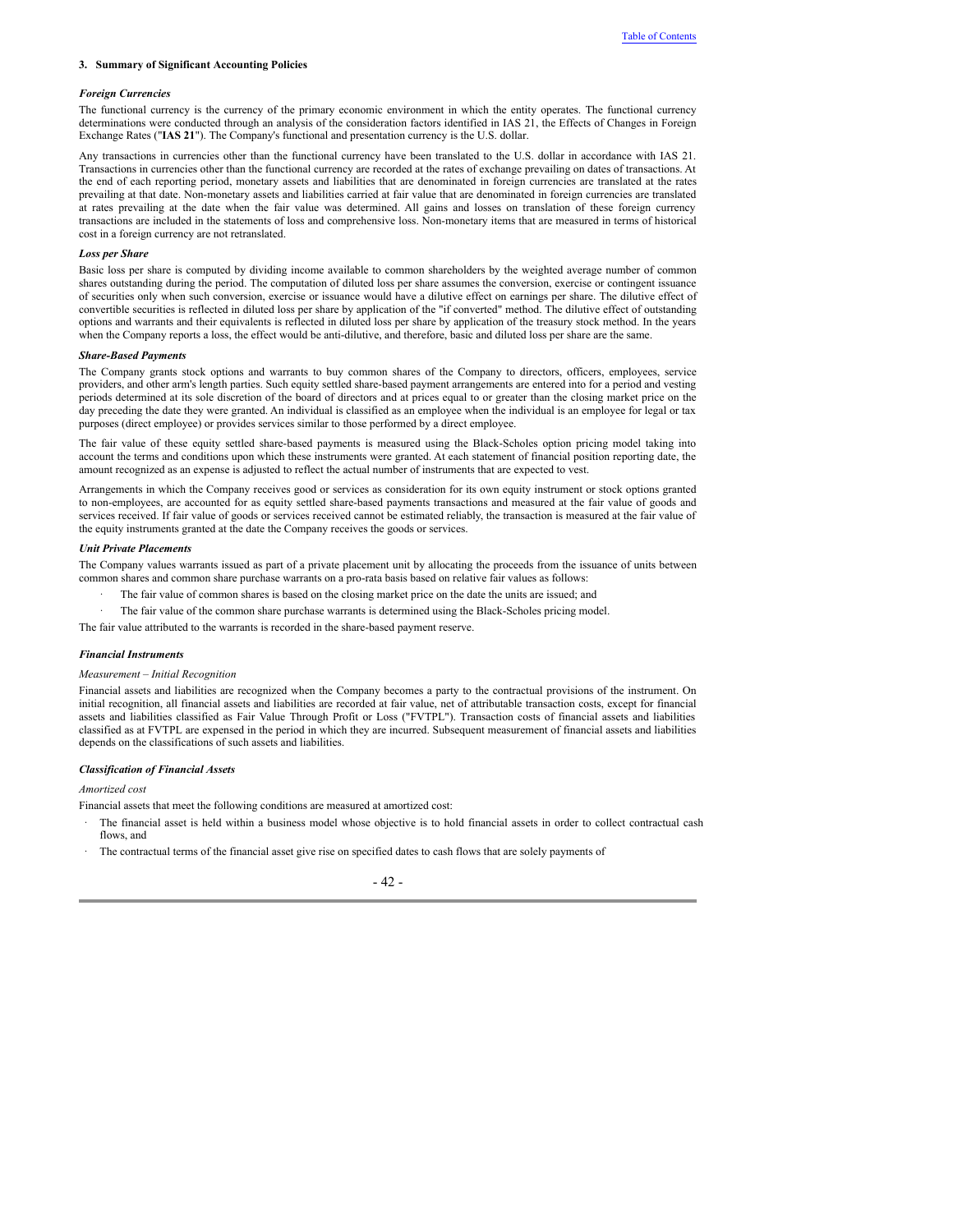#### **3. Summary of Significant Accounting Policies**

#### *Foreign Currencies*

The functional currency is the currency of the primary economic environment in which the entity operates. The functional currency determinations were conducted through an analysis of the consideration factors identified in IAS 21, the Effects of Changes in Foreign Exchange Rates ("**IAS 21**"). The Company's functional and presentation currency is the U.S. dollar.

Any transactions in currencies other than the functional currency have been translated to the U.S. dollar in accordance with IAS 21. Transactions in currencies other than the functional currency are recorded at the rates of exchange prevailing on dates of transactions. At the end of each reporting period, monetary assets and liabilities that are denominated in foreign currencies are translated at the rates prevailing at that date. Non-monetary assets and liabilities carried at fair value that are denominated in foreign currencies are translated at rates prevailing at the date when the fair value was determined. All gains and losses on translation of these foreign currency transactions are included in the statements of loss and comprehensive loss. Non-monetary items that are measured in terms of historical cost in a foreign currency are not retranslated.

#### *Loss per Share*

Basic loss per share is computed by dividing income available to common shareholders by the weighted average number of common shares outstanding during the period. The computation of diluted loss per share assumes the conversion, exercise or contingent issuance of securities only when such conversion, exercise or issuance would have a dilutive effect on earnings per share. The dilutive effect of convertible securities is reflected in diluted loss per share by application of the "if converted" method. The dilutive effect of outstanding options and warrants and their equivalents is reflected in diluted loss per share by application of the treasury stock method. In the years when the Company reports a loss, the effect would be anti-dilutive, and therefore, basic and diluted loss per share are the same.

#### *Share-Based Payments*

The Company grants stock options and warrants to buy common shares of the Company to directors, officers, employees, service providers, and other arm's length parties. Such equity settled share-based payment arrangements are entered into for a period and vesting periods determined at its sole discretion of the board of directors and at prices equal to or greater than the closing market price on the day preceding the date they were granted. An individual is classified as an employee when the individual is an employee for legal or tax purposes (direct employee) or provides services similar to those performed by a direct employee.

The fair value of these equity settled share-based payments is measured using the Black-Scholes option pricing model taking into account the terms and conditions upon which these instruments were granted. At each statement of financial position reporting date, the amount recognized as an expense is adjusted to reflect the actual number of instruments that are expected to vest.

Arrangements in which the Company receives good or services as consideration for its own equity instrument or stock options granted to non-employees, are accounted for as equity settled share-based payments transactions and measured at the fair value of goods and services received. If fair value of goods or services received cannot be estimated reliably, the transaction is measured at the fair value of the equity instruments granted at the date the Company receives the goods or services.

#### *Unit Private Placements*

The Company values warrants issued as part of a private placement unit by allocating the proceeds from the issuance of units between common shares and common share purchase warrants on a pro-rata basis based on relative fair values as follows:

- The fair value of common shares is based on the closing market price on the date the units are issued; and ·
- The fair value of the common share purchase warrants is determined using the Black-Scholes pricing model. ·

The fair value attributed to the warrants is recorded in the share-based payment reserve.

#### *Financial Instruments*

### *Measurement – Initial Recognition*

Financial assets and liabilities are recognized when the Company becomes a party to the contractual provisions of the instrument. On initial recognition, all financial assets and liabilities are recorded at fair value, net of attributable transaction costs, except for financial assets and liabilities classified as Fair Value Through Profit or Loss ("FVTPL"). Transaction costs of financial assets and liabilities classified as at FVTPL are expensed in the period in which they are incurred. Subsequent measurement of financial assets and liabilities depends on the classifications of such assets and liabilities.

#### *Classification of Financial Assets*

*Amortized cost*

Financial assets that meet the following conditions are measured at amortized cost:

- The financial asset is held within a business model whose objective is to hold financial assets in order to collect contractual cash flows, and ·
- The contractual terms of the financial asset give rise on specified dates to cash flows that are solely payments of ·

### - 42 -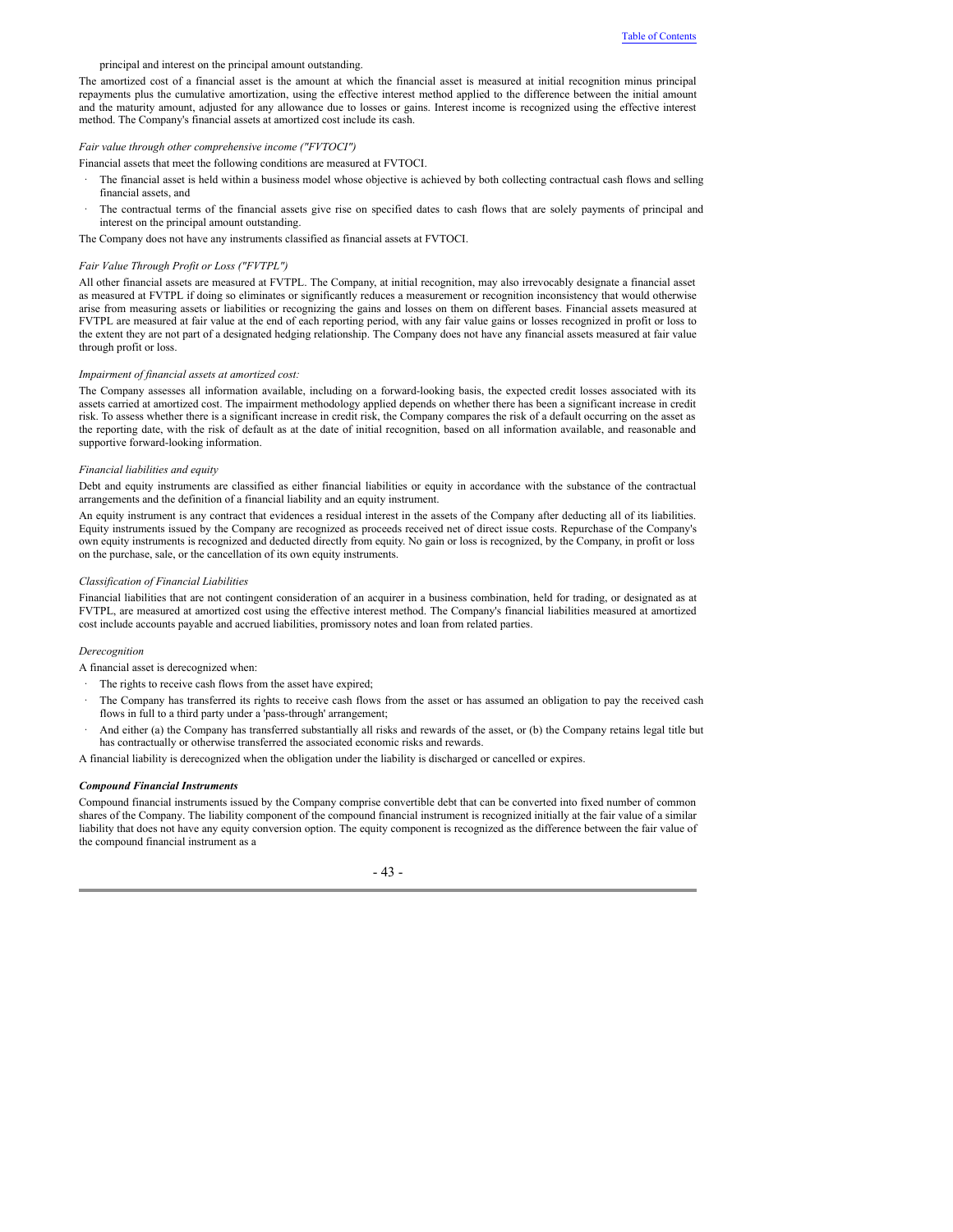#### principal and interest on the principal amount outstanding.

The amortized cost of a financial asset is the amount at which the financial asset is measured at initial recognition minus principal repayments plus the cumulative amortization, using the effective interest method applied to the difference between the initial amount and the maturity amount, adjusted for any allowance due to losses or gains. Interest income is recognized using the effective interest method. The Company's financial assets at amortized cost include its cash.

#### *Fair value through other comprehensive income ("FVTOCI")*

Financial assets that meet the following conditions are measured at FVTOCI.

- The financial asset is held within a business model whose objective is achieved by both collecting contractual cash flows and selling financial assets, and ·
- The contractual terms of the financial assets give rise on specified dates to cash flows that are solely payments of principal and interest on the principal amount outstanding. ·

The Company does not have any instruments classified as financial assets at FVTOCI.

#### *Fair Value Through Profit or Loss ("FVTPL")*

All other financial assets are measured at FVTPL. The Company, at initial recognition, may also irrevocably designate a financial asset as measured at FVTPL if doing so eliminates or significantly reduces a measurement or recognition inconsistency that would otherwise arise from measuring assets or liabilities or recognizing the gains and losses on them on different bases. Financial assets measured at FVTPL are measured at fair value at the end of each reporting period, with any fair value gains or losses recognized in profit or loss to the extent they are not part of a designated hedging relationship. The Company does not have any financial assets measured at fair value through profit or loss.

### *Impairment of financial assets at amortized cost:*

The Company assesses all information available, including on a forward-looking basis, the expected credit losses associated with its assets carried at amortized cost. The impairment methodology applied depends on whether there has been a significant increase in credit risk. To assess whether there is a significant increase in credit risk, the Company compares the risk of a default occurring on the asset as the reporting date, with the risk of default as at the date of initial recognition, based on all information available, and reasonable and supportive forward-looking information.

#### *Financial liabilities and equity*

Debt and equity instruments are classified as either financial liabilities or equity in accordance with the substance of the contractual arrangements and the definition of a financial liability and an equity instrument.

An equity instrument is any contract that evidences a residual interest in the assets of the Company after deducting all of its liabilities. Equity instruments issued by the Company are recognized as proceeds received net of direct issue costs. Repurchase of the Company's own equity instruments is recognized and deducted directly from equity. No gain or loss is recognized, by the Company, in profit or loss on the purchase, sale, or the cancellation of its own equity instruments.

#### *Classification of Financial Liabilities*

Financial liabilities that are not contingent consideration of an acquirer in a business combination, held for trading, or designated as at FVTPL, are measured at amortized cost using the effective interest method. The Company's financial liabilities measured at amortized cost include accounts payable and accrued liabilities, promissory notes and loan from related parties.

#### *Derecognition*

A financial asset is derecognized when:

- The rights to receive cash flows from the asset have expired; ·
- The Company has transferred its rights to receive cash flows from the asset or has assumed an obligation to pay the received cash flows in full to a third party under a 'pass-through' arrangement; ·
- And either (a) the Company has transferred substantially all risks and rewards of the asset, or (b) the Company retains legal title but has contractually or otherwise transferred the associated economic risks and rewards. ·
- A financial liability is derecognized when the obligation under the liability is discharged or cancelled or expires.

#### *Compound Financial Instruments*

Compound financial instruments issued by the Company comprise convertible debt that can be converted into fixed number of common shares of the Company. The liability component of the compound financial instrument is recognized initially at the fair value of a similar liability that does not have any equity conversion option. The equity component is recognized as the difference between the fair value of the compound financial instrument as a

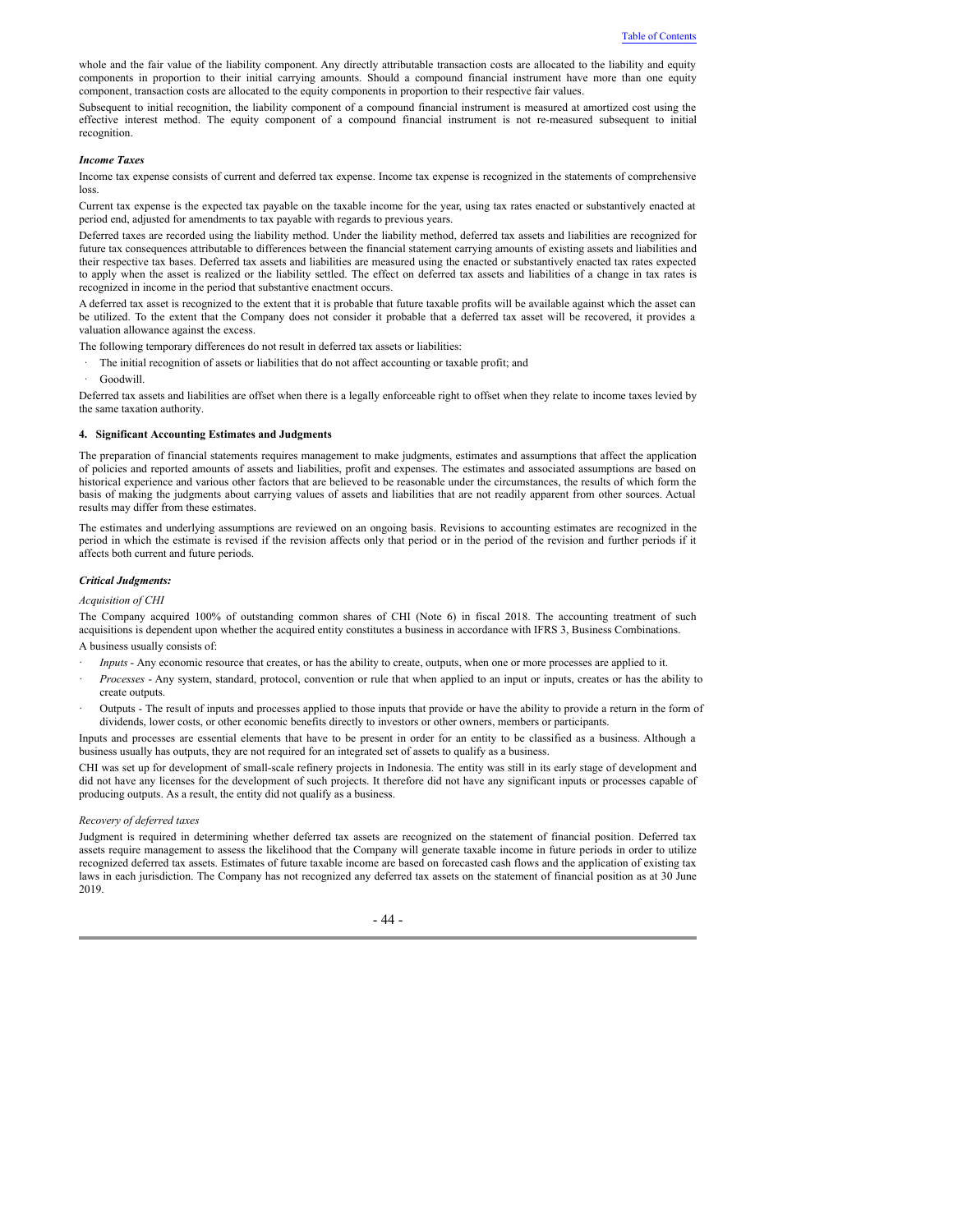whole and the fair value of the liability component. Any directly attributable transaction costs are allocated to the liability and equity components in proportion to their initial carrying amounts. Should a compound financial instrument have more than one equity component, transaction costs are allocated to the equity components in proportion to their respective fair values.

Subsequent to initial recognition, the liability component of a compound financial instrument is measured at amortized cost using the effective interest method. The equity component of a compound financial instrument is not re-measured subsequent to initial recognition.

#### *Income Taxes*

Income tax expense consists of current and deferred tax expense. Income tax expense is recognized in the statements of comprehensive loss.

Current tax expense is the expected tax payable on the taxable income for the year, using tax rates enacted or substantively enacted at period end, adjusted for amendments to tax payable with regards to previous years.

Deferred taxes are recorded using the liability method. Under the liability method, deferred tax assets and liabilities are recognized for future tax consequences attributable to differences between the financial statement carrying amounts of existing assets and liabilities and their respective tax bases. Deferred tax assets and liabilities are measured using the enacted or substantively enacted tax rates expected to apply when the asset is realized or the liability settled. The effect on deferred tax assets and liabilities of a change in tax rates is recognized in income in the period that substantive enactment occurs.

A deferred tax asset is recognized to the extent that it is probable that future taxable profits will be available against which the asset can be utilized. To the extent that the Company does not consider it probable that a deferred tax asset will be recovered, it provides a valuation allowance against the excess.

The following temporary differences do not result in deferred tax assets or liabilities:

- The initial recognition of assets or liabilities that do not affect accounting or taxable profit; and ·
- Goodwill. ·

Deferred tax assets and liabilities are offset when there is a legally enforceable right to offset when they relate to income taxes levied by the same taxation authority.

#### **4. Significant Accounting Estimates and Judgments**

The preparation of financial statements requires management to make judgments, estimates and assumptions that affect the application of policies and reported amounts of assets and liabilities, profit and expenses. The estimates and associated assumptions are based on historical experience and various other factors that are believed to be reasonable under the circumstances, the results of which form the basis of making the judgments about carrying values of assets and liabilities that are not readily apparent from other sources. Actual results may differ from these estimates.

The estimates and underlying assumptions are reviewed on an ongoing basis. Revisions to accounting estimates are recognized in the period in which the estimate is revised if the revision affects only that period or in the period of the revision and further periods if it affects both current and future periods.

#### *Critical Judgments:*

#### *Acquisition of CHI*

The Company acquired 100% of outstanding common shares of CHI (Note 6) in fiscal 2018. The accounting treatment of such acquisitions is dependent upon whether the acquired entity constitutes a business in accordance with IFRS 3, Business Combinations. A business usually consists of:

- *Inputs* Any economic resource that creates, or has the ability to create, outputs, when one or more processes are applied to it. ·
- *Processes* Any system, standard, protocol, convention or rule that when applied to an input or inputs, creates or has the ability to create outputs. ·
- Outputs The result of inputs and processes applied to those inputs that provide or have the ability to provide a return in the form of dividends, lower costs, or other economic benefits directly to investors or other owners, members or participants. ·

Inputs and processes are essential elements that have to be present in order for an entity to be classified as a business. Although a business usually has outputs, they are not required for an integrated set of assets to qualify as a business.

CHI was set up for development of small-scale refinery projects in Indonesia. The entity was still in its early stage of development and did not have any licenses for the development of such projects. It therefore did not have any significant inputs or processes capable of producing outputs. As a result, the entity did not qualify as a business.

#### *Recovery of deferred taxes*

Judgment is required in determining whether deferred tax assets are recognized on the statement of financial position. Deferred tax assets require management to assess the likelihood that the Company will generate taxable income in future periods in order to utilize recognized deferred tax assets. Estimates of future taxable income are based on forecasted cash flows and the application of existing tax laws in each jurisdiction. The Company has not recognized any deferred tax assets on the statement of financial position as at 30 June 2019.

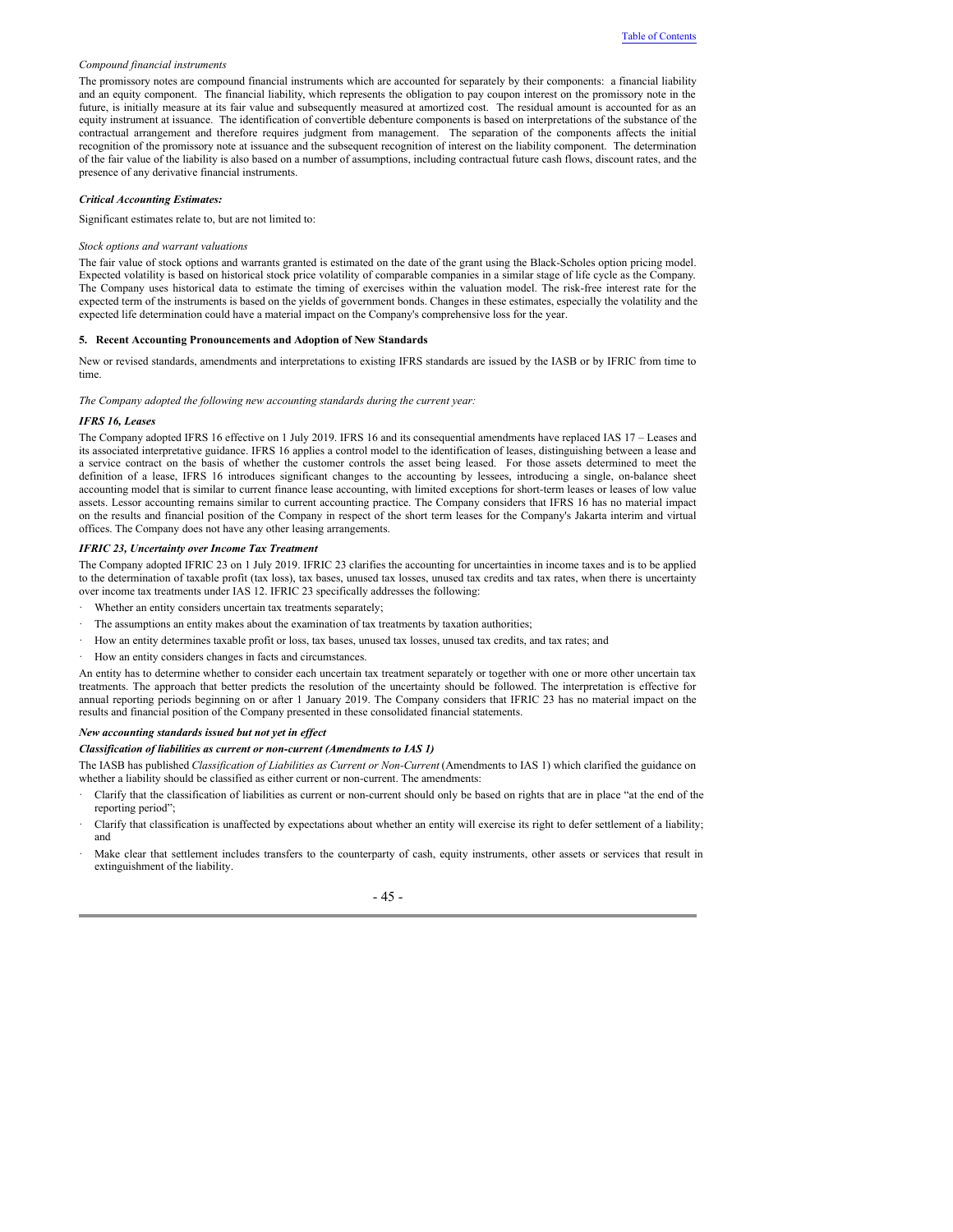#### *Compound financial instruments*

The promissory notes are compound financial instruments which are accounted for separately by their components: a financial liability and an equity component. The financial liability, which represents the obligation to pay coupon interest on the promissory note in the future, is initially measure at its fair value and subsequently measured at amortized cost. The residual amount is accounted for as an equity instrument at issuance. The identification of convertible debenture components is based on interpretations of the substance of the contractual arrangement and therefore requires judgment from management. The separation of the components affects the initial recognition of the promissory note at issuance and the subsequent recognition of interest on the liability component. The determination of the fair value of the liability is also based on a number of assumptions, including contractual future cash flows, discount rates, and the presence of any derivative financial instruments.

#### *Critical Accounting Estimates:*

Significant estimates relate to, but are not limited to:

#### *Stock options and warrant valuations*

The fair value of stock options and warrants granted is estimated on the date of the grant using the Black-Scholes option pricing model. Expected volatility is based on historical stock price volatility of comparable companies in a similar stage of life cycle as the Company. The Company uses historical data to estimate the timing of exercises within the valuation model. The risk-free interest rate for the expected term of the instruments is based on the yields of government bonds. Changes in these estimates, especially the volatility and the expected life determination could have a material impact on the Company's comprehensive loss for the year.

#### **5. Recent Accounting Pronouncements and Adoption of New Standards**

New or revised standards, amendments and interpretations to existing IFRS standards are issued by the IASB or by IFRIC from time to time.

#### *The Company adopted the following new accounting standards during the current year:*

#### *IFRS 16, Leases*

The Company adopted IFRS 16 effective on 1 July 2019. IFRS 16 and its consequential amendments have replaced IAS 17 – Leases and its associated interpretative guidance. IFRS 16 applies a control model to the identification of leases, distinguishing between a lease and a service contract on the basis of whether the customer controls the asset being leased. For those assets determined to meet the definition of a lease, IFRS 16 introduces significant changes to the accounting by lessees, introducing a single, on-balance sheet accounting model that is similar to current finance lease accounting, with limited exceptions for short-term leases or leases of low value assets. Lessor accounting remains similar to current accounting practice. The Company considers that IFRS 16 has no material impact on the results and financial position of the Company in respect of the short term leases for the Company's Jakarta interim and virtual offices. The Company does not have any other leasing arrangements.

#### *IFRIC 23, Uncertainty over Income Tax Treatment*

The Company adopted IFRIC 23 on 1 July 2019. IFRIC 23 clarifies the accounting for uncertainties in income taxes and is to be applied to the determination of taxable profit (tax loss), tax bases, unused tax losses, unused tax credits and tax rates, when there is uncertainty over income tax treatments under IAS 12. IFRIC 23 specifically addresses the following:

- Whether an entity considers uncertain tax treatments separately; ·
- The assumptions an entity makes about the examination of tax treatments by taxation authorities; ·
- How an entity determines taxable profit or loss, tax bases, unused tax losses, unused tax credits, and tax rates; and ·
- How an entity considers changes in facts and circumstances. ·

An entity has to determine whether to consider each uncertain tax treatment separately or together with one or more other uncertain tax treatments. The approach that better predicts the resolution of the uncertainty should be followed. The interpretation is effective for annual reporting periods beginning on or after 1 January 2019. The Company considers that IFRIC 23 has no material impact on the results and financial position of the Company presented in these consolidated financial statements.

#### *New accounting standards issued but not yet in ef ect*

#### *Classification of liabilities as current or non-current (Amendments to IAS 1)*

The IASB has published *Classification of Liabilities as Current or Non-Current* (Amendments to IAS 1) which clarified the guidance on whether a liability should be classified as either current or non-current. The amendments:

- Clarify that the classification of liabilities as current or non-current should only be based on rights that are in place "at the end of the reporting period"; ·
- Clarify that classification is unaffected by expectations about whether an entity will exercise its right to defer settlement of a liability; and ·
- Make clear that settlement includes transfers to the counterparty of cash, equity instruments, other assets or services that result in extinguishment of the liability. ·

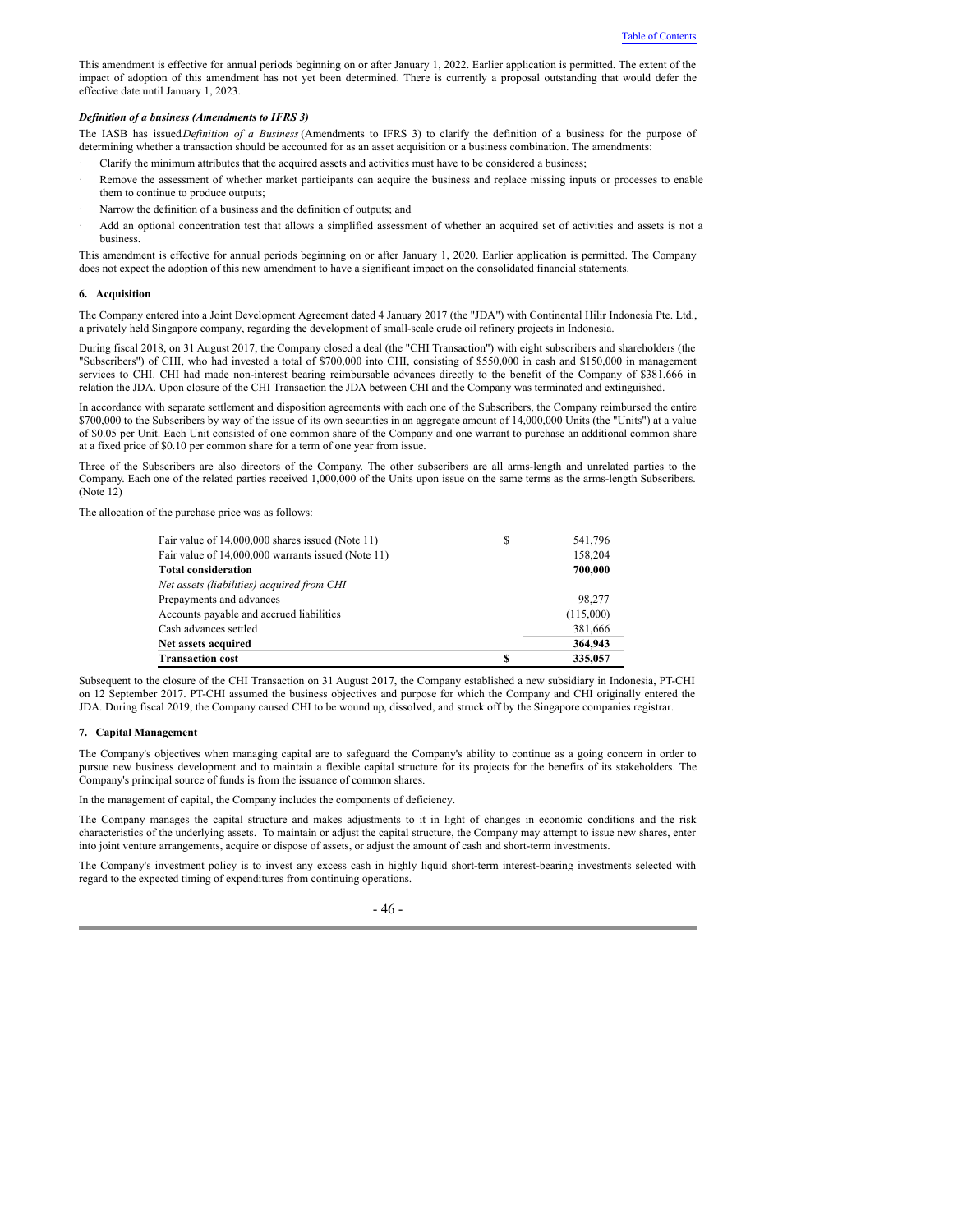This amendment is effective for annual periods beginning on or after January 1, 2022. Earlier application is permitted. The extent of the impact of adoption of this amendment has not yet been determined. There is currently a proposal outstanding that would defer the effective date until January 1, 2023.

#### *Definition of a business (Amendments to IFRS 3)*

The IASB has issued*Definition of a Business* (Amendments to IFRS 3) to clarify the definition of a business for the purpose of determining whether a transaction should be accounted for as an asset acquisition or a business combination. The amendments:

- Clarify the minimum attributes that the acquired assets and activities must have to be considered a business; ·
- Remove the assessment of whether market participants can acquire the business and replace missing inputs or processes to enable them to continue to produce outputs; ·
- Narrow the definition of a business and the definition of outputs; and ·
- Add an optional concentration test that allows a simplified assessment of whether an acquired set of activities and assets is not a business. ·

This amendment is effective for annual periods beginning on or after January 1, 2020. Earlier application is permitted. The Company does not expect the adoption of this new amendment to have a significant impact on the consolidated financial statements.

#### **6. Acquisition**

The Company entered into a Joint Development Agreement dated 4 January 2017 (the "JDA") with Continental Hilir Indonesia Pte. Ltd., a privately held Singapore company, regarding the development of small-scale crude oil refinery projects in Indonesia.

During fiscal 2018, on 31 August 2017, the Company closed a deal (the "CHI Transaction") with eight subscribers and shareholders (the "Subscribers") of CHI, who had invested a total of \$700,000 into CHI, consisting of \$550,000 in cash and \$150,000 in management services to CHI. CHI had made non-interest bearing reimbursable advances directly to the benefit of the Company of \$381,666 in relation the JDA. Upon closure of the CHI Transaction the JDA between CHI and the Company was terminated and extinguished.

In accordance with separate settlement and disposition agreements with each one of the Subscribers, the Company reimbursed the entire \$700,000 to the Subscribers by way of the issue of its own securities in an aggregate amount of 14,000,000 Units (the "Units") at a value of \$0.05 per Unit. Each Unit consisted of one common share of the Company and one warrant to purchase an additional common share at a fixed price of \$0.10 per common share for a term of one year from issue.

Three of the Subscribers are also directors of the Company. The other subscribers are all arms-length and unrelated parties to the Company. Each one of the related parties received 1,000,000 of the Units upon issue on the same terms as the arms-length Subscribers. (Note 12)

The allocation of the purchase price was as follows:

| Fair value of 14,000,000 shares issued (Note 11)   | S | 541,796   |
|----------------------------------------------------|---|-----------|
| Fair value of 14,000,000 warrants issued (Note 11) |   | 158,204   |
| <b>Total consideration</b>                         |   | 700,000   |
| Net assets (liabilities) acquired from CHI         |   |           |
| Prepayments and advances                           |   | 98.277    |
| Accounts payable and accrued liabilities           |   | (115,000) |
| Cash advances settled                              |   | 381,666   |
| Net assets acquired                                |   | 364,943   |
| <b>Transaction cost</b>                            |   | 335,057   |

Subsequent to the closure of the CHI Transaction on 31 August 2017, the Company established a new subsidiary in Indonesia, PT-CHI on 12 September 2017. PT-CHI assumed the business objectives and purpose for which the Company and CHI originally entered the JDA. During fiscal 2019, the Company caused CHI to be wound up, dissolved, and struck off by the Singapore companies registrar.

#### **7. Capital Management**

The Company's objectives when managing capital are to safeguard the Company's ability to continue as a going concern in order to pursue new business development and to maintain a flexible capital structure for its projects for the benefits of its stakeholders. The Company's principal source of funds is from the issuance of common shares.

In the management of capital, the Company includes the components of deficiency.

The Company manages the capital structure and makes adjustments to it in light of changes in economic conditions and the risk characteristics of the underlying assets. To maintain or adjust the capital structure, the Company may attempt to issue new shares, enter into joint venture arrangements, acquire or dispose of assets, or adjust the amount of cash and short-term investments.

The Company's investment policy is to invest any excess cash in highly liquid short-term interest-bearing investments selected with regard to the expected timing of expenditures from continuing operations.

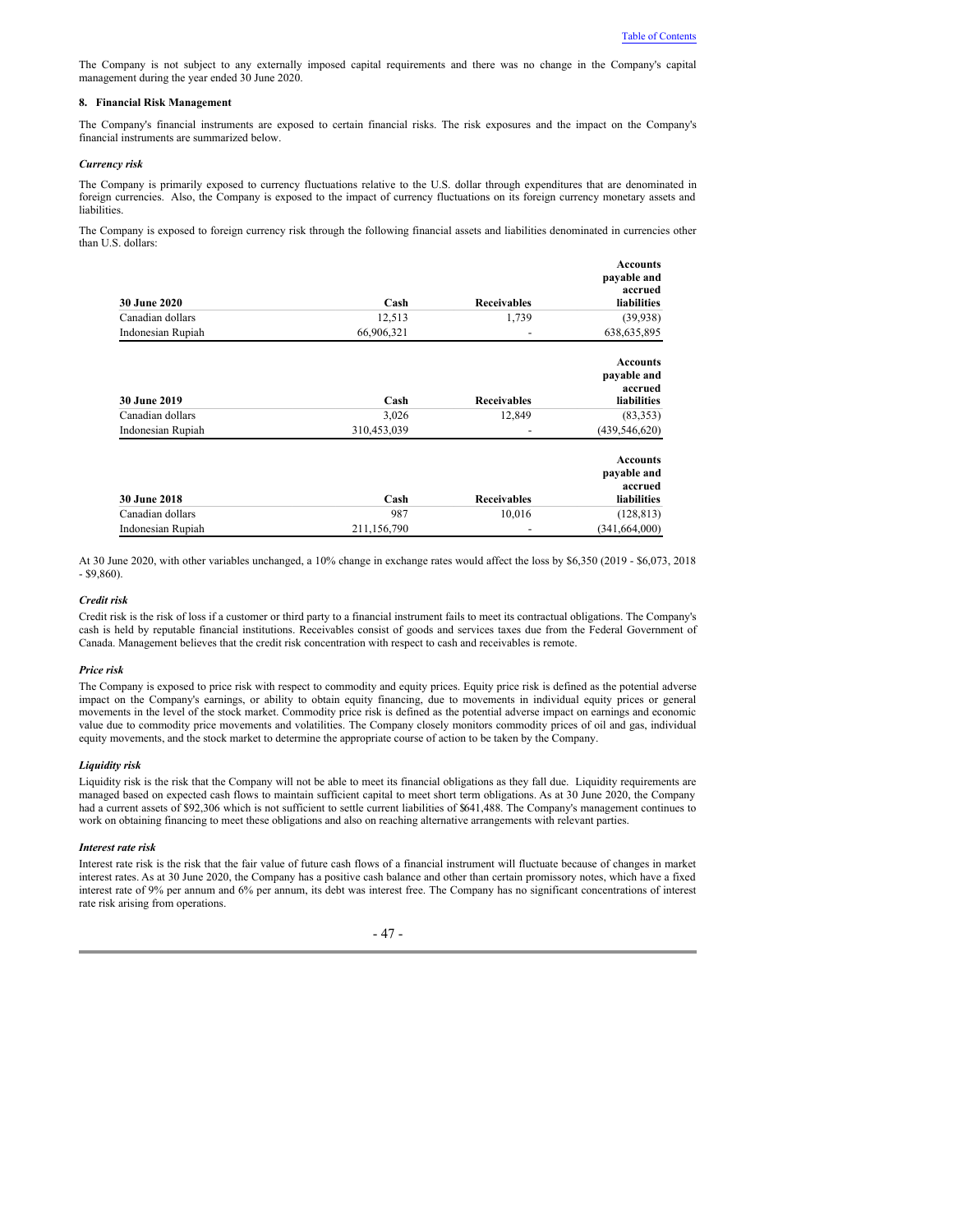The Company is not subject to any externally imposed capital requirements and there was no change in the Company's capital management during the year ended 30 June 2020.

### **8. Financial Risk Management**

The Company's financial instruments are exposed to certain financial risks. The risk exposures and the impact on the Company's financial instruments are summarized below.

#### *Currency risk*

The Company is primarily exposed to currency fluctuations relative to the U.S. dollar through expenditures that are denominated in foreign currencies. Also, the Company is exposed to the impact of currency fluctuations on its foreign currency monetary assets and liabilities.

The Company is exposed to foreign currency risk through the following financial assets and liabilities denominated in currencies other than U.S. dollars:

|                     |             |                    | <b>Accounts</b><br>payable and<br>accrued |
|---------------------|-------------|--------------------|-------------------------------------------|
| <b>30 June 2020</b> | Cash        | <b>Receivables</b> | liabilities                               |
| Canadian dollars    | 12,513      | 1,739              | (39, 938)                                 |
| Indonesian Rupiah   | 66,906,321  |                    | 638,635,895                               |
|                     |             |                    | <b>Accounts</b>                           |
|                     |             |                    | payable and                               |
|                     |             |                    | accrued                                   |
| 30 June 2019        | Cash        | <b>Receivables</b> | liabilities                               |
| Canadian dollars    | 3,026       | 12,849             | (83,353)                                  |
| Indonesian Rupiah   | 310,453,039 |                    | (439, 546, 620)                           |
|                     |             |                    | <b>Accounts</b>                           |
|                     |             |                    | payable and                               |
|                     |             |                    | accrued                                   |
| 30 June 2018        | Cash        | <b>Receivables</b> | liabilities                               |
| Canadian dollars    | 987         | 10,016             | (128, 813)                                |
| Indonesian Rupiah   | 211,156,790 |                    | (341, 664, 000)                           |

At 30 June 2020, with other variables unchanged, a 10% change in exchange rates would affect the loss by \$6,350 (2019 - \$6,073, 2018 - \$9,860).

### *Credit risk*

Credit risk is the risk of loss if a customer or third party to a financial instrument fails to meet its contractual obligations. The Company's cash is held by reputable financial institutions. Receivables consist of goods and services taxes due from the Federal Government of Canada. Management believes that the credit risk concentration with respect to cash and receivables is remote.

#### *Price risk*

The Company is exposed to price risk with respect to commodity and equity prices. Equity price risk is defined as the potential adverse impact on the Company's earnings, or ability to obtain equity financing, due to movements in individual equity prices or general movements in the level of the stock market. Commodity price risk is defined as the potential adverse impact on earnings and economic value due to commodity price movements and volatilities. The Company closely monitors commodity prices of oil and gas, individual equity movements, and the stock market to determine the appropriate course of action to be taken by the Company.

### *Liquidity risk*

Liquidity risk is the risk that the Company will not be able to meet its financial obligations as they fall due. Liquidity requirements are managed based on expected cash flows to maintain sufficient capital to meet short term obligations. As at 30 June 2020, the Company had a current assets of \$92,306 which is not sufficient to settle current liabilities of \$641,488. The Company's management continues to work on obtaining financing to meet these obligations and also on reaching alternative arrangements with relevant parties.

#### *Interest rate risk*

Interest rate risk is the risk that the fair value of future cash flows of a financial instrument will fluctuate because of changes in market interest rates. As at 30 June 2020, the Company has a positive cash balance and other than certain promissory notes, which have a fixed interest rate of 9% per annum and 6% per annum, its debt was interest free. The Company has no significant concentrations of interest rate risk arising from operations.

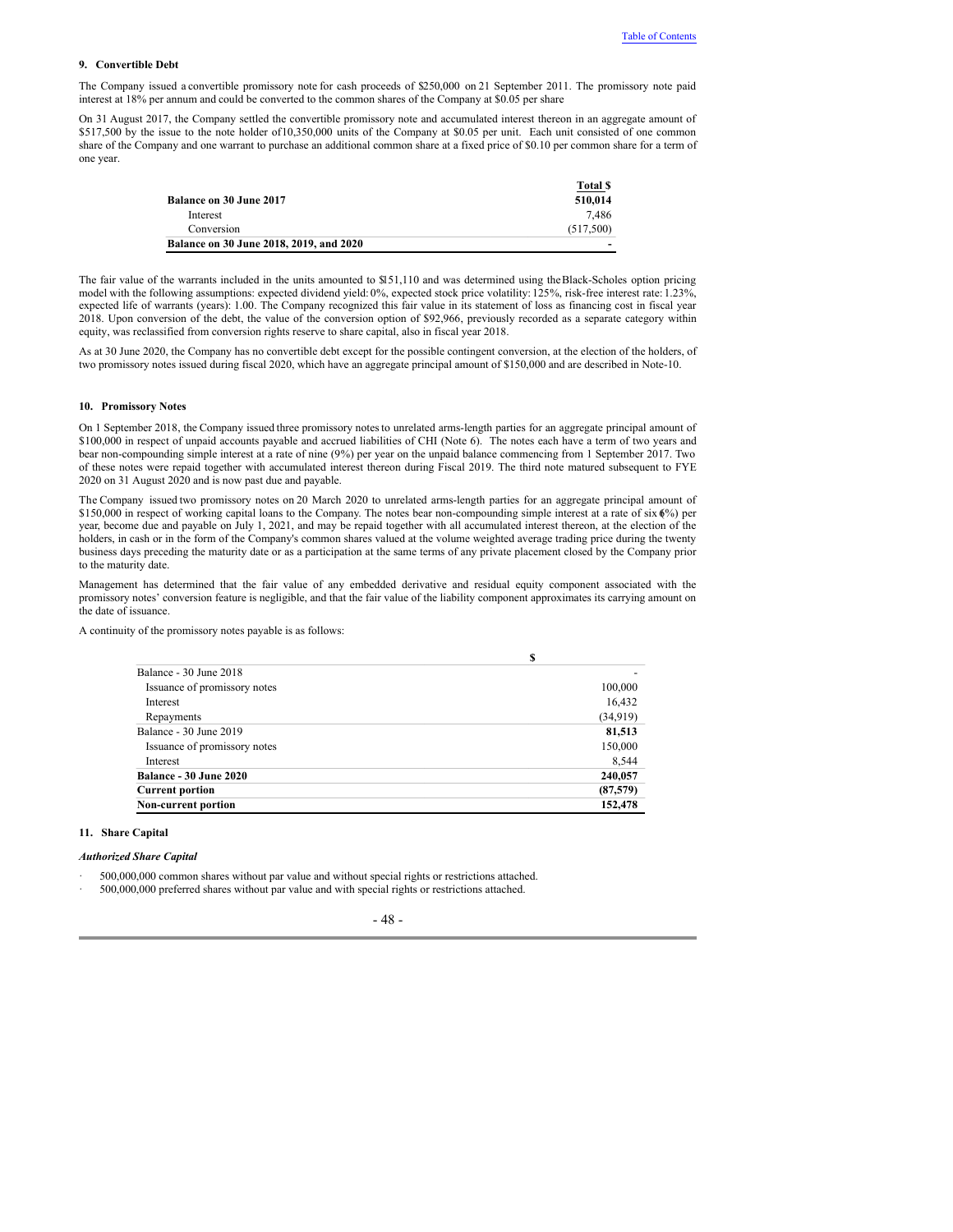#### **9. Convertible Debt**

The Company issued a convertible promissory note for cash proceeds of \$250,000 on 21 September 2011. The promissory note paid interest at 18% per annum and could be converted to the common shares of the Company at \$0.05 per share.

On 31 August 2017, the Company settled the convertible promissory note and accumulated interest thereon in an aggregate amount of \$517,500 by the issue to the note holder of10,350,000 units of the Company at \$0.05 per unit. Each unit consisted of one common share of the Company and one warrant to purchase an additional common share at a fixed price of \$0.10 per common share for a term of one year.

|                                         | <b>Total S</b> |
|-----------------------------------------|----------------|
| <b>Balance on 30 June 2017</b>          | 510.014        |
| Interest                                | 7.486          |
| Conversion                              | (517,500)      |
| Balance on 30 June 2018, 2019, and 2020 | -              |

The fair value of the warrants included in the units amounted to \$151,110 and was determined using theBlack-Scholes option pricing model with the following assumptions: expected dividend yield: 0%, expected stock price volatility: 125%, risk-free interest rate: 1.23%, expected life of warrants (years): 1.00. The Company recognized this fair value in its statement of loss as financing cost in fiscal year 2018. Upon conversion of the debt, the value of the conversion option of \$92,966, previously recorded as a separate category within equity, was reclassified from conversion rights reserve to share capital, also in fiscal year 2018.

As at 30 June 2020, the Company has no convertible debt except for the possible contingent conversion, at the election of the holders, of two promissory notes issued during fiscal 2020, which have an aggregate principal amount of \$150,000 and are described in Note-10.

#### **10. Promissory Notes**

On 1 September 2018, the Company issued three promissory notesto unrelated arms-length parties for an aggregate principal amount of \$100,000 in respect of unpaid accounts payable and accrued liabilities of CHI (Note 6). The notes each have a term of two years and bear non-compounding simple interest at a rate of nine (9%) per year on the unpaid balance commencing from 1 September 2017. Two of these notes were repaid together with accumulated interest thereon during Fiscal 2019. The third note matured subsequent to FYE 2020 on 31 August 2020 and is now past due and payable.

The Company issued two promissory notes on 20 March 2020 to unrelated arms-length parties for an aggregate principal amount of \$150,000 in respect of working capital loans to the Company. The notes bear non-compounding simple interest at a rate of six (%) per year, become due and payable on July 1, 2021, and may be repaid together with all accumulated interest thereon, at the election of the holders, in cash or in the form of the Company's common shares valued at the volume weighted average trading price during the twenty business days preceding the maturity date or as a participation at the same terms of any private placement closed by the Company prior to the maturity date.

Management has determined that the fair value of any embedded derivative and residual equity component associated with the promissory notes' conversion feature is negligible, and that the fair value of the liability component approximates its carrying amount on the date of issuance.

A continuity of the promissory notes payable is as follows:

|                              | \$       |
|------------------------------|----------|
| Balance - 30 June 2018       |          |
| Issuance of promissory notes | 100,000  |
| Interest                     | 16,432   |
| Repayments                   | (34,919) |
| Balance - 30 June 2019       | 81,513   |
| Issuance of promissory notes | 150,000  |
| Interest                     | 8,544    |
| Balance - 30 June 2020       | 240,057  |
| <b>Current portion</b>       | (87,579) |
| <b>Non-current portion</b>   | 152,478  |
|                              |          |

#### **11. Share Capital**

·

#### *Authorized Share Capital*

500,000,000 common shares without par value and without special rights or restrictions attached. ·

500,000,000 preferred shares without par value and with special rights or restrictions attached.

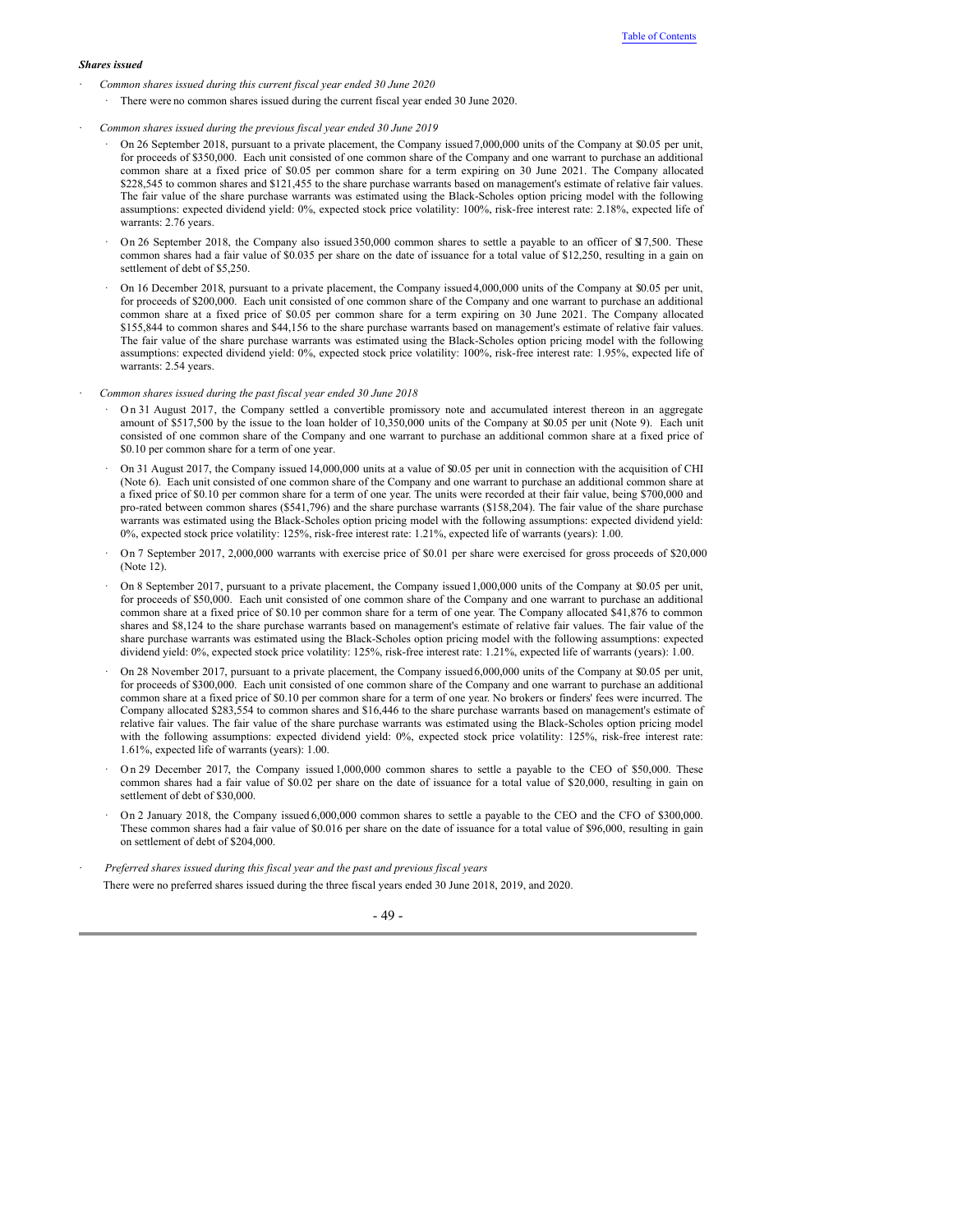#### *Shares issued*

*·*

*·*

*·*

*·*

- *Common shares issued during this current fiscal year ended 30 June 2020*
	- There were no common shares issued during the current fiscal year ended 30 June 2020. ·
- *Common shares issued during the previous fiscal year ended 30 June 2019*
	- On 26 September 2018, pursuant to a private placement, the Company issued 7,000,000 units of the Company at \$0.05 per unit, for proceeds of \$350,000. Each unit consisted of one common share of the Company and one warrant to purchase an additional common share at a fixed price of \$0.05 per common share for a term expiring on 30 June 2021. The Company allocated \$228,545 to common shares and \$121,455 to the share purchase warrants based on management's estimate of relative fair values. The fair value of the share purchase warrants was estimated using the Black-Scholes option pricing model with the following assumptions: expected dividend yield: 0%, expected stock price volatility: 100%, risk-free interest rate: 2.18%, expected life of warrants: 2.76 years. ·
	- On 26 September 2018, the Company also issued 350,000 common shares to settle a payable to an officer of \$17,500. These common shares had a fair value of \$0.035 per share on the date of issuance for a total value of \$12,250, resulting in a gain on settlement of debt of \$5,250. ·
	- On 16 December 2018, pursuant to a private placement, the Company issued4,000,000 units of the Company at \$0.05 per unit, for proceeds of \$200,000. Each unit consisted of one common share of the Company and one warrant to purchase an additional common share at a fixed price of \$0.05 per common share for a term expiring on 30 June 2021. The Company allocated \$155,844 to common shares and \$44,156 to the share purchase warrants based on management's estimate of relative fair values. The fair value of the share purchase warrants was estimated using the Black-Scholes option pricing model with the following assumptions: expected dividend yield: 0%, expected stock price volatility: 100%, risk-free interest rate: 1.95%, expected life of warrants: 2.54 years. ·
- *Common shares issued during the past fiscal year ended 30 June 2018*
	- O n 31 August 2017, the Company settled a convertible promissory note and accumulated interest thereon in an aggregate amount of \$517,500 by the issue to the loan holder of 10,350,000 units of the Company at \$0.05 per unit (Note 9). Each unit consisted of one common share of the Company and one warrant to purchase an additional common share at a fixed price of \$0.10 per common share for a term of one year. ·
	- On 31 August 2017, the Company issued 14,000,000 units at a value of \$0.05 per unit in connection with the acquisition of CHI (Note 6). Each unit consisted of one common share of the Company and one warrant to purchase an additional common share at a fixed price of \$0.10 per common share for a term of one year. The units were recorded at their fair value, being \$700,000 and pro-rated between common shares (\$541,796) and the share purchase warrants (\$158,204). The fair value of the share purchase warrants was estimated using the Black-Scholes option pricing model with the following assumptions: expected dividend yield: 0%, expected stock price volatility: 125%, risk-free interest rate: 1.21%, expected life of warrants (years): 1.00. ·
	- On 7 September 2017, 2,000,000 warrants with exercise price of \$0.01 per share were exercised for gross proceeds of \$20,000 (Note 12). ·
	- On 8 September 2017, pursuant to a private placement, the Company issued1,000,000 units of the Company at \$0.05 per unit, for proceeds of \$50,000. Each unit consisted of one common share of the Company and one warrant to purchase an additional common share at a fixed price of \$0.10 per common share for a term of one year. The Company allocated \$41,876 to common shares and \$8,124 to the share purchase warrants based on management's estimate of relative fair values. The fair value of the share purchase warrants was estimated using the Black-Scholes option pricing model with the following assumptions: expected dividend yield: 0%, expected stock price volatility: 125%, risk-free interest rate: 1.21%, expected life of warrants (years): 1.00. ·
	- On 28 November 2017, pursuant to a private placement, the Company issued6,000,000 units of the Company at \$0.05 per unit, for proceeds of \$300,000. Each unit consisted of one common share of the Company and one warrant to purchase an additional common share at a fixed price of \$0.10 per common share for a term of one year. No brokers or finders' fees were incurred. The Company allocated \$283,554 to common shares and \$16,446 to the share purchase warrants based on management's estimate of relative fair values. The fair value of the share purchase warrants was estimated using the Black-Scholes option pricing model with the following assumptions: expected dividend yield: 0%, expected stock price volatility: 125%, risk-free interest rate: 1.61%, expected life of warrants (years): 1.00. ·
	- O n 29 December 2017, the Company issued 1,000,000 common shares to settle a payable to the CEO of \$50,000. These common shares had a fair value of \$0.02 per share on the date of issuance for a total value of \$20,000, resulting in gain on settlement of debt of \$30,000. ·
	- On 2 January 2018, the Company issued 6,000,000 common shares to settle a payable to the CEO and the CFO of \$300,000. These common shares had a fair value of \$0.016 per share on the date of issuance for a total value of \$96,000, resulting in gain on settlement of debt of \$204,000. ·
- *Preferred shares issued during this fiscal year and the past and previous fiscal years* There were no preferred shares issued during the three fiscal years ended 30 June 2018, 2019, and 2020.

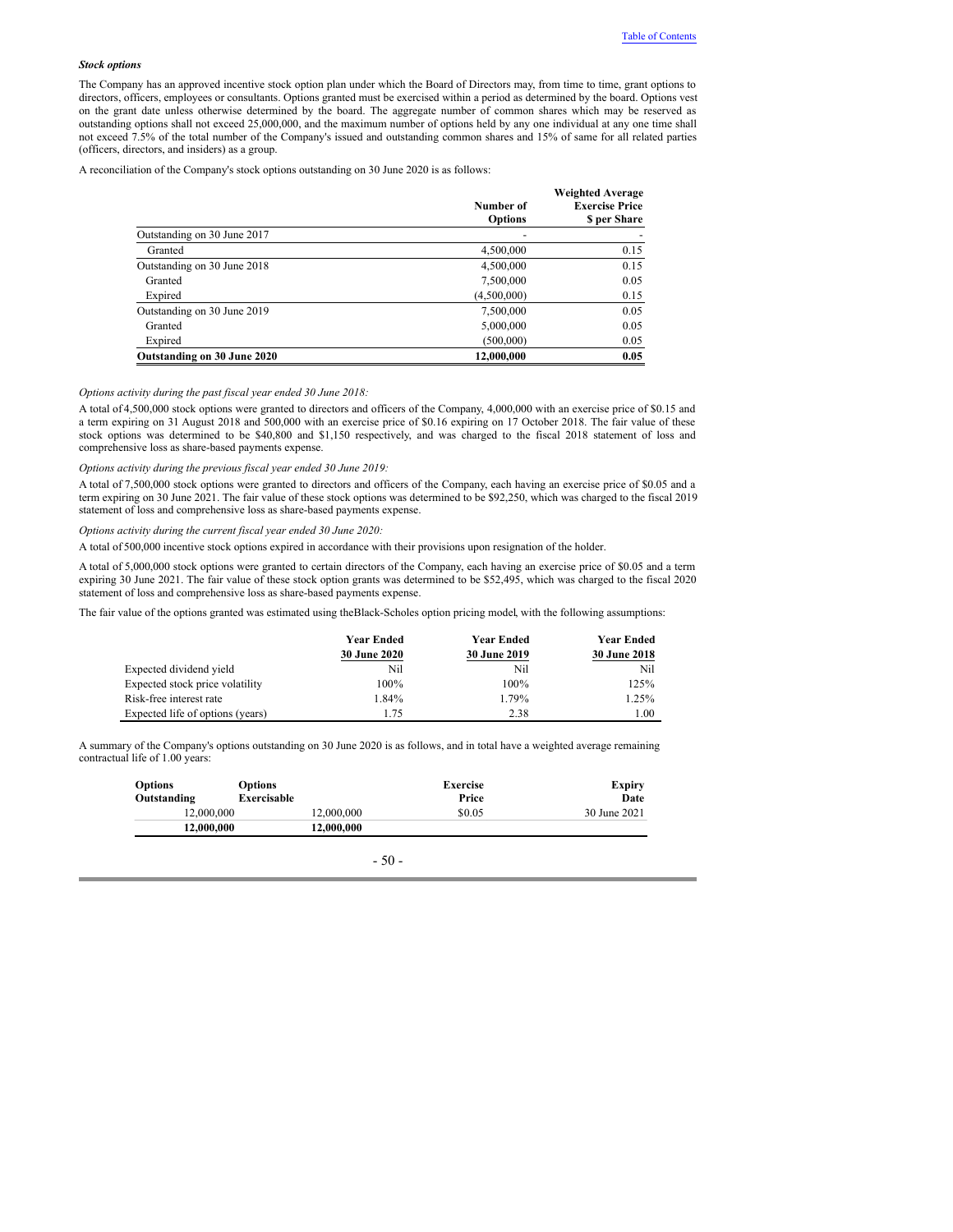#### *Stock options*

The Company has an approved incentive stock option plan under which the Board of Directors may, from time to time, grant options to directors, officers, employees or consultants. Options granted must be exercised within a period as determined by the board. Options vest on the grant date unless otherwise determined by the board. The aggregate number of common shares which may be reserved as outstanding options shall not exceed 25,000,000, and the maximum number of options held by any one individual at any one time shall not exceed 7.5% of the total number of the Company's issued and outstanding common shares and 15% of same for all related parties (officers, directors, and insiders) as a group.

A reconciliation of the Company's stock options outstanding on 30 June 2020 is as follows:

|                             | Number of<br><b>Options</b> | <b>Weighted Average</b><br><b>Exercise Price</b><br>\$ per Share |
|-----------------------------|-----------------------------|------------------------------------------------------------------|
| Outstanding on 30 June 2017 |                             |                                                                  |
| Granted                     | 4,500,000                   | 0.15                                                             |
| Outstanding on 30 June 2018 | 4,500,000                   | 0.15                                                             |
| Granted                     | 7,500,000                   | 0.05                                                             |
| Expired                     | (4,500,000)                 | 0.15                                                             |
| Outstanding on 30 June 2019 | 7,500,000                   | 0.05                                                             |
| Granted                     | 5,000,000                   | 0.05                                                             |
| Expired                     | (500,000)                   | 0.05                                                             |
| Outstanding on 30 June 2020 | 12,000,000                  | 0.05                                                             |

### *Options activity during the past fiscal year ended 30 June 2018:*

A total of 4,500,000 stock options were granted to directors and officers of the Company, 4,000,000 with an exercise price of \$0.15 and a term expiring on 31 August 2018 and 500,000 with an exercise price of \$0.16 expiring on 17 October 2018. The fair value of these stock options was determined to be \$40,800 and \$1,150 respectively, and was charged to the fiscal 2018 statement of loss and comprehensive loss as share-based payments expense.

#### *Options activity during the previous fiscal year ended 30 June 2019:*

A total of 7,500,000 stock options were granted to directors and officers of the Company, each having an exercise price of \$0.05 and a term expiring on 30 June 2021. The fair value of these stock options was determined to be \$92,250, which was charged to the fiscal 2019 statement of loss and comprehensive loss as share-based payments expense.

#### *Options activity during the current fiscal year ended 30 June 2020:*

A total of 500,000 incentive stock options expired in accordance with their provisions upon resignation of the holder.

A total of 5,000,000 stock options were granted to certain directors of the Company, each having an exercise price of \$0.05 and a term expiring 30 June 2021. The fair value of these stock option grants was determined to be \$52,495, which was charged to the fiscal 2020 statement of loss and comprehensive loss as share-based payments expense.

The fair value of the options granted was estimated using theBlack-Scholes option pricing model, with the following assumptions:

|                                  | <b>Year Ended</b>   | Year Ended          | <b>Year Ended</b>   |
|----------------------------------|---------------------|---------------------|---------------------|
|                                  | <b>30 June 2020</b> | <b>30 June 2019</b> | <b>30 June 2018</b> |
| Expected dividend yield          | Nil                 | Nil                 | Nil                 |
| Expected stock price volatility  | 100%                | 100%                | 125%                |
| Risk-free interest rate          | 1.84%               | 1.79%               | 1.25%               |
| Expected life of options (years) | 1.75                | 2.38                | 1.00                |

A summary of the Company's options outstanding on 30 June 2020 is as follows, and in total have a weighted average remaining contractual life of 1.00 years:

| <b>Options</b><br>Outstanding | Options<br>Exercisable |            | Exercise<br>Price | <b>Expiry</b><br>Date |
|-------------------------------|------------------------|------------|-------------------|-----------------------|
| 12,000,000                    |                        | 12.000.000 | \$0.05            | 30 June 2021          |
| 12,000,000                    |                        | 12.000.000 |                   |                       |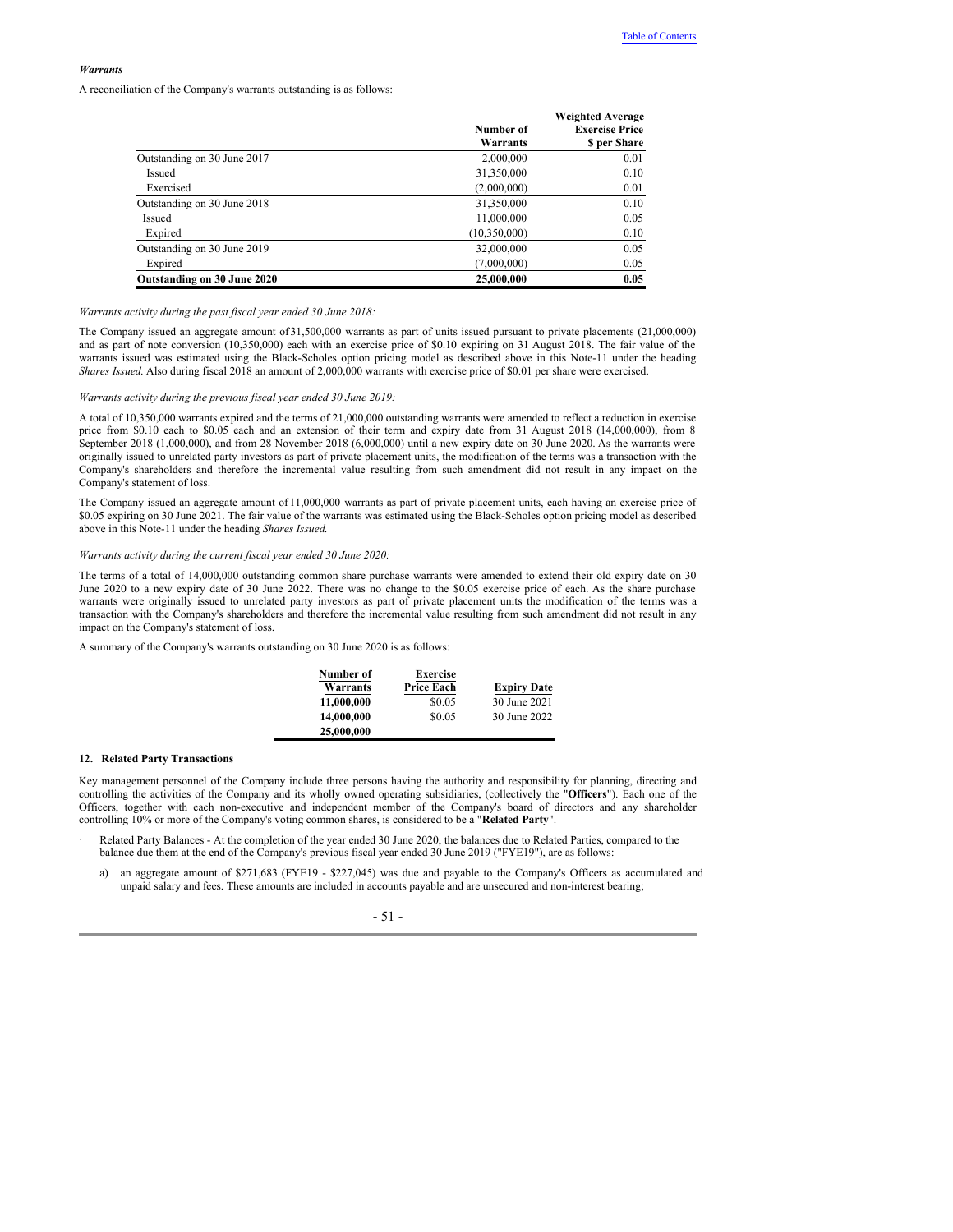#### *Warrants*

A reconciliation of the Company's warrants outstanding is as follows:

|                             | Number of<br>Warrants | <b>Weighted Average</b><br><b>Exercise Price</b><br>\$ per Share |
|-----------------------------|-----------------------|------------------------------------------------------------------|
| Outstanding on 30 June 2017 | 2,000,000             | 0.01                                                             |
| Issued                      | 31,350,000            | 0.10                                                             |
| Exercised                   | (2,000,000)           | 0.01                                                             |
| Outstanding on 30 June 2018 | 31,350,000            | 0.10                                                             |
| Issued                      | 11,000,000            | 0.05                                                             |
| Expired                     | (10,350,000)          | 0.10                                                             |
| Outstanding on 30 June 2019 | 32,000,000            | 0.05                                                             |
| Expired                     | (7,000,000)           | 0.05                                                             |
| Outstanding on 30 June 2020 | 25,000,000            | 0.05                                                             |

#### *Warrants activity during the past fiscal year ended 30 June 2018:*

The Company issued an aggregate amount of 31,500,000 warrants as part of units issued pursuant to private placements (21,000,000) and as part of note conversion (10,350,000) each with an exercise price of \$0.10 expiring on 31 August 2018. The fair value of the warrants issued was estimated using the Black-Scholes option pricing model as described above in this Note-11 under the heading *Shares Issued*. Also during fiscal 2018 an amount of 2,000,000 warrants with exercise price of \$0.01 per share were exercised.

#### *Warrants activity during the previous fiscal year ended 30 June 2019:*

A total of 10,350,000 warrants expired and the terms of 21,000,000 outstanding warrants were amended to reflect a reduction in exercise price from \$0.10 each to \$0.05 each and an extension of their term and expiry date from 31 August 2018 (14,000,000), from 8 September 2018 (1,000,000), and from 28 November 2018 (6,000,000) until a new expiry date on 30 June 2020. As the warrants were originally issued to unrelated party investors as part of private placement units, the modification of the terms was a transaction with the Company's shareholders and therefore the incremental value resulting from such amendment did not result in any impact on the Company's statement of loss.

The Company issued an aggregate amount of 11,000,000 warrants as part of private placement units, each having an exercise price of \$0.05 expiring on 30 June 2021. The fair value of the warrants was estimated using the Black-Scholes option pricing model as described above in this Note-11 under the heading *Shares Issued*.

#### *Warrants activity during the current fiscal year ended 30 June 2020:*

The terms of a total of 14,000,000 outstanding common share purchase warrants were amended to extend their old expiry date on 30 June 2020 to a new expiry date of 30 June 2022. There was no change to the \$0.05 exercise price of each. As the share purchase warrants were originally issued to unrelated party investors as part of private placement units the modification of the terms was a transaction with the Company's shareholders and therefore the incremental value resulting from such amendment did not result in any impact on the Company's statement of loss.

A summary of the Company's warrants outstanding on 30 June 2020 is as follows:

| Number of  | <b>Exercise</b>   |                    |
|------------|-------------------|--------------------|
| Warrants   | <b>Price Each</b> | <b>Expiry Date</b> |
| 11,000,000 | \$0.05            | 30 June 2021       |
| 14,000,000 | \$0.05            | 30 June 2022       |
| 25,000,000 |                   |                    |

#### **12. Related Party Transactions**

Key management personnel of the Company include three persons having the authority and responsibility for planning, directing and controlling the activities of the Company and its wholly owned operating subsidiaries, (collectively the "**Officers**"). Each one of the Officers, together with each non-executive and independent member of the Company's board of directors and any shareholder controlling 10% or more of the Company's voting common shares, is considered to be a "**Related Party**".

- Related Party Balances At the completion of the year ended 30 June 2020, the balances due to Related Parties, compared to the balance due them at the end of the Company's previous fiscal year ended 30 June 2019 ("FYE19"), are as follows: ·
	- a) an aggregate amount of \$271,683 (FYE19 \$227,045) was due and payable to the Company's Officers as accumulated and unpaid salary and fees. These amounts are included in accounts payable and are unsecured and non-interest bearing;

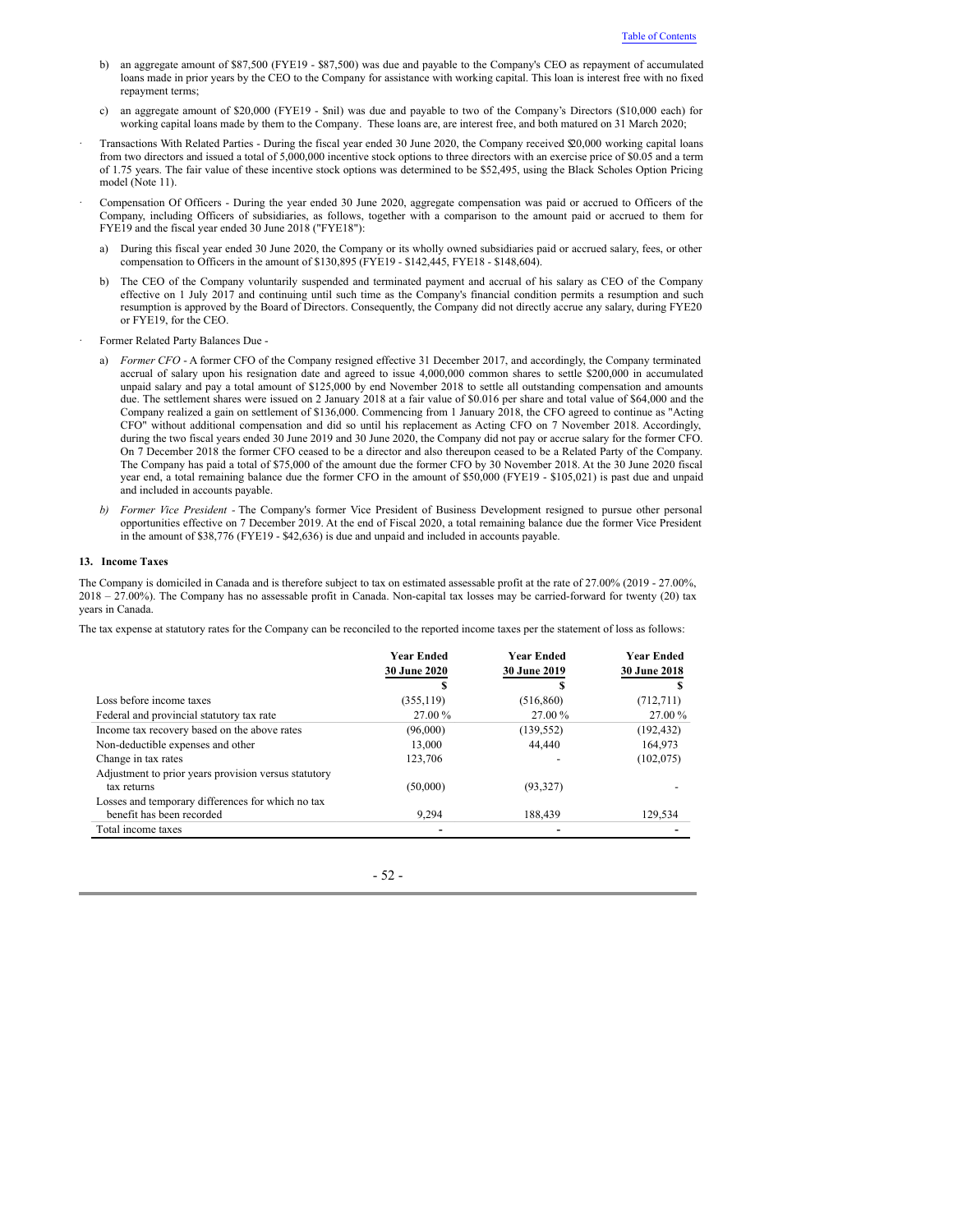- an aggregate amount of \$87,500 (FYE19 \$87,500) was due and payable to the Company's CEO as repayment of accumulated loans made in prior years by the CEO to the Company for assistance with working capital. This loan is interest free with no fixed repayment terms; b)
- c) an aggregate amount of \$20,000 (FYE19 \$nil) was due and payable to two of the Company's Directors (\$10,000 each) for working capital loans made by them to the Company. These loans are, are interest free, and both matured on 31 March 2020;
- Transactions With Related Parties During the fiscal year ended 30 June 2020, the Company received \$20,000 working capital loans from two directors and issued a total of 5,000,000 incentive stock options to three directors with an exercise price of \$0.05 and a term of 1.75 years. The fair value of these incentive stock options was determined to be \$52,495, using the Black Scholes Option Pricing model (Note 11).
- Compensation Of Officers During the year ended 30 June 2020, aggregate compensation was paid or accrued to Officers of the Company, including Officers of subsidiaries, as follows, together with a comparison to the amount paid or accrued to them for FYE19 and the fiscal year ended 30 June 2018 ("FYE18"):
- a) During this fiscal year ended 30 June 2020, the Company or its wholly owned subsidiaries paid or accrued salary, fees, or other compensation to Officers in the amount of \$130,895 (FYE19 - \$142,445, FYE18 - \$148,604).
- b) The CEO of the Company voluntarily suspended and terminated payment and accrual of his salary as CEO of the Company effective on 1 July 2017 and continuing until such time as the Company's financial condition permits a resumption and such resumption is approved by the Board of Directors. Consequently, the Company did not directly accrue any salary, during FYE20 or FYE19, for the CEO.
- Former Related Party Balances Due ·
	- a) Former CFO A former CFO of the Company resigned effective 31 December 2017, and accordingly, the Company terminated accrual of salary upon his resignation date and agreed to issue 4,000,000 common shares to settle \$200,000 in accumulated unpaid salary and pay a total amount of \$125,000 by end November 2018 to settle all outstanding compensation and amounts due. The settlement shares were issued on 2 January 2018 at a fair value of \$0.016 per share and total value of \$64,000 and the Company realized a gain on settlement of \$136,000. Commencing from 1 January 2018, the CFO agreed to continue as "Acting CFO" without additional compensation and did so until his replacement as Acting CFO on 7 November 2018. Accordingly, during the two fiscal years ended 30 June 2019 and 30 June 2020, the Company did not pay or accrue salary for the former CFO. On 7 December 2018 the former CFO ceased to be a director and also thereupon ceased to be a Related Party of the Company. The Company has paid a total of \$75,000 of the amount due the former CFO by 30 November 2018. At the 30 June 2020 fiscal year end, a total remaining balance due the former CFO in the amount of \$50,000 (FYE19 - \$105,021) is past due and unpaid and included in accounts payable.
	- *Former Vice President -* The Company's former Vice President of Business Development resigned to pursue other personal opportunities effective on 7 December 2019. At the end of Fiscal 2020, a total remaining balance due the former Vice President in the amount of \$38,776 (FYE19 - \$42,636) is due and unpaid and included in accounts payable. *b)*

#### **13. Income Taxes**

·

·

The Company is domiciled in Canada and is therefore subject to tax on estimated assessable profit at the rate of 27.00% (2019 - 27.00%,  $2018 - 27.00\%$ ). The Company has no assessable profit in Canada. Non-capital tax losses may be carried-forward for twenty (20) tax years in Canada.

The tax expense at statutory rates for the Company can be reconciled to the reported income taxes per the statement of loss as follows:

|                                                      | <b>Year Ended</b>   | <b>Year Ended</b>   | <b>Year Ended</b>   |
|------------------------------------------------------|---------------------|---------------------|---------------------|
|                                                      | <b>30 June 2020</b> | <b>30 June 2019</b> | <b>30 June 2018</b> |
|                                                      |                     |                     |                     |
| Loss before income taxes                             | (355, 119)          | (516, 860)          | (712, 711)          |
| Federal and provincial statutory tax rate            | 27.00 %             | 27.00 %             | 27.00 %             |
| Income tax recovery based on the above rates         | (96,000)            | (139, 552)          | (192, 432)          |
| Non-deductible expenses and other                    | 13,000              | 44.440              | 164,973             |
| Change in tax rates                                  | 123,706             |                     | (102,075)           |
| Adjustment to prior years provision versus statutory |                     |                     |                     |
| tax returns                                          | (50,000)            | (93,327)            |                     |
| Losses and temporary differences for which no tax    |                     |                     |                     |
| benefit has been recorded                            | 9.294               | 188.439             | 129.534             |
| Total income taxes                                   |                     |                     |                     |

- 52 -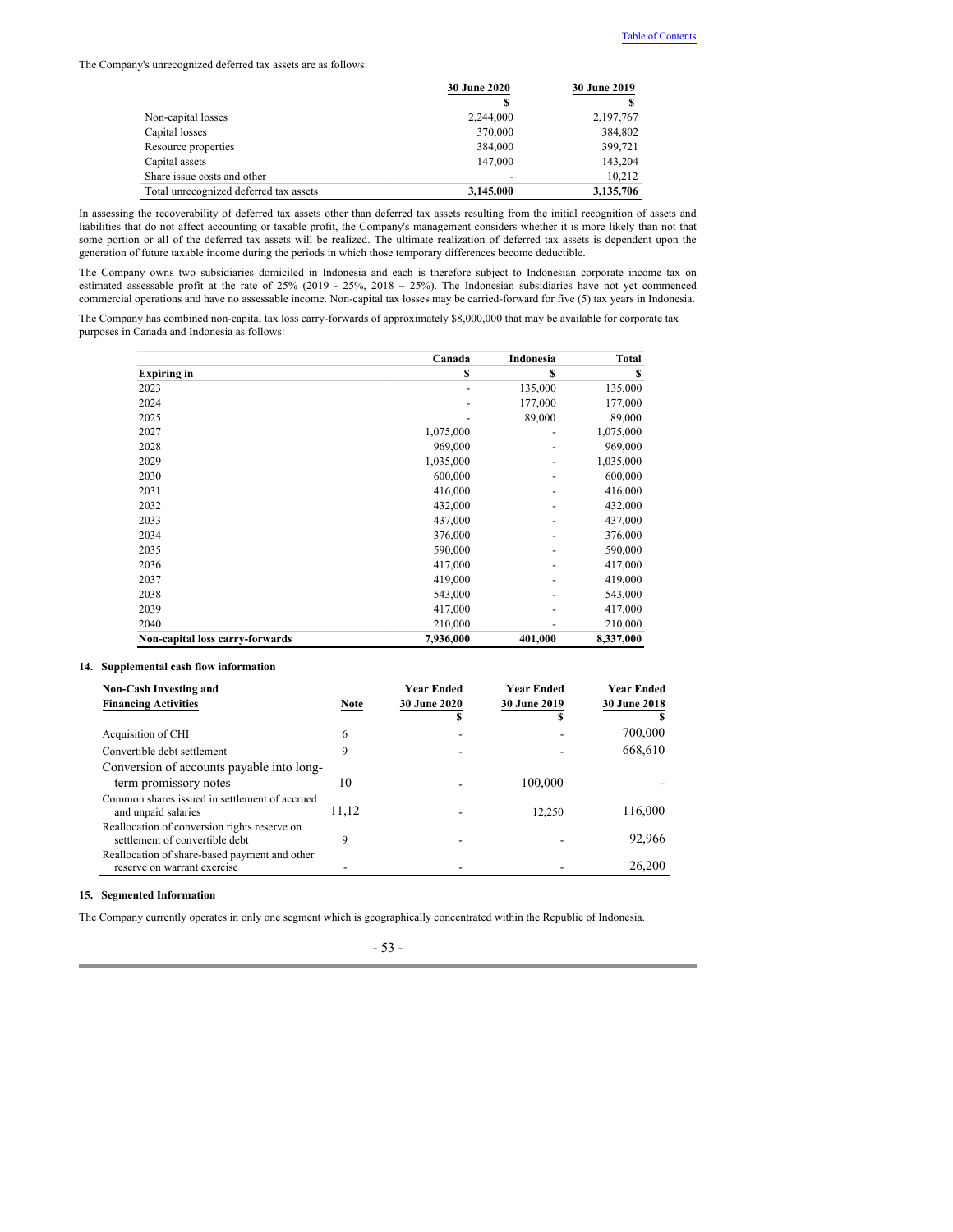The Company's unrecognized deferred tax assets are as follows:

|                                        | <b>30 June 2020</b> | <b>30 June 2019</b> |
|----------------------------------------|---------------------|---------------------|
|                                        |                     | S                   |
| Non-capital losses                     | 2,244,000           | 2,197,767           |
| Capital losses                         | 370,000             | 384,802             |
| Resource properties                    | 384,000             | 399.721             |
| Capital assets                         | 147,000             | 143,204             |
| Share issue costs and other            | -                   | 10,212              |
| Total unrecognized deferred tax assets | 3.145.000           | 3,135,706           |

In assessing the recoverability of deferred tax assets other than deferred tax assets resulting from the initial recognition of assets and liabilities that do not affect accounting or taxable profit, the Company's management considers whether it is more likely than not that some portion or all of the deferred tax assets will be realized. The ultimate realization of deferred tax assets is dependent upon the generation of future taxable income during the periods in which those temporary differences become deductible.

The Company owns two subsidiaries domiciled in Indonesia and each is therefore subject to Indonesian corporate income tax on estimated assessable profit at the rate of 25% (2019 - 25%, 2018 – 25%). The Indonesian subsidiaries have not yet commenced commercial operations and have no assessable income. Non-capital tax losses may be carried-forward for five (5) tax years in Indonesia.

The Company has combined non-capital tax loss carry-forwards of approximately \$8,000,000 that may be available for corporate tax purposes in Canada and Indonesia as follows:

|                                 | Canada    | Indonesia | Total     |
|---------------------------------|-----------|-----------|-----------|
| <b>Expiring in</b>              | \$        | \$        | \$        |
| 2023                            |           | 135,000   | 135,000   |
| 2024                            |           | 177,000   | 177,000   |
| 2025                            |           | 89,000    | 89,000    |
| 2027                            | 1,075,000 | -         | 1,075,000 |
| 2028                            | 969,000   | -         | 969,000   |
| 2029                            | 1,035,000 | -         | 1,035,000 |
| 2030                            | 600,000   | -         | 600,000   |
| 2031                            | 416,000   | -         | 416,000   |
| 2032                            | 432,000   |           | 432,000   |
| 2033                            | 437,000   | -         | 437,000   |
| 2034                            | 376,000   | -         | 376,000   |
| 2035                            | 590,000   |           | 590,000   |
| 2036                            | 417,000   | ٠         | 417,000   |
| 2037                            | 419,000   | -         | 419,000   |
| 2038                            | 543,000   | -         | 543,000   |
| 2039                            | 417,000   |           | 417,000   |
| 2040                            | 210,000   |           | 210,000   |
| Non-capital loss carry-forwards | 7,936,000 | 401,000   | 8,337,000 |

### **14. Supplemental cash flow information**

| Non-Cash Investing and                                                         |             | <b>Year Ended</b>   | <b>Year Ended</b>   | <b>Year Ended</b>   |
|--------------------------------------------------------------------------------|-------------|---------------------|---------------------|---------------------|
| <b>Financing Activities</b>                                                    | <b>Note</b> | <b>30 June 2020</b> | <b>30 June 2019</b> | <b>30 June 2018</b> |
|                                                                                |             |                     |                     |                     |
| Acquisition of CHI                                                             | 6           |                     |                     | 700,000             |
| Convertible debt settlement                                                    | 9           |                     |                     | 668,610             |
| Conversion of accounts payable into long-                                      |             |                     |                     |                     |
| term promissory notes                                                          | 10          |                     | 100,000             |                     |
| Common shares issued in settlement of accrued<br>and unpaid salaries           | 11,12       |                     | 12.250              | 116,000             |
| Reallocation of conversion rights reserve on<br>settlement of convertible debt | 9           |                     |                     | 92,966              |
| Reallocation of share-based payment and other<br>reserve on warrant exercise   |             |                     |                     | 26,200              |

### **15. Segmented Information**

The Company currently operates in only one segment which is geographically concentrated within the Republic of Indonesia.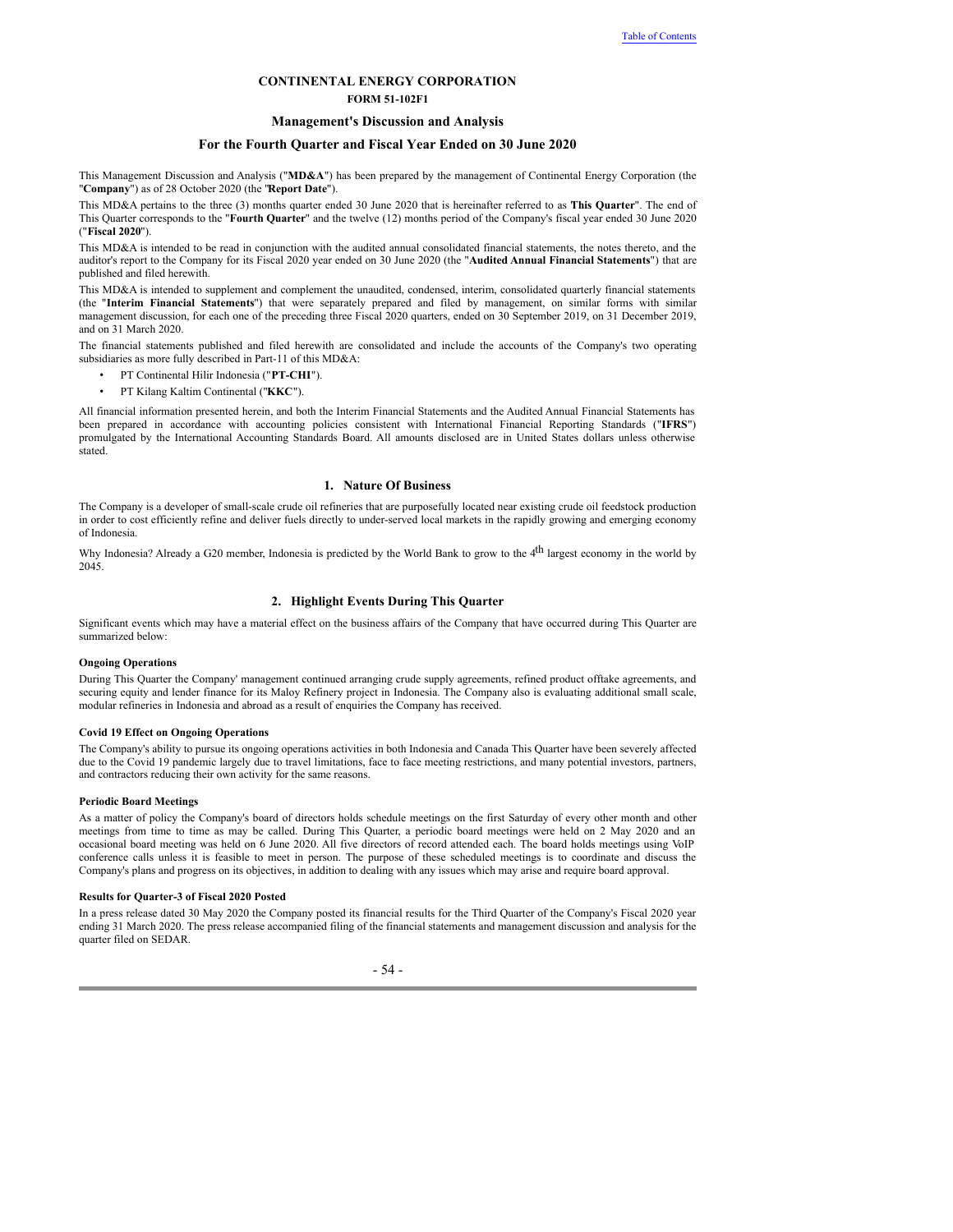### **CONTINENTAL ENERGY CORPORATION FORM 51-102F1**

#### **Management's Discussion and Analysis**

### **For the Fourth Quarter and Fiscal Year Ended on 30 June 2020**

This Management Discussion and Analysis ("**MD&A**") has been prepared by the management of Continental Energy Corporation (the "**Company**") as of 28 October 2020 (the "**Report Date**").

This MD&A pertains to the three (3) months quarter ended 30 June 2020 that is hereinafter referred to as "**This Quarter**". The end of This Quarter corresponds to the "**Fourth Quarter**" and the twelve (12) months period of the Company's fiscal year ended 30 June 2020 ("**Fiscal 2020**").

This MD&A is intended to be read in conjunction with the audited annual consolidated financial statements, the notes thereto, and the auditor's report to the Company for its Fiscal 2020 year ended on 30 June 2020 (the "**Audited Annual Financial Statements**") that are published and filed herewith.

This MD&A is intended to supplement and complement the unaudited, condensed, interim, consolidated quarterly financial statements (the "**Interim Financial Statements**") that were separately prepared and filed by management, on similar forms with similar management discussion, for each one of the preceding three Fiscal 2020 quarters, ended on 30 September 2019, on 31 December 2019, and on 31 March 2020.

The financial statements published and filed herewith are consolidated and include the accounts of the Company's two operating subsidiaries as more fully described in Part-11 of this MD&A:

- PT Continental Hilir Indonesia ("**PT-CHI**"). •
- PT Kilang Kaltim Continental ("**KKC**"). •

All financial information presented herein, and both the Interim Financial Statements and the Audited Annual Financial Statements has been prepared in accordance with accounting policies consistent with International Financial Reporting Standards ("**IFRS**") promulgated by the International Accounting Standards Board. All amounts disclosed are in United States dollars unless otherwise stated.

### **1. Nature Of Business**

The Company is a developer of small-scale crude oil refineries that are purposefully located near existing crude oil feedstock production in order to cost efficiently refine and deliver fuels directly to under-served local markets in the rapidly growing and emerging economy of Indonesia.

Why Indonesia? Already a G20 member, Indonesia is predicted by the World Bank to grow to the  $4<sup>th</sup>$  largest economy in the world by 2045.

#### **2. Highlight Events During This Quarter**

Significant events which may have a material effect on the business affairs of the Company that have occurred during This Quarter are summarized below:

#### **Ongoing Operations**

During This Quarter the Company' management continued arranging crude supply agreements, refined product offtake agreements, and securing equity and lender finance for its Maloy Refinery project in Indonesia. The Company also is evaluating additional small scale, modular refineries in Indonesia and abroad as a result of enquiries the Company has received.

#### **Covid 19 Effect on Ongoing Operations**

The Company's ability to pursue its ongoing operations activities in both Indonesia and Canada This Quarter have been severely affected due to the Covid 19 pandemic largely due to travel limitations, face to face meeting restrictions, and many potential investors, partners, and contractors reducing their own activity for the same reasons.

#### **Periodic Board Meetings**

As a matter of policy the Company's board of directors holds schedule meetings on the first Saturday of every other month and other meetings from time to time as may be called. During This Quarter, a periodic board meetings were held on 2 May 2020 and an occasional board meeting was held on 6 June 2020. All five directors of record attended each. The board holds meetings using VoIP conference calls unless it is feasible to meet in person. The purpose of these scheduled meetings is to coordinate and discuss the Company's plans and progress on its objectives, in addition to dealing with any issues which may arise and require board approval.

#### **Results for Quarter-3 of Fiscal 2020 Posted**

In a press release dated 30 May 2020 the Company posted its financial results for the Third Quarter of the Company's Fiscal 2020 year ending 31 March 2020. The press release accompanied filing of the financial statements and management discussion and analysis for the quarter filed on SEDAR.

- 54 -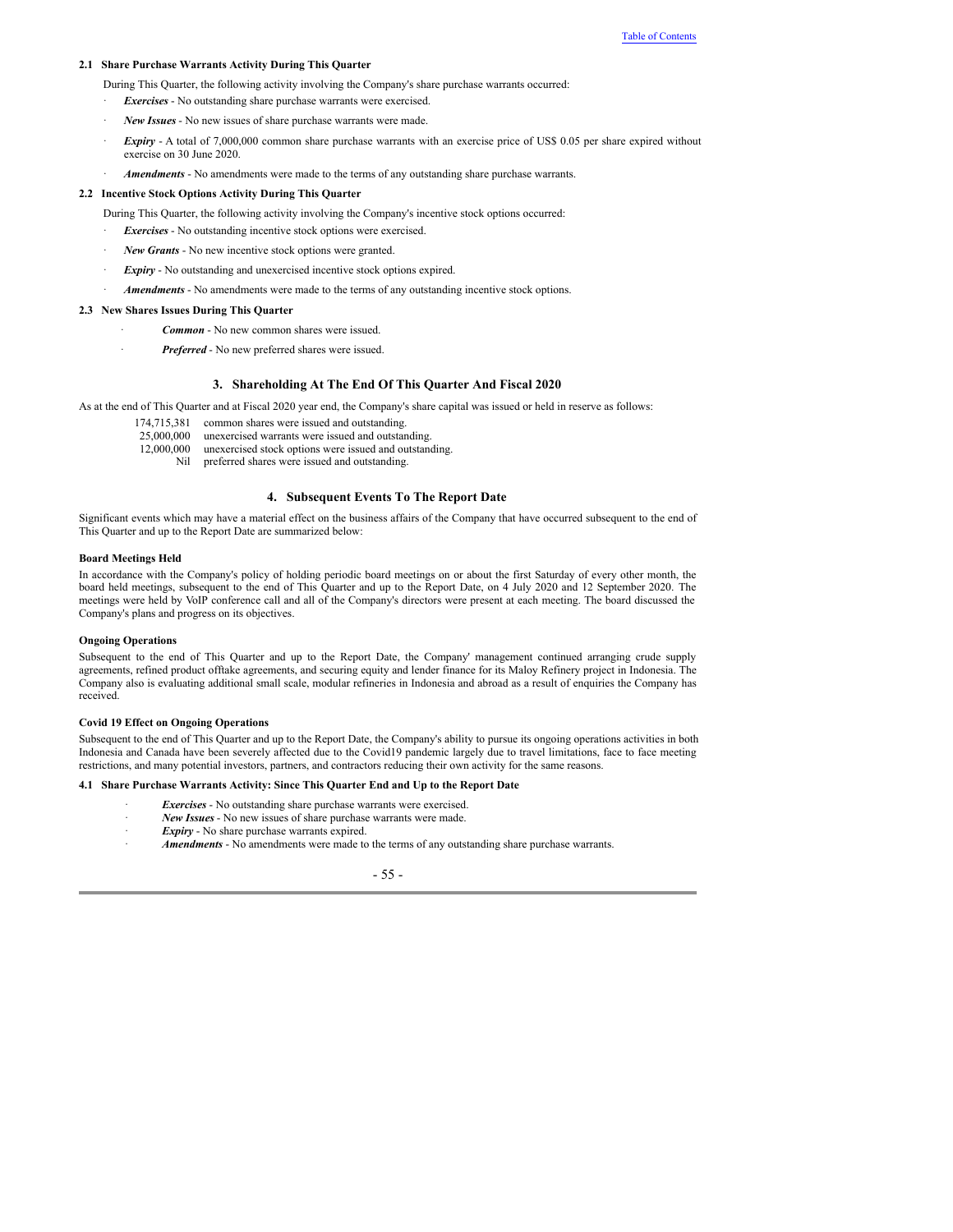#### **2.1 Share Purchase Warrants Activity During This Quarter**

During This Quarter, the following activity involving the Company's share purchase warrants occurred:

- *Exercises* No outstanding share purchase warrants were exercised. ·
- *New Issues* No new issues of share purchase warrants were made. ·
- *Expiry* A total of 7,000,000 common share purchase warrants with an exercise price of US\$ 0.05 per share expired without exercise on 30 June 2020. ·
- *Amendments* No amendments were made to the terms of any outstanding share purchase warrants. ·

### **2.2 Incentive Stock Options Activity During This Quarter**

During This Quarter, the following activity involving the Company's incentive stock options occurred:

- *Exercises* No outstanding incentive stock options were exercised. ·
- *New Grants* No new incentive stock options were granted. ·
- *Expiry* No outstanding and unexercised incentive stock options expired. ·
- *Amendments* No amendments were made to the terms of any outstanding incentive stock options. ·

#### **2.3 New Shares Issues During This Quarter**

- *Common* No new common shares were issued. ·
- *Preferred* No new preferred shares were issued. ·

#### **3. Shareholding At The End Of This Quarter And Fiscal 2020**

As at the end of This Quarter and at Fiscal 2020 year end, the Company's share capital was issued or held in reserve as follows:

- 174,715,381 common shares were issued and outstanding.
- unexercised warrants were issued and outstanding. 25,000,000

12,000,000 unexercised stock options were issued and outstanding.

Nil preferred shares were issued and outstanding.

#### **4. Subsequent Events To The Report Date**

Significant events which may have a material effect on the business affairs of the Company that have occurred subsequent to the end of This Quarter and up to the Report Date are summarized below:

#### **Board Meetings Held**

In accordance with the Company's policy of holding periodic board meetings on or about the first Saturday of every other month, the board held meetings, subsequent to the end of This Quarter and up to the Report Date, on 4 July 2020 and 12 September 2020. The meetings were held by VoIP conference call and all of the Company's directors were present at each meeting. The board discussed the Company's plans and progress on its objectives.

### **Ongoing Operations**

Subsequent to the end of This Quarter and up to the Report Date, the Company' management continued arranging crude supply agreements, refined product offtake agreements, and securing equity and lender finance for its Maloy Refinery project in Indonesia. The Company also is evaluating additional small scale, modular refineries in Indonesia and abroad as a result of enquiries the Company has received.

#### **Covid 19 Effect on Ongoing Operations**

Subsequent to the end of This Quarter and up to the Report Date, the Company's ability to pursue its ongoing operations activities in both Indonesia and Canada have been severely affected due to the Covid19 pandemic largely due to travel limitations, face to face meeting restrictions, and many potential investors, partners, and contractors reducing their own activity for the same reasons.

### **4.1 Share Purchase Warrants Activity: Since This Quarter End and Up to the Report Date**

- *Exercises* No outstanding share purchase warrants were exercised. ·
- *New Issues* No new issues of share purchase warrants were made. ·
- *Expiry* No share purchase warrants expired. ·
- *Amendments* No amendments were made to the terms of any outstanding share purchase warrants. ·

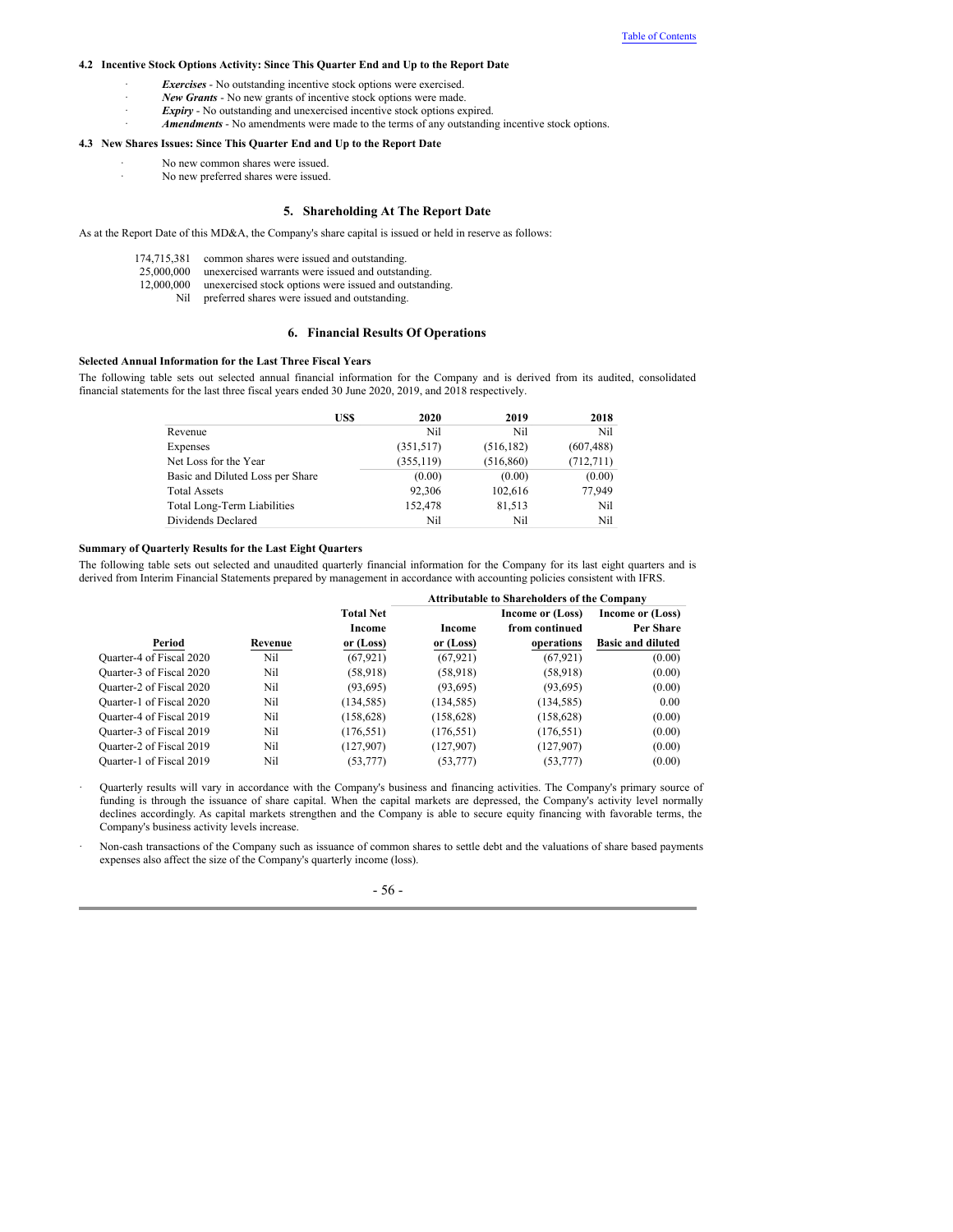#### **4.2 Incentive Stock Options Activity: Since This Quarter End and Up to the Report Date**

- *Exercises* No outstanding incentive stock options were exercised.
- *New Grants* No new grants of incentive stock options were made.
- *Expiry* No outstanding and unexercised incentive stock options expired.
- *Amendments* No amendments were made to the terms of any outstanding incentive stock options. ·

### **4.3 New Shares Issues: Since This Quarter End and Up to the Report Date**

No new common shares were issued. ·

· · ·

·

·

No new preferred shares were issued.

### **5. Shareholding At The Report Date**

As at the Report Date of this MD&A, the Company's share capital is issued or held in reserve as follows:

- common shares were issued and outstanding. 174,715,381
- unexercised warrants were issued and outstanding. 25,000,000
- 12,000,000 unexercised stock options were issued and outstanding.
	- Nil preferred shares were issued and outstanding.

### **6. Financial Results Of Operations**

### **Selected Annual Information for the Last Three Fiscal Years**

The following table sets out selected annual financial information for the Company and is derived from its audited, consolidated financial statements for the last three fiscal years ended 30 June 2020, 2019, and 2018 respectively.

|                                  | US\$ | 2020       | 2019       | 2018       |
|----------------------------------|------|------------|------------|------------|
| Revenue                          |      | Nil        | Nil        | Nil        |
| Expenses                         |      | (351,517)  | (516, 182) | (607, 488) |
| Net Loss for the Year            |      | (355, 119) | (516, 860) | (712, 711) |
| Basic and Diluted Loss per Share |      | (0.00)     | (0.00)     | (0.00)     |
| <b>Total Assets</b>              |      | 92,306     | 102,616    | 77,949     |
| Total Long-Term Liabilities      |      | 152,478    | 81,513     | Nil        |
| Dividends Declared               |      | Nil        | Nil        | Nil        |

#### **Summary of Quarterly Results for the Last Eight Quarters**

The following table sets out selected and unaudited quarterly financial information for the Company for its last eight quarters and is derived from Interim Financial Statements prepared by management in accordance with accounting policies consistent with IFRS.

|                          |         |                  | <b>Attributable to Shareholders of the Company</b> |                  |                          |  |
|--------------------------|---------|------------------|----------------------------------------------------|------------------|--------------------------|--|
|                          |         | <b>Total Net</b> |                                                    | Income or (Loss) | Income or (Loss)         |  |
|                          |         | Income           | Income                                             | from continued   | Per Share                |  |
| Period                   | Revenue | or (Loss)        | or (Loss)                                          | operations       | <b>Basic and diluted</b> |  |
| Quarter-4 of Fiscal 2020 | Nil     | (67, 921)        | (67, 921)                                          | (67, 921)        | (0.00)                   |  |
| Quarter-3 of Fiscal 2020 | Nil     | (58,918)         | (58,918)                                           | (58, 918)        | (0.00)                   |  |
| Quarter-2 of Fiscal 2020 | Nil     | (93,695)         | (93,695)                                           | (93,695)         | (0.00)                   |  |
| Quarter-1 of Fiscal 2020 | Nil     | (134, 585)       | (134, 585)                                         | (134, 585)       | 0.00                     |  |
| Quarter-4 of Fiscal 2019 | Nil     | (158, 628)       | (158, 628)                                         | (158, 628)       | (0.00)                   |  |
| Quarter-3 of Fiscal 2019 | Nil     | (176, 551)       | (176, 551)                                         | (176, 551)       | (0.00)                   |  |
| Quarter-2 of Fiscal 2019 | Nil     | (127,907)        | (127,907)                                          | (127, 907)       | (0.00)                   |  |
| Quarter-1 of Fiscal 2019 | Nil     | (53, 777)        | (53, 777)                                          | (53, 777)        | (0.00)                   |  |

Quarterly results will vary in accordance with the Company's business and financing activities. The Company's primary source of funding is through the issuance of share capital. When the capital markets are depressed, the Company's activity level normally declines accordingly. As capital markets strengthen and the Company is able to secure equity financing with favorable terms, the Company's business activity levels increase. ·

Non-cash transactions of the Company such as issuance of common shares to settle debt and the valuations of share based payments expenses also affect the size of the Company's quarterly income (loss).

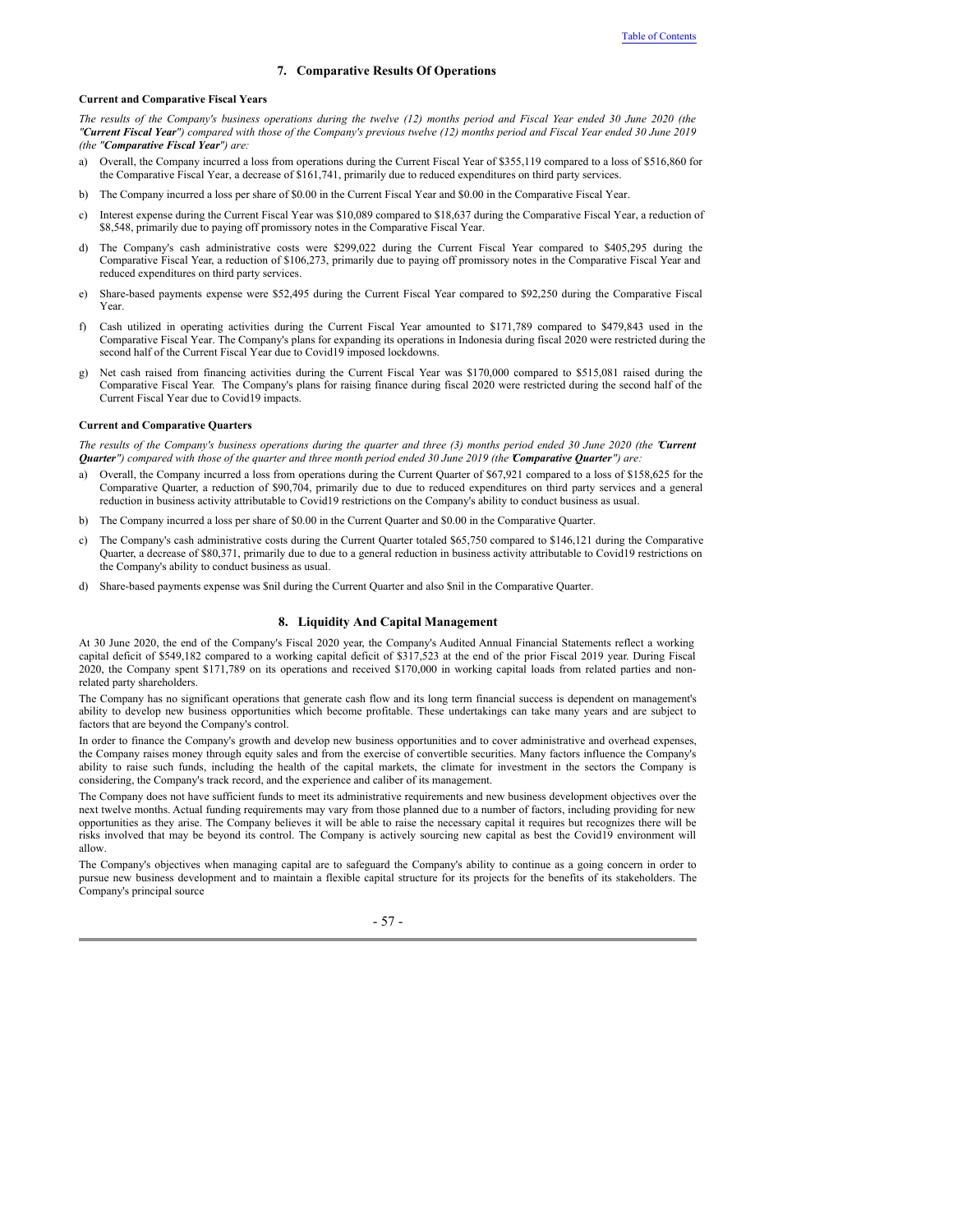### **7. Comparative Results Of Operations**

#### **Current and Comparative Fiscal Years**

The results of the Company's business operations during the twelve (12) months period and Fiscal Year ended 30 June 2020 (the "Current Fiscal Year") compared with those of the Company's previous twelve (12) months period and Fiscal Year ended 30 June 2019 *(the "Comparative Fiscal Year") are:*

- a) Overall, the Company incurred a loss from operations during the Current Fiscal Year of \$355,119 compared to a loss of \$516,860 for the Comparative Fiscal Year, a decrease of \$161,741, primarily due to reduced expenditures on third party services.
- b) The Company incurred a loss per share of \$0.00 in the Current Fiscal Year and \$0.00 in the Comparative Fiscal Year.
- Interest expense during the Current Fiscal Year was \$10,089 compared to \$18,637 during the Comparative Fiscal Year, a reduction of \$8,548, primarily due to paying off promissory notes in the Comparative Fiscal Year. c)
- The Company's cash administrative costs were \$299,022 during the Current Fiscal Year compared to \$405,295 during the Comparative Fiscal Year, a reduction of \$106,273, primarily due to paying off promissory notes in the Comparative Fiscal Year and reduced expenditures on third party services. d)
- Share-based payments expense were \$52,495 during the Current Fiscal Year compared to \$92,250 during the Comparative Fiscal Year. e)
- Cash utilized in operating activities during the Current Fiscal Year amounted to \$171,789 compared to \$479,843 used in the Comparative Fiscal Year. The Company's plans for expanding its operations in Indonesia during fiscal 2020 were restricted during the second half of the Current Fiscal Year due to Covid19 imposed lockdowns. f)
- Net cash raised from financing activities during the Current Fiscal Year was \$170,000 compared to \$515,081 raised during the Comparative Fiscal Year. The Company's plans for raising finance during fiscal 2020 were restricted during the second half of the Current Fiscal Year due to Covid19 impacts. g)

#### **Current and Comparative Quarters**

The results of the Company's business operations during the quarter and three (3) months period ended 30 June 2020 (the 'Current Quarter") compared with those of the quarter and three month period ended 30 June 2019 (the Comparative Quarter") are.

- a) Overall, the Company incurred a loss from operations during the Current Quarter of \$67,921 compared to a loss of \$158,625 for the Comparative Quarter, a reduction of \$90,704, primarily due to due to reduced expenditures on third party services and a general reduction in business activity attributable to Covid19 restrictions on the Company's ability to conduct business as usual.
- b) The Company incurred a loss per share of \$0.00 in the Current Quarter and \$0.00 in the Comparative Quarter.
- The Company's cash administrative costs during the Current Quarter totaled \$65,750 compared to \$146,121 during the Comparative Quarter, a decrease of \$80,371, primarily due to due to a general reduction in business activity attributable to Covid19 restrictions on the Company's ability to conduct business as usual. c)
- d) Share-based payments expense was \$nil during the Current Quarter and also \$nil in the Comparative Quarter.

### **8. Liquidity And Capital Management**

At 30 June 2020, the end of the Company's Fiscal 2020 year, the Company's Audited Annual Financial Statements reflect a working capital deficit of \$549,182 compared to a working capital deficit of \$317,523 at the end of the prior Fiscal 2019 year. During Fiscal 2020, the Company spent \$171,789 on its operations and received \$170,000 in working capital loads from related parties and nonrelated party shareholders.

The Company has no significant operations that generate cash flow and its long term financial success is dependent on management's ability to develop new business opportunities which become profitable. These undertakings can take many years and are subject to factors that are beyond the Company's control.

In order to finance the Company's growth and develop new business opportunities and to cover administrative and overhead expenses, the Company raises money through equity sales and from the exercise of convertible securities. Many factors influence the Company's ability to raise such funds, including the health of the capital markets, the climate for investment in the sectors the Company is considering, the Company's track record, and the experience and caliber of its management.

The Company does not have sufficient funds to meet its administrative requirements and new business development objectives over the next twelve months. Actual funding requirements may vary from those planned due to a number of factors, including providing for new opportunities as they arise. The Company believes it will be able to raise the necessary capital it requires but recognizes there will be risks involved that may be beyond its control. The Company is actively sourcing new capital as best the Covid19 environment will allow.

The Company's objectives when managing capital are to safeguard the Company's ability to continue as a going concern in order to pursue new business development and to maintain a flexible capital structure for its projects for the benefits of its stakeholders. The Company's principal source

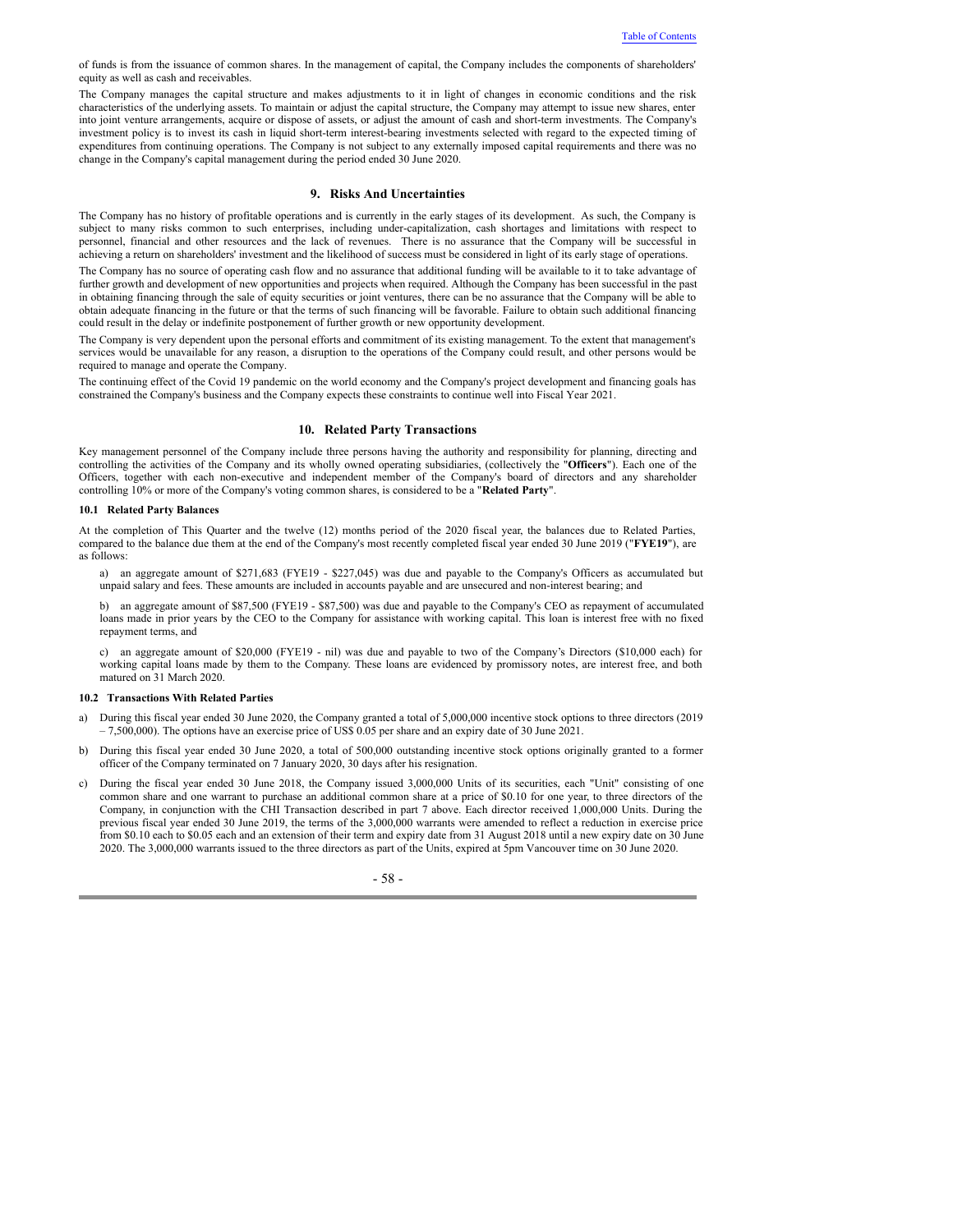of funds is from the issuance of common shares. In the management of capital, the Company includes the components of shareholders' equity as well as cash and receivables.

The Company manages the capital structure and makes adjustments to it in light of changes in economic conditions and the risk characteristics of the underlying assets. To maintain or adjust the capital structure, the Company may attempt to issue new shares, enter into joint venture arrangements, acquire or dispose of assets, or adjust the amount of cash and short-term investments. The Company's investment policy is to invest its cash in liquid short-term interest-bearing investments selected with regard to the expected timing of expenditures from continuing operations. The Company is not subject to any externally imposed capital requirements and there was no change in the Company's capital management during the period ended 30 June 2020.

#### **9. Risks And Uncertainties**

The Company has no history of profitable operations and is currently in the early stages of its development. As such, the Company is subject to many risks common to such enterprises, including under-capitalization, cash shortages and limitations with respect to personnel, financial and other resources and the lack of revenues. There is no assurance that the Company will be successful in achieving a return on shareholders' investment and the likelihood of success must be considered in light of its early stage of operations.

The Company has no source of operating cash flow and no assurance that additional funding will be available to it to take advantage of further growth and development of new opportunities and projects when required. Although the Company has been successful in the past in obtaining financing through the sale of equity securities or joint ventures, there can be no assurance that the Company will be able to obtain adequate financing in the future or that the terms of such financing will be favorable. Failure to obtain such additional financing could result in the delay or indefinite postponement of further growth or new opportunity development.

The Company is very dependent upon the personal efforts and commitment of its existing management. To the extent that management's services would be unavailable for any reason, a disruption to the operations of the Company could result, and other persons would be required to manage and operate the Company.

The continuing effect of the Covid 19 pandemic on the world economy and the Company's project development and financing goals has constrained the Company's business and the Company expects these constraints to continue well into Fiscal Year 2021.

#### **10. Related Party Transactions**

Key management personnel of the Company include three persons having the authority and responsibility for planning, directing and controlling the activities of the Company and its wholly owned operating subsidiaries, (collectively the "**Officers**"). Each one of the Officers, together with each non-executive and independent member of the Company's board of directors and any shareholder controlling 10% or more of the Company's voting common shares, is considered to be a "**Related Party**".

### **10.1 Related Party Balances**

At the completion of This Quarter and the twelve (12) months period of the 2020 fiscal year, the balances due to Related Parties, compared to the balance due them at the end of the Company's most recently completed fiscal year ended 30 June 2019 ("**FYE19**"), are as follows:

a) an aggregate amount of \$271,683 (FYE19 - \$227,045) was due and payable to the Company's Officers as accumulated but unpaid salary and fees. These amounts are included in accounts payable and are unsecured and non-interest bearing; and

b) an aggregate amount of \$87,500 (FYE19 - \$87,500) was due and payable to the Company's CEO as repayment of accumulated loans made in prior years by the CEO to the Company for assistance with working capital. This loan is interest free with no fixed repayment terms, and

c) an aggregate amount of \$20,000 (FYE19 - nil) was due and payable to two of the Company's Directors (\$10,000 each) for working capital loans made by them to the Company. These loans are evidenced by promissory notes, are interest free, and both matured on 31 March 2020.

#### **10.2 Transactions With Related Parties**

- a) During this fiscal year ended 30 June 2020, the Company granted a total of 5,000,000 incentive stock options to three directors (2019) – 7,500,000). The options have an exercise price of US\$ 0.05 per share and an expiry date of 30 June 2021.
- b) During this fiscal year ended 30 June 2020, a total of 500,000 outstanding incentive stock options originally granted to a former officer of the Company terminated on 7 January 2020, 30 days after his resignation.
- c) During the fiscal year ended 30 June 2018, the Company issued 3,000,000 Units of its securities, each "Unit" consisting of one common share and one warrant to purchase an additional common share at a price of \$0.10 for one year, to three directors of the Company, in conjunction with the CHI Transaction described in part 7 above. Each director received 1,000,000 Units. During the previous fiscal year ended 30 June 2019, the terms of the 3,000,000 warrants were amended to reflect a reduction in exercise price from \$0.10 each to \$0.05 each and an extension of their term and expiry date from 31 August 2018 until a new expiry date on 30 June 2020. The 3,000,000 warrants issued to the three directors as part of the Units, expired at 5pm Vancouver time on 30 June 2020.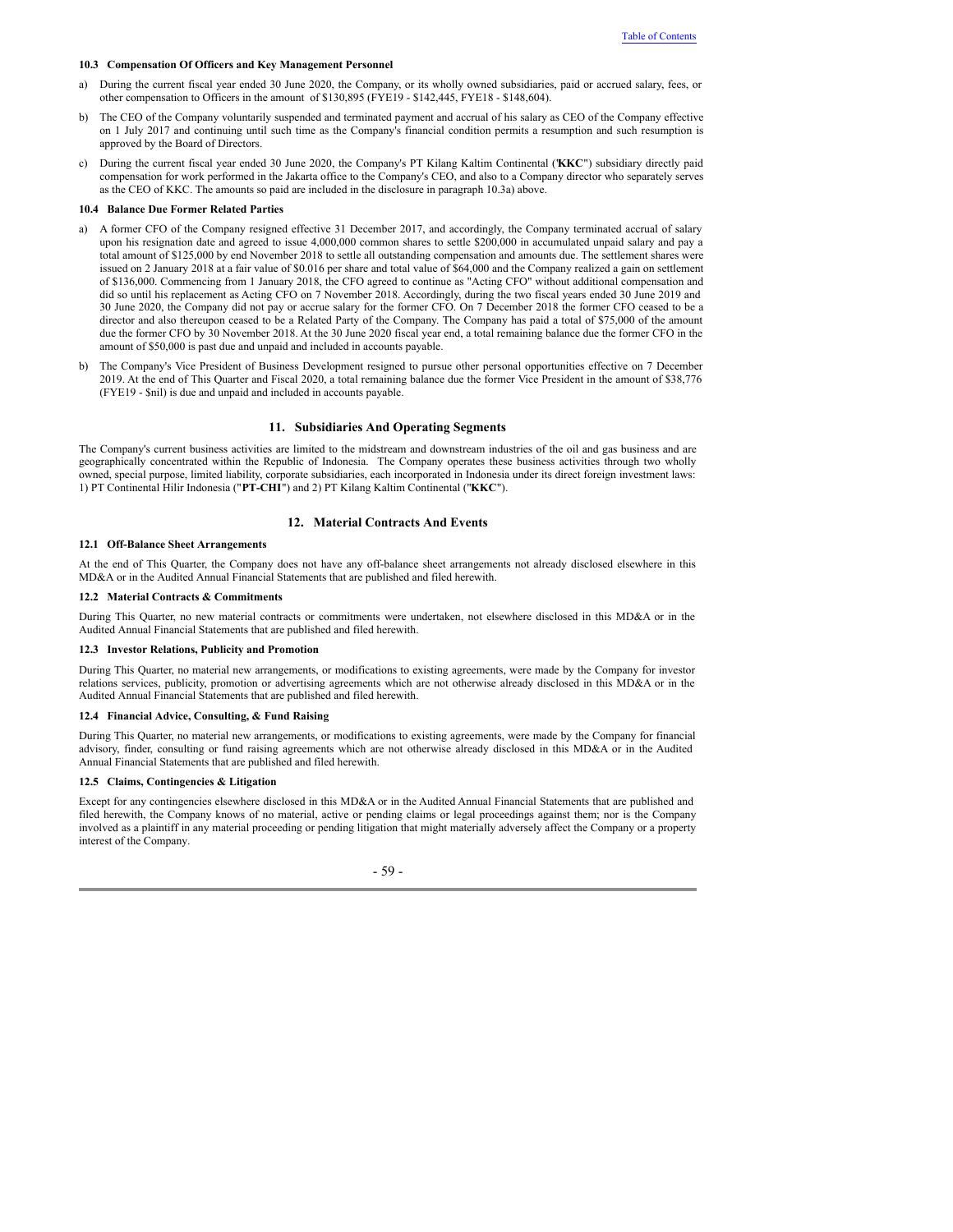#### **10.3 Compensation Of Officers and Key Management Personnel**

- a) During the current fiscal year ended 30 June 2020, the Company, or its wholly owned subsidiaries, paid or accrued salary, fees, or other compensation to Officers in the amount of \$130,895 (FYE19 - \$142,445, FYE18 - \$148,604).
- The CEO of the Company voluntarily suspended and terminated payment and accrual of his salary as CEO of the Company effective on 1 July 2017 and continuing until such time as the Company's financial condition permits a resumption and such resumption is approved by the Board of Directors. b)
- During the current fiscal year ended 30 June 2020, the Company's PT Kilang Kaltim Continental ("**KKC**") subsidiary directly paid compensation for work performed in the Jakarta office to the Company's CEO, and also to a Company director who separately serves as the CEO of KKC. The amounts so paid are included in the disclosure in paragraph 10.3a) above. c)

#### **10.4 Balance Due Former Related Parties**

- A former CFO of the Company resigned effective 31 December 2017, and accordingly, the Company terminated accrual of salary upon his resignation date and agreed to issue 4,000,000 common shares to settle \$200,000 in accumulated unpaid salary and pay a total amount of \$125,000 by end November 2018 to settle all outstanding compensation and amounts due. The settlement shares were issued on 2 January 2018 at a fair value of \$0.016 per share and total value of \$64,000 and the Company realized a gain on settlement of \$136,000. Commencing from 1 January 2018, the CFO agreed to continue as "Acting CFO" without additional compensation and did so until his replacement as Acting CFO on 7 November 2018. Accordingly, during the two fiscal years ended 30 June 2019 and 30 June 2020, the Company did not pay or accrue salary for the former CFO. On 7 December 2018 the former CFO ceased to be a director and also thereupon ceased to be a Related Party of the Company. The Company has paid a total of \$75,000 of the amount due the former CFO by 30 November 2018. At the 30 June 2020 fiscal year end, a total remaining balance due the former CFO in the amount of \$50,000 is past due and unpaid and included in accounts payable. a)
- b) The Company's Vice President of Business Development resigned to pursue other personal opportunities effective on 7 December 2019. At the end of This Quarter and Fiscal 2020, a total remaining balance due the former Vice President in the amount of \$38,776 (FYE19 - \$nil) is due and unpaid and included in accounts payable.

#### **11. Subsidiaries And Operating Segments**

The Company's current business activities are limited to the midstream and downstream industries of the oil and gas business and are geographically concentrated within the Republic of Indonesia. The Company operates these business activities through two wholly owned, special purpose, limited liability, corporate subsidiaries, each incorporated in Indonesia under its direct foreign investment laws: 1) PT Continental Hilir Indonesia ("**PT-CHI**") and 2) PT Kilang Kaltim Continental ("**KKC**").

### **12. Material Contracts And Events**

#### **12.1 Off-Balance Sheet Arrangements**

At the end of This Quarter, the Company does not have any off-balance sheet arrangements not already disclosed elsewhere in this MD&A or in the Audited Annual Financial Statements that are published and filed herewith.

#### **12.2 Material Contracts & Commitments**

During This Quarter, no new material contracts or commitments were undertaken, not elsewhere disclosed in this MD&A or in the Audited Annual Financial Statements that are published and filed herewith.

#### **12.3 Investor Relations, Publicity and Promotion**

During This Quarter, no material new arrangements, or modifications to existing agreements, were made by the Company for investor relations services, publicity, promotion or advertising agreements which are not otherwise already disclosed in this MD&A or in the Audited Annual Financial Statements that are published and filed herewith.

#### **12.4 Financial Advice, Consulting, & Fund Raising**

During This Quarter, no material new arrangements, or modifications to existing agreements, were made by the Company for financial advisory, finder, consulting or fund raising agreements which are not otherwise already disclosed in this MD&A or in the Audited Annual Financial Statements that are published and filed herewith.

#### **12.5 Claims, Contingencies & Litigation**

Except for any contingencies elsewhere disclosed in this MD&A or in the Audited Annual Financial Statements that are published and filed herewith, the Company knows of no material, active or pending claims or legal proceedings against them; nor is the Company involved as a plaintiff in any material proceeding or pending litigation that might materially adversely affect the Company or a property interest of the Company.

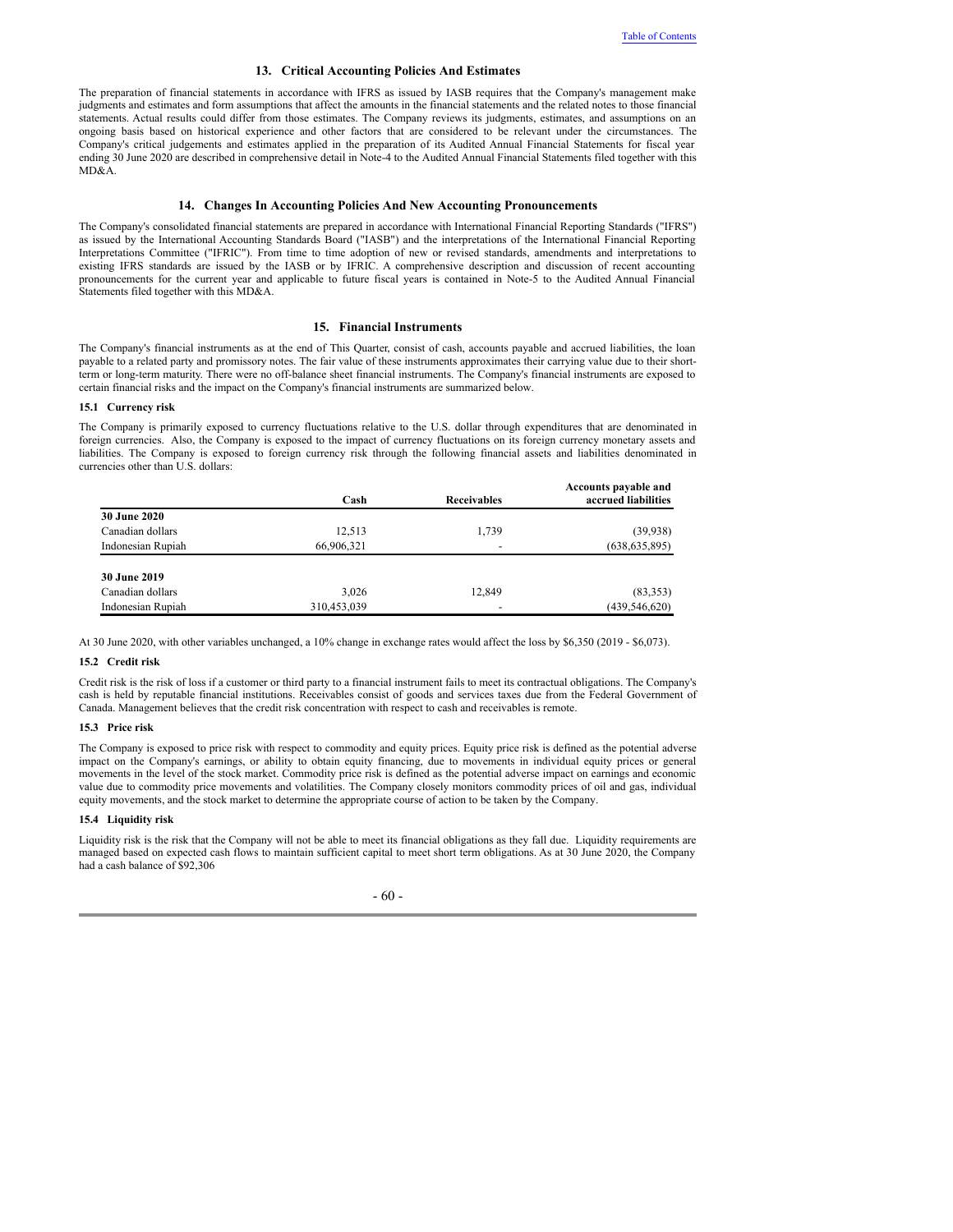### **13. Critical Accounting Policies And Estimates**

The preparation of financial statements in accordance with IFRS as issued by IASB requires that the Company's management make judgments and estimates and form assumptions that affect the amounts in the financial statements and the related notes to those financial statements. Actual results could differ from those estimates. The Company reviews its judgments, estimates, and assumptions on an ongoing basis based on historical experience and other factors that are considered to be relevant under the circumstances. The Company's critical judgements and estimates applied in the preparation of its Audited Annual Financial Statements for fiscal year ending 30 June 2020 are described in comprehensive detail in Note-4 to the Audited Annual Financial Statements filed together with this MD&A.

#### **14. Changes In Accounting Policies And New Accounting Pronouncements**

The Company's consolidated financial statements are prepared in accordance with International Financial Reporting Standards ("IFRS") as issued by the International Accounting Standards Board ("IASB") and the interpretations of the International Financial Reporting Interpretations Committee ("IFRIC"). From time to time adoption of new or revised standards, amendments and interpretations to existing IFRS standards are issued by the IASB or by IFRIC. A comprehensive description and discussion of recent accounting pronouncements for the current year and applicable to future fiscal years is contained in Note-5 to the Audited Annual Financial Statements filed together with this MD&A.

#### **15. Financial Instruments**

The Company's financial instruments as at the end of This Quarter, consist of cash, accounts payable and accrued liabilities, the loan payable to a related party and promissory notes. The fair value of these instruments approximates their carrying value due to their shortterm or long-term maturity. There were no off-balance sheet financial instruments. The Company's financial instruments are exposed to certain financial risks and the impact on the Company's financial instruments are summarized below.

#### **15.1 Currency risk**

The Company is primarily exposed to currency fluctuations relative to the U.S. dollar through expenditures that are denominated in foreign currencies. Also, the Company is exposed to the impact of currency fluctuations on its foreign currency monetary assets and liabilities. The Company is exposed to foreign currency risk through the following financial assets and liabilities denominated in currencies other than U.S. dollars:

|                     | Cash        | <b>Receivables</b> | Accounts payable and<br>accrued liabilities |
|---------------------|-------------|--------------------|---------------------------------------------|
| <b>30 June 2020</b> |             |                    |                                             |
| Canadian dollars    | 12,513      | 1,739              | (39,938)                                    |
| Indonesian Rupiah   | 66,906,321  | -                  | (638, 635, 895)                             |
| <b>30 June 2019</b> |             |                    |                                             |
| Canadian dollars    | 3,026       | 12,849             | (83,353)                                    |
| Indonesian Rupiah   | 310,453,039 |                    | (439, 546, 620)                             |

At 30 June 2020, with other variables unchanged, a 10% change in exchange rates would affect the loss by \$6,350 (2019 - \$6,073).

#### **15.2 Credit risk**

Credit risk is the risk of loss if a customer or third party to a financial instrument fails to meet its contractual obligations. The Company's cash is held by reputable financial institutions. Receivables consist of goods and services taxes due from the Federal Government of Canada. Management believes that the credit risk concentration with respect to cash and receivables is remote.

#### **15.3 Price risk**

The Company is exposed to price risk with respect to commodity and equity prices. Equity price risk is defined as the potential adverse impact on the Company's earnings, or ability to obtain equity financing, due to movements in individual equity prices or general movements in the level of the stock market. Commodity price risk is defined as the potential adverse impact on earnings and economic value due to commodity price movements and volatilities. The Company closely monitors commodity prices of oil and gas, individual equity movements, and the stock market to determine the appropriate course of action to be taken by the Company.

#### **15.4 Liquidity risk**

Liquidity risk is the risk that the Company will not be able to meet its financial obligations as they fall due. Liquidity requirements are managed based on expected cash flows to maintain sufficient capital to meet short term obligations. As at 30 June 2020, the Company had a cash balance of \$92,306

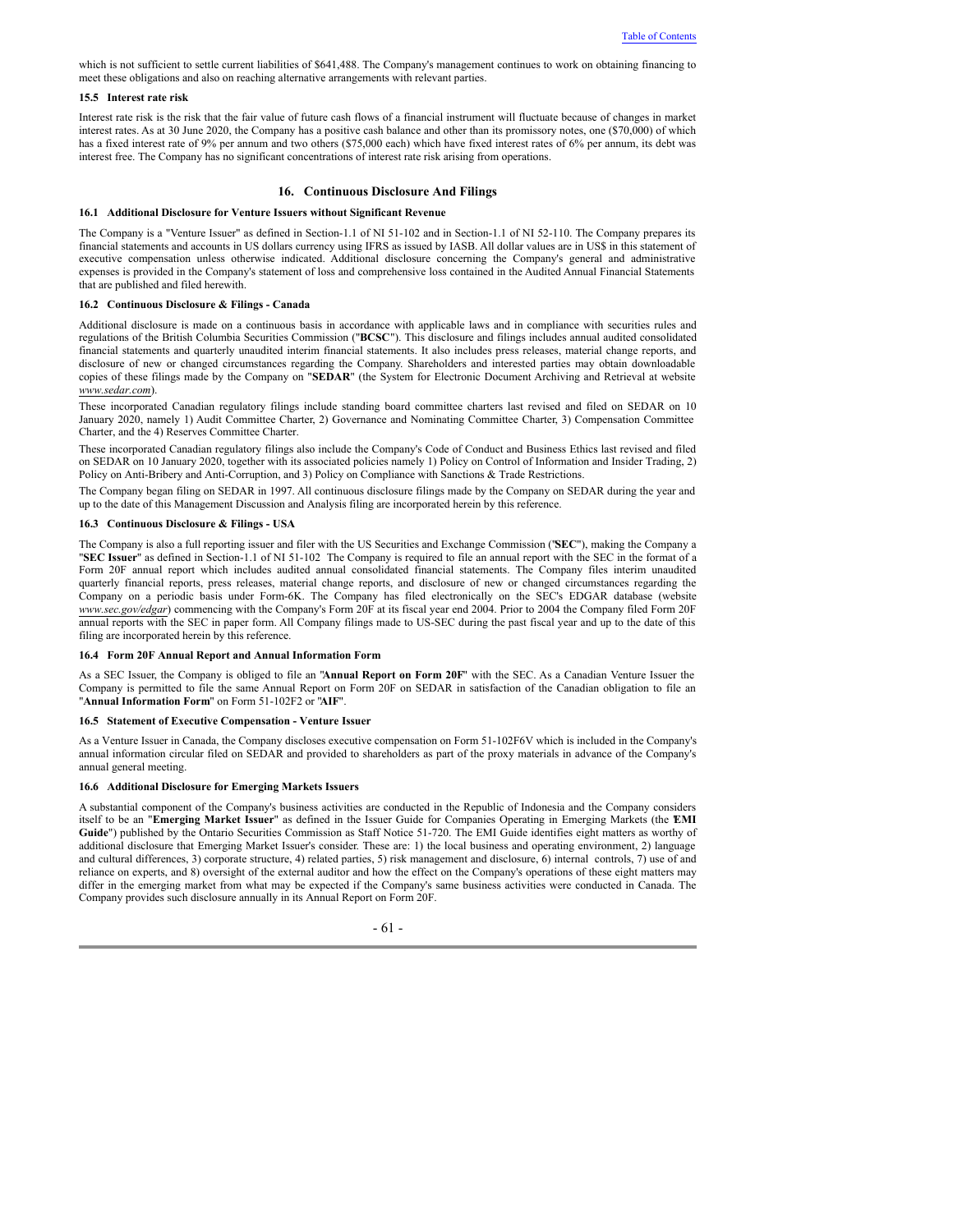which is not sufficient to settle current liabilities of \$641,488. The Company's management continues to work on obtaining financing to meet these obligations and also on reaching alternative arrangements with relevant parties.

#### **15.5 Interest rate risk**

Interest rate risk is the risk that the fair value of future cash flows of a financial instrument will fluctuate because of changes in market interest rates. As at 30 June 2020, the Company has a positive cash balance and other than its promissory notes, one (\$70,000) of which has a fixed interest rate of 9% per annum and two others (\$75,000 each) which have fixed interest rates of 6% per annum, its debt was interest free. The Company has no significant concentrations of interest rate risk arising from operations.

#### **16. Continuous Disclosure And Filings**

#### **16.1 Additional Disclosure for Venture Issuers without Significant Revenue**

The Company is a "Venture Issuer" as defined in Section-1.1 of NI 51-102 and in Section-1.1 of NI 52-110. The Company prepares its financial statements and accounts in US dollars currency using IFRS as issued by IASB. All dollar values are in US\$ in this statement of executive compensation unless otherwise indicated. Additional disclosure concerning the Company's general and administrative expenses is provided in the Company's statement of loss and comprehensive loss contained in the Audited Annual Financial Statements that are published and filed herewith.

#### **16.2 Continuous Disclosure & Filings - Canada**

Additional disclosure is made on a continuous basis in accordance with applicable laws and in compliance with securities rules and regulations of the British Columbia Securities Commission ("**BCSC**"). This disclosure and filings includes annual audited consolidated financial statements and quarterly unaudited interim financial statements. It also includes press releases, material change reports, and disclosure of new or changed circumstances regarding the Company. Shareholders and interested parties may obtain downloadable copies of these filings made by the Company on "**SEDAR**" (the System for Electronic Document Archiving and Retrieval at website *www.sedar.com*).

These incorporated Canadian regulatory filings include standing board committee charters last revised and filed on SEDAR on 10 January 2020, namely 1) Audit Committee Charter, 2) Governance and Nominating Committee Charter, 3) Compensation Committee Charter, and the 4) Reserves Committee Charter.

These incorporated Canadian regulatory filings also include the Company's Code of Conduct and Business Ethics last revised and filed on SEDAR on 10 January 2020, together with its associated policies namely 1) Policy on Control of Information and Insider Trading, 2) Policy on Anti-Bribery and Anti-Corruption, and 3) Policy on Compliance with Sanctions & Trade Restrictions.

The Company began filing on SEDAR in 1997. All continuous disclosure filings made by the Company on SEDAR during the year and up to the date of this Management Discussion and Analysis filing are incorporated herein by this reference.

#### **16.3 Continuous Disclosure & Filings - USA**

The Company is also a full reporting issuer and filer with the US Securities and Exchange Commission ("**SEC**"), making the Company a "**SEC Issuer**" as defined in Section-1.1 of NI 51-102 The Company is required to file an annual report with the SEC in the format of a Form 20F annual report which includes audited annual consolidated financial statements. The Company files interim unaudited quarterly financial reports, press releases, material change reports, and disclosure of new or changed circumstances regarding the Company on a periodic basis under Form-6K. The Company has filed electronically on the SEC's EDGAR database (website *www.sec.gov/edgar*) commencing with the Company's Form 20F at its fiscal year end 2004. Prior to 2004 the Company filed Form 20F annual reports with the SEC in paper form. All Company filings made to US-SEC during the past fiscal year and up to the date of this filing are incorporated herein by this reference.

#### **16.4 Form 20F Annual Report and Annual Information Form**

As a SEC Issuer, the Company is obliged to file an "**Annual Report on Form 20F**" with the SEC. As a Canadian Venture Issuer the Company is permitted to file the same Annual Report on Form 20F on SEDAR in satisfaction of the Canadian obligation to file an "**Annual Information Form**" on Form 51-102F2 or "**AIF**".

#### **16.5 Statement of Executive Compensation - Venture Issuer**

As a Venture Issuer in Canada, the Company discloses executive compensation on Form 51-102F6V which is included in the Company's annual information circular filed on SEDAR and provided to shareholders as part of the proxy materials in advance of the Company's annual general meeting.

#### **16.6 Additional Disclosure for Emerging Markets Issuers**

A substantial component of the Company's business activities are conducted in the Republic of Indonesia and the Company considers itself to be an "**Emerging Market Issuer**" as defined in the Issuer Guide for Companies Operating in Emerging Markets (the "**EMI Guide**") published by the Ontario Securities Commission as Staff Notice 51-720. The EMI Guide identifies eight matters as worthy of additional disclosure that Emerging Market Issuer's consider. These are: 1) the local business and operating environment, 2) language and cultural differences, 3) corporate structure, 4) related parties, 5) risk management and disclosure, 6) internal controls, 7) use of and reliance on experts, and 8) oversight of the external auditor and how the effect on the Company's operations of these eight matters may differ in the emerging market from what may be expected if the Company's same business activities were conducted in Canada. The Company provides such disclosure annually in its Annual Report on Form 20F.

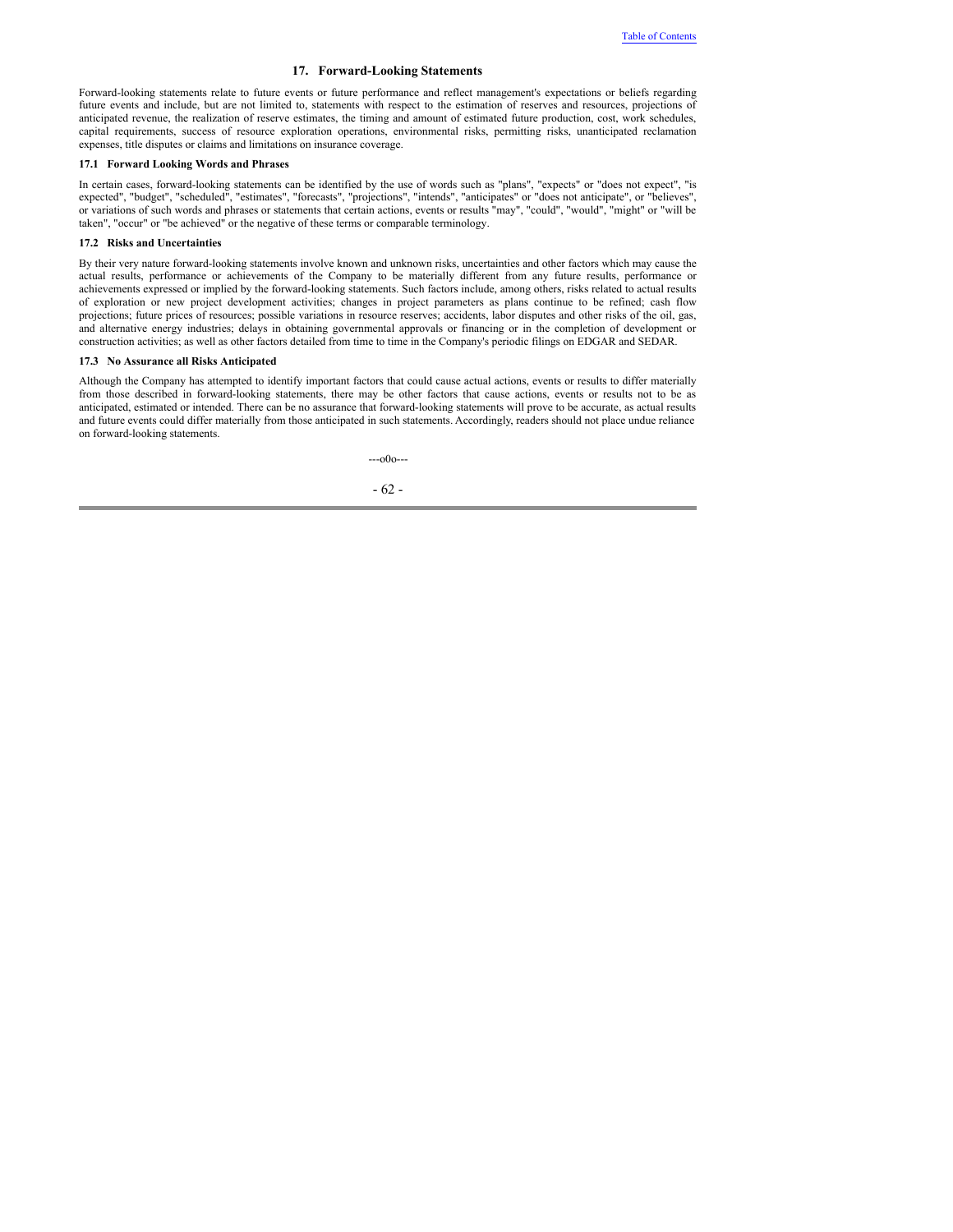#### **17. Forward-Looking Statements**

Forward-looking statements relate to future events or future performance and reflect management's expectations or beliefs regarding future events and include, but are not limited to, statements with respect to the estimation of reserves and resources, projections of anticipated revenue, the realization of reserve estimates, the timing and amount of estimated future production, cost, work schedules, capital requirements, success of resource exploration operations, environmental risks, permitting risks, unanticipated reclamation expenses, title disputes or claims and limitations on insurance coverage.

### **17.1 Forward Looking Words and Phrases**

In certain cases, forward-looking statements can be identified by the use of words such as "plans", "expects" or "does not expect", "is expected", "budget", "scheduled", "estimates", "forecasts", "projections", "intends", "anticipates" or "does not anticipate", or "believes", or variations of such words and phrases or statements that certain actions, events or results "may", "could", "would", "might" or "will be taken", "occur" or "be achieved" or the negative of these terms or comparable terminology.

### **17.2 Risks and Uncertainties**

By their very nature forward-looking statements involve known and unknown risks, uncertainties and other factors which may cause the actual results, performance or achievements of the Company to be materially different from any future results, performance or achievements expressed or implied by the forward-looking statements. Such factors include, among others, risks related to actual results of exploration or new project development activities; changes in project parameters as plans continue to be refined; cash flow projections; future prices of resources; possible variations in resource reserves; accidents, labor disputes and other risks of the oil, gas, and alternative energy industries; delays in obtaining governmental approvals or financing or in the completion of development or construction activities; as well as other factors detailed from time to time in the Company's periodic filings on EDGAR and SEDAR.

### **17.3 No Assurance all Risks Anticipated**

Although the Company has attempted to identify important factors that could cause actual actions, events or results to differ materially from those described in forward-looking statements, there may be other factors that cause actions, events or results not to be as anticipated, estimated or intended. There can be no assurance that forward-looking statements will prove to be accurate, as actual results and future events could differ materially from those anticipated in such statements. Accordingly, readers should not place undue reliance on forward-looking statements.

---o0o---

$$
\cdot 62 -
$$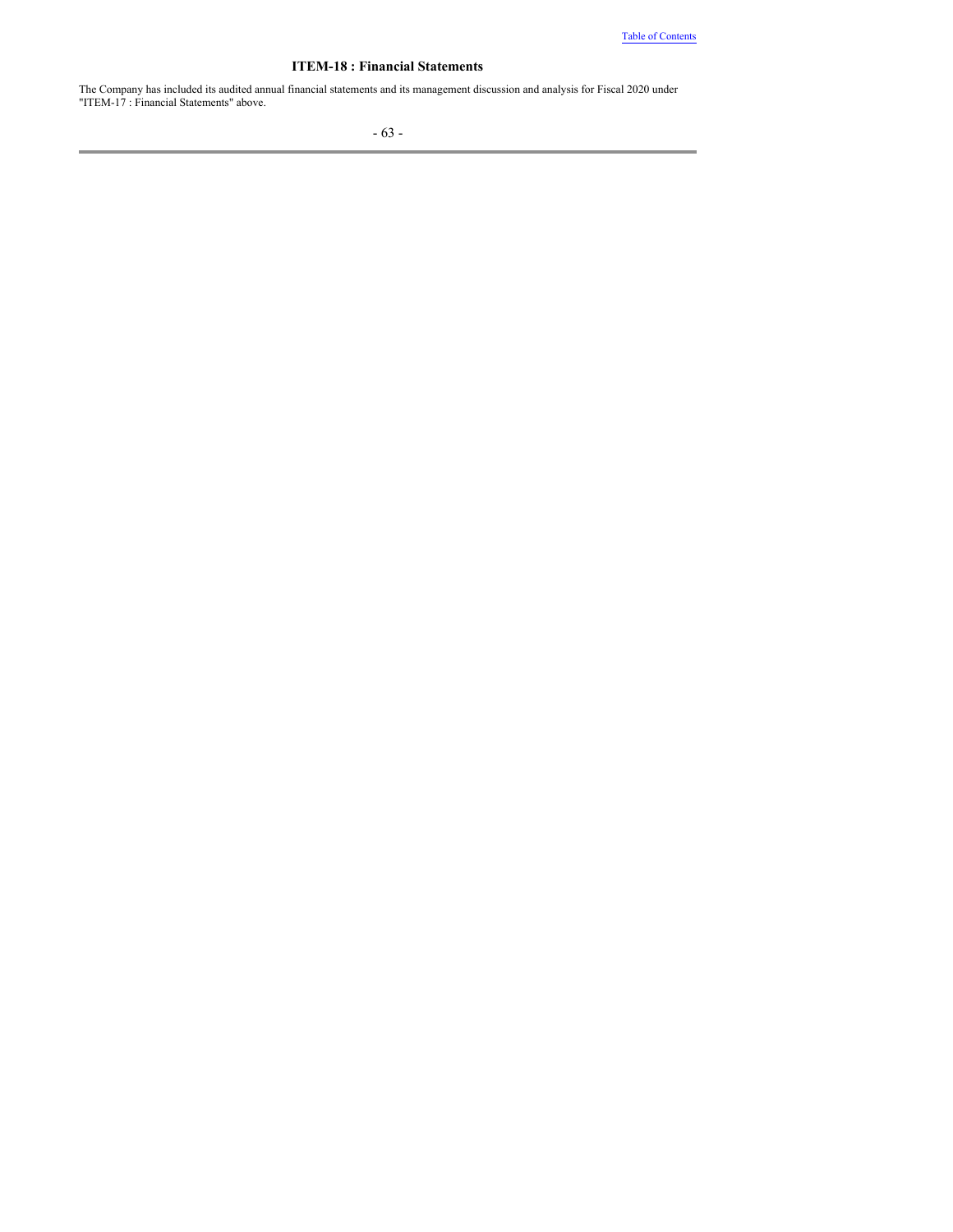Table of [Contents](#page-0-0)

### **ITEM-18 : Financial Statements**

The Company has included its audited annual financial statements and its management discussion and analysis for Fiscal 2020 under "ITEM-17 : Financial Statements" above.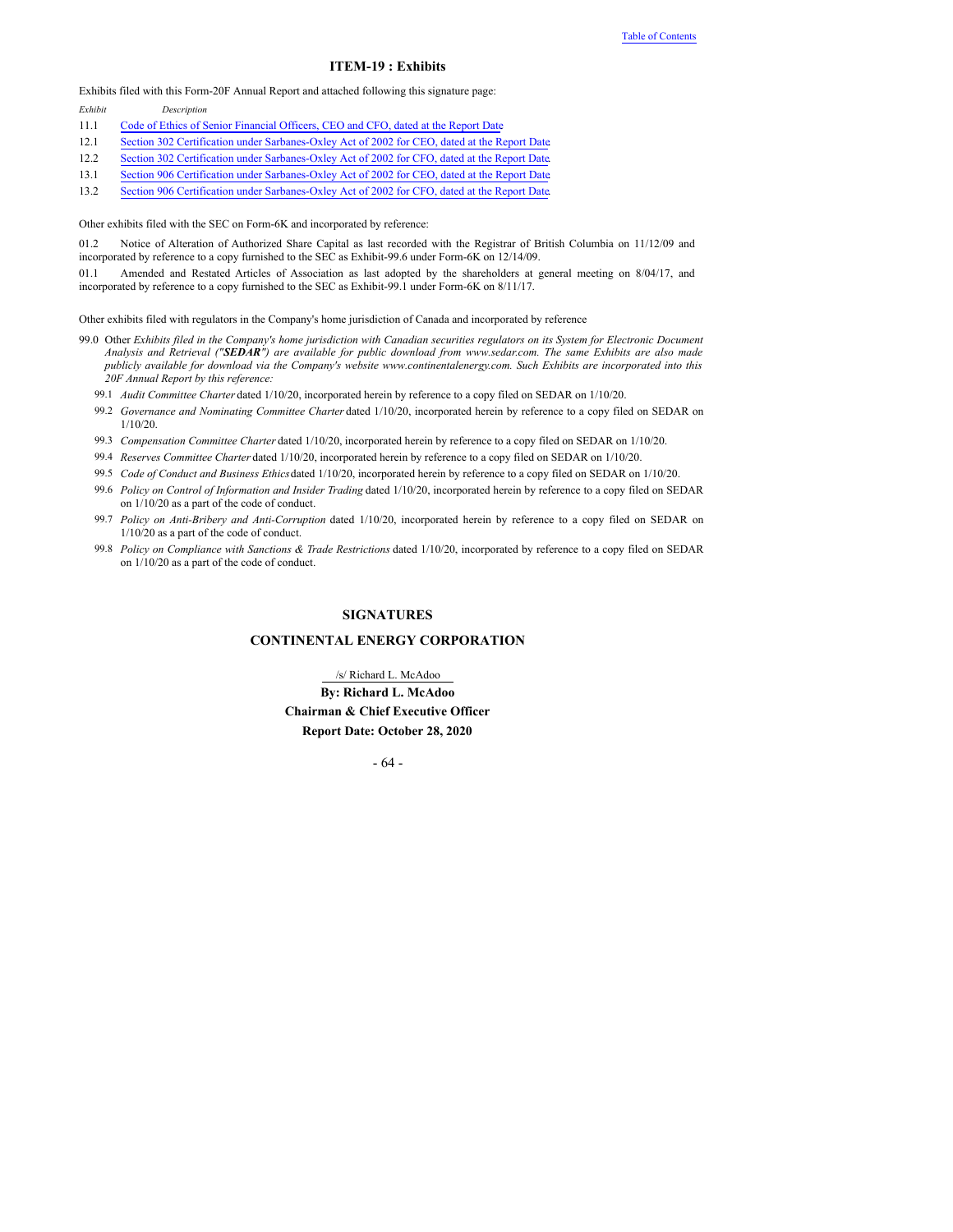### **ITEM-19 : Exhibits**

Exhibits filed with this Form-20F Annual Report and attached following this signature page:

- *Description Exhibit*
- Code of Ethics of Senior [Financial](#page-64-0) Officers, CEO and CFO, dated at the Report Date. 11.1
- Section 302 Certification under [Sarbanes-Oxley](#page-65-0) Act of 2002 for CEO, dated at the Report Date. 12.1
- Section 302 Certification under [Sarbanes-Oxley](#page-66-0) Act of 2002 for CFO, dated at the Report Date. 12.2
- Section 906 Certification under [Sarbanes-Oxley](#page-67-0) Act of 2002 for CEO, dated at the Report Date. 13.1
- Section 906 Certification under [Sarbanes-Oxley](#page-68-0) Act of 2002 for CFO, dated at the Report Date. 13.2

Other exhibits filed with the SEC on Form-6K and incorporated by reference:

Notice of Alteration of Authorized Share Capital as last recorded with the Registrar of British Columbia on 11/12/09 and incorporated by reference to a copy furnished to the SEC as Exhibit-99.6 under Form-6K on 12/14/09. 01.2

Amended and Restated Articles of Association as last adopted by the shareholders at general meeting on 8/04/17, and incorporated by reference to a copy furnished to the SEC as Exhibit-99.1 under Form-6K on 8/11/17. 01.1

Other exhibits filed with regulators in the Company's home jurisdiction of Canada and incorporated by reference

- 99.0 Other Exhibits filed in the Company's home jurisdiction with Canadian securities regulators on its System for Electronic Document Analysis and Retrieval ("SEDAR") are available for public download from www.sedar.com. The same Exhibits are also made publicly available for download via the Company's website www.continentalenergy.com. Such Exhibits are incorporated into this *20F Annual Report by this reference:*
	- *Audit Committee Charter* dated 1/10/20, incorporated herein by reference to a copy filed on SEDAR on 1/10/20. 99.1
	- *Governance and Nominating Committee Charter* dated 1/10/20, incorporated herein by reference to a copy filed on SEDAR on 99.2 1/10/20.
	- *Compensation Committee Charter* dated 1/10/20, incorporated herein by reference to a copy filed on SEDAR on 1/10/20. 99.3
	- *Reserves Committee Charter* dated 1/10/20, incorporated herein by reference to a copy filed on SEDAR on 1/10/20. 99.4
	- *Code of Conduct and Business Ethics*dated 1/10/20, incorporated herein by reference to a copy filed on SEDAR on 1/10/20. 99.5
	- *Policy on Control of Information and Insider Trading* dated 1/10/20, incorporated herein by reference to a copy filed on SEDAR 99.6 on 1/10/20 as a part of the code of conduct.
	- *Policy on Anti-Bribery and Anti-Corruption* dated 1/10/20, incorporated herein by reference to a copy filed on SEDAR on 99.7 1/10/20 as a part of the code of conduct.
	- *Policy on Compliance with Sanctions & Trade Restrictions* dated 1/10/20, incorporated by reference to a copy filed on SEDAR 99.8on 1/10/20 as a part of the code of conduct.

### **SIGNATURES**

### **CONTINENTAL ENERGY CORPORATION**

/s/ Richard L. McAdoo **By: Richard L. McAdoo Chairman & Chief Executive Officer Report Date: October 28, 2020**

- 64 -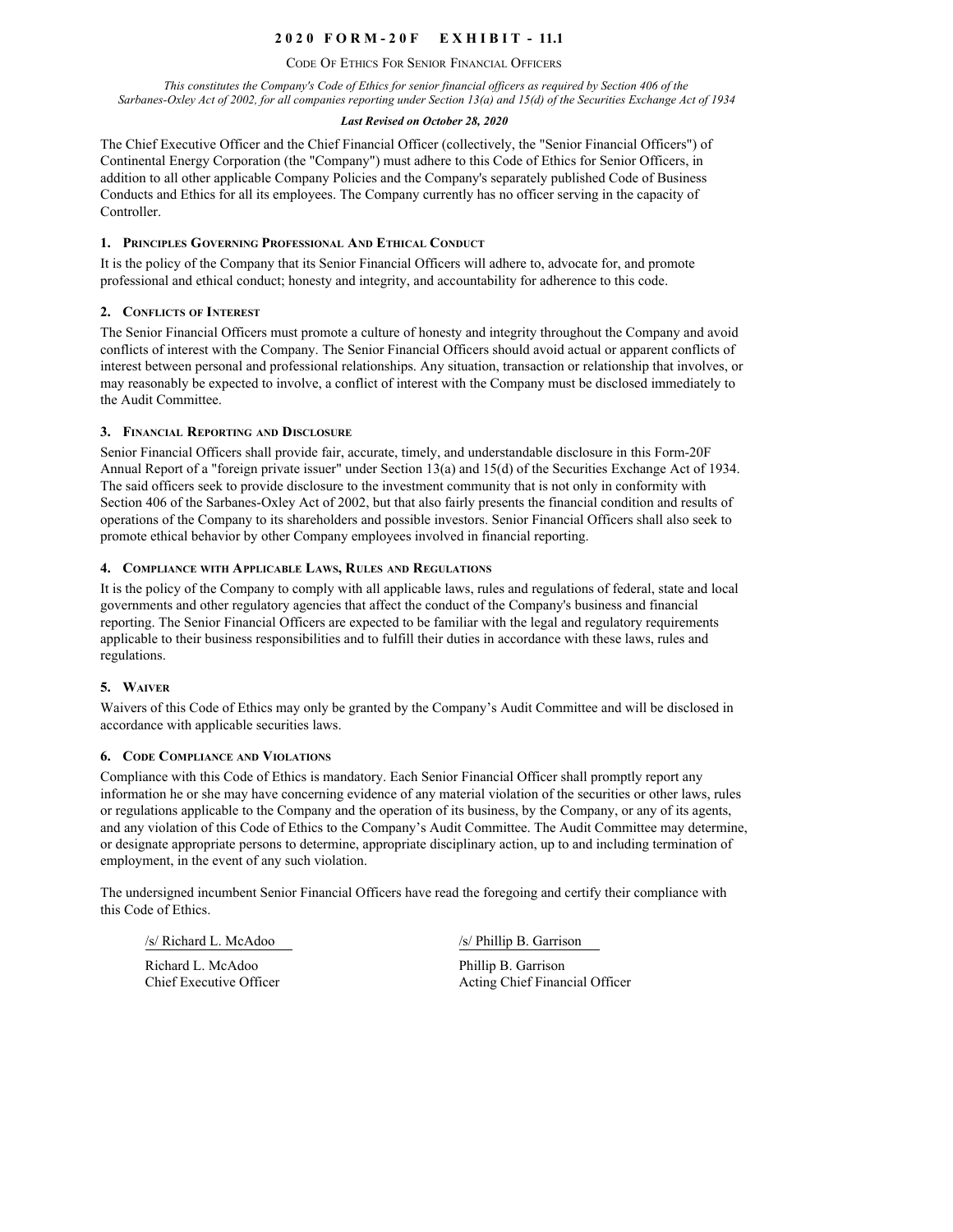### **2 0 2 0 F O R M - 2 0 F E X H I B I T - 11.1**

### CODE OF ETHICS FOR SENIOR FINANCIAL OFFICERS

<span id="page-64-0"></span>This constitutes the Company's Code of Ethics for senior financial officers as required by Section 406 of the Sarbanes-Oxley Act of 2002, for all companies reporting under Section 13(a) and 15(d) of the Securities Exchange Act of 1934

### *Last Revised on October 28, 2020*

The Chief Executive Officer and the Chief Financial Officer (collectively, the "Senior Financial Officers") of Continental Energy Corporation (the "Company") must adhere to this Code of Ethics for Senior Officers, in addition to all other applicable Company Policies and the Company's separately published Code of Business Conducts and Ethics for all its employees. The Company currently has no officer serving in the capacity of Controller.

### **PRINCIPLES GOVERNING PROFESSIONAL AND ETHICAL CONDUCT 1.**

It is the policy of the Company that its Senior Financial Officers will adhere to, advocate for, and promote professional and ethical conduct; honesty and integrity, and accountability for adherence to this code.

### **CONFLICTS OF INTEREST 2.**

The Senior Financial Officers must promote a culture of honesty and integrity throughout the Company and avoid conflicts of interest with the Company. The Senior Financial Officers should avoid actual or apparent conflicts of interest between personal and professional relationships. Any situation, transaction or relationship that involves, or may reasonably be expected to involve, a conflict of interest with the Company must be disclosed immediately to the Audit Committee.

### **FINANCIAL REPORTING AND DISCLOSURE 3.**

Senior Financial Officers shall provide fair, accurate, timely, and understandable disclosure in this Form-20F Annual Report of a "foreign private issuer" under Section 13(a) and 15(d) of the Securities Exchange Act of 1934. The said officers seek to provide disclosure to the investment community that is not only in conformity with Section 406 of the Sarbanes-Oxley Act of 2002, but that also fairly presents the financial condition and results of operations of the Company to its shareholders and possible investors. Senior Financial Officers shall also seek to promote ethical behavior by other Company employees involved in financial reporting.

### **COMPLIANCE WITH APPLICABLE LAWS, RULES AND REGULATIONS 4.**

It is the policy of the Company to comply with all applicable laws, rules and regulations of federal, state and local governments and other regulatory agencies that affect the conduct of the Company's business and financial reporting. The Senior Financial Officers are expected to be familiar with the legal and regulatory requirements applicable to their business responsibilities and to fulfill their duties in accordance with these laws, rules and regulations.

### **WAIVER 5.**

Waivers of this Code of Ethics may only be granted by the Company's Audit Committee and will be disclosed in accordance with applicable securities laws.

### **CODE COMPLIANCE AND VIOLATIONS 6.**

Compliance with this Code of Ethics is mandatory. Each Senior Financial Officer shall promptly report any information he or she may have concerning evidence of any material violation of the securities or other laws, rules or regulations applicable to the Company and the operation of its business, by the Company, or any of its agents, and any violation of this Code of Ethics to the Company's Audit Committee. The Audit Committee may determine, or designate appropriate persons to determine, appropriate disciplinary action, up to and including termination of employment, in the event of any such violation.

The undersigned incumbent Senior Financial Officers have read the foregoing and certify their compliance with this Code of Ethics.

/s/ Richard L. McAdoo

Richard L. McAdoo Chief Executive Officer /s/ Phillip B. Garrison

Phillip B. Garrison Acting Chief Financial Officer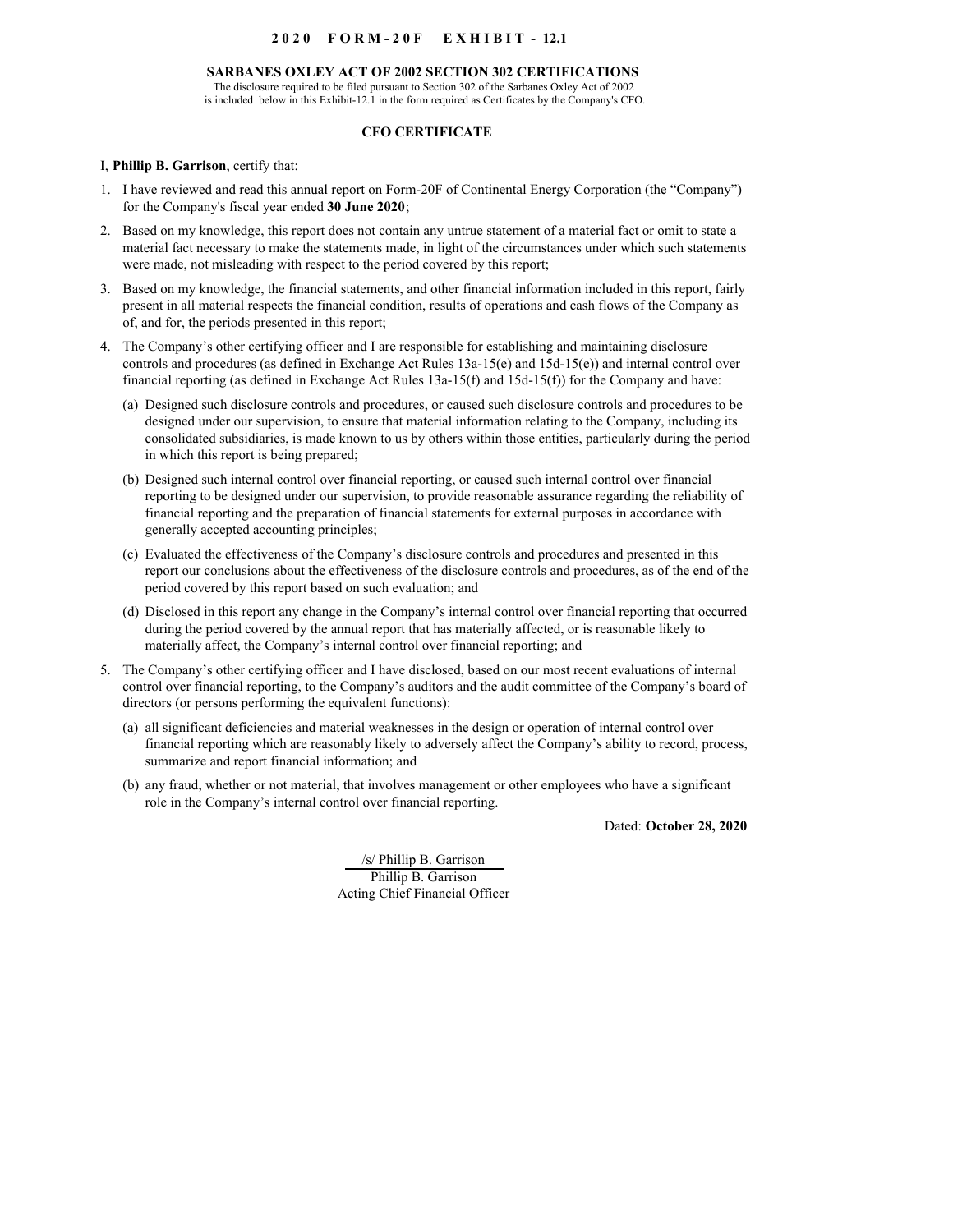### **2 0 2 0 F O R M - 2 0 F E X H I B I T - 12.1**

#### **SARBANES OXLEY ACT OF 2002 SECTION 302 CERTIFICATIONS**

The disclosure required to be filed pursuant to Section 302 of the Sarbanes Oxley Act of 2002 is included below in this Exhibit-12.1 in the form required as Certificates by the Company's CFO.

### **CFO CERTIFICATE**

### <span id="page-65-0"></span>I, **Phillip B. Garrison**, certify that:

- 1. I have reviewed and read this annual report on Form-20F of Continental Energy Corporation (the "Company") for the Company's fiscal year ended **30 June 2020**;
- 2. Based on my knowledge, this report does not contain any untrue statement of a material fact or omit to state a material fact necessary to make the statements made, in light of the circumstances under which such statements were made, not misleading with respect to the period covered by this report;
- Based on my knowledge, the financial statements, and other financial information included in this report, fairly 3. present in all material respects the financial condition, results of operations and cash flows of the Company as of, and for, the periods presented in this report;
- 4. The Company's other certifying officer and I are responsible for establishing and maintaining disclosure controls and procedures (as defined in Exchange Act Rules 13a-15(e) and 15d-15(e)) and internal control over financial reporting (as defined in Exchange Act Rules 13a-15(f) and 15d-15(f)) for the Company and have:
	- (a) Designed such disclosure controls and procedures, or caused such disclosure controls and procedures to be designed under our supervision, to ensure that material information relating to the Company, including its consolidated subsidiaries, is made known to us by others within those entities, particularly during the period in which this report is being prepared;
	- (b) Designed such internal control over financial reporting, or caused such internal control over financial reporting to be designed under our supervision, to provide reasonable assurance regarding the reliability of financial reporting and the preparation of financial statements for external purposes in accordance with generally accepted accounting principles;
	- Evaluated the effectiveness of the Company's disclosure controls and procedures and presented in this (c) report our conclusions about the effectiveness of the disclosure controls and procedures, as of the end of the period covered by this report based on such evaluation; and
	- (d) Disclosed in this report any change in the Company's internal control over financial reporting that occurred during the period covered by the annual report that has materially affected, or is reasonable likely to materially affect, the Company's internal control over financial reporting; and
- 5. The Company's other certifying officer and I have disclosed, based on our most recent evaluations of internal control over financial reporting, to the Company's auditors and the audit committee of the Company's board of directors (or persons performing the equivalent functions):
	- all significant deficiencies and material weaknesses in the design or operation of internal control over (a) financial reporting which are reasonably likely to adversely affect the Company's ability to record, process, summarize and report financial information; and
	- any fraud, whether or not material, that involves management or other employees who have a significant (b)role in the Company's internal control over financial reporting.

Dated: **October 28, 2020**

/s/ Phillip B. Garrison Phillip B. Garrison Acting Chief Financial Officer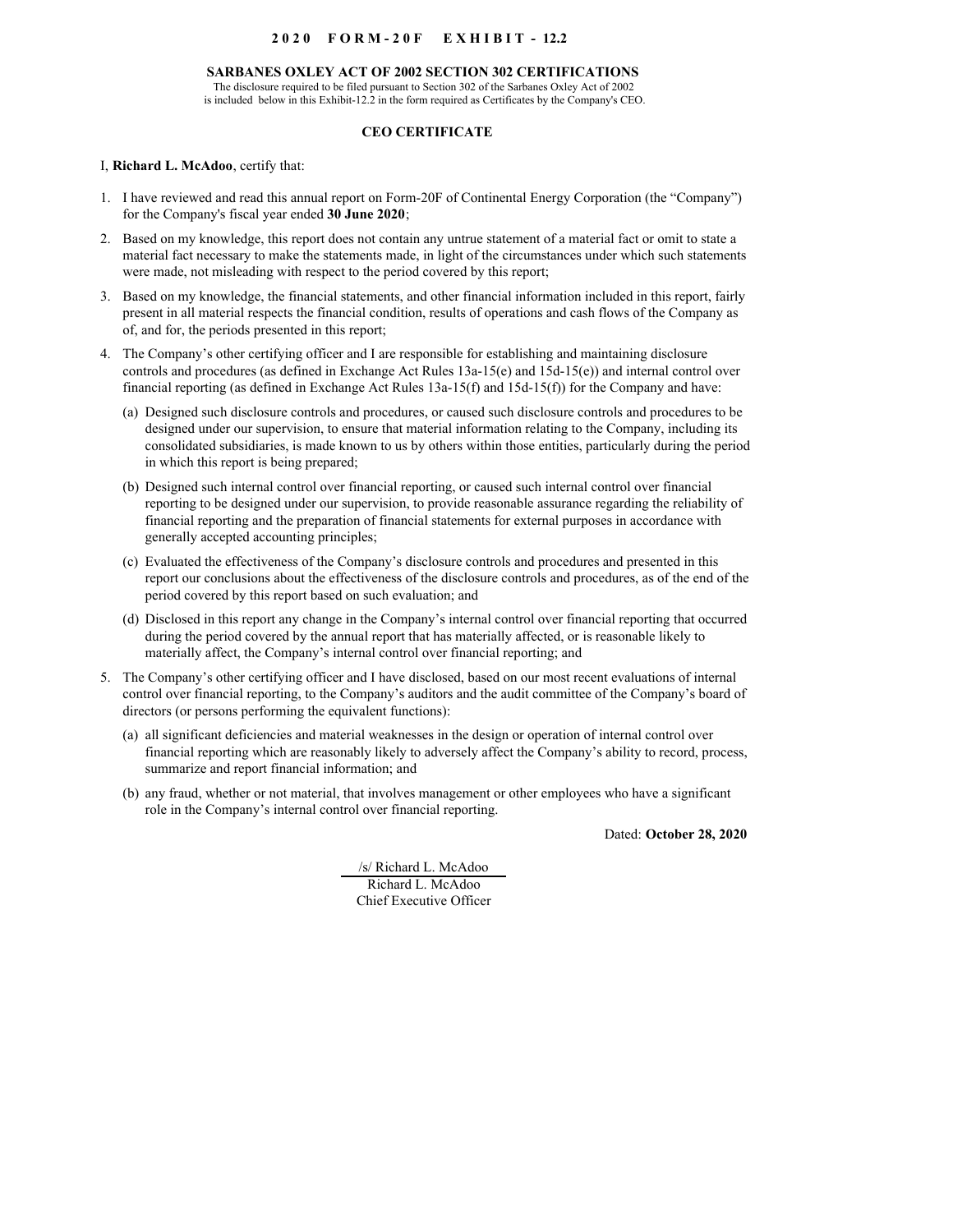### **2 0 2 0 F O R M - 2 0 F E X H I B I T - 12.2**

### **SARBANES OXLEY ACT OF 2002 SECTION 302 CERTIFICATIONS**

The disclosure required to be filed pursuant to Section 302 of the Sarbanes Oxley Act of 2002 is included below in this Exhibit-12.2 in the form required as Certificates by the Company's CEO.

### **CEO CERTIFICATE**

### <span id="page-66-0"></span>I, **Richard L. McAdoo**, certify that:

- 1. I have reviewed and read this annual report on Form-20F of Continental Energy Corporation (the "Company") for the Company's fiscal year ended **30 June 2020**;
- 2. Based on my knowledge, this report does not contain any untrue statement of a material fact or omit to state a material fact necessary to make the statements made, in light of the circumstances under which such statements were made, not misleading with respect to the period covered by this report;
- Based on my knowledge, the financial statements, and other financial information included in this report, fairly 3. present in all material respects the financial condition, results of operations and cash flows of the Company as of, and for, the periods presented in this report;
- 4. The Company's other certifying officer and I are responsible for establishing and maintaining disclosure controls and procedures (as defined in Exchange Act Rules 13a-15(e) and 15d-15(e)) and internal control over financial reporting (as defined in Exchange Act Rules 13a-15(f) and 15d-15(f)) for the Company and have:
	- (a) Designed such disclosure controls and procedures, or caused such disclosure controls and procedures to be designed under our supervision, to ensure that material information relating to the Company, including its consolidated subsidiaries, is made known to us by others within those entities, particularly during the period in which this report is being prepared;
	- (b) Designed such internal control over financial reporting, or caused such internal control over financial reporting to be designed under our supervision, to provide reasonable assurance regarding the reliability of financial reporting and the preparation of financial statements for external purposes in accordance with generally accepted accounting principles;
	- Evaluated the effectiveness of the Company's disclosure controls and procedures and presented in this (c) report our conclusions about the effectiveness of the disclosure controls and procedures, as of the end of the period covered by this report based on such evaluation; and
	- (d) Disclosed in this report any change in the Company's internal control over financial reporting that occurred during the period covered by the annual report that has materially affected, or is reasonable likely to materially affect, the Company's internal control over financial reporting; and
- 5. The Company's other certifying officer and I have disclosed, based on our most recent evaluations of internal control over financial reporting, to the Company's auditors and the audit committee of the Company's board of directors (or persons performing the equivalent functions):
	- all significant deficiencies and material weaknesses in the design or operation of internal control over (a) financial reporting which are reasonably likely to adversely affect the Company's ability to record, process, summarize and report financial information; and
	- any fraud, whether or not material, that involves management or other employees who have a significant (b)role in the Company's internal control over financial reporting.

Dated: **October 28, 2020**

/s/ Richard L. McAdoo Richard L. McAdoo Chief Executive Officer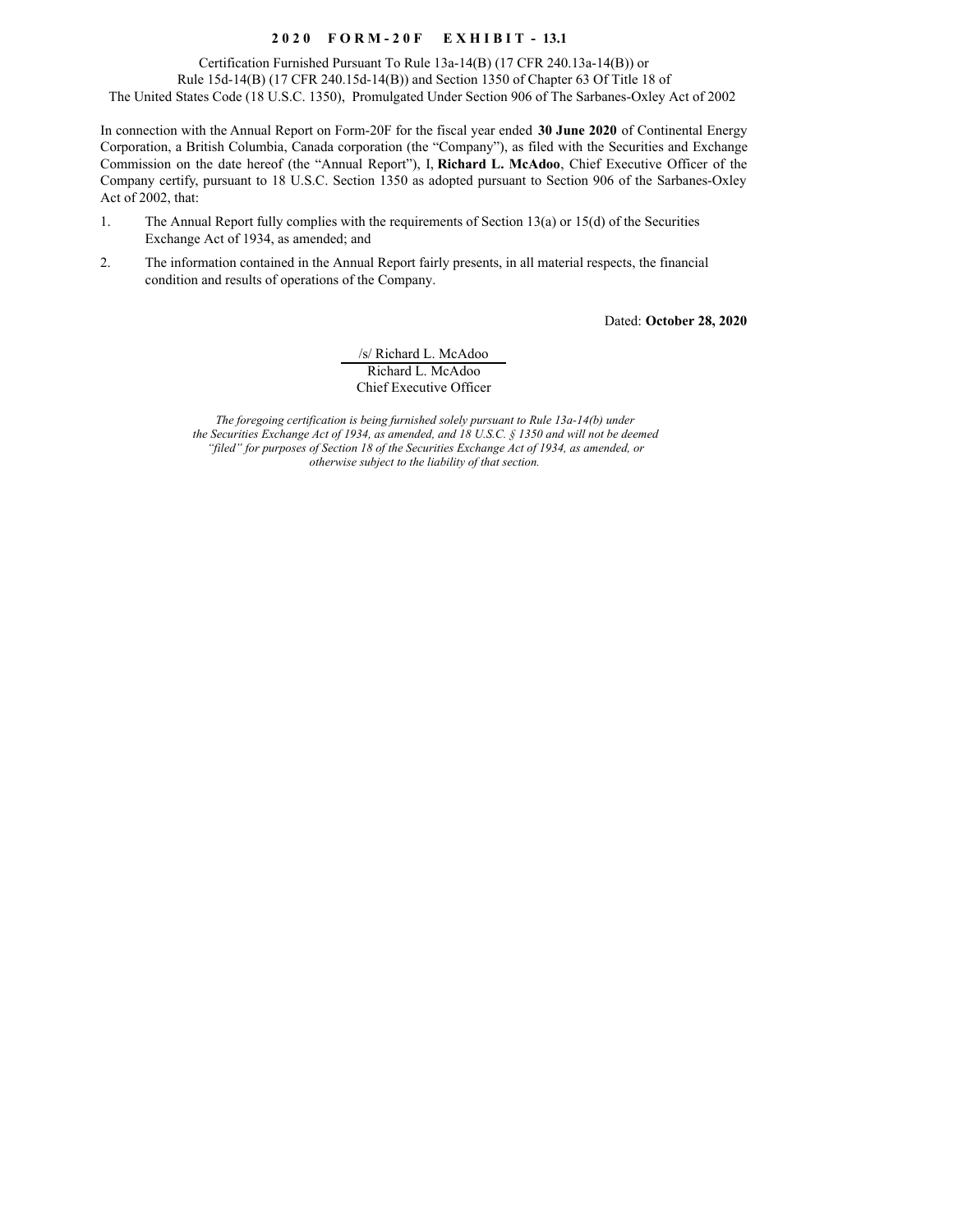### **2 0 2 0 F O R M - 2 0 F E X H I B I T - 13.1**

<span id="page-67-0"></span>Certification Furnished Pursuant To Rule 13a-14(B) (17 CFR 240.13a-14(B)) or Rule 15d-14(B) (17 CFR 240.15d-14(B)) and Section 1350 of Chapter 63 Of Title 18 of The United States Code (18 U.S.C. 1350), Promulgated Under Section 906 of The Sarbanes-Oxley Act of 2002

In connection with the Annual Report on Form-20F for the fiscal year ended **30 June 2020** of Continental Energy Corporation, a British Columbia, Canada corporation (the "Company"), as filed with the Securities and Exchange Commission on the date hereof (the "Annual Report"), I, **Richard L. McAdoo**, Chief Executive Officer of the Company certify, pursuant to 18 U.S.C. Section 1350 as adopted pursuant to Section 906 of the Sarbanes-Oxley Act of 2002, that:

- The Annual Report fully complies with the requirements of Section  $13(a)$  or  $15(d)$  of the Securities Exchange Act of 1934, as amended; and 1.
- The information contained in the Annual Report fairly presents, in all material respects, the financial condition and results of operations of the Company. 2.

Dated: **October 28, 2020**

/s/ Richard L. McAdoo Richard L. McAdoo Chief Executive Officer

*The foregoing certification is being furnished solely pursuant to Rule 13a-14(b) under the Securities Exchange Act of 1934, as amended, and 18 U.S.C. § 1350 and will not be deemed "filed" for purposes of Section 18 of the Securities Exchange Act of 1934, as amended, or otherwise subject to the liability of that section.*